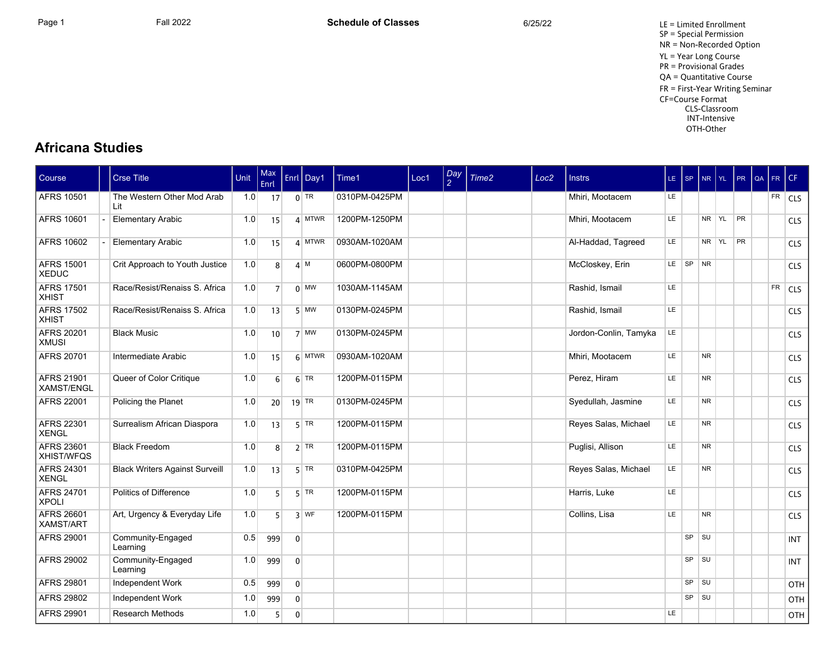Page 1 **Fall 2022** Fall 2022 **Schedule of Classes** 6/25/22 6/25/22 LE = Limited Enrollment SP = Special Permission NR = Non-Recorded Option YL = Year Long Course PR = Provisional Grades QA = Quantitative Course FR = First-Year Writing Seminar CF=Course Format CLS-Classroom INT-Intensive OTH-Other

## **Africana Studies**

| Course                                 | <b>Crse Title</b>                     | Unit | Max<br>Enrl     |                | Enrl Day1    | Time1         | Loc1 | $\frac{Day}{2}$ | Time <sub>2</sub> | Loc <sub>2</sub> | <b>Instrs</b>         | LE SP     |    | NR        | I YL. | PR        | l QA | FR.       | CF             |
|----------------------------------------|---------------------------------------|------|-----------------|----------------|--------------|---------------|------|-----------------|-------------------|------------------|-----------------------|-----------|----|-----------|-------|-----------|------|-----------|----------------|
| <b>AFRS 10501</b>                      | The Western Other Mod Arab<br>l it    | 1.0  | 17              |                | $0$ TR       | 0310PM-0425PM |      |                 |                   |                  | Mhiri, Mootacem       | LE.       |    |           |       |           |      |           | $FR$ CLS       |
| AFRS 10601                             | <b>Elementary Arabic</b>              | 1.0  | 15              |                | $4$ MTWR     | 1200PM-1250PM |      |                 |                   |                  | Mhiri. Mootacem       | LE.       |    | NR YL     |       | <b>PR</b> |      |           | <b>CLS</b>     |
| <b>AFRS 10602</b>                      | <b>Elementary Arabic</b>              | 1.0  | 15              |                | $4$ MTWR     | 0930AM-1020AM |      |                 |                   |                  | Al-Haddad, Tagreed    | LE.       |    | NR YL     |       | PR        |      |           | <b>CLS</b>     |
| <b>AFRS 15001</b><br><b>XEDUC</b>      | Crit Approach to Youth Justice        | 1.0  | 8 <sup>1</sup>  |                | 4 M          | 0600PM-0800PM |      |                 |                   |                  | McCloskey, Erin       | LE.       | SP | <b>NR</b> |       |           |      |           | <b>CLS</b>     |
| <b>AFRS 17501</b><br><b>XHIST</b>      | Race/Resist/Renaiss S. Africa         | 1.0  | $\overline{7}$  |                | $0 \mid$ MW  | 1030AM-1145AM |      |                 |                   |                  | Rashid, Ismail        | <b>LE</b> |    |           |       |           |      | <b>FR</b> | <sub>cls</sub> |
| <b>AFRS 17502</b><br><b>XHIST</b>      | Race/Resist/Renaiss S. Africa         | 1.0  | 13              |                | $5$ MW       | 0130PM-0245PM |      |                 |                   |                  | Rashid, Ismail        | LE        |    |           |       |           |      |           | <b>CLS</b>     |
| AFRS 20201<br><b>XMUSI</b>             | <b>Black Music</b>                    | 1.0  | 10 <sup>1</sup> |                | $7 \vert$ MW | 0130PM-0245PM |      |                 |                   |                  | Jordon-Conlin, Tamyka | LE.       |    |           |       |           |      |           | <b>CLS</b>     |
| AFRS 20701                             | Intermediate Arabic                   | 1.0  | 15              |                | $6$ MTWR     | 0930AM-1020AM |      |                 |                   |                  | Mhiri, Mootacem       | LE.       |    | <b>NR</b> |       |           |      |           | <b>CLS</b>     |
| <b>AFRS 21901</b><br><b>XAMST/ENGL</b> | Queer of Color Critique               | 1.0  | $6 \mid$        |                | $6$ TR       | 1200PM-0115PM |      |                 |                   |                  | Perez, Hiram          | LE        |    | <b>NR</b> |       |           |      |           | <b>CLS</b>     |
| AFRS 22001                             | Policing the Planet                   | 1.0  | 20              |                | $19$ TR      | 0130PM-0245PM |      |                 |                   |                  | Syedullah, Jasmine    | LE        |    | <b>NR</b> |       |           |      |           | <b>CLS</b>     |
| AFRS 22301<br><b>XENGL</b>             | Surrealism African Diaspora           | 1.0  | 13              |                | $5$ TR       | 1200PM-0115PM |      |                 |                   |                  | Reyes Salas, Michael  | LE        |    | <b>NR</b> |       |           |      |           | <b>CLS</b>     |
| AFRS 23601<br><b>XHIST/WFQS</b>        | <b>Black Freedom</b>                  | 1.0  | 8 <sup>1</sup>  |                | $2$ TR       | 1200PM-0115PM |      |                 |                   |                  | Puglisi, Allison      | LE.       |    | <b>NR</b> |       |           |      |           | <b>CLS</b>     |
| AFRS 24301<br><b>XENGL</b>             | <b>Black Writers Against Surveill</b> | 1.0  | 13              |                | $5$ TR       | 0310PM-0425PM |      |                 |                   |                  | Reyes Salas, Michael  | LE.       |    | <b>NR</b> |       |           |      |           | <b>CLS</b>     |
| AFRS 24701<br><b>XPOLI</b>             | Politics of Difference                | 1.0  | 5 <sup>1</sup>  |                | $5$ TR       | 1200PM-0115PM |      |                 |                   |                  | Harris, Luke          | LE        |    |           |       |           |      |           | <b>CLS</b>     |
| AFRS 26601<br>XAMST/ART                | Art, Urgency & Everyday Life          | 1.0  | 5 <sup>1</sup>  |                | $3$ WF       | 1200PM-0115PM |      |                 |                   |                  | Collins, Lisa         | LE.       |    | <b>NR</b> |       |           |      |           | <b>CLS</b>     |
| <b>AFRS 29001</b>                      | Community-Engaged<br>Learning         | 0.5  | 999             | $\overline{0}$ |              |               |      |                 |                   |                  |                       |           | SP | SU        |       |           |      |           | <b>INT</b>     |
| <b>AFRS 29002</b>                      | Community-Engaged<br>Learning         | 1.0  | 999             | $\overline{0}$ |              |               |      |                 |                   |                  |                       |           | SP | SU        |       |           |      |           | <b>INT</b>     |
| <b>AFRS 29801</b>                      | Independent Work                      | 0.5  | 999             | $\overline{0}$ |              |               |      |                 |                   |                  |                       |           | SP | SU        |       |           |      |           | OTH            |
| <b>AFRS 29802</b>                      | Independent Work                      | 1.0  | 999             | $\overline{0}$ |              |               |      |                 |                   |                  |                       |           | SP | <b>SU</b> |       |           |      |           | OTH            |
| AFRS 29901                             | <b>Research Methods</b>               | 1.0  | 5               | $\overline{0}$ |              |               |      |                 |                   |                  |                       | LE.       |    |           |       |           |      |           | OTH            |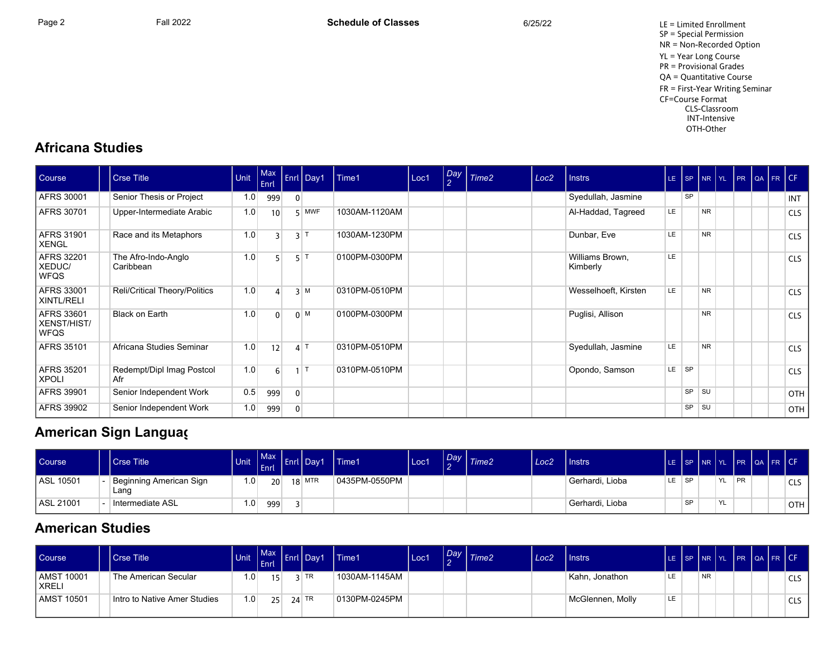Page 2 Fall 2022 Fall 2022 **Schedule of Classes** 6/25/22 6/25/22 LE = Limited Enrollment SP = Special Permission NR = Non-Recorded Option YL = Year Long Course PR = Provisional Grades QA = Quantitative Course FR = First-Year Writing Seminar CF=Course Format CLS-Classroom INT-Intensive OTH-Other

## **Africana Studies**

| Course                                   | <b>Crse Title</b>                | Unit | Max<br>Enrl |              | Enrl Day1  | Time1         | Loc1 | Day<br>$\overline{2}$ | Time <sub>2</sub> | Loc <sub>2</sub> | <b>Instrs</b>               |           |           |           |  | LE SP NR YL PR QA FR CF |            |
|------------------------------------------|----------------------------------|------|-------------|--------------|------------|---------------|------|-----------------------|-------------------|------------------|-----------------------------|-----------|-----------|-----------|--|-------------------------|------------|
| AFRS 30001                               | Senior Thesis or Project         | 1.0  | 999         | 0            |            |               |      |                       |                   |                  | Syedullah, Jasmine          |           | <b>SP</b> |           |  |                         | <b>INT</b> |
| AFRS 30701                               | Upper-Intermediate Arabic        | 1.0  | 10          |              | $5$ MWF    | 1030AM-1120AM |      |                       |                   |                  | Al-Haddad, Tagreed          | LE        |           | <b>NR</b> |  |                         | <b>CLS</b> |
| AFRS 31901<br><b>XENGL</b>               | Race and its Metaphors           | 1.0  | 3           | 3 1          |            | 1030AM-1230PM |      |                       |                   |                  | Dunbar, Eve                 | LE.       |           | <b>NR</b> |  |                         | <b>CLS</b> |
| AFRS 32201<br>XEDUC/<br><b>WFQS</b>      | The Afro-Indo-Anglo<br>Caribbean | 1.0  |             | 5 F          |            | 0100PM-0300PM |      |                       |                   |                  | Williams Brown,<br>Kimberly | <b>LE</b> |           |           |  |                         | <b>CLS</b> |
| AFRS 33001<br>XINTL/RELI                 | Reli/Critical Theory/Politics    | 1.0  | 4           |              | 3 M        | 0310PM-0510PM |      |                       |                   |                  | Wesselhoeft, Kirsten        | LE        |           | <b>NR</b> |  |                         | <b>CLS</b> |
| AFRS 33601<br>XENST/HIST/<br><b>WFQS</b> | <b>Black on Earth</b>            | 1.0  | $\Omega$    |              | $0 \mid M$ | 0100PM-0300PM |      |                       |                   |                  | Puglisi, Allison            |           |           | <b>NR</b> |  |                         | <b>CLS</b> |
| AFRS 35101                               | Africana Studies Seminar         | 1.0  | 12          | 4            |            | 0310PM-0510PM |      |                       |                   |                  | Syedullah, Jasmine          | LE        |           | <b>NR</b> |  |                         | <b>CLS</b> |
| AFRS 35201<br><b>XPOLI</b>               | Redempt/Dipl Imag Postcol<br>Afr | 1.0  | 6           |              |            | 0310PM-0510PM |      |                       |                   |                  | Opondo, Samson              | LE.       | <b>SP</b> |           |  |                         | <b>CLS</b> |
| AFRS 39901                               | Senior Independent Work          | 0.5  | 999         | $\mathbf{0}$ |            |               |      |                       |                   |                  |                             |           | <b>SP</b> | ∣ su      |  |                         | <b>OTH</b> |
| AFRS 39902                               | Senior Independent Work          | 1.0  | 999         | 0            |            |               |      |                       |                   |                  |                             |           | SP        | <b>SU</b> |  |                         | OTH        |

## **American Sign Languag**

| Course    | l Crse Title                    | <b>Unit</b> | l Max<br><b>Enrl</b> | <b>NETTIN</b> | Il Dav1  | Time1         | Loc1 | Day | Time2 | Loc2 | Instrs          |    |           | LE ISP INR IYL |     |           | PR QA FR CF |            |
|-----------|---------------------------------|-------------|----------------------|---------------|----------|---------------|------|-----|-------|------|-----------------|----|-----------|----------------|-----|-----------|-------------|------------|
| ASL 10501 | Beginning American Sign<br>Lang | 0،،         | 20 <sup>1</sup>      |               | $18$ MTR | 0435PM-0550PM |      |     |       |      | Gerhardi, Lioba | LE | <b>SP</b> |                | YL. | <b>PR</b> |             | <b>CLS</b> |
| ASL 21001 | Intermediate ASL                | $\cdot$ 0   | 999                  |               |          |               |      |     |       |      | Gerhardi, Lioba |    | <b>QD</b> |                | YL. |           |             | OTH        |

## **American Studies**

| Course                | <b>Crse Title</b>            | Unit | Max<br>LEnrl    | <b>Enrl Dav1</b> | Time1         | Loc1 | Day | Time <sub>2</sub> | Loc <sub>2</sub> | <b>I</b> Instrs  |     | LE SP NR YL PR QA FR CF |           |  |  |            |
|-----------------------|------------------------------|------|-----------------|------------------|---------------|------|-----|-------------------|------------------|------------------|-----|-------------------------|-----------|--|--|------------|
| AMST 10001<br>l XRELI | The American Secular         | 1.0  | 15 <sub>i</sub> | $2$ TR           | 1030AM-1145AM |      |     |                   |                  | Kahn, Jonathon   | LE  |                         | <b>NR</b> |  |  | <b>CLS</b> |
| AMST 10501            | Intro to Native Amer Studies | 1.0  | 25 <sup>2</sup> | $24$ TR          | 0130PM-0245PM |      |     |                   |                  | McGlennen, Molly | LE. |                         |           |  |  | <b>CLS</b> |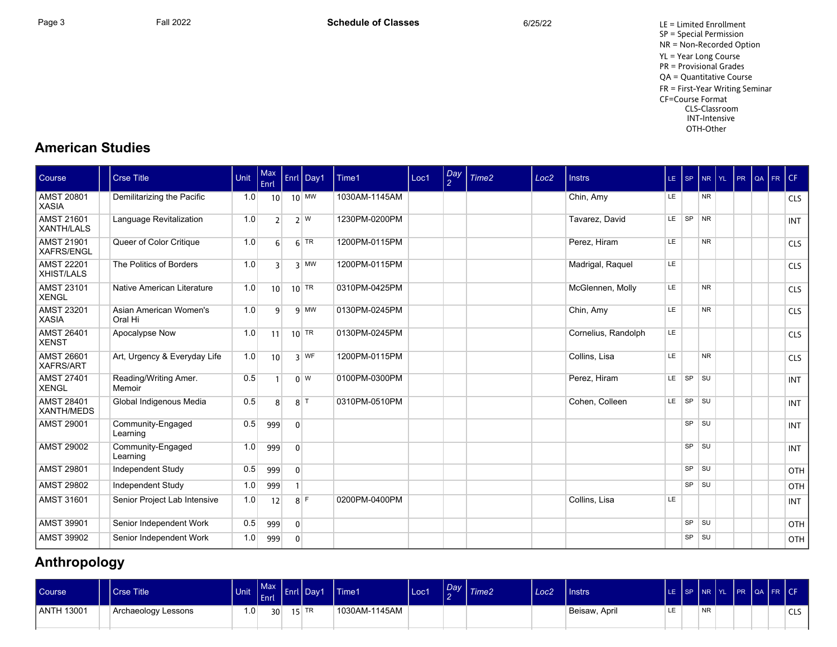Page 3 Fall 2022 Fall 2022 **Schedule of Classes** 6/25/22 6/25/22 LE = Limited Enrollment SP = Special Permission NR = Non-Recorded Option YL = Year Long Course PR = Provisional Grades QA = Quantitative Course FR = First-Year Writing Seminar CF=Course Format CLS-Classroom INT-Intensive OTH-Other

## **American Studies**

| Course                                 | <b>Crse Title</b>                 | Unit | Max<br>Enrl      |                | Enrl Day1          | Time1         | Loc1 | $\frac{Day}{2}$ | Time <sub>2</sub> | Loc <sub>2</sub> | <b>Instrs</b>       |     | $LE$ $ SP$ | <b>NR</b> | $YL$ $PR$ $QA$ $FR$ |  | CF         |
|----------------------------------------|-----------------------------------|------|------------------|----------------|--------------------|---------------|------|-----------------|-------------------|------------------|---------------------|-----|------------|-----------|---------------------|--|------------|
| <b>AMST 20801</b><br><b>XASIA</b>      | Demilitarizing the Pacific        | 1.0  | 10 <sup>1</sup>  |                | $10$ MW            | 1030AM-1145AM |      |                 |                   |                  | Chin, Amy           | LE  |            | <b>NR</b> |                     |  | <b>CLS</b> |
| <b>AMST 21601</b><br><b>XANTH/LALS</b> | Language Revitalization           | 1.0  | 2 <sup>1</sup>   |                | 2 W                | 1230PM-0200PM |      |                 |                   |                  | Tavarez, David      |     | LE SP NR   |           |                     |  | <b>INT</b> |
| <b>AMST 21901</b><br><b>XAFRS/ENGL</b> | Queer of Color Critique           | 1.0  | $6 \overline{6}$ |                | $6$ TR             | 1200PM-0115PM |      |                 |                   |                  | Perez, Hiram        | LE. |            | <b>NR</b> |                     |  | <b>CLS</b> |
| <b>AMST 22201</b><br><b>XHIST/LALS</b> | The Politics of Borders           | 1.0  | $\overline{3}$   |                | $3$ MW             | 1200PM-0115PM |      |                 |                   |                  | Madrigal, Raquel    | LE  |            |           |                     |  | <b>CLS</b> |
| <b>AMST 23101</b><br><b>XENGL</b>      | Native American Literature        | 1.0  | 10 <sup>1</sup>  |                | $10$ <sup>TR</sup> | 0310PM-0425PM |      |                 |                   |                  | McGlennen, Molly    | LE  |            | <b>NR</b> |                     |  | <b>CLS</b> |
| <b>AMST 23201</b><br><b>XASIA</b>      | Asian American Women's<br>Oral Hi | 1.0  | $\mathsf q$      |                | $9$ MW             | 0130PM-0245PM |      |                 |                   |                  | Chin, Amy           | LE  |            | <b>NR</b> |                     |  | <b>CLS</b> |
| <b>AMST 26401</b><br><b>XENST</b>      | Apocalypse Now                    | 1.0  | 11               |                | $10$ TR            | 0130PM-0245PM |      |                 |                   |                  | Cornelius, Randolph | LE  |            |           |                     |  | <b>CLS</b> |
| <b>AMST 26601</b><br><b>XAFRS/ART</b>  | Art, Urgency & Everyday Life      | 1.0  | 10 <sup>1</sup>  |                | $3$ WF             | 1200PM-0115PM |      |                 |                   |                  | Collins, Lisa       | LE  |            | <b>NR</b> |                     |  | <b>CLS</b> |
| <b>AMST 27401</b><br><b>XENGL</b>      | Reading/Writing Amer.<br>Memoir   | 0.5  |                  |                | $0 \vert W$        | 0100PM-0300PM |      |                 |                   |                  | Perez, Hiram        |     | $LE$ $SP$  | <b>SU</b> |                     |  | <b>INT</b> |
| <b>AMST 28401</b><br><b>XANTH/MEDS</b> | Global Indigenous Media           | 0.5  | 8 <sup>1</sup>   |                | $8$ <sup>T</sup>   | 0310PM-0510PM |      |                 |                   |                  | Cohen, Colleen      |     | LE SP SU   |           |                     |  | <b>INT</b> |
| <b>AMST 29001</b>                      | Community-Engaged<br>Learning     | 0.5  | 999              | $\mathbf{0}$   |                    |               |      |                 |                   |                  |                     |     | SP         | <b>SU</b> |                     |  | <b>INT</b> |
| <b>AMST 29002</b>                      | Community-Engaged<br>Learning     | 1.0  | 999              | $\mathbf{0}$   |                    |               |      |                 |                   |                  |                     |     | SP         | <b>SU</b> |                     |  | <b>INT</b> |
| <b>AMST 29801</b>                      | Independent Study                 | 0.5  | 999              | $\overline{0}$ |                    |               |      |                 |                   |                  |                     |     | SP         | <b>SU</b> |                     |  | OTH        |
| <b>AMST 29802</b>                      | Independent Study                 | 1.0  | 999              |                |                    |               |      |                 |                   |                  |                     |     | SP         | <b>SU</b> |                     |  | OTH        |
| <b>AMST 31601</b>                      | Senior Project Lab Intensive      | 1.0  | 12               |                | $8$ F              | 0200PM-0400PM |      |                 |                   |                  | Collins, Lisa       | LE  |            |           |                     |  | <b>INT</b> |
| <b>AMST 39901</b>                      | Senior Independent Work           | 0.5  | 999              | $\overline{0}$ |                    |               |      |                 |                   |                  |                     |     | SP         | <b>SU</b> |                     |  | OTH        |
| <b>AMST 39902</b>                      | Senior Independent Work           | 1.0  | 999              | $\mathbf{0}$   |                    |               |      |                 |                   |                  |                     |     | SP         | SU        |                     |  | OTH        |

## **Anthropology**

| Course     | Crse Title          | Unit Enter |                 | Max Enrl Day1      | Time1         | Loc1 | Day<br>$\sim$ | Time <sub>2</sub> | Loc <sub>2</sub> | Instrs        |    |           | LE SP INR YL PR QA FR CF' |  |          |
|------------|---------------------|------------|-----------------|--------------------|---------------|------|---------------|-------------------|------------------|---------------|----|-----------|---------------------------|--|----------|
| ANTH 13001 | Archaeology Lessons | i .O       | 30 <sup>2</sup> | $15$ <sup>TR</sup> | 1030AM-1145AM |      |               |                   |                  | Beisaw, April | LE | <b>NR</b> |                           |  | C1C<br>ີ |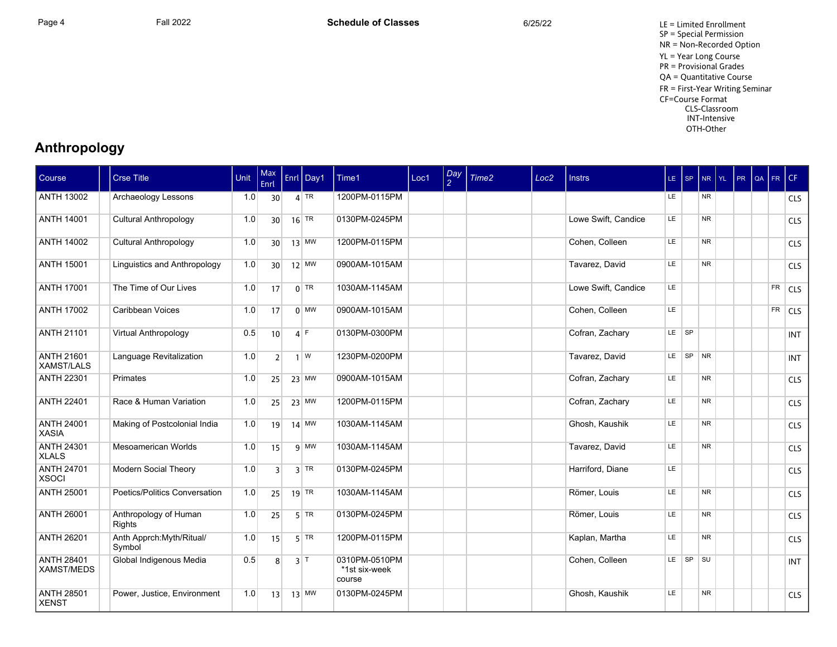Page 4 Fall 2022 Fall 2022 **Schedule of Classes** 6/25/22 6/25/22 LE = Limited Enrollment SP = Special Permission NR = Non-Recorded Option YL = Year Long Course PR = Provisional Grades QA = Quantitative Course FR = First-Year Writing Seminar CF=Course Format CLS-Classroom INT-Intensive OTH-Other

## **Anthropology**

| Course                                 | <b>Crse Title</b>                   | Unit | Max<br>Enrl     | Enrl Day1        | Time1                                    | Loc1 | $\frac{Day}{2}$ | Time2 | Loc <sub>2</sub> | <b>Instrs</b>       | $LE$ $SP$ |          |           | NR YL PR | $QA$ FR |           | CF         |
|----------------------------------------|-------------------------------------|------|-----------------|------------------|------------------------------------------|------|-----------------|-------|------------------|---------------------|-----------|----------|-----------|----------|---------|-----------|------------|
| <b>ANTH 13002</b>                      | Archaeology Lessons                 | 1.0  | 30 <sup>1</sup> | $4$ TR           | 1200PM-0115PM                            |      |                 |       |                  |                     | LE.       |          | <b>NR</b> |          |         |           | <b>CLS</b> |
| <b>ANTH 14001</b>                      | <b>Cultural Anthropology</b>        | 1.0  | 30 <sup>1</sup> | $16$ TR          | 0130PM-0245PM                            |      |                 |       |                  | Lowe Swift, Candice | LE.       |          | <b>NR</b> |          |         |           | <b>CLS</b> |
| <b>ANTH 14002</b>                      | <b>Cultural Anthropology</b>        | 1.0  | 30 <sup>1</sup> | $13$ MW          | 1200PM-0115PM                            |      |                 |       |                  | Cohen, Colleen      | LE        |          | <b>NR</b> |          |         |           | <b>CLS</b> |
| <b>ANTH 15001</b>                      | Linguistics and Anthropology        | 1.0  | 30 <sup>1</sup> | $12$ MW          | 0900AM-1015AM                            |      |                 |       |                  | Tavarez, David      | LE.       |          | <b>NR</b> |          |         |           | <b>CLS</b> |
| <b>ANTH 17001</b>                      | The Time of Our Lives               | 1.0  | 17              | $0$ TR           | 1030AM-1145AM                            |      |                 |       |                  | Lowe Swift, Candice | LE        |          |           |          |         | FR        | <b>CLS</b> |
| <b>ANTH 17002</b>                      | Caribbean Voices                    | 1.0  | 17              | $0$ MW           | 0900AM-1015AM                            |      |                 |       |                  | Cohen, Colleen      | <b>LE</b> |          |           |          |         | <b>FR</b> | <b>CLS</b> |
| <b>ANTH 21101</b>                      | Virtual Anthropology                | 0.5  | 10              | $4$ F            | 0130PM-0300PM                            |      |                 |       |                  | Cofran, Zachary     | LE SP     |          |           |          |         |           | <b>INT</b> |
| <b>ANTH 21601</b><br>XAMST/LALS        | Language Revitalization             | 1.0  | 2 <sup>1</sup>  | $1 \mid W$       | 1230PM-0200PM                            |      |                 |       |                  | Tavarez, David      |           | LE SP NR |           |          |         |           | <b>INT</b> |
| <b>ANTH 22301</b>                      | Primates                            | 1.0  | 25              | $23$ MW          | 0900AM-1015AM                            |      |                 |       |                  | Cofran, Zachary     | LE        |          | <b>NR</b> |          |         |           | <b>CLS</b> |
| <b>ANTH 22401</b>                      | Race & Human Variation              | 1.0  | 25              | $23$ MW          | 1200PM-0115PM                            |      |                 |       |                  | Cofran, Zachary     | <b>LE</b> |          | <b>NR</b> |          |         |           | <b>CLS</b> |
| <b>ANTH 24001</b><br><b>XASIA</b>      | Making of Postcolonial India        | 1.0  | 19              | $14$ MW          | 1030AM-1145AM                            |      |                 |       |                  | Ghosh, Kaushik      | LE.       |          | <b>NR</b> |          |         |           | <b>CLS</b> |
| <b>ANTH 24301</b><br><b>XLALS</b>      | Mesoamerican Worlds                 | 1.0  | 15              | $9$ MW           | 1030AM-1145AM                            |      |                 |       |                  | Tavarez, David      | LE.       |          | <b>NR</b> |          |         |           | <b>CLS</b> |
| <b>ANTH 24701</b><br><b>XSOCI</b>      | Modern Social Theory                | 1.0  | $\overline{3}$  | $3$ TR           | 0130PM-0245PM                            |      |                 |       |                  | Harriford, Diane    | LE.       |          |           |          |         |           | <b>CLS</b> |
| <b>ANTH 25001</b>                      | Poetics/Politics Conversation       | 1.0  | 25              | $19$ TR          | 1030AM-1145AM                            |      |                 |       |                  | Römer. Louis        | LE.       |          | <b>NR</b> |          |         |           | <b>CLS</b> |
| <b>ANTH 26001</b>                      | Anthropology of Human<br>Rights     | 1.0  | 25              | $5$ TR           | 0130PM-0245PM                            |      |                 |       |                  | Römer, Louis        | LE.       |          | <b>NR</b> |          |         |           | <b>CLS</b> |
| <b>ANTH 26201</b>                      | Anth Apprch: Myth/Ritual/<br>Symbol | 1.0  | 15              | $5$ TR           | 1200PM-0115PM                            |      |                 |       |                  | Kaplan, Martha      | LE.       |          | <b>NR</b> |          |         |           | <b>CLS</b> |
| <b>ANTH 28401</b><br><b>XAMST/MEDS</b> | Global Indigenous Media             | 0.5  | 8               | $3$ <sup>T</sup> | 0310PM-0510PM<br>*1st six-week<br>course |      |                 |       |                  | Cohen, Colleen      |           | LE SP    | SU        |          |         |           | <b>INT</b> |
| <b>ANTH 28501</b><br><b>XENST</b>      | Power, Justice, Environment         | 1.0  | 13              | $13$ MW          | 0130PM-0245PM                            |      |                 |       |                  | Ghosh, Kaushik      | LE.       |          | <b>NR</b> |          |         |           | <b>CLS</b> |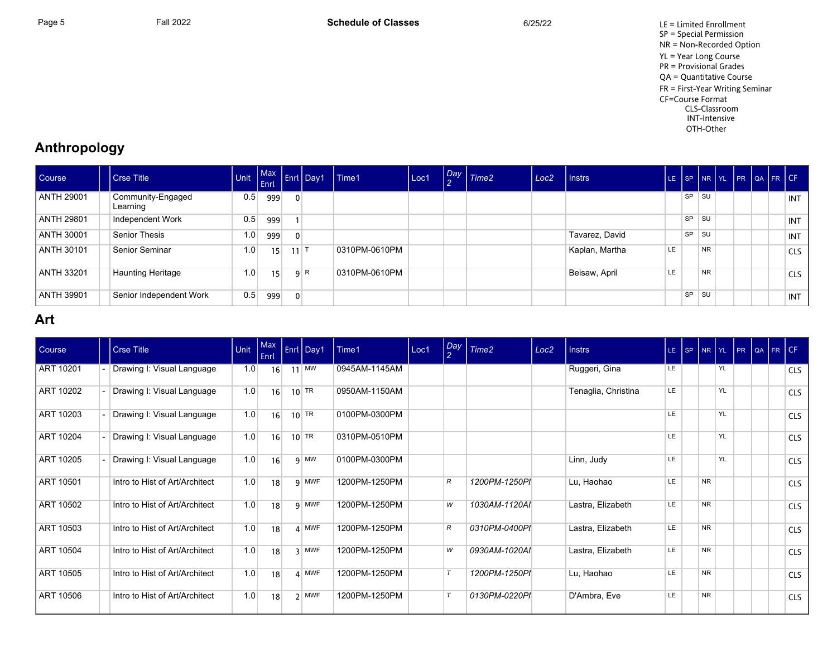Page 5 Fall 2022 Fall 2022 **Schedule of Classes** 6/25/22 6/25/22 LE = Limited Enrollment SP = Special Permission NR = Non-Recorded Option YL = Year Long Course PR = Provisional Grades QA = Quantitative Course FR = First-Year Writing Seminar CF=Course Format CLS-Classroom INT-Intensive OTH-Other

## **Anthropology**

| <b>Course</b>     | <b>Crse Title</b>             | <b>CONTRACTOR</b> |     |                   | Max Enri Day1 | $l$ Time1     | Loc1 | $\left  \frac{Day}{2} \right $ Time2 | Loc <sub>2</sub> | I Instrs       | LE.       |           |           |  | SP NR YL PR QA FR CF |            |
|-------------------|-------------------------------|-------------------|-----|-------------------|---------------|---------------|------|--------------------------------------|------------------|----------------|-----------|-----------|-----------|--|----------------------|------------|
| <b>ANTH 29001</b> | Community-Engaged<br>Learning | 0.5               | 999 | $\overline{0}$    |               |               |      |                                      |                  |                |           | <b>SP</b> | SU        |  |                      | <b>INT</b> |
| ANTH 29801        | Independent Work              | 0.5               | 999 |                   |               |               |      |                                      |                  |                |           | SP        | SU        |  |                      | INT        |
| ANTH 30001        | Senior Thesis                 | 1.0               | 999 | $\overline{0}$    |               |               |      |                                      |                  | Tavarez, David |           | SP        | SU        |  |                      | <b>INT</b> |
| ANTH 30101        | Senior Seminar                | 1.0               | 15  | $11$ <sup>T</sup> |               | 0310PM-0610PM |      |                                      |                  | Kaplan, Martha | LE        |           | <b>NR</b> |  |                      | <b>CLS</b> |
| ANTH 33201        | <b>Haunting Heritage</b>      | 1.0               | 15  |                   | 9 R           | 0310PM-0610PM |      |                                      |                  | Beisaw, April  | <b>LE</b> |           | <b>NR</b> |  |                      | <b>CLS</b> |
| ANTH 39901        | Senior Independent Work       | 0.5               | 999 | $\overline{0}$    |               |               |      |                                      |                  |                |           | SP        | SU        |  |                      | INT        |

## **Art**

| Course    | <b>Crse Title</b>              | Unit | Max<br>Enrl |    | Enrl Day1        | Time1         | Loc1 | $\frac{Day}{2}$ | Time <sub>2</sub> | Loc <sub>2</sub> | <b>Instrs</b>       |           | $LE$ $ SP$ | $NR$ $YL$ |    | PR | QA | FR CF |            |
|-----------|--------------------------------|------|-------------|----|------------------|---------------|------|-----------------|-------------------|------------------|---------------------|-----------|------------|-----------|----|----|----|-------|------------|
| ART 10201 | Drawing I: Visual Language     | 1.0  | 16          | 11 | MW               | 0945AM-1145AM |      |                 |                   |                  | Ruggeri, Gina       | LE.       |            |           | YL |    |    |       | <b>CLS</b> |
| ART 10202 | Drawing I: Visual Language     | 1.0  | 16          |    | $10$ TR          | 0950AM-1150AM |      |                 |                   |                  | Tenaglia, Christina | <b>LE</b> |            |           | YL |    |    |       | <b>CLS</b> |
| ART 10203 | Drawing I: Visual Language     | 1.0  | 16          |    | $10$ TR          | 0100PM-0300PM |      |                 |                   |                  |                     | <b>LE</b> |            |           | YL |    |    |       | <b>CLS</b> |
| ART 10204 | Drawing I: Visual Language     | 1.0  | 16          |    | $10$ TR          | 0310PM-0510PM |      |                 |                   |                  |                     | <b>LE</b> |            |           | YL |    |    |       | <b>CLS</b> |
| ART 10205 | Drawing I: Visual Language     | 1.0  | 16          |    | $9$ MW           | 0100PM-0300PM |      |                 |                   |                  | Linn, Judy          | LE        |            |           | YL |    |    |       | <b>CLS</b> |
| ART 10501 | Intro to Hist of Art/Architect | 1.0  | 18          |    | 9 MWF            | 1200PM-1250PM |      | R               | 1200PM-1250PI     |                  | Lu, Haohao          | LE        |            | <b>NR</b> |    |    |    |       | <b>CLS</b> |
| ART 10502 | Intro to Hist of Art/Architect | 1.0  | 18          |    | 9 MWF            | 1200PM-1250PM |      | W               | 1030AM-1120AI     |                  | Lastra, Elizabeth   | LE.       |            | <b>NR</b> |    |    |    |       | <b>CLS</b> |
| ART 10503 | Intro to Hist of Art/Architect | 1.0  | 18          |    | $\mathbf{A}$ MWF | 1200PM-1250PM |      | R               | 0310PM-0400PI     |                  | Lastra, Elizabeth   | LE.       |            | <b>NR</b> |    |    |    |       | <b>CLS</b> |
| ART 10504 | Intro to Hist of Art/Architect | 1.0  | 18          |    | 3 MWF            | 1200PM-1250PM |      | W               | 0930AM-1020AI     |                  | Lastra, Elizabeth   | LE.       |            | <b>NR</b> |    |    |    |       | <b>CLS</b> |
| ART 10505 | Intro to Hist of Art/Architect | 1.0  | 18          |    | $4$ MWF          | 1200PM-1250PM |      |                 | 1200PM-1250PI     |                  | Lu, Haohao          | <b>LE</b> |            | <b>NR</b> |    |    |    |       | <b>CLS</b> |
| ART 10506 | Intro to Hist of Art/Architect | 1.0  | 18          |    | $2$ MWF          | 1200PM-1250PM |      |                 | 0130PM-0220PI     |                  | D'Ambra, Eve        | LE        |            | <b>NR</b> |    |    |    |       | <b>CLS</b> |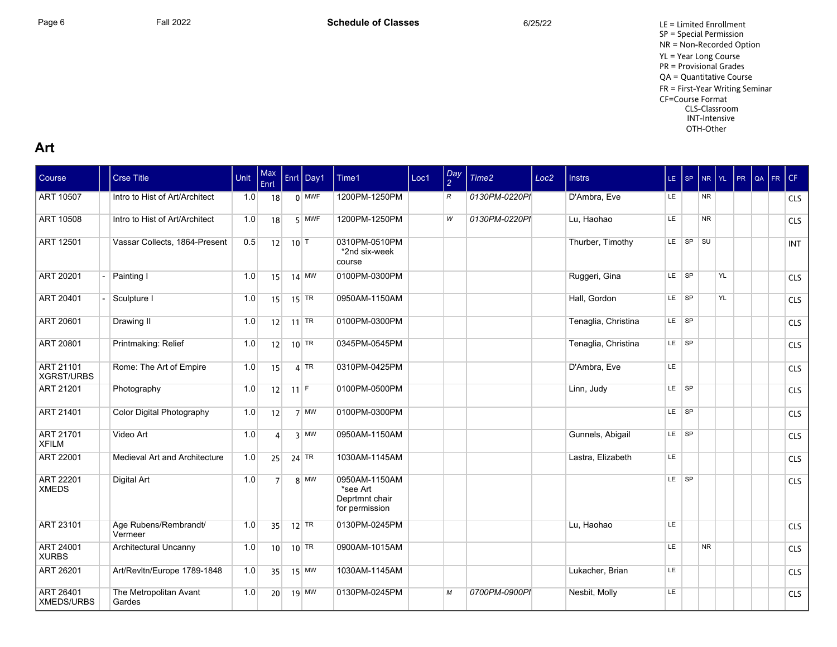Page 6 Fall 2022 Fall 2022 **Schedule of Classes** 6/25/22 6/25/22 LE = Limited Enrollment SP = Special Permission NR = Non-Recorded Option YL = Year Long Course PR = Provisional Grades QA = Quantitative Course FR = First-Year Writing Seminar CF=Course Format CLS-Classroom INT-Intensive OTH-Other

#### **Art**

| Course                           | <b>Crse Title</b>                | Unit | Max<br>Enrl     |                   | Enrl Day1 | Time1                                                         | Loc1 | $\frac{Day}{2}$ | Time2         | Loc <sub>2</sub> | <b>Instrs</b>       | $LE$ SP   |          | NR YL     |    | PR | QA FR CF |            |
|----------------------------------|----------------------------------|------|-----------------|-------------------|-----------|---------------------------------------------------------------|------|-----------------|---------------|------------------|---------------------|-----------|----------|-----------|----|----|----------|------------|
| <b>ART 10507</b>                 | Intro to Hist of Art/Architect   | 1.0  | 18              |                   | $0$ MWF   | 1200PM-1250PM                                                 |      | R               | 0130PM-0220PI |                  | D'Ambra, Eve        | LE.       |          | NR.       |    |    |          | <b>CLS</b> |
| ART 10508                        | Intro to Hist of Art/Architect   | 1.0  | 18              |                   | $5$ MWF   | 1200PM-1250PM                                                 |      | W               | 0130PM-0220PI |                  | Lu. Haohao          | LE        |          | <b>NR</b> |    |    |          | <b>CLS</b> |
| <b>ART 12501</b>                 | Vassar Collects, 1864-Present    | 0.5  | 12              | $10$ <sup>T</sup> |           | 0310PM-0510PM<br>*2nd six-week<br>course                      |      |                 |               |                  | Thurber, Timothy    |           | LE SP SU |           |    |    |          | <b>INT</b> |
| ART 20201                        | Painting I                       | 1.0  | 15              |                   | $14$ MW   | 0100PM-0300PM                                                 |      |                 |               |                  | Ruggeri, Gina       | LE SP     |          |           | YL |    |          | <b>CLS</b> |
| <b>ART 20401</b>                 | Sculpture I                      | 1.0  | 15              |                   | $15$ TR   | 0950AM-1150AM                                                 |      |                 |               |                  | Hall, Gordon        | $LE$ $SP$ |          |           | YL |    |          | <b>CLS</b> |
| <b>ART 20601</b>                 | Drawing II                       | 1.0  | 12              |                   | 11 TR     | 0100PM-0300PM                                                 |      |                 |               |                  | Tenaglia, Christina | LE SP     |          |           |    |    |          | <b>CLS</b> |
| <b>ART 20801</b>                 | Printmaking: Relief              | 1.0  | 12              |                   | $10$ TR   | 0345PM-0545PM                                                 |      |                 |               |                  | Tenaglia, Christina | LE SP     |          |           |    |    |          | <b>CLS</b> |
| ART 21101<br><b>XGRST/URBS</b>   | Rome: The Art of Empire          | 1.0  | 15              |                   | $4$ TR    | 0310PM-0425PM                                                 |      |                 |               |                  | D'Ambra, Eve        | LE.       |          |           |    |    |          | <b>CLS</b> |
| <b>ART 21201</b>                 | Photography                      | 1.0  | 12              | $11$ F            |           | 0100PM-0500PM                                                 |      |                 |               |                  | Linn, Judy          | LE SP     |          |           |    |    |          | <b>CLS</b> |
| ART 21401                        | Color Digital Photography        | 1.0  | 12              |                   | $7$ MW    | 0100PM-0300PM                                                 |      |                 |               |                  |                     | LE SP     |          |           |    |    |          | <b>CLS</b> |
| ART 21701<br><b>XFILM</b>        | Video Art                        | 1.0  | $\Delta$        |                   | $3$ MW    | 0950AM-1150AM                                                 |      |                 |               |                  | Gunnels, Abigail    | LE SP     |          |           |    |    |          | <b>CLS</b> |
| ART 22001                        | Medieval Art and Architecture    | 1.0  | 25              |                   | 24 TR     | 1030AM-1145AM                                                 |      |                 |               |                  | Lastra, Elizabeth   | LE.       |          |           |    |    |          | <b>CLS</b> |
| <b>ART 22201</b><br><b>XMEDS</b> | Digital Art                      | 1.0  | 7               |                   | $8$ MW    | 0950AM-1150AM<br>*see Art<br>Deprtmnt chair<br>for permission |      |                 |               |                  |                     | LE SP     |          |           |    |    |          | <b>CLS</b> |
| <b>ART 23101</b>                 | Age Rubens/Rembrandt/<br>Vermeer | 1.0  | 35              |                   | $12$ TR   | 0130PM-0245PM                                                 |      |                 |               |                  | Lu. Haohao          | LE        |          |           |    |    |          | <b>CLS</b> |
| <b>ART 24001</b><br><b>XURBS</b> | Architectural Uncanny            | 1.0  | 10 <sup>1</sup> |                   | $10$ TR   | 0900AM-1015AM                                                 |      |                 |               |                  |                     | LE        |          | <b>NR</b> |    |    |          | <b>CLS</b> |
| ART 26201                        | Art/Revltn/Europe 1789-1848      | 1.0  | 35              |                   | $15$ MW   | 1030AM-1145AM                                                 |      |                 |               |                  | Lukacher, Brian     | LE.       |          |           |    |    |          | <b>CLS</b> |
| ART 26401<br>XMEDS/URBS          | The Metropolitan Avant<br>Gardes | 1.0  | 20              |                   | $19$ MW   | 0130PM-0245PM                                                 |      | м               | 0700PM-0900PI |                  | Nesbit, Molly       | LE.       |          |           |    |    |          | <b>CLS</b> |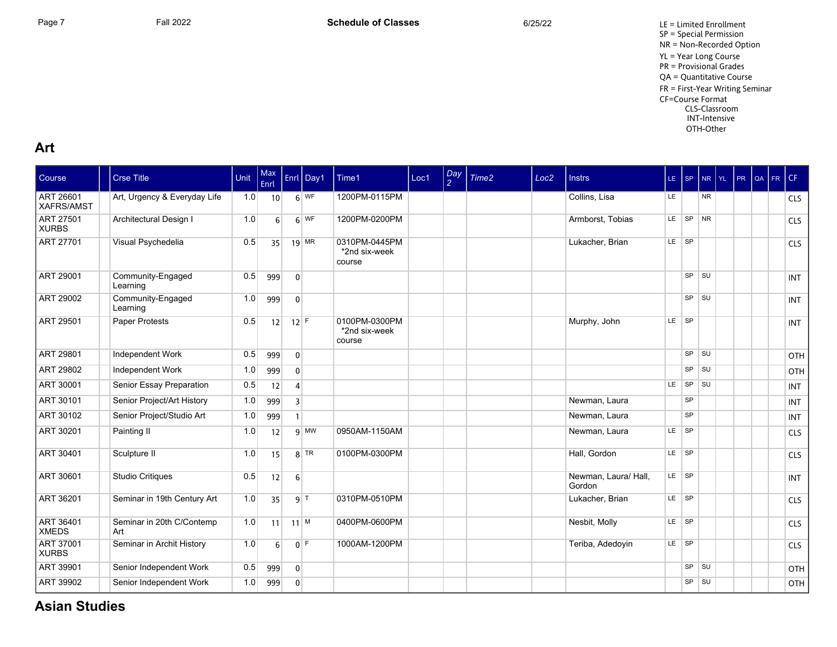#### **Art**

| Course                                | <b>Crse Title</b>                | Unit | Max<br>Enrl |                | Enrl Day1                    | Time1                                    | Loc1 | $\frac{Day}{2}$ | Time <sub>2</sub> | Loc <sub>2</sub> | <b>Instrs</b>                  | $LE$ SP |           | NR YL     | PR | QA FR | CF         |
|---------------------------------------|----------------------------------|------|-------------|----------------|------------------------------|------------------------------------------|------|-----------------|-------------------|------------------|--------------------------------|---------|-----------|-----------|----|-------|------------|
| <b>ART 26601</b><br><b>XAFRS/AMST</b> | Art, Urgency & Everyday Life     | 1.0  | 10          |                | $6\vert\overline{\text{WF}}$ | 1200PM-0115PM                            |      |                 |                   |                  | Collins, Lisa                  | LE.     |           | <b>NR</b> |    |       | <b>CLS</b> |
| <b>ART 27501</b><br><b>XURBS</b>      | Architectural Design I           | 1.0  | $6 \mid$    |                | 6 WF                         | 1200PM-0200PM                            |      |                 |                   |                  | Armborst, Tobias               |         | LE SP NR  |           |    |       | <b>CLS</b> |
| <b>ART 27701</b>                      | Visual Psychedelia               | 0.5  | 35          |                | $19$ MR                      | 0310PM-0445PM<br>*2nd six-week<br>course |      |                 |                   |                  | Lukacher, Brian                | LE SP   |           |           |    |       | <b>CLS</b> |
| ART 29001                             | Community-Engaged<br>Learning    | 0.5  | 999         | $\overline{0}$ |                              |                                          |      |                 |                   |                  |                                |         | $SP$ $SU$ |           |    |       | <b>INT</b> |
| ART 29002                             | Community-Engaged<br>Learning    | 1.0  | 999         | $\overline{0}$ |                              |                                          |      |                 |                   |                  |                                |         | $SP$ $SU$ |           |    |       | <b>INT</b> |
| <b>ART 29501</b>                      | Paper Protests                   | 0.5  | 12          | $12$ F         |                              | 0100PM-0300PM<br>*2nd six-week<br>course |      |                 |                   |                  | Murphy, John                   | LE SP   |           |           |    |       | <b>INT</b> |
| ART 29801                             | Independent Work                 | 0.5  | 999         | $\overline{0}$ |                              |                                          |      |                 |                   |                  |                                |         | $SP$ $SU$ |           |    |       | OTH        |
| <b>ART 29802</b>                      | Independent Work                 | 1.0  | 999         | $\overline{0}$ |                              |                                          |      |                 |                   |                  |                                |         | $SP$ $SU$ |           |    |       | OTH        |
| <b>ART 30001</b>                      | Senior Essay Preparation         | 0.5  | 12          | $\overline{4}$ |                              |                                          |      |                 |                   |                  |                                | LE      | SP SU     |           |    |       | <b>INT</b> |
| <b>ART 30101</b>                      | Senior Project/Art History       | 1.0  | 999         | 3              |                              |                                          |      |                 |                   |                  | Newman, Laura                  |         | <b>SP</b> |           |    |       | <b>INT</b> |
| ART 30102                             | Senior Project/Studio Art        | 1.0  | 999         | 1              |                              |                                          |      |                 |                   |                  | Newman, Laura                  |         | <b>SP</b> |           |    |       | <b>INT</b> |
| ART 30201                             | Painting II                      | 1.0  | 12          |                | $9$ MW                       | 0950AM-1150AM                            |      |                 |                   |                  | Newman, Laura                  | LE SP   |           |           |    |       | <b>CLS</b> |
| ART 30401                             | Sculpture II                     | 1.0  | 15          |                | $8$ TR                       | 0100PM-0300PM                            |      |                 |                   |                  | Hall, Gordon                   | LE SP   |           |           |    |       | <b>CLS</b> |
| ART 30601                             | <b>Studio Critiques</b>          | 0.5  | 12          | $6 \mid$       |                              |                                          |      |                 |                   |                  | Newman, Laura/ Hall,<br>Gordon | LE SP   |           |           |    |       | <b>INT</b> |
| ART 36201                             | Seminar in 19th Century Art      | 1.0  | 35          |                | 9 T                          | 0310PM-0510PM                            |      |                 |                   |                  | Lukacher, Brian                | LE SP   |           |           |    |       | <b>CLS</b> |
| <b>ART 36401</b><br><b>XMEDS</b>      | Seminar in 20th C/Contemp<br>Art | 1.0  | 11          |                | $11$ M                       | 0400PM-0600PM                            |      |                 |                   |                  | Nesbit, Molly                  | LE SP   |           |           |    |       | <b>CLS</b> |
| ART 37001<br><b>XURBS</b>             | Seminar in Archit History        | 1.0  | 6           |                | $0$ F                        | 1000AM-1200PM                            |      |                 |                   |                  | Teriba, Adedoyin               | LE SP   |           |           |    |       | <b>CLS</b> |
| <b>ART 39901</b>                      | Senior Independent Work          | 0.5  | 999         | $\overline{0}$ |                              |                                          |      |                 |                   |                  |                                |         | SP SU     |           |    |       | OTH        |
| <b>ART 39902</b>                      | Senior Independent Work          | 1.0  | 999         | $\overline{0}$ |                              |                                          |      |                 |                   |                  |                                |         | $SP$ $SU$ |           |    |       | OTH        |

## **Asian Studies**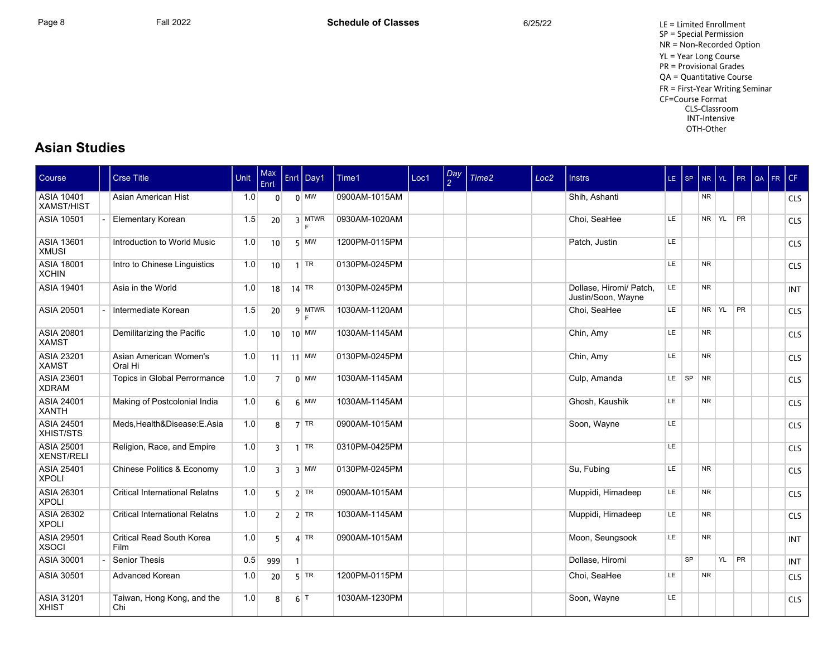Page 8 Fall 2022 Fall 2022 **Schedule of Classes** 6/25/22 6/25/22 LE = Limited Enrollment SP = Special Permission NR = Non-Recorded Option YL = Year Long Course PR = Provisional Grades QA = Quantitative Course FR = First-Year Writing Seminar CF=Course Format CLS-Classroom INT-Intensive OTH-Other

#### **Asian Studies**

| Course                                 | <b>Crse Title</b>                     | <b>Unit</b> | Max<br>Enrl     |              | Enrl Day1        | Time1         | Loc1 | $\frac{Day}{2}$ | Time <sub>2</sub> | Loc <sub>2</sub> | <b>Instrs</b>                                 | $LE$ SP   |           | <b>NR</b> | YL . | PR        | l QA | FR. | CF         |
|----------------------------------------|---------------------------------------|-------------|-----------------|--------------|------------------|---------------|------|-----------------|-------------------|------------------|-----------------------------------------------|-----------|-----------|-----------|------|-----------|------|-----|------------|
| <b>ASIA 10401</b><br>XAMST/HIST        | Asian American Hist                   | 1.0         | $\overline{0}$  |              | $0$ MW           | 0900AM-1015AM |      |                 |                   |                  | Shih. Ashanti                                 |           |           | <b>NR</b> |      |           |      |     | <b>CLS</b> |
| <b>ASIA 10501</b>                      | Elementary Korean                     | 1.5         | 20              |              | $3$ MTWR<br>E    | 0930AM-1020AM |      |                 |                   |                  | Choi, SeaHee                                  | LE.       |           | NR YL     |      | <b>PR</b> |      |     | <b>CLS</b> |
| <b>ASIA 13601</b><br><b>XMUSI</b>      | Introduction to World Music           | 1.0         | 10 <sup>1</sup> |              | $5$ MW           | 1200PM-0115PM |      |                 |                   |                  | Patch, Justin                                 | LE.       |           |           |      |           |      |     | <b>CLS</b> |
| <b>ASIA 18001</b><br><b>XCHIN</b>      | Intro to Chinese Linguistics          | 1.0         | 10 <sup>1</sup> |              | $1$ TR           | 0130PM-0245PM |      |                 |                   |                  |                                               | LE        |           | <b>NR</b> |      |           |      |     | <b>CLS</b> |
| <b>ASIA 19401</b>                      | Asia in the World                     | 1.0         | 18              |              | $14$ TR          | 0130PM-0245PM |      |                 |                   |                  | Dollase, Hiromi/ Patch,<br>Justin/Soon, Wayne | LE.       |           | <b>NR</b> |      |           |      |     | <b>INT</b> |
| ASIA 20501                             | Intermediate Korean                   | 1.5         | 20              |              | 9 MTWR<br>E      | 1030AM-1120AM |      |                 |                   |                  | Choi, SeaHee                                  | <b>LE</b> |           | NR YL     |      | PR        |      |     | <b>CLS</b> |
| <b>ASIA 20801</b><br><b>XAMST</b>      | Demilitarizing the Pacific            | 1.0         | 10 <sup>1</sup> |              | $10$ MW          | 1030AM-1145AM |      |                 |                   |                  | Chin, Amy                                     | LE.       |           | <b>NR</b> |      |           |      |     | <b>CLS</b> |
| <b>ASIA 23201</b><br><b>XAMST</b>      | Asian American Women's<br>Oral Hi     | 1.0         | 11              |              | $11$ MW          | 0130PM-0245PM |      |                 |                   |                  | Chin, Amy                                     | LE        |           | <b>NR</b> |      |           |      |     | <b>CLS</b> |
| <b>ASIA 23601</b><br><b>XDRAM</b>      | Topics in Global Perrormance          | 1.0         | 7 <sup>1</sup>  |              | $0$ MW           | 1030AM-1145AM |      |                 |                   |                  | Culp, Amanda                                  | LE.       | SP NR     |           |      |           |      |     | <b>CLS</b> |
| <b>ASIA 24001</b><br><b>XANTH</b>      | Making of Postcolonial India          | 1.0         | $6 \mid$        |              | $6$ MW           | 1030AM-1145AM |      |                 |                   |                  | Ghosh. Kaushik                                | <b>LE</b> |           | <b>NR</b> |      |           |      |     | <b>CLS</b> |
| <b>ASIA 24501</b><br>XHIST/STS         | Meds, Health&Disease: E.Asia          | 1.0         | 8 <sup>1</sup>  |              | $7$ TR           | 0900AM-1015AM |      |                 |                   |                  | Soon, Wayne                                   | <b>LE</b> |           |           |      |           |      |     | <b>CLS</b> |
| <b>ASIA 25001</b><br><b>XENST/RELI</b> | Religion, Race, and Empire            | 1.0         | $\overline{3}$  |              | $1$ TR           | 0310PM-0425PM |      |                 |                   |                  |                                               | LE        |           |           |      |           |      |     | <b>CLS</b> |
| <b>ASIA 25401</b><br><b>XPOLI</b>      | Chinese Politics & Economy            | 1.0         | 3 <sup>1</sup>  |              | $3$ MW           | 0130PM-0245PM |      |                 |                   |                  | Su, Fubing                                    | LE.       |           | <b>NR</b> |      |           |      |     | <b>CLS</b> |
| ASIA 26301<br><b>XPOLI</b>             | <b>Critical International Relatns</b> | 1.0         | 5 <sup>1</sup>  |              | $2$ TR           | 0900AM-1015AM |      |                 |                   |                  | Muppidi, Himadeep                             | LE.       |           | <b>NR</b> |      |           |      |     | <b>CLS</b> |
| ASIA 26302<br><b>XPOLI</b>             | <b>Critical International Relatns</b> | 1.0         | 2 <sup>1</sup>  |              | $2$ TR           | 1030AM-1145AM |      |                 |                   |                  | Muppidi, Himadeep                             | <b>LE</b> |           | <b>NR</b> |      |           |      |     | <b>CLS</b> |
| <b>ASIA 29501</b><br><b>XSOCI</b>      | Critical Read South Korea<br>Film     | 1.0         | 5 <sup>1</sup>  |              | $4$ TR           | 0900AM-1015AM |      |                 |                   |                  | Moon, Seungsook                               | LE.       |           | <b>NR</b> |      |           |      |     | <b>INT</b> |
| <b>ASIA 30001</b>                      | <b>Senior Thesis</b>                  | 0.5         | 999             | $\mathbf{1}$ |                  |               |      |                 |                   |                  | Dollase, Hiromi                               |           | <b>SP</b> |           | YL   | PR        |      |     | <b>INT</b> |
| <b>ASIA 30501</b>                      | Advanced Korean                       | 1.0         | 20              |              | $5$ TR           | 1200PM-0115PM |      |                 |                   |                  | Choi, SeaHee                                  | LE        |           | <b>NR</b> |      |           |      |     | <b>CLS</b> |
| <b>ASIA 31201</b><br><b>XHIST</b>      | Taiwan, Hong Kong, and the<br>Chi     | 1.0         | 8               |              | $6$ <sup>T</sup> | 1030AM-1230PM |      |                 |                   |                  | Soon, Wayne                                   | LE        |           |           |      |           |      |     | <b>CLS</b> |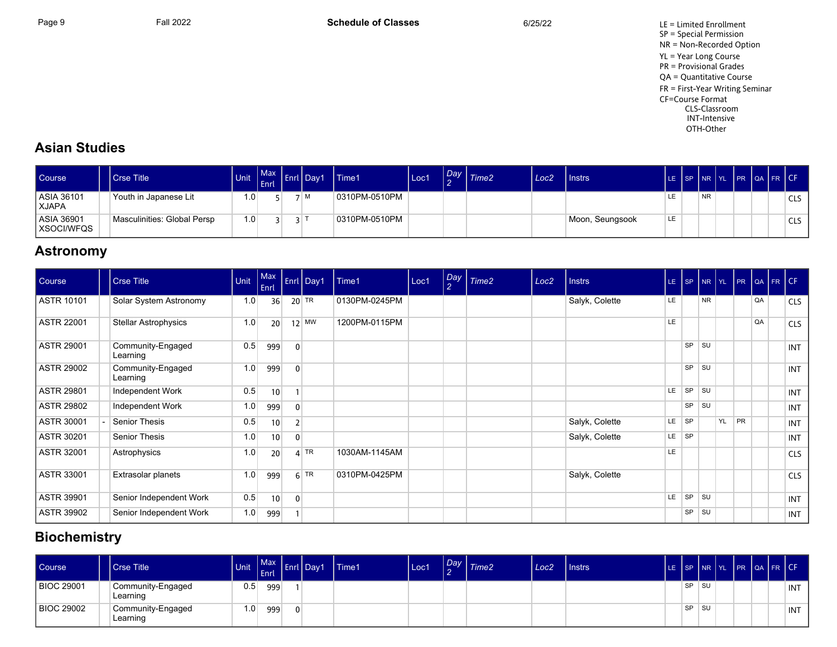Page 9 Fall 2022 Fall 2022 **Schedule of Classes** 6/25/22 6/25/22 LE = Limited Enrollment SP = Special Permission NR = Non-Recorded Option YL = Year Long Course PR = Provisional Grades QA = Quantitative Course FR = First-Year Writing Seminar CF=Course Format CLS-Classroom INT-Intensive OTH-Other

## **Asian Studies**

| <b>Course</b>              | Crse Title                  | Unit            | $Max \mid$<br><b>Enrl</b> | <b>I</b> Day1 | Time1         | Loc1 | Day | Time2 | Loc <sub>2</sub> | Instrs          |    | LE SP NR YL |           |  | PR QA FR CF |                  |
|----------------------------|-----------------------------|-----------------|---------------------------|---------------|---------------|------|-----|-------|------------------|-----------------|----|-------------|-----------|--|-------------|------------------|
| ASIA 36101<br><b>XJAPA</b> | Youth in Japanese Lit       | $.0 \,$         |                           | M             | 0310PM-0510PM |      |     |       |                  |                 |    |             | <b>NR</b> |  |             | CLS <sub>1</sub> |
| ASIA 36901<br>  XSOCI/WFQS | Masculinities: Global Persp | .0 <sub>1</sub> |                           |               | 0310PM-0510PM |      |     |       |                  | Moon, Seungsook | LE |             |           |  |             | CLS <sub>1</sub> |

### **Astronomy**

| Course            | <b>Crse Title</b>             | Unit | Max<br>Enrl     |                | Enrl Day1 | Time1         | Loc1 | Day<br>$\overline{2}$ | Time <sub>2</sub> | Loc <sub>2</sub> | <b>Instrs</b>  |           | LE SP     | $NR$ $YL$ |    | PR        |    | $\left  \alpha A \right $ FR $\left  \text{CF} \right $ |            |
|-------------------|-------------------------------|------|-----------------|----------------|-----------|---------------|------|-----------------------|-------------------|------------------|----------------|-----------|-----------|-----------|----|-----------|----|---------------------------------------------------------|------------|
| ASTR 10101        | Solar System Astronomy        | 1.0  | 36              |                | $20$ TR   | 0130PM-0245PM |      |                       |                   |                  | Salyk, Colette | LE.       |           | <b>NR</b> |    |           | QA |                                                         | <b>CLS</b> |
| ASTR 22001        | <b>Stellar Astrophysics</b>   | 1.0  | 20 <sup>1</sup> |                | $12$ MW   | 1200PM-0115PM |      |                       |                   |                  |                | LE.       |           |           |    |           | QA |                                                         | <b>CLS</b> |
| <b>ASTR 29001</b> | Community-Engaged<br>Learning | 0.5  | 999             | $\mathbf{0}$   |           |               |      |                       |                   |                  |                |           | <b>SP</b> | <b>SU</b> |    |           |    |                                                         | <b>INT</b> |
| <b>ASTR 29002</b> | Community-Engaged<br>Learning | 1.0  | 999             | $\mathbf{0}$   |           |               |      |                       |                   |                  |                |           | <b>SP</b> | <b>SU</b> |    |           |    |                                                         | <b>INT</b> |
| <b>ASTR 29801</b> | Independent Work              | 0.5  | 10              |                |           |               |      |                       |                   |                  |                | LE.       | SP        | SU        |    |           |    |                                                         | <b>INT</b> |
| <b>ASTR 29802</b> | Independent Work              | 1.0  | 999             | $\mathbf{0}$   |           |               |      |                       |                   |                  |                |           | <b>SP</b> | SU        |    |           |    |                                                         | <b>INT</b> |
| ASTR 30001        | Senior Thesis                 | 0.5  | 10              | 2 <sup>1</sup> |           |               |      |                       |                   |                  | Salyk, Colette | LE.       | <b>SP</b> |           | YL | <b>PR</b> |    |                                                         | <b>INT</b> |
| ASTR 30201        | Senior Thesis                 | 1.0  | 10              |                |           |               |      |                       |                   |                  | Salyk, Colette | LE.       | <b>SP</b> |           |    |           |    |                                                         | <b>INT</b> |
| <b>ASTR 32001</b> | Astrophysics                  | 1.0  | 20 <sup>°</sup> |                | $4$ TR    | 1030AM-1145AM |      |                       |                   |                  |                | <b>LE</b> |           |           |    |           |    |                                                         | <b>CLS</b> |
| <b>ASTR 33001</b> | Extrasolar planets            | 1.0  | 999             |                | $6$ TR    | 0310PM-0425PM |      |                       |                   |                  | Salyk, Colette |           |           |           |    |           |    |                                                         | <b>CLS</b> |
| <b>ASTR 39901</b> | Senior Independent Work       | 0.5  | 10 <sup>1</sup> | $\mathbf{0}$   |           |               |      |                       |                   |                  |                | <b>LE</b> | SP        | <b>SU</b> |    |           |    |                                                         | <b>INT</b> |
| <b>ASTR 39902</b> | Senior Independent Work       | 1.0  | 999             |                |           |               |      |                       |                   |                  |                |           | SP        | SU        |    |           |    |                                                         | <b>INT</b> |

## **Biochemistry**

| <b>Course</b>     | l Crse Title                  | <b>Unit</b> | Max Entitled<br>Enrl |              | Day1 | <b>Time1</b> | Loc1 | Day | $1$ Time $2$ | Loc <sub>2</sub> | <b>Instrs</b> |           |      |  | LE SP NR YL PR QA FR CF |            |
|-------------------|-------------------------------|-------------|----------------------|--------------|------|--------------|------|-----|--------------|------------------|---------------|-----------|------|--|-------------------------|------------|
| <b>BIOC 29001</b> | Community-Engaged<br>Learning | 0.5         | 999                  |              |      |              |      |     |              |                  |               | SP        | ∣ SU |  |                         | <b>INT</b> |
| <b>BIOC 29002</b> | Community-Engaged<br>Learning | 1.0         | 999                  | <sup>0</sup> |      |              |      |     |              |                  |               | $SP$ $SU$ |      |  |                         | <b>INT</b> |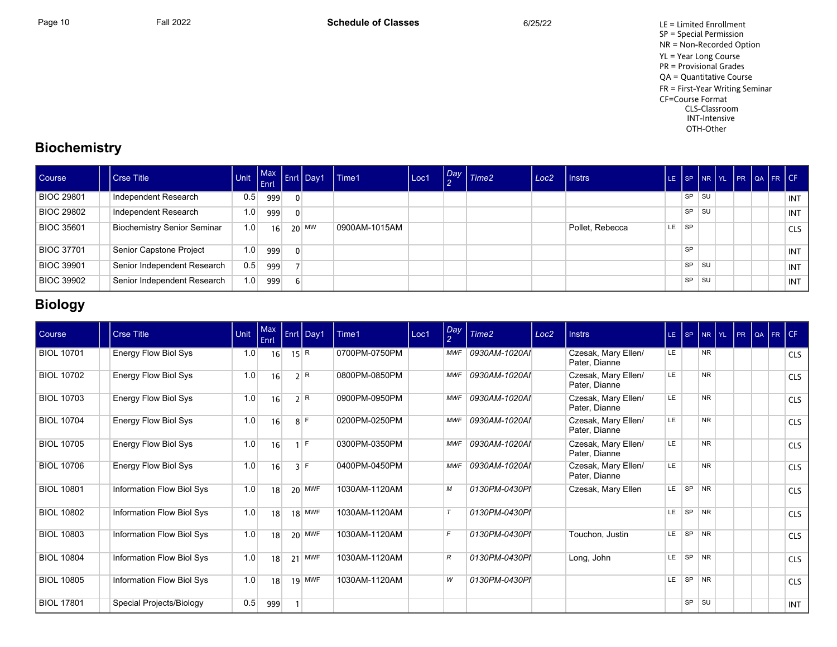Page 10 Fall 2022 Fall 2022 **Schedule of Classes** 6/25/22 6/25/22 LE = Limited Enrollment SP = Special Permission NR = Non-Recorded Option YL = Year Long Course PR = Provisional Grades QA = Quantitative Course FR = First-Year Writing Seminar CF=Course Format CLS-Classroom INT-Intensive OTH-Other

## **Biochemistry**

| Course            | <b>Crse Title</b>                  |     | Enrl |                | Max Enri Day1 | Time1         | Loc1 | $\sqrt{\frac{Day}{2}}$ Time2 | Loc2 | I Instrs        | LE. |           |      |  | SP NR YL PR QA FR CF |            |
|-------------------|------------------------------------|-----|------|----------------|---------------|---------------|------|------------------------------|------|-----------------|-----|-----------|------|--|----------------------|------------|
| <b>BIOC 29801</b> | Independent Research               | 0.5 | 999  | $\mathbf{0}$   |               |               |      |                              |      |                 |     | <b>SP</b> | ⊩SU  |  |                      | INT        |
| <b>BIOC 29802</b> | Independent Research               | 1.0 | 999  | $\overline{0}$ |               |               |      |                              |      |                 |     | <b>SP</b> | l SU |  |                      | INT        |
| <b>BIOC 35601</b> | <b>Biochemistry Senior Seminar</b> | 1.0 | 16   |                | $20$ MW       | 0900AM-1015AM |      |                              |      | Pollet, Rebecca | LE. | <b>SP</b> |      |  |                      | <b>CLS</b> |
| <b>BIOC 37701</b> | Senior Capstone Project            | 1.0 | 999  | $\overline{0}$ |               |               |      |                              |      |                 |     | <b>SP</b> |      |  |                      | INT        |
| <b>BIOC 39901</b> | Senior Independent Research        | 0.5 | 999  |                |               |               |      |                              |      |                 |     | <b>SP</b> | . SU |  |                      | INT        |
| <b>BIOC 39902</b> | Senior Independent Research        | 1.0 | 999  | $6 \sqrt{2}$   |               |               |      |                              |      |                 |     | <b>SP</b> | . SU |  |                      | INT        |

# **Biology**

| Course            | <b>Crse Title</b>                | Unit | Max<br>Enrl | Enrl Day1 | Time1         | Loc1 | Day<br>2   | Time2         | Loc <sub>2</sub> | <b>Instrs</b>                        |     | $LE$ $SP$ |                | NR YL PR |  | QA FR CF |            |
|-------------------|----------------------------------|------|-------------|-----------|---------------|------|------------|---------------|------------------|--------------------------------------|-----|-----------|----------------|----------|--|----------|------------|
| <b>BIOL 10701</b> | Energy Flow Biol Sys             | 1.0  | 16          | 15 R      | 0700PM-0750PM |      | <b>MWF</b> | 0930AM-1020AI |                  | Czesak, Mary Ellen/<br>Pater, Dianne | LE. |           | <b>NR</b>      |          |  |          | <b>CLS</b> |
| <b>BIOL 10702</b> | Energy Flow Biol Sys             | 1.0  | 16          | 2 R       | 0800PM-0850PM |      | <b>MWF</b> | 0930AM-1020AI |                  | Czesak, Mary Ellen/<br>Pater, Dianne | LE. |           | N <sub>R</sub> |          |  |          | <b>CLS</b> |
| <b>BIOL 10703</b> | Energy Flow Biol Sys             | 1.0  | 16          | 2 R       | 0900PM-0950PM |      | <b>MWF</b> | 0930AM-1020AI |                  | Czesak, Mary Ellen/<br>Pater, Dianne | LE  |           | <b>NR</b>      |          |  |          | <b>CLS</b> |
| <b>BIOL 10704</b> | Energy Flow Biol Sys             | 1.0  | 16          | $8$ F     | 0200PM-0250PM |      | <b>MWF</b> | 0930AM-1020AI |                  | Czesak, Mary Ellen/<br>Pater, Dianne | LE  |           | <b>NR</b>      |          |  |          | <b>CLS</b> |
| <b>BIOL 10705</b> | Energy Flow Biol Sys             | 1.0  | 16          | E         | 0300PM-0350PM |      | <b>MWF</b> | 0930AM-1020AI |                  | Czesak, Mary Ellen/<br>Pater, Dianne | LE. |           | <b>NR</b>      |          |  |          | <b>CLS</b> |
| <b>BIOL 10706</b> | Energy Flow Biol Sys             | 1.0  | 16          | $3$ F     | 0400PM-0450PM |      | <b>MWF</b> | 0930AM-1020AI |                  | Czesak, Mary Ellen/<br>Pater, Dianne | LE  |           | <b>NR</b>      |          |  |          | <b>CLS</b> |
| <b>BIOL 10801</b> | Information Flow Biol Sys        | 1.0  | 18          | $20$ MWF  | 1030AM-1120AM |      | М          | 0130PM-0430PI |                  | Czesak, Mary Ellen                   | LE. | <b>SP</b> | NR             |          |  |          | <b>CLS</b> |
| <b>BIOL 10802</b> | Information Flow Biol Sys        | 1.0  | 18          | $18$ MWF  | 1030AM-1120AM |      | $\tau$     | 0130PM-0430PI |                  |                                      | LE. | <b>SP</b> | NR             |          |  |          | <b>CLS</b> |
| <b>BIOL 10803</b> | <b>Information Flow Biol Sys</b> | 1.0  | 18          | $20$ MWF  | 1030AM-1120AM |      | F          | 0130PM-0430PI |                  | Touchon, Justin                      | LE. | SP NR     |                |          |  |          | <b>CLS</b> |
| <b>BIOL 10804</b> | Information Flow Biol Sys        | 1.0  | 18          | $21$ MWF  | 1030AM-1120AM |      | R          | 0130PM-0430PI |                  | Long, John                           | LE. | SP        | NR             |          |  |          | <b>CLS</b> |
| <b>BIOL 10805</b> | Information Flow Biol Sys        | 1.0  | 18          | $19$ MWF  | 1030AM-1120AM |      | W          | 0130PM-0430PI |                  |                                      | LE. | SP NR     |                |          |  |          | <b>CLS</b> |
| <b>BIOL 17801</b> | Special Projects/Biology         | 0.5  | 999         |           |               |      |            |               |                  |                                      |     | SP        | l su           |          |  |          | <b>INT</b> |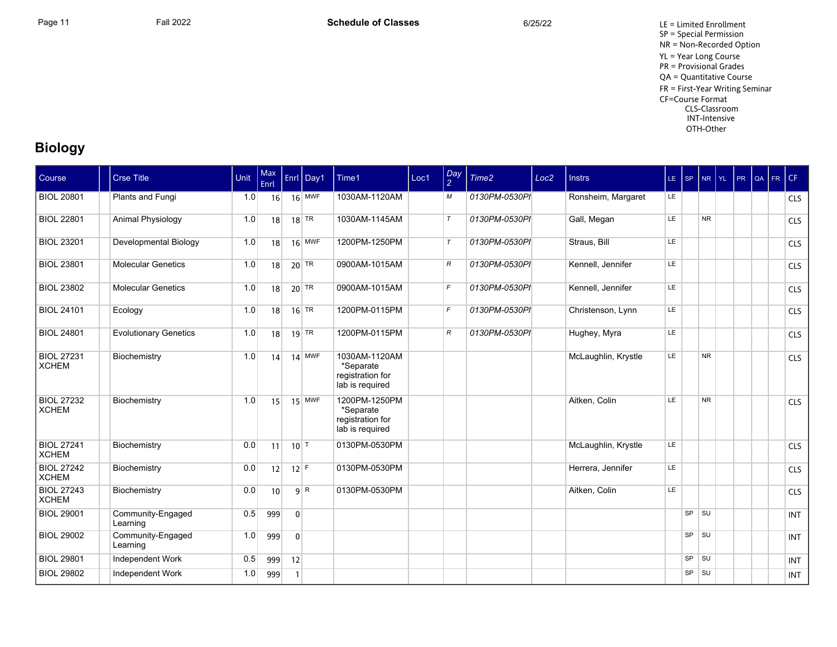Page 11 **Fall 2022** Fall 2022 **Schedule of Classes** 6/25/22 6/25/22 LE = Limited Enrollment SP = Special Permission NR = Non-Recorded Option YL = Year Long Course PR = Provisional Grades QA = Quantitative Course FR = First-Year Writing Seminar CF=Course Format CLS-Classroom INT-Intensive OTH-Other

## **Biology**

| Course                            | <b>Crse Title</b>             | Unit | Max<br>Enrl |                   | Enrl Day1          | Time1                                                             | Loc1 | $\frac{Day}{2}$ | Time <sub>2</sub> | Loc <sub>2</sub> | <b>Instrs</b>       | LE SP |           |           | $NR$ $YL$ | PR | $\overline{a}$ FR | CF         |
|-----------------------------------|-------------------------------|------|-------------|-------------------|--------------------|-------------------------------------------------------------------|------|-----------------|-------------------|------------------|---------------------|-------|-----------|-----------|-----------|----|-------------------|------------|
| <b>BIOL 20801</b>                 | Plants and Fungi              | 1.0  | 16          |                   | $16$ MWF           | 1030AM-1120AM                                                     |      | М               | 0130PM-0530PI     |                  | Ronsheim, Margaret  | LE.   |           |           |           |    |                   | <b>CLS</b> |
| <b>BIOL 22801</b>                 | Animal Physiology             | 1.0  | 18          |                   | $18$ TR            | 1030AM-1145AM                                                     |      | $\tau$          | 0130PM-0530PI     |                  | Gall, Megan         | LE    |           | <b>NR</b> |           |    |                   | <b>CLS</b> |
| <b>BIOL 23201</b>                 | Developmental Biology         | 1.0  | 18          |                   | $16$ MWF           | 1200PM-1250PM                                                     |      | $\tau$          | 0130PM-0530PI     |                  | Straus, Bill        | LE    |           |           |           |    |                   | <b>CLS</b> |
| <b>BIOL 23801</b>                 | <b>Molecular Genetics</b>     | 1.0  | 18          |                   | $20$ TR            | 0900AM-1015AM                                                     |      | $R_{\rm}$       | 0130PM-0530PI     |                  | Kennell, Jennifer   | LE    |           |           |           |    |                   | <b>CLS</b> |
| <b>BIOL 23802</b>                 | <b>Molecular Genetics</b>     | 1.0  | 18          |                   | $20$ TR            | 0900AM-1015AM                                                     |      | $\mathcal{F}$   | 0130PM-0530PI     |                  | Kennell, Jennifer   | LE.   |           |           |           |    |                   | <b>CLS</b> |
| <b>BIOL 24101</b>                 | Ecology                       | 1.0  | 18          |                   | $16$ <sup>TR</sup> | 1200PM-0115PM                                                     |      | $\mathcal{F}$   | 0130PM-0530PI     |                  | Christenson, Lynn   | LE    |           |           |           |    |                   | <b>CLS</b> |
| <b>BIOL 24801</b>                 | <b>Evolutionary Genetics</b>  | 1.0  | 18          |                   | $19$ TR            | 1200PM-0115PM                                                     |      | $\mathcal{R}$   | 0130PM-0530PI     |                  | Hughey, Myra        | LE    |           |           |           |    |                   | <b>CLS</b> |
| <b>BIOL 27231</b><br><b>XCHEM</b> | Biochemistry                  | 1.0  | 14          |                   | 14 MWF             | 1030AM-1120AM<br>*Separate<br>registration for<br>lab is required |      |                 |                   |                  | McLaughlin, Krystle | LE    |           | <b>NR</b> |           |    |                   | <b>CLS</b> |
| <b>BIOL 27232</b><br><b>XCHEM</b> | Biochemistry                  | 1.0  | 15          |                   | $15$ MWF           | 1200PM-1250PM<br>*Separate<br>registration for<br>lab is required |      |                 |                   |                  | Aitken, Colin       | LE    |           | <b>NR</b> |           |    |                   | <b>CLS</b> |
| <b>BIOL 27241</b><br><b>XCHEM</b> | Biochemistry                  | 0.0  | 11          | $10$ <sup>T</sup> |                    | 0130PM-0530PM                                                     |      |                 |                   |                  | McLaughlin, Krystle | LE    |           |           |           |    |                   | <b>CLS</b> |
| <b>BIOL 27242</b><br><b>XCHEM</b> | Biochemistry                  | 0.0  | 12          | $12$ F            |                    | 0130PM-0530PM                                                     |      |                 |                   |                  | Herrera, Jennifer   | LE    |           |           |           |    |                   | <b>CLS</b> |
| <b>BIOL 27243</b><br><b>XCHEM</b> | Biochemistry                  | 0.0  | 10          |                   | 9 <sup>R</sup>     | 0130PM-0530PM                                                     |      |                 |                   |                  | Aitken, Colin       | LE    |           |           |           |    |                   | <b>CLS</b> |
| <b>BIOL 29001</b>                 | Community-Engaged<br>Learning | 0.5  | 999         | $\overline{0}$    |                    |                                                                   |      |                 |                   |                  |                     |       | SP        | SU        |           |    |                   | <b>INT</b> |
| <b>BIOL 29002</b>                 | Community-Engaged<br>Learning | 1.0  | 999         | $\overline{0}$    |                    |                                                                   |      |                 |                   |                  |                     |       | SP        | <b>SU</b> |           |    |                   | <b>INT</b> |
| <b>BIOL 29801</b>                 | Independent Work              | 0.5  | 999         | 12                |                    |                                                                   |      |                 |                   |                  |                     |       | SP        | SU        |           |    |                   | <b>INT</b> |
| <b>BIOL 29802</b>                 | Independent Work              | 1.0  | 999         | $\mathbf{1}$      |                    |                                                                   |      |                 |                   |                  |                     |       | <b>SP</b> | SU        |           |    |                   | <b>INT</b> |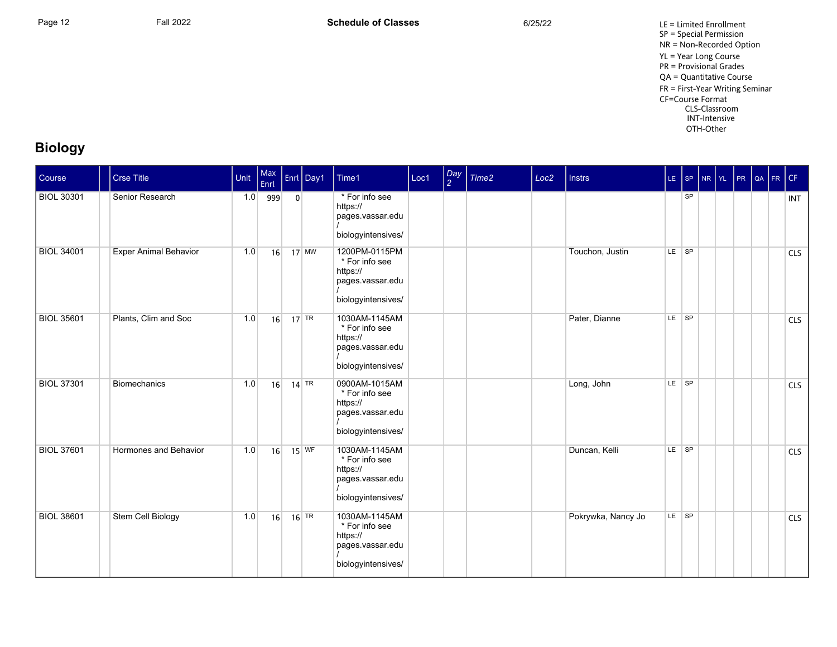Page 12 **Fall 2022** Fall 2022 **Schedule of Classes** 6/25/22 6/25/22 LE = Limited Enrollment SP = Special Permission NR = Non-Recorded Option YL = Year Long Course PR = Provisional Grades QA = Quantitative Course FR = First-Year Writing Seminar CF=Course Format CLS-Classroom INT-Intensive OTH-Other

## **Biology**

| Course            | <b>Crse Title</b>            | Unit | Max<br>Enrl |                | Enrl Day1 | Time1                                                                                 | Loc1 | $\frac{Day}{2}$ | Time <sub>2</sub> | Loc <sub>2</sub> | <b>Instrs</b>      | $LE$ SP |           | NR YL | PR | QA | FR | CF         |
|-------------------|------------------------------|------|-------------|----------------|-----------|---------------------------------------------------------------------------------------|------|-----------------|-------------------|------------------|--------------------|---------|-----------|-------|----|----|----|------------|
| <b>BIOL 30301</b> | Senior Research              | 1.0  | 999         | $\overline{0}$ |           | * For info see<br>https://<br>pages.vassar.edu<br>biologyintensives/                  |      |                 |                   |                  |                    |         | SP        |       |    |    |    | <b>INT</b> |
| <b>BIOL 34001</b> | <b>Exper Animal Behavior</b> | 1.0  | 16          |                | $17$ MW   | 1200PM-0115PM<br>* For info see<br>https://<br>pages.vassar.edu<br>biologyintensives/ |      |                 |                   |                  | Touchon, Justin    | LE SP   |           |       |    |    |    | <b>CLS</b> |
| <b>BIOL 35601</b> | Plants, Clim and Soc         | 1.0  | 16          |                | $17$ TR   | 1030AM-1145AM<br>* For info see<br>https://<br>pages.vassar.edu<br>biologyintensives/ |      |                 |                   |                  | Pater, Dianne      | LE SP   |           |       |    |    |    | <b>CLS</b> |
| <b>BIOL 37301</b> | <b>Biomechanics</b>          | 1.0  | 16          |                | $14$ TR   | 0900AM-1015AM<br>* For info see<br>https://<br>pages.vassar.edu<br>biologyintensives/ |      |                 |                   |                  | Long, John         | $LE$ SP |           |       |    |    |    | <b>CLS</b> |
| <b>BIOL 37601</b> | Hormones and Behavior        | 1.0  | 16          |                | $15$ WF   | 1030AM-1145AM<br>* For info see<br>https://<br>pages vassar edu<br>biologyintensives/ |      |                 |                   |                  | Duncan, Kelli      |         | $LE$ $SP$ |       |    |    |    | <b>CLS</b> |
| <b>BIOL 38601</b> | Stem Cell Biology            | 1.0  | 16          |                | $16$ TR   | 1030AM-1145AM<br>* For info see<br>https://<br>pages vassar edu<br>biologyintensives/ |      |                 |                   |                  | Pokrywka, Nancy Jo | LE SP   |           |       |    |    |    | <b>CLS</b> |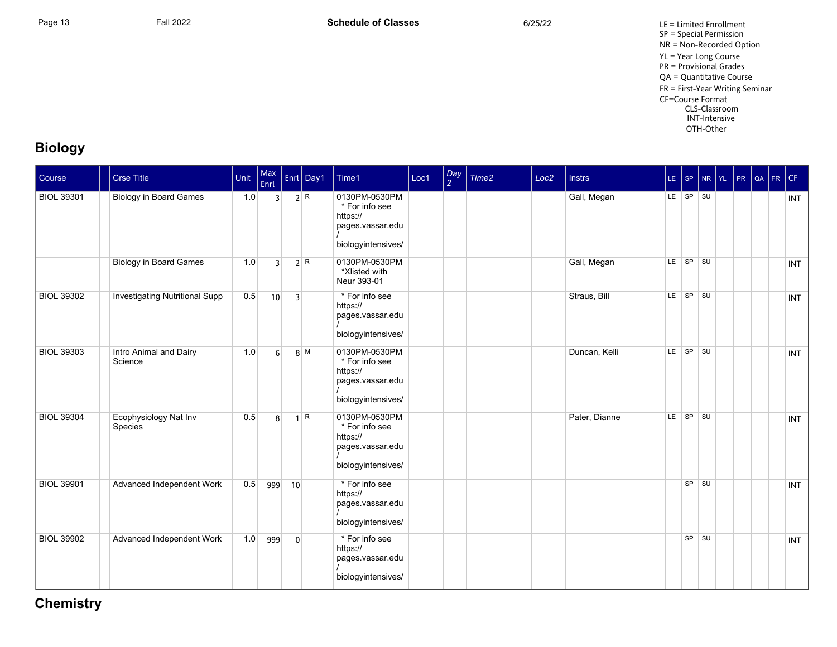Page 13 **Fall 2022** Fall 2022 **Schedule of Classes** 6/25/22 6/25/22 LE = Limited Enrollment SP = Special Permission NR = Non-Recorded Option YL = Year Long Course PR = Provisional Grades QA = Quantitative Course FR = First-Year Writing Seminar CF=Course Format CLS-Classroom INT-Intensive OTH-Other

# **Biology**

| Course            | <b>Crse Title</b>                     | Unit | Max<br>Enrl    |                | Enrl Day1 | Time1                                                                                 | Loc1 | $\frac{Day}{2}$ | Time <sub>2</sub> | Loc <sub>2</sub> | <b>Instrs</b> | $LE$ SP |          | $N_R$ $Y_L$ | PR | $\alpha$ FR CF |            |
|-------------------|---------------------------------------|------|----------------|----------------|-----------|---------------------------------------------------------------------------------------|------|-----------------|-------------------|------------------|---------------|---------|----------|-------------|----|----------------|------------|
| <b>BIOL 39301</b> | <b>Biology in Board Games</b>         | 1.0  | 3 <sup>1</sup> |                | 2 R       | 0130PM-0530PM<br>* For info see<br>https://<br>pages.vassar.edu<br>biologyintensives/ |      |                 |                   |                  | Gall, Megan   |         | LE SP SU |             |    |                | <b>INT</b> |
|                   | <b>Biology in Board Games</b>         | 1.0  | $\overline{3}$ |                | 2 R       | 0130PM-0530PM<br>*Xlisted with<br>Neur 393-01                                         |      |                 |                   |                  | Gall, Megan   | LE.     | SP SU    |             |    |                | <b>INT</b> |
| <b>BIOL 39302</b> | <b>Investigating Nutritional Supp</b> | 0.5  | 10             | $\overline{3}$ |           | * For info see<br>https://<br>pages.vassar.edu<br>biologyintensives/                  |      |                 |                   |                  | Straus, Bill  | LE      | SP SU    |             |    |                | <b>INT</b> |
| <b>BIOL 39303</b> | Intro Animal and Dairy<br>Science     | 1.0  | 6 <sup>1</sup> |                | $8$ M     | 0130PM-0530PM<br>* For info see<br>https://<br>pages vassar edu<br>biologyintensives/ |      |                 |                   |                  | Duncan, Kelli |         | LE SP SU |             |    |                | <b>INT</b> |
| <b>BIOL 39304</b> | Ecophysiology Nat Inv<br>Species      | 0.5  | 8 <sup>1</sup> | $\mathbf{1}$   | R         | 0130PM-0530PM<br>* For info see<br>https://<br>pages vassar edu<br>biologyintensives/ |      |                 |                   |                  | Pater, Dianne | LE.     | SP SU    |             |    |                | <b>INT</b> |
| <b>BIOL 39901</b> | Advanced Independent Work             | 0.5  | 999            | 10             |           | * For info see<br>https://<br>pages.vassar.edu<br>biologyintensives/                  |      |                 |                   |                  |               |         | SP SU    |             |    |                | <b>INT</b> |
| <b>BIOL 39902</b> | Advanced Independent Work             | 1.0  | 999            | $\overline{0}$ |           | * For info see<br>https://<br>pages.vassar.edu<br>biologyintensives/                  |      |                 |                   |                  |               |         | SP SU    |             |    |                | <b>INT</b> |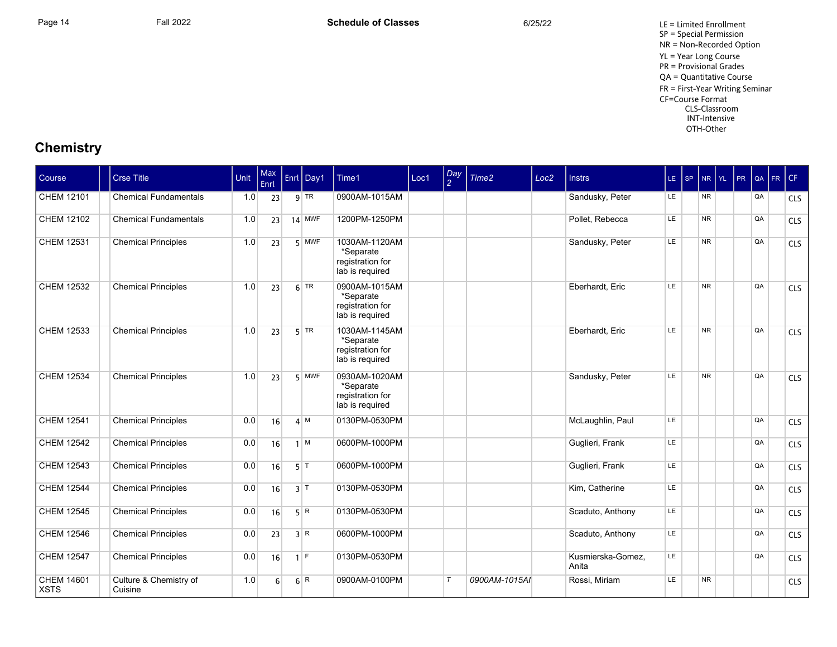Page 14 **Fall 2022** Fall 2022 **Schedule of Classes** 6/25/22 6/25/22 LE = Limited Enrollment SP = Special Permission NR = Non-Recorded Option YL = Year Long Course PR = Provisional Grades QA = Quantitative Course FR = First-Year Writing Seminar CF=Course Format CLS-Classroom INT-Intensive OTH-Other

| <b>Course</b>             | Crse Title                        | Unit | Max<br>Enrl | Enrl Day1        | Time1                                                             | Loc1 | Day<br>$\overline{2}$ | Time2         | Loc <sub>2</sub> | <b>Instrs</b>              | LE SP | NR YL PR QA |  |    | FR CF |            |
|---------------------------|-----------------------------------|------|-------------|------------------|-------------------------------------------------------------------|------|-----------------------|---------------|------------------|----------------------------|-------|-------------|--|----|-------|------------|
| CHEM 12101                | <b>Chemical Fundamentals</b>      | 1.0  | 23          | $9$ TR           | 0900AM-1015AM                                                     |      |                       |               |                  | Sandusky, Peter            | LE.   | NR.         |  | QA |       | <b>CLS</b> |
| CHEM 12102                | <b>Chemical Fundamentals</b>      | 1.0  | 23          | $14$ MWF         | 1200PM-1250PM                                                     |      |                       |               |                  | Pollet, Rebecca            | LE.   | <b>NR</b>   |  | QA |       | CLS        |
| CHEM 12531                | <b>Chemical Principles</b>        | 1.0  | 23          | $5$ MWF          | 1030AM-1120AM<br>*Separate<br>registration for<br>lab is required |      |                       |               |                  | Sandusky, Peter            | LE    | <b>NR</b>   |  | QA |       | CLS        |
| CHEM 12532                | <b>Chemical Principles</b>        | 1.0  | 23          | $6$ TR           | 0900AM-1015AM<br>*Separate<br>registration for<br>lab is required |      |                       |               |                  | Eberhardt, Eric            | LE    | <b>NR</b>   |  | QA |       | <b>CLS</b> |
| CHEM 12533                | <b>Chemical Principles</b>        | 1.0  | 23          | $5$ TR           | 1030AM-1145AM<br>*Separate<br>registration for<br>lab is required |      |                       |               |                  | Eberhardt. Eric            | LE    | <b>NR</b>   |  | QA |       | <b>CLS</b> |
| CHEM 12534                | <b>Chemical Principles</b>        | 1.0  | 23          | $5$ MWF          | 0930AM-1020AM<br>*Separate<br>registration for<br>lab is required |      |                       |               |                  | Sandusky, Peter            | LE    | <b>NR</b>   |  | QA |       | <b>CLS</b> |
| <b>CHEM 12541</b>         | <b>Chemical Principles</b>        | 0.0  | 16          | $\mathbf{A}$ M   | 0130PM-0530PM                                                     |      |                       |               |                  | McLaughlin, Paul           | LE    |             |  | QA |       | <b>CLS</b> |
| CHEM 12542                | <b>Chemical Principles</b>        | 0.0  | 16          | M                | 0600PM-1000PM                                                     |      |                       |               |                  | Guglieri, Frank            | LE    |             |  | QA |       | CLS        |
| CHEM 12543                | <b>Chemical Principles</b>        | 0.0  | 16          | $5$ <sup>T</sup> | 0600PM-1000PM                                                     |      |                       |               |                  | Guglieri, Frank            | LE    |             |  | QA |       | <b>CLS</b> |
| CHEM 12544                | <b>Chemical Principles</b>        | 0.0  | 16          | $3$ T            | 0130PM-0530PM                                                     |      |                       |               |                  | Kim, Catherine             | LE.   |             |  | QA |       | CLS        |
| CHEM 12545                | <b>Chemical Principles</b>        | 0.0  | 16          | 5 R              | 0130PM-0530PM                                                     |      |                       |               |                  | Scaduto, Anthony           | LE    |             |  | QA |       | CLS        |
| CHEM 12546                | <b>Chemical Principles</b>        | 0.0  | 23          | 3 R              | 0600PM-1000PM                                                     |      |                       |               |                  | Scaduto, Anthony           | LE    |             |  | QA |       | CLS        |
| CHEM 12547                | <b>Chemical Principles</b>        | 0.0  | 16          | IF.              | 0130PM-0530PM                                                     |      |                       |               |                  | Kusmierska-Gomez,<br>Anita | LE.   |             |  | QA |       | CLS        |
| CHEM 14601<br><b>XSTS</b> | Culture & Chemistry of<br>Cuisine | 1.0  | $6 \mid$    | 6 R              | 0900AM-0100PM                                                     |      | $\tau$                | 0900AM-1015AI |                  | Rossi, Miriam              | LE    | <b>NR</b>   |  |    |       | <b>CLS</b> |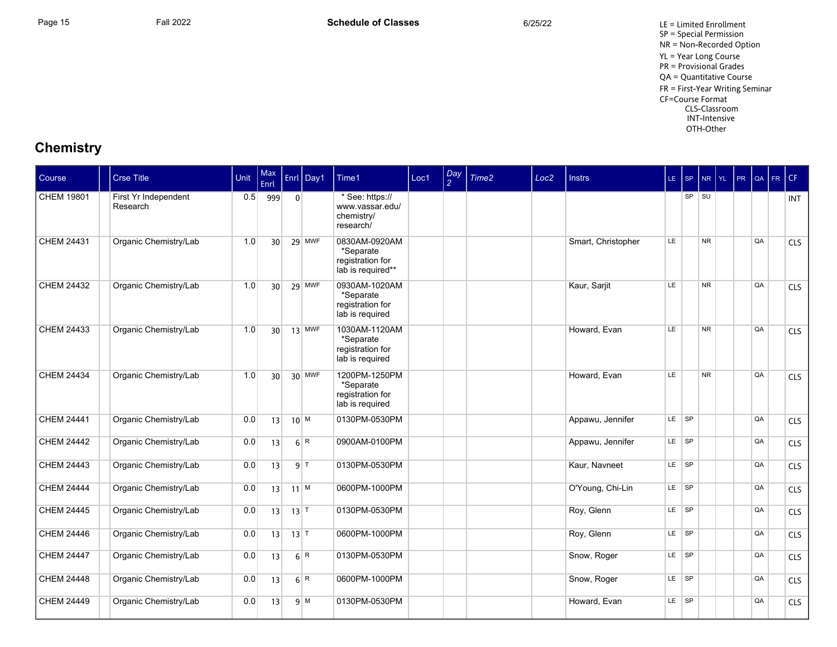Page 15 **Fall 2022** Fall 2022 **Schedule of Classes** 6/25/22 6/25/22 LE = Limited Enrollment SP = Special Permission NR = Non-Recorded Option YL = Year Long Course PR = Provisional Grades QA = Quantitative Course FR = First-Year Writing Seminar CF=Course Format CLS-Classroom INT-Intensive OTH-Other

| Course            | <b>Crse Title</b>                | Unit | Max<br>Enrl     |                   | Enrl Day1      | Time1                                                               | Loc1 | Day<br>$\mathcal{P}$ | Time <sub>2</sub> | Loc <sub>2</sub> | <b>Instrs</b>      |           | LE SP     |           |  |    | NR YL PR QA FR CF |            |
|-------------------|----------------------------------|------|-----------------|-------------------|----------------|---------------------------------------------------------------------|------|----------------------|-------------------|------------------|--------------------|-----------|-----------|-----------|--|----|-------------------|------------|
| <b>CHEM 19801</b> | First Yr Independent<br>Research | 0.5  | 999             | $\overline{0}$    |                | * See: https://<br>www.vassar.edu/<br>chemistry/<br>research/       |      |                      |                   |                  |                    |           |           | $SP$ $SU$ |  |    |                   | <b>INT</b> |
| <b>CHEM 24431</b> | Organic Chemistry/Lab            | 1.0  | 30              |                   | 29 MWF         | 0830AM-0920AM<br>*Separate<br>registration for<br>lab is required** |      |                      |                   |                  | Smart, Christopher | LE        |           | <b>NR</b> |  | QA |                   | CLS        |
| <b>CHEM 24432</b> | Organic Chemistry/Lab            | 1.0  | 30 <sup>1</sup> |                   | $29$ MWF       | 0930AM-1020AM<br>*Separate<br>registration for<br>lab is required   |      |                      |                   |                  | Kaur, Sarjit       | LE        |           | <b>NR</b> |  | QA |                   | CLS        |
| CHEM 24433        | Organic Chemistry/Lab            | 1.0  | 30 <sup>1</sup> |                   | $13$ MWF       | 1030AM-1120AM<br>*Separate<br>registration for<br>lab is required   |      |                      |                   |                  | Howard, Evan       | LE        |           | <b>NR</b> |  | QA |                   | CLS        |
| <b>CHEM 24434</b> | Organic Chemistry/Lab            | 1.0  | 30 <sup>°</sup> |                   | 30 MWF         | 1200PM-1250PM<br>*Separate<br>registration for<br>lab is required   |      |                      |                   |                  | Howard, Evan       | LE        |           | <b>NR</b> |  | QA |                   | CLS        |
| <b>CHEM 24441</b> | Organic Chemistry/Lab            | 0.0  | 13              | $10^{M}$          |                | 0130PM-0530PM                                                       |      |                      |                   |                  | Appawu, Jennifer   |           | LE SP     |           |  | QA |                   | CLS        |
| <b>CHEM 24442</b> | Organic Chemistry/Lab            | 0.0  | 13              |                   | 6 R            | 0900AM-0100PM                                                       |      |                      |                   |                  | Appawu, Jennifer   | $LE$ $SP$ |           |           |  | QA |                   | CLS        |
| <b>CHEM 24443</b> | Organic Chemistry/Lab            | 0.0  | 13              |                   | $9$   T        | 0130PM-0530PM                                                       |      |                      |                   |                  | Kaur, Navneet      |           | LE SP     |           |  | QA |                   | <b>CLS</b> |
| <b>CHEM 24444</b> | Organic Chemistry/Lab            | 0.0  | 13              | $11$ M            |                | 0600PM-1000PM                                                       |      |                      |                   |                  | O'Young, Chi-Lin   | $LE$ $SP$ |           |           |  | QA |                   | CLS        |
| <b>CHEM 24445</b> | Organic Chemistry/Lab            | 0.0  | 13              | $13$ <sup>T</sup> |                | 0130PM-0530PM                                                       |      |                      |                   |                  | Roy, Glenn         |           | LE SP     |           |  | QA |                   | CLS        |
| <b>CHEM 24446</b> | Organic Chemistry/Lab            | 0.0  | 13              | $13$ T            |                | 0600PM-1000PM                                                       |      |                      |                   |                  | Roy, Glenn         |           | $LE$ $SP$ |           |  | QA |                   | <b>CLS</b> |
| <b>CHEM 24447</b> | Organic Chemistry/Lab            | 0.0  | 13              |                   | 6 R            | 0130PM-0530PM                                                       |      |                      |                   |                  | Snow, Roger        |           | LE SP     |           |  | QA |                   | CLS        |
| <b>CHEM 24448</b> | Organic Chemistry/Lab            | 0.0  | 13              |                   | 6 <sup>R</sup> | 0600PM-1000PM                                                       |      |                      |                   |                  | Snow, Roger        | $LE$ $SP$ |           |           |  | QA |                   | <b>CLS</b> |
| <b>CHEM 24449</b> | Organic Chemistry/Lab            | 0.0  | 13              |                   | $q \mid M$     | 0130PM-0530PM                                                       |      |                      |                   |                  | Howard, Evan       |           | LE SP     |           |  | QA |                   | CLS        |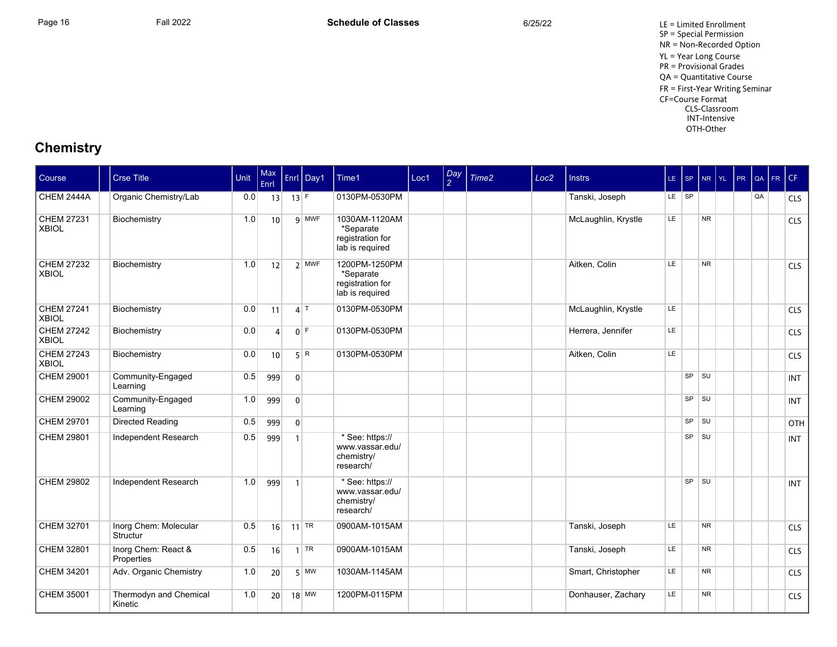Page 16 **Fall 2022** Fall 2022 **Schedule of Classes** 6/25/22 6/25/22 LE = Limited Enrollment SP = Special Permission NR = Non-Recorded Option YL = Year Long Course PR = Provisional Grades QA = Quantitative Course FR = First-Year Writing Seminar CF=Course Format CLS-Classroom INT-Intensive OTH-Other

| Course                            | <b>Crse Title</b>                 | Unit | Max<br><b>Enrl</b> |                | Enrl Day1 | Time1                                                             | Loc1 | Day<br>$\mathcal{P}$ | Time <sub>2</sub> | Loc <sub>2</sub> | <b>Instrs</b>       | LE SP     |           | NR YL          | PR | QA | FR CF |            |
|-----------------------------------|-----------------------------------|------|--------------------|----------------|-----------|-------------------------------------------------------------------|------|----------------------|-------------------|------------------|---------------------|-----------|-----------|----------------|----|----|-------|------------|
| CHEM 2444A                        | Organic Chemistry/Lab             | 0.0  | 13                 | $13$ F         |           | 0130PM-0530PM                                                     |      |                      |                   |                  | Tanski, Joseph      |           | LE SP     |                |    | QA |       | <b>CLS</b> |
| <b>CHEM 27231</b><br><b>XBIOL</b> | Biochemistry                      | 1.0  | 10 <sup>1</sup>    |                | 9 MWF     | 1030AM-1120AM<br>*Separate<br>registration for<br>lab is required |      |                      |                   |                  | McLaughlin, Krystle | <b>LE</b> |           | <b>NR</b>      |    |    |       | <b>CLS</b> |
| <b>CHEM 27232</b><br><b>XBIOL</b> | Biochemistry                      | 1.0  | 12                 |                | $2$ MWF   | 1200PM-1250PM<br>*Separate<br>registration for<br>lab is required |      |                      |                   |                  | Aitken, Colin       | LE.       |           | <b>NR</b>      |    |    |       | CLS        |
| <b>CHEM 27241</b><br><b>XBIOL</b> | Biochemistry                      | 0.0  | 11                 |                | $4$ T     | 0130PM-0530PM                                                     |      |                      |                   |                  | McLaughlin, Krystle | LE.       |           |                |    |    |       | <b>CLS</b> |
| <b>CHEM 27242</b><br><b>XBIOL</b> | Biochemistry                      | 0.0  | $\vert$            |                | $0$ F     | 0130PM-0530PM                                                     |      |                      |                   |                  | Herrera, Jennifer   | LE        |           |                |    |    |       | CLS        |
| <b>CHEM 27243</b><br><b>XBIOL</b> | Biochemistry                      | 0.0  | 10                 |                | 5 R       | 0130PM-0530PM                                                     |      |                      |                   |                  | Aitken, Colin       | <b>LE</b> |           |                |    |    |       | <b>CLS</b> |
| <b>CHEM 29001</b>                 | Community-Engaged<br>Learning     | 0.5  | 999                | $\overline{0}$ |           |                                                                   |      |                      |                   |                  |                     |           | $SP$ $SU$ |                |    |    |       | <b>INT</b> |
| CHEM 29002                        | Community-Engaged<br>Learning     | 1.0  | 999                | $\overline{0}$ |           |                                                                   |      |                      |                   |                  |                     |           | SP        | l su           |    |    |       | <b>INT</b> |
| CHEM 29701                        | Directed Reading                  | 0.5  | 999                | $\overline{0}$ |           |                                                                   |      |                      |                   |                  |                     |           |           | $SP$ $  SU$    |    |    |       | <b>OTH</b> |
| <b>CHEM 29801</b>                 | Independent Research              | 0.5  | 999                | $\mathbf{1}$   |           | * See: https://<br>www.vassar.edu/<br>chemistry/<br>research/     |      |                      |                   |                  |                     |           | SP        | l su           |    |    |       | <b>INT</b> |
| CHEM 29802                        | Independent Research              | 1.0  | 999                | $\overline{1}$ |           | * See: https://<br>www.vassar.edu/<br>chemistry/<br>research/     |      |                      |                   |                  |                     |           | <b>SP</b> | <b>SU</b>      |    |    |       | <b>INT</b> |
| CHEM 32701                        | Inorg Chem: Molecular<br>Structur | 0.5  | 16                 |                | $11$ TR   | 0900AM-1015AM                                                     |      |                      |                   |                  | Tanski, Joseph      | LE.       |           | <b>NR</b>      |    |    |       | CLS        |
| CHEM 32801                        | Inorg Chem: React &<br>Properties | 0.5  | 16                 |                | $1$ TR    | 0900AM-1015AM                                                     |      |                      |                   |                  | Tanski, Joseph      | <b>LE</b> |           | N <sub>R</sub> |    |    |       | <b>CLS</b> |
| CHEM 34201                        | Adv. Organic Chemistry            | 1.0  | 20                 |                | $5$ MW    | 1030AM-1145AM                                                     |      |                      |                   |                  | Smart, Christopher  | <b>LE</b> |           | <b>NR</b>      |    |    |       | CLS        |
| <b>CHEM 35001</b>                 | Thermodyn and Chemical<br>Kinetic | 1.0  | 20                 |                | $18$ MW   | 1200PM-0115PM                                                     |      |                      |                   |                  | Donhauser, Zachary  | LE        |           | <b>NR</b>      |    |    |       | CLS        |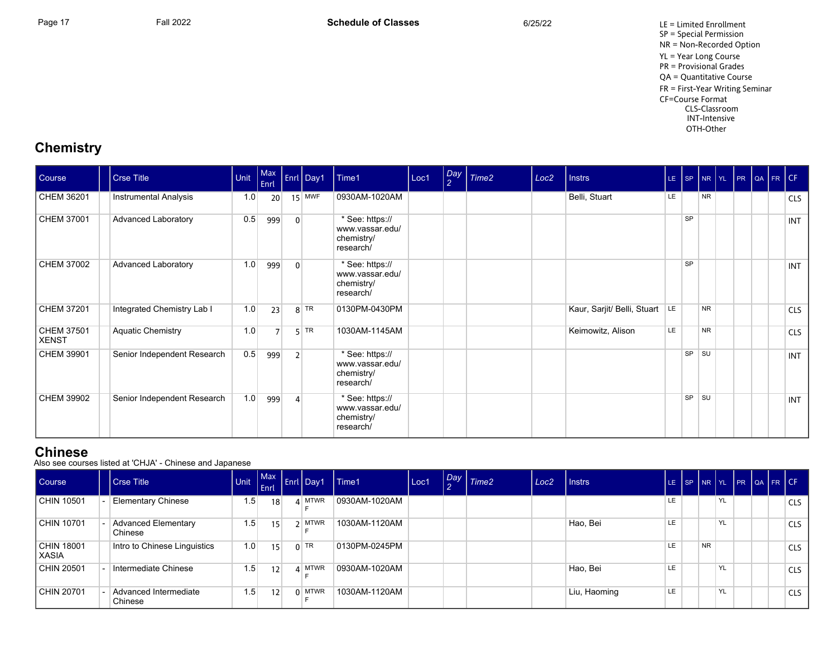Page 17 **Fall 2022** Fall 2022 **Schedule of Classes** 6/25/22 6/25/22 LE = Limited Enrollment SP = Special Permission NR = Non-Recorded Option YL = Year Long Course PR = Provisional Grades QA = Quantitative Course FR = First-Year Writing Seminar CF=Course Format CLS-Classroom INT-Intensive OTH-Other

## **Chemistry**

| Course                | <b>Crse Title</b>            | Unit | Max<br>Enrl    |                | Enrl Day1 | Time1                                                         | Loc1 | Day<br>$\frac{2}{3}$ | Time2 | Loc <sub>2</sub> | <b>Instrs</b>               | LE. |           |                | SP NR YL PR QA FR CF |  |            |
|-----------------------|------------------------------|------|----------------|----------------|-----------|---------------------------------------------------------------|------|----------------------|-------|------------------|-----------------------------|-----|-----------|----------------|----------------------|--|------------|
| CHEM 36201            | <b>Instrumental Analysis</b> | 1.0  | 20             |                | $15$ MWF  | 0930AM-1020AM                                                 |      |                      |       |                  | Belli, Stuart               | LE  |           | N <sub>R</sub> |                      |  | <b>CLS</b> |
| CHEM 37001            | <b>Advanced Laboratory</b>   | 0.5  | 999            | $\overline{0}$ |           | * See: https://<br>www.vassar.edu/<br>chemistry/<br>research/ |      |                      |       |                  |                             |     | <b>SP</b> |                |                      |  | <b>INT</b> |
| CHEM 37002            | Advanced Laboratory          | 1.0  | 999            | $\Omega$       |           | * See: https://<br>www.vassar.edu/<br>chemistry/<br>research/ |      |                      |       |                  |                             |     | <b>SP</b> |                |                      |  | <b>INT</b> |
| CHEM 37201            | Integrated Chemistry Lab I   | 1.0  | 23             |                | $8$ TR    | 0130PM-0430PM                                                 |      |                      |       |                  | Kaur, Sarjit/ Belli, Stuart | LE  |           | <b>NR</b>      |                      |  | <b>CLS</b> |
| CHEM 37501<br>  XENST | <b>Aquatic Chemistry</b>     | 1.0  | $\overline{ }$ |                | $5$ TR    | 1030AM-1145AM                                                 |      |                      |       |                  | Keimowitz, Alison           | LE  |           | <b>NR</b>      |                      |  | <b>CLS</b> |
| CHEM 39901            | Senior Independent Research  | 0.5  | 999            | 2 <sup>1</sup> |           | * See: https://<br>www.vassar.edu/<br>chemistry/<br>research/ |      |                      |       |                  |                             |     | SP        | <b>SU</b>      |                      |  | <b>INT</b> |
| CHEM 39902            | Senior Independent Research  | 1.0  | 999            | $\overline{4}$ |           | * See: https://<br>www.vassar.edu/<br>chemistry/<br>research/ |      |                      |       |                  |                             |     | SP        | SU             |                      |  | INT        |

#### **Chinese**

Also see courses listed at 'CHJA' Chinese and Japanese

| Course                 | Crse Title                            |     | Enrl            |          | Unit $\left[\begin{array}{c c} \text{Max} \\ \text{-} \end{array}\right]$ Enrl Day1 | $I$ Time1     | Loc1 | Day Time2 | Loc <sub>2</sub> | l Instrs     | LE. | $\sqrt{SP}$ |           |    |  | NR YL PR QA FR CF |
|------------------------|---------------------------------------|-----|-----------------|----------|-------------------------------------------------------------------------------------|---------------|------|-----------|------------------|--------------|-----|-------------|-----------|----|--|-------------------|
| CHIN 10501             | <b>Elementary Chinese</b>             | 1.5 | 18              |          | <b>MTWR</b>                                                                         | 0930AM-1020AM |      |           |                  |              | LE  |             |           | YL |  | <b>CLS</b>        |
| CHIN 10701             | <b>Advanced Elementary</b><br>Chinese | 1.5 | 15 <sup>1</sup> |          | <b>MTWR</b>                                                                         | 1030AM-1120AM |      |           |                  | Hao, Bei     | LE  |             |           | YL |  | <b>CLS</b>        |
| CHIN 18001<br>l XASIA. | Intro to Chinese Linguistics          | 1.0 | 15              |          | $0$ TR                                                                              | 0130PM-0245PM |      |           |                  |              | LE  |             | <b>NR</b> |    |  | <b>CLS</b>        |
| CHIN 20501             | Intermediate Chinese                  | 1.5 | 12              | $\Delta$ | <b>MTWR</b>                                                                         | 0930AM-1020AM |      |           |                  | Hao, Bei     | LE  |             |           | YL |  | <b>CLS</b>        |
| CHIN 20701             | Advanced Intermediate<br>Chinese      | 1.5 | 12              |          | $\Omega$ MTWR                                                                       | 1030AM-1120AM |      |           |                  | Liu, Haoming | LE  |             |           | YL |  | <b>CLS</b>        |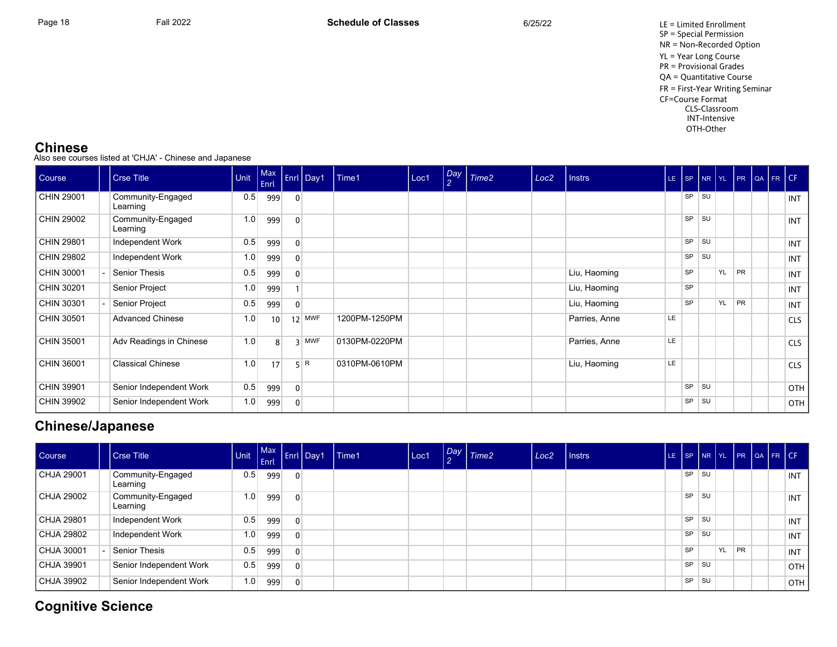Page 18 **Fall 2022** Fall 2022 **Schedule of Classes** 6/25/22 6/25/22 LE = Limited Enrollment SP = Special Permission NR = Non-Recorded Option YL = Year Long Course PR = Provisional Grades QA = Quantitative Course FR = First-Year Writing Seminar CF=Course Format CLS-Classroom INT-Intensive OTH-Other

#### **Chinese**

Also see courses listed at 'CHJA' Chinese and Japanese

| <b>Course</b> | <b>Crse Title</b>             | Unit | Max<br>Enrl |                | <b>Enrl Day1</b> | Time1         | Loc1 | $\begin{bmatrix}$ Day $\begin{bmatrix} 2 \end{bmatrix}$ | Time <sub>2</sub> | Loc <sub>2</sub> | <b>Instrs</b> |           |           |           |    |    | LE SP NR YL PR QA FR CF |            |
|---------------|-------------------------------|------|-------------|----------------|------------------|---------------|------|---------------------------------------------------------|-------------------|------------------|---------------|-----------|-----------|-----------|----|----|-------------------------|------------|
| CHIN 29001    | Community-Engaged<br>Learning | 0.5  | 999         | $\mathbf{0}$   |                  |               |      |                                                         |                   |                  |               |           | <b>SP</b> | <b>SU</b> |    |    |                         | INT        |
| CHIN 29002    | Community-Engaged<br>Learning | 1.0  | 999         | $\Omega$       |                  |               |      |                                                         |                   |                  |               |           | <b>SP</b> | <b>SU</b> |    |    |                         | <b>INT</b> |
| CHIN 29801    | Independent Work              | 0.5  | 999         | $\mathbf{0}$   |                  |               |      |                                                         |                   |                  |               |           | SP        | <b>SU</b> |    |    |                         | <b>INT</b> |
| CHIN 29802    | Independent Work              | 1.0  | 999         | 0              |                  |               |      |                                                         |                   |                  |               |           | SP        | <b>SU</b> |    |    |                         | INT        |
| CHIN 30001    | <b>Senior Thesis</b>          | 0.5  | 999         | $\Omega$       |                  |               |      |                                                         |                   |                  | Liu, Haoming  |           | <b>SP</b> |           | YL | PR |                         | INT        |
| CHIN 30201    | Senior Project                | 1.0  | 999         |                |                  |               |      |                                                         |                   |                  | Liu, Haoming  |           | <b>SP</b> |           |    |    |                         | <b>INT</b> |
| CHIN 30301    | Senior Project                | 0.5  | 999         | $\mathbf{0}$   |                  |               |      |                                                         |                   |                  | Liu, Haoming  |           | <b>SP</b> |           | YL | PR |                         | <b>INT</b> |
| CHIN 30501    | <b>Advanced Chinese</b>       | 1.0  | 10          |                | $12$ MWF         | 1200PM-1250PM |      |                                                         |                   |                  | Parries, Anne | <b>LE</b> |           |           |    |    |                         | <b>CLS</b> |
| CHIN 35001    | Adv Readings in Chinese       | 1.0  | 8           | $\overline{3}$ | <b>MWF</b>       | 0130PM-0220PM |      |                                                         |                   |                  | Parries, Anne | LE        |           |           |    |    |                         | <b>CLS</b> |
| CHIN 36001    | <b>Classical Chinese</b>      | 1.0  | 17          |                | 5 R              | 0310PM-0610PM |      |                                                         |                   |                  | Liu, Haoming  | LE        |           |           |    |    |                         | <b>CLS</b> |
| CHIN 39901    | Senior Independent Work       | 0.5  | 999         | $\mathbf{0}$   |                  |               |      |                                                         |                   |                  |               |           | SP        | <b>SU</b> |    |    |                         | OTH        |
| CHIN 39902    | Senior Independent Work       | 1.0  | 999         | 0              |                  |               |      |                                                         |                   |                  |               |           | SP        | <b>SU</b> |    |    |                         | OTH        |

## **Chinese/Japanese**

| Course     | Crse Title                    | $ $ Unit $ $ | Enrl |                | Init Max Enrl Day1 | l Time1 | Loc1 | Day Time2 | Loc <sub>2</sub> | <b>Instrs</b> |           |           |    |           | LE SP NR YL PR QA FR CF |            |
|------------|-------------------------------|--------------|------|----------------|--------------------|---------|------|-----------|------------------|---------------|-----------|-----------|----|-----------|-------------------------|------------|
| CHJA 29001 | Community-Engaged<br>Learning | 0.5          | 999  | $\Omega$       |                    |         |      |           |                  |               | SP SU     |           |    |           |                         | INT I      |
| CHJA 29002 | Community-Engaged<br>Learning | 1.0          | 999  | $\overline{0}$ |                    |         |      |           |                  |               | <b>SP</b> | <b>SU</b> |    |           |                         | INT        |
| CHJA 29801 | Independent Work              | 0.5          | 999  | $\mathbf{0}$   |                    |         |      |           |                  |               | <b>SP</b> | <b>SU</b> |    |           |                         | <b>INT</b> |
| CHJA 29802 | Independent Work              | 1.0          | 999  | 0              |                    |         |      |           |                  |               | SP        | <b>SU</b> |    |           |                         | <b>INT</b> |
| CHJA 30001 | Senior Thesis                 | 0.5          | 999  | $\mathbf{0}$   |                    |         |      |           |                  |               | <b>SP</b> |           | YL | <b>PR</b> |                         | <b>INT</b> |
| CHJA 39901 | Senior Independent Work       | 0.5          | 999  | $\mathbf{0}$   |                    |         |      |           |                  |               | <b>SP</b> | <b>SU</b> |    |           |                         | OTH I      |
| CHJA 39902 | Senior Independent Work       | 1.0          | 999  | $\mathbf{0}$   |                    |         |      |           |                  |               | <b>SP</b> | <b>SU</b> |    |           |                         | OTH        |

## **Cognitive Science**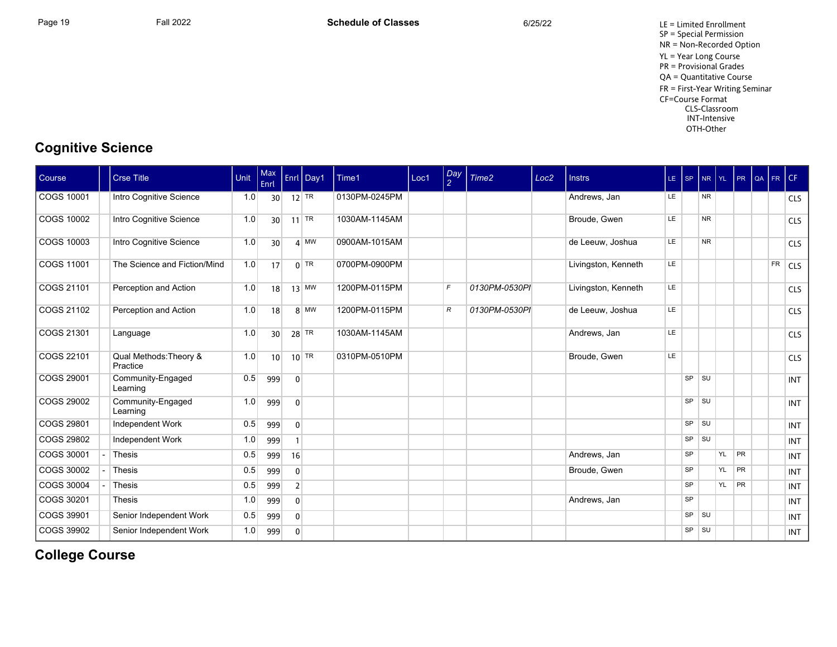Page 19 **Fall 2022** Fall 2022 **Schedule of Classes** 6/25/22 6/25/22 LE = Limited Enrollment SP = Special Permission NR = Non-Recorded Option YL = Year Long Course PR = Provisional Grades QA = Quantitative Course FR = First-Year Writing Seminar CF=Course Format CLS-Classroom INT-Intensive OTH-Other

## **Cognitive Science**

| Course            | <b>Crse Title</b>                  | Unit | Max<br>Enrl     |                | Enrl Day1 | Time1         | Loc1 | $\frac{Day}{2}$ | Time <sub>2</sub> | Loc <sub>2</sub> | <b>Instrs</b>       | LE SP |           | NR YL      |       | PR | QA | FR CF     |            |
|-------------------|------------------------------------|------|-----------------|----------------|-----------|---------------|------|-----------------|-------------------|------------------|---------------------|-------|-----------|------------|-------|----|----|-----------|------------|
| COGS 10001        | Intro Cognitive Science            | 1.0  | 30 <sup>2</sup> |                | $12$ TR   | 0130PM-0245PM |      |                 |                   |                  | Andrews, Jan        | LE.   |           | NR.        |       |    |    |           | <b>CLS</b> |
| COGS 10002        | Intro Cognitive Science            | 1.0  | 30              |                | $11$ TR   | 1030AM-1145AM |      |                 |                   |                  | Broude, Gwen        | LE    |           | <b>NR</b>  |       |    |    |           | <b>CLS</b> |
| <b>COGS 10003</b> | Intro Cognitive Science            | 1.0  | 30 <sup>1</sup> |                | $4$ MW    | 0900AM-1015AM |      |                 |                   |                  | de Leeuw, Joshua    | LE    |           | <b>NR</b>  |       |    |    |           | <b>CLS</b> |
| COGS 11001        | The Science and Fiction/Mind       | 1.0  | 17              |                | $0$ TR    | 0700PM-0900PM |      |                 |                   |                  | Livingston, Kenneth | LE    |           |            |       |    |    | <b>FR</b> | $1$ CLS    |
| COGS 21101        | Perception and Action              | 1.0  | 18              |                | $13$ MW   | 1200PM-0115PM |      | $\mathcal{F}$   | 0130PM-0530PI     |                  | Livingston, Kenneth | LE    |           |            |       |    |    |           | <b>CLS</b> |
| COGS 21102        | Perception and Action              | 1.0  | 18              |                | $8$ MW    | 1200PM-0115PM |      | $\mathcal{R}$   | 0130PM-0530PI     |                  | de Leeuw, Joshua    | LE    |           |            |       |    |    |           | <b>CLS</b> |
| COGS 21301        | Language                           | 1.0  | 30 <sup>1</sup> |                | $28$ TR   | 1030AM-1145AM |      |                 |                   |                  | Andrews, Jan        | LE    |           |            |       |    |    |           | <b>CLS</b> |
| COGS 22101        | Qual Methods: Theory &<br>Practice | 1.0  | 10 <sup>1</sup> |                | $10$ TR   | 0310PM-0510PM |      |                 |                   |                  | Broude, Gwen        | LE    |           |            |       |    |    |           | <b>CLS</b> |
| COGS 29001        | Community-Engaged<br>Learning      | 0.5  | 999             | $\mathbf{0}$   |           |               |      |                 |                   |                  |                     |       | SP        | l su       |       |    |    |           | <b>INT</b> |
| COGS 29002        | Community-Engaged<br>Learning      | 1.0  | 999             | $\mathbf{0}$   |           |               |      |                 |                   |                  |                     |       | SP SU     |            |       |    |    |           | <b>INT</b> |
| COGS 29801        | Independent Work                   | 0.5  | 999             | $\overline{0}$ |           |               |      |                 |                   |                  |                     |       | SP        | $\vert$ SU |       |    |    |           | <b>INT</b> |
| COGS 29802        | Independent Work                   | 1.0  | 999             |                |           |               |      |                 |                   |                  |                     |       | SP        | <b>SU</b>  |       |    |    |           | <b>INT</b> |
| COGS 30001        | Thesis                             | 0.5  | 999             | 16             |           |               |      |                 |                   |                  | Andrews, Jan        |       | <b>SP</b> |            | YL PR |    |    |           | <b>INT</b> |
| COGS 30002        | Thesis                             | 0.5  | 999             | $\overline{0}$ |           |               |      |                 |                   |                  | Broude, Gwen        |       | <b>SP</b> |            | YL    | PR |    |           | <b>INT</b> |
| COGS 30004        | Thesis                             | 0.5  | 999             | $\overline{2}$ |           |               |      |                 |                   |                  |                     |       | SP        |            | YL    | PR |    |           | <b>INT</b> |
| COGS 30201        | Thesis                             | 1.0  | 999             | $\mathbf{0}$   |           |               |      |                 |                   |                  | Andrews, Jan        |       | <b>SP</b> |            |       |    |    |           | <b>INT</b> |
| COGS 39901        | Senior Independent Work            | 0.5  | 999             | $\overline{0}$ |           |               |      |                 |                   |                  |                     |       | SP SU     |            |       |    |    |           | <b>INT</b> |
| COGS 39902        | Senior Independent Work            | 1.0  | 999             | $\mathbf{0}$   |           |               |      |                 |                   |                  |                     |       | SP        | ∣ su       |       |    |    |           | <b>INT</b> |

# **College Course**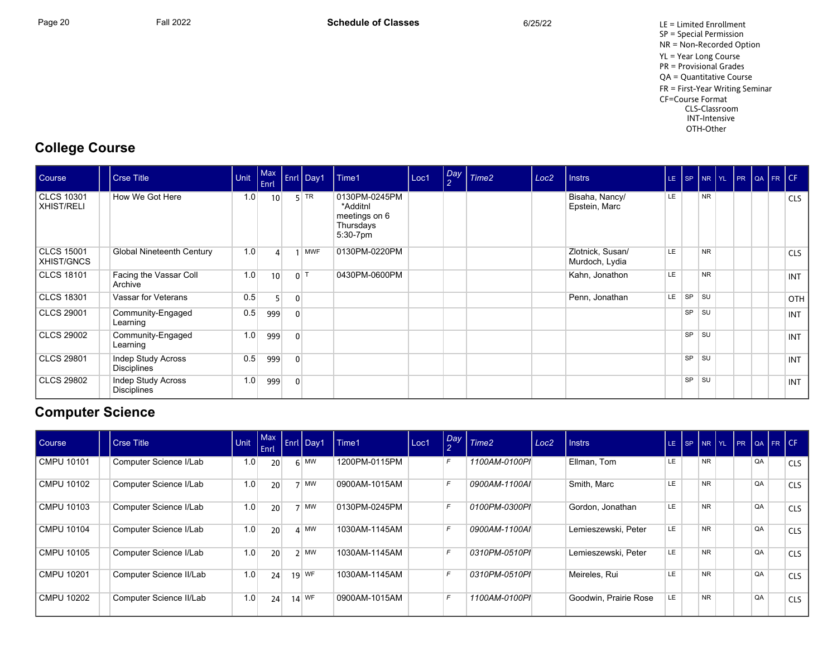Page 20 Fall 2022 Fall 2022 **Schedule of Classes** 6/25/22 6/25/22 LE = Limited Enrollment SP = Special Permission NR = Non-Recorded Option YL = Year Long Course PR = Provisional Grades QA = Quantitative Course FR = First-Year Writing Seminar CF=Course Format CLS-Classroom INT-Intensive OTH-Other

## **College Course**

| Course                          | <b>Crse Title</b>                 | Unit | $ $ Max<br>Enrl |                  | Enrl Day1 | Time1                                                                  | Loc1 | Day<br>$\overline{2}$ | Time <sub>2</sub> | Loc <sub>2</sub> | Instrs                             |     |           | LE SP NR YL PR QA FR CF |  |  |            |
|---------------------------------|-----------------------------------|------|-----------------|------------------|-----------|------------------------------------------------------------------------|------|-----------------------|-------------------|------------------|------------------------------------|-----|-----------|-------------------------|--|--|------------|
| <b>CLCS 10301</b><br>XHIST/RELI | How We Got Here                   | 1.0  | 10              |                  | $5$ TR    | 0130PM-0245PM<br>*Additnl<br>meetings on 6<br>Thursdays<br>$5:30-7$ pm |      |                       |                   |                  | Bisaha, Nancy/<br>Epstein, Marc    | LE. |           | <b>NR</b>               |  |  | <b>CLS</b> |
| <b>CLCS 15001</b><br>XHIST/GNCS | <b>Global Nineteenth Century</b>  | 1.0  | 4               |                  | MWF       | 0130PM-0220PM                                                          |      |                       |                   |                  | Zlotnick, Susan/<br>Murdoch, Lydia | LE  |           | <b>NR</b>               |  |  | <b>CLS</b> |
| <b>CLCS 18101</b>               | Facing the Vassar Coll<br>Archive | 1.0  | 10              | $0$ <sup>T</sup> |           | 0430PM-0600PM                                                          |      |                       |                   |                  | Kahn, Jonathon                     | LE. |           | <b>NR</b>               |  |  | <b>INT</b> |
| <b>CLCS 18301</b>               | Vassar for Veterans               | 0.5  |                 | 0                |           |                                                                        |      |                       |                   |                  | Penn, Jonathan                     | LE. | SP        | <b>SU</b>               |  |  | <b>OTH</b> |
| <b>CLCS 29001</b>               | Community-Engaged<br>Learning     | 0.5  | 999             | $\mathbf{0}$     |           |                                                                        |      |                       |                   |                  |                                    |     | SP        | <b>SU</b>               |  |  | INT        |
| <b>CLCS 29002</b>               | Community-Engaged<br>Learning     | 1.0  | 999             | $\mathbf{0}$     |           |                                                                        |      |                       |                   |                  |                                    |     | <b>SP</b> | <b>SU</b>               |  |  | <b>INT</b> |
| <b>CLCS 29801</b>               | Indep Study Across<br>Disciplines | 0.5  | 999             | $\mathbf{0}$     |           |                                                                        |      |                       |                   |                  |                                    |     | <b>SP</b> | <b>SU</b>               |  |  | <b>INT</b> |
| <b>CLCS 29802</b>               | Indep Study Across<br>Disciplines | 1.0  | 999             | $\overline{0}$   |           |                                                                        |      |                       |                   |                  |                                    |     | SP        | <b>SU</b>               |  |  | INT        |

# **Computer Science**

| Course     | Crse Title              | Unit | Max <sup>y</sup><br>Enrl | Enrl Day1    | Time1         | Loc1 | Day | Time <sub>2</sub> | Loc <sub>2</sub> | l Instrs              | LE  | $ $ SP $ $ NR $ $ |           | YL PR QA FR CF |    |            |
|------------|-------------------------|------|--------------------------|--------------|---------------|------|-----|-------------------|------------------|-----------------------|-----|-------------------|-----------|----------------|----|------------|
| CMPU 10101 | Computer Science I/Lab  | 1.0  | 20 <sup>1</sup>          | $6 \mid M W$ | 1200PM-0115PM |      | F   | 1100AM-0100PI     |                  | Ellman, Tom           | LE. |                   | <b>NR</b> |                | QA | <b>CLS</b> |
| CMPU 10102 | Computer Science I/Lab  | 1.0  | 20 <sup>1</sup>          | $7$ MW       | 0900AM-1015AM |      |     | 0900AM-1100AI     |                  | Smith, Marc           | LE. |                   | <b>NR</b> |                | QA | <b>CLS</b> |
| CMPU 10103 | Computer Science I/Lab  | 1.0  | 20 <sup>1</sup>          | MW           | 0130PM-0245PM |      |     | 0100PM-0300PI     |                  | Gordon, Jonathan      | LE. |                   | <b>NR</b> |                | QA | <b>CLS</b> |
| CMPU 10104 | Computer Science I/Lab  | 1.0  | 20                       | $4$ MW       | 1030AM-1145AM |      |     | 0900AM-1100AI     |                  | Lemieszewski, Peter   | LE. |                   | <b>NR</b> |                | QA | <b>CLS</b> |
| CMPU 10105 | Computer Science I/Lab  | 1.0  | 20 <sup>1</sup>          | $2 \mid M W$ | 1030AM-1145AM |      |     | 0310PM-0510PI     |                  | Lemieszewski, Peter   | LE. |                   | <b>NR</b> |                | QA | <b>CLS</b> |
| CMPU 10201 | Computer Science II/Lab | 1.0  | 24                       | $19$ WF      | 1030AM-1145AM |      |     | 0310PM-0510PI     |                  | Meireles, Rui         | LE. |                   | <b>NR</b> |                | QA | <b>CLS</b> |
| CMPU 10202 | Computer Science II/Lab | 1.0  | 24                       | $14$ WF      | 0900AM-1015AM |      |     | 1100AM-0100PI     |                  | Goodwin, Prairie Rose | LE. |                   | <b>NR</b> |                | QA | <b>CLS</b> |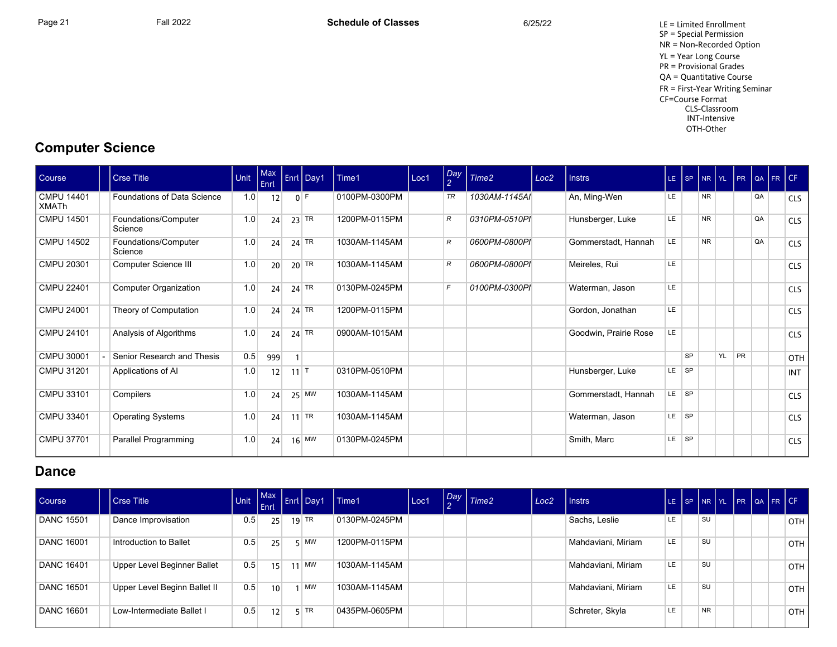Page 21 **Fall 2022** Fall 2022 **Schedule of Classes** 6/25/22 6/25/22 LE = Limited Enrollment SP = Special Permission NR = Non-Recorded Option YL = Year Long Course PR = Provisional Grades QA = Quantitative Course FR = First-Year Writing Seminar CF=Course Format CLS-Classroom INT-Intensive OTH-Other

## **Computer Science**

| Course                            | <b>Crse Title</b>               | Unit | Max<br><b>Enrl</b> |                   | Enrl Day1 | Time1         | Loc1 | Day<br>$\overline{2}$ | Time <sub>2</sub> | Loc <sub>2</sub> | <b>Instrs</b>         |           | LE SP     |           |    |           |    | NR YL PR QA FR CF |            |
|-----------------------------------|---------------------------------|------|--------------------|-------------------|-----------|---------------|------|-----------------------|-------------------|------------------|-----------------------|-----------|-----------|-----------|----|-----------|----|-------------------|------------|
| <b>CMPU 14401</b><br><b>XMATh</b> | Foundations of Data Science     | 1.0  | 12                 |                   | $0$ F     | 0100PM-0300PM |      | TR                    | 1030AM-1145AI     |                  | An, Ming-Wen          | LE.       |           | <b>NR</b> |    |           | QA |                   | <b>CLS</b> |
| <b>CMPU 14501</b>                 | Foundations/Computer<br>Science | 1.0  | 24                 |                   | $23$ TR   | 1200PM-0115PM |      | R                     | 0310PM-0510PI     |                  | Hunsberger, Luke      | LE.       |           | <b>NR</b> |    |           | QA |                   | <b>CLS</b> |
| <b>CMPU 14502</b>                 | Foundations/Computer<br>Science | 1.0  | 24                 |                   | $24$ TR   | 1030AM-1145AM |      | R                     | 0600PM-0800PI     |                  | Gommerstadt, Hannah   | LE        |           | <b>NR</b> |    |           | QA |                   | <b>CLS</b> |
| <b>CMPU 20301</b>                 | Computer Science III            | 1.0  | 20                 |                   | $20$ TR   | 1030AM-1145AM |      | $\mathcal{R}$         | 0600PM-0800PI     |                  | Meireles, Rui         | LE.       |           |           |    |           |    |                   | <b>CLS</b> |
| <b>CMPU 22401</b>                 | Computer Organization           | 1.0  | 24                 |                   | $24$ TR   | 0130PM-0245PM |      | $\mathsf{F}$          | 0100PM-0300PI     |                  | Waterman, Jason       | LE.       |           |           |    |           |    |                   | <b>CLS</b> |
| <b>CMPU 24001</b>                 | Theory of Computation           | 1.0  | 24                 |                   | $24$ TR   | 1200PM-0115PM |      |                       |                   |                  | Gordon, Jonathan      | <b>LE</b> |           |           |    |           |    |                   | <b>CLS</b> |
| <b>CMPU 24101</b>                 | Analysis of Algorithms          | 1.0  | 24                 |                   | $24$ TR   | 0900AM-1015AM |      |                       |                   |                  | Goodwin, Prairie Rose | LE.       |           |           |    |           |    |                   | <b>CLS</b> |
| CMPU 30001                        | Senior Research and Thesis      | 0.5  | 999                |                   |           |               |      |                       |                   |                  |                       |           | <b>SP</b> |           | YL | <b>PR</b> |    |                   | <b>OTH</b> |
| <b>CMPU 31201</b>                 | Applications of AI              | 1.0  | 12                 | $11$ <sup>T</sup> |           | 0310PM-0510PM |      |                       |                   |                  | Hunsberger, Luke      | LE.       | <b>SP</b> |           |    |           |    |                   | <b>INT</b> |
| CMPU 33101                        | Compilers                       | 1.0  | 24                 |                   | $25$ MW   | 1030AM-1145AM |      |                       |                   |                  | Gommerstadt, Hannah   | LE.       | SP SP     |           |    |           |    |                   | <b>CLS</b> |
| CMPU 33401                        | <b>Operating Systems</b>        | 1.0  | 24                 |                   | $11$ TR   | 1030AM-1145AM |      |                       |                   |                  | Waterman, Jason       | LE.       | $ $ SP    |           |    |           |    |                   | <b>CLS</b> |
| <b>CMPU 37701</b>                 | Parallel Programming            | 1.0  | 24                 |                   | $16$ MW   | 0130PM-0245PM |      |                       |                   |                  | Smith, Marc           | LE.       | <b>SP</b> |           |    |           |    |                   | <b>CLS</b> |

#### **Dance**

| Course            | <b>Crse Title</b>            | Unit | Enrl            | Max Enrl Day1 | Time1         | Loc1 | Day Time2 | Loc <sub>2</sub> | <b>Instrs</b>      | LE SP NR YL PR QA FR CF |           |  |  |       |
|-------------------|------------------------------|------|-----------------|---------------|---------------|------|-----------|------------------|--------------------|-------------------------|-----------|--|--|-------|
| <b>DANC 15501</b> | Dance Improvisation          | 0.5  | 25              | $19$ TR       | 0130PM-0245PM |      |           |                  | Sachs, Leslie      | LE                      | <b>SU</b> |  |  | OTH I |
| <b>DANC 16001</b> | Introduction to Ballet       | 0.5  | 25              | $5 \mid M W$  | 1200PM-0115PM |      |           |                  | Mahdaviani, Miriam | LE                      | <b>SU</b> |  |  | OTH I |
| <b>DANC 16401</b> | Upper Level Beginner Ballet  | 0.5  | 15              | $11$ MW       | 1030AM-1145AM |      |           |                  | Mahdaviani, Miriam | LE                      | <b>SU</b> |  |  | OTH I |
| <b>DANC 16501</b> | Upper Level Beginn Ballet II | 0.5  | 10 <sup>1</sup> | <b>MW</b>     | 1030AM-1145AM |      |           |                  | Mahdaviani, Miriam | LE                      | SU        |  |  | OTH I |
| <b>DANC 16601</b> | Low-Intermediate Ballet I    | 0.5  | 12              | $5$ TR        | 0435PM-0605PM |      |           |                  | Schreter, Skyla    | <b>LE</b>               | <b>NR</b> |  |  | OTH I |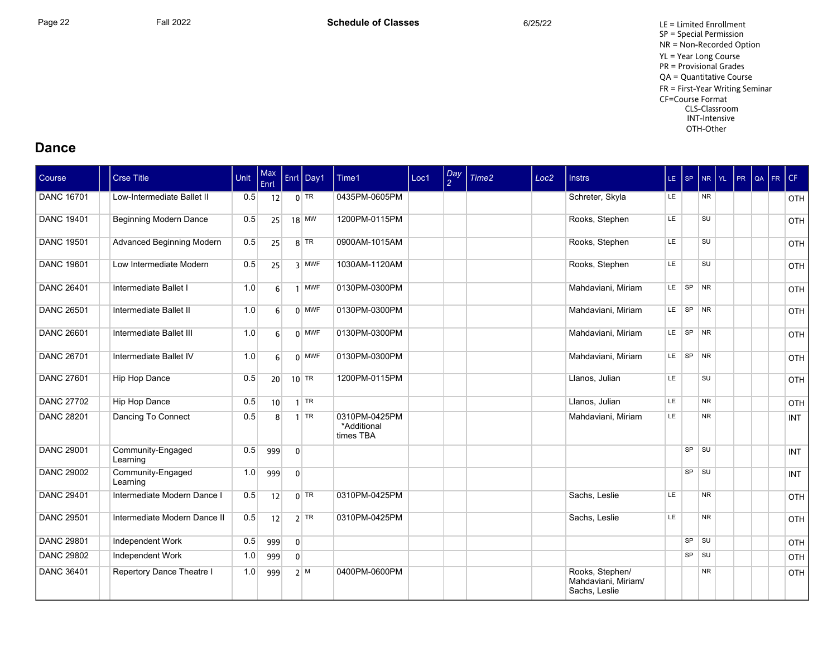Page 22 Fall 2022 Fall 2022 **Schedule of Classes** 6/25/22 6/25/22 LE = Limited Enrollment SP = Special Permission NR = Non-Recorded Option YL = Year Long Course PR = Provisional Grades QA = Quantitative Course FR = First-Year Writing Seminar CF=Course Format CLS-Classroom INT-Intensive OTH-Other

#### **Dance**

| Course            | Crse Title                    | Unit | Max<br>Enrl     |                | Enrl Day1  | Time1                                     | Loc1 | $\frac{Day}{2}$ | Time2 | Loc <sub>2</sub> | <b>Instrs</b>                                           | $LE$ $SP$ |           |             | NR YL | PR | QA | FR | CF         |
|-------------------|-------------------------------|------|-----------------|----------------|------------|-------------------------------------------|------|-----------------|-------|------------------|---------------------------------------------------------|-----------|-----------|-------------|-------|----|----|----|------------|
| <b>DANC 16701</b> | Low-Intermediate Ballet II    | 0.5  | 12              |                | $0$ TR     | 0435PM-0605PM                             |      |                 |       |                  | Schreter, Skyla                                         | LE.       |           | <b>NR</b>   |       |    |    |    | OTH        |
| <b>DANC 19401</b> | Beginning Modern Dance        | 0.5  | 25              |                | $18$ MW    | 1200PM-0115PM                             |      |                 |       |                  | Rooks, Stephen                                          | LE.       |           | SU          |       |    |    |    | OTH        |
| <b>DANC 19501</b> | Advanced Beginning Modern     | 0.5  | 25              |                | $8$ TR     | 0900AM-1015AM                             |      |                 |       |                  | Rooks, Stephen                                          | LE.       |           | SU          |       |    |    |    | OTH        |
| <b>DANC 19601</b> | Low Intermediate Modern       | 0.5  | 25              |                | 3 MWF      | 1030AM-1120AM                             |      |                 |       |                  | Rooks, Stephen                                          | LE        |           | SU          |       |    |    |    | OTH        |
| <b>DANC 26401</b> | Intermediate Ballet I         | 1.0  | $6 \mid$        | $\overline{1}$ | <b>MWF</b> | 0130PM-0300PM                             |      |                 |       |                  | Mahdaviani, Miriam                                      | LE.       | SP        | <b>NR</b>   |       |    |    |    | OTH        |
| <b>DANC 26501</b> | Intermediate Ballet II        | 1.0  | $6 \mid$        |                | $0$ MWF    | 0130PM-0300PM                             |      |                 |       |                  | Mahdaviani, Miriam                                      | LE.       | SP NR     |             |       |    |    |    | OTH        |
| <b>DANC 26601</b> | Intermediate Ballet III       | 1.0  | 6 <sup>1</sup>  |                | $0$ MWF    | 0130PM-0300PM                             |      |                 |       |                  | Mahdaviani, Miriam                                      | LE.       | SP NR     |             |       |    |    |    | OTH        |
| <b>DANC 26701</b> | Intermediate Ballet IV        | 1.0  | 6 <sup>1</sup>  |                | $0$ MWF    | 0130PM-0300PM                             |      |                 |       |                  | Mahdaviani, Miriam                                      |           | LE SP     | <b>NR</b>   |       |    |    |    | OTH        |
| <b>DANC 27601</b> | Hip Hop Dance                 | 0.5  | 20 <sup>1</sup> |                | $10$ TR    | 1200PM-0115PM                             |      |                 |       |                  | Llanos, Julian                                          | LE        |           | <b>SU</b>   |       |    |    |    | OTH        |
| <b>DANC 27702</b> | Hip Hop Dance                 | 0.5  | 10 <sup>1</sup> |                | $1$ TR     |                                           |      |                 |       |                  | Llanos, Julian                                          | LE        |           | <b>NR</b>   |       |    |    |    | OTH        |
| <b>DANC 28201</b> | Dancing To Connect            | 0.5  | 8 <sup>1</sup>  |                | $1$ TR     | 0310PM-0425PM<br>*Additional<br>times TBA |      |                 |       |                  | Mahdaviani, Miriam                                      | LE        |           | <b>NR</b>   |       |    |    |    | <b>INT</b> |
| <b>DANC 29001</b> | Community-Engaged<br>Learning | 0.5  | 999             | $\Omega$       |            |                                           |      |                 |       |                  |                                                         |           |           | $SP$ $  SU$ |       |    |    |    | <b>INT</b> |
| <b>DANC 29002</b> | Community-Engaged<br>Learning | 1.0  | 999             | $\mathbf 0$    |            |                                           |      |                 |       |                  |                                                         |           | <b>SP</b> | SU          |       |    |    |    | <b>INT</b> |
| <b>DANC 29401</b> | Intermediate Modern Dance I   | 0.5  | 12              |                | $0$ TR     | 0310PM-0425PM                             |      |                 |       |                  | Sachs, Leslie                                           | LE.       |           | <b>NR</b>   |       |    |    |    | OTH        |
| <b>DANC 29501</b> | Intermediate Modern Dance II  | 0.5  | 12              |                | $2$ TR     | 0310PM-0425PM                             |      |                 |       |                  | Sachs, Leslie                                           | LE.       |           | <b>NR</b>   |       |    |    |    | OTH        |
| <b>DANC 29801</b> | Independent Work              | 0.5  | 999             | $\overline{0}$ |            |                                           |      |                 |       |                  |                                                         |           | SP        | SU          |       |    |    |    | OTH        |
| <b>DANC 29802</b> | Independent Work              | 1.0  | 999             | $\Omega$       |            |                                           |      |                 |       |                  |                                                         |           | <b>SP</b> | SU          |       |    |    |    | OTH        |
| <b>DANC 36401</b> | Repertory Dance Theatre I     | 1.0  | 999             |                | 2 M        | 0400PM-0600PM                             |      |                 |       |                  | Rooks, Stephen/<br>Mahdaviani. Miriam/<br>Sachs, Leslie |           |           | <b>NR</b>   |       |    |    |    | OTH        |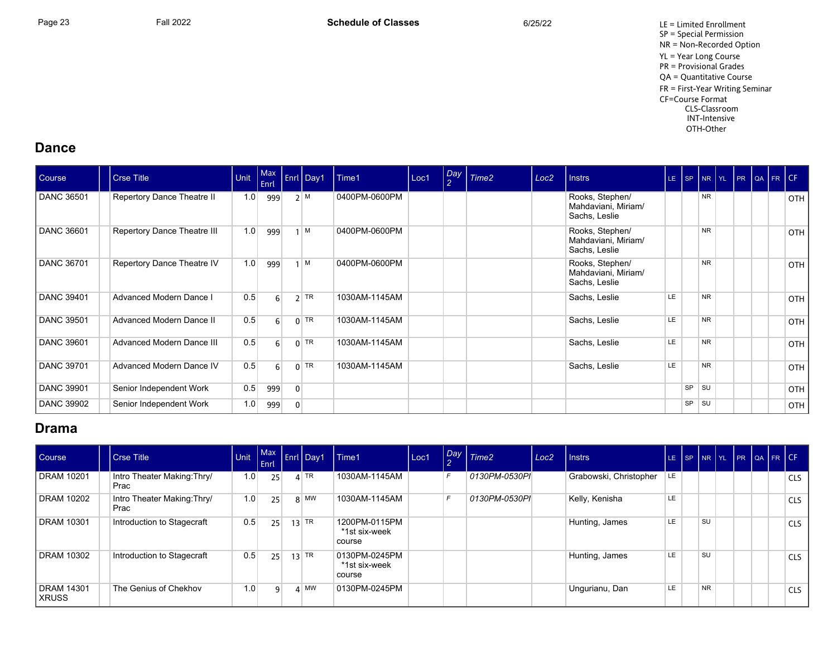Page 23 Fall 2022 Fall 2022 **Schedule of Classes** 6/25/22 6/25/22 LE = Limited Enrollment SP = Special Permission NR = Non-Recorded Option YL = Year Long Course PR = Provisional Grades QA = Quantitative Course FR = First-Year Writing Seminar CF=Course Format CLS-Classroom INT-Intensive OTH-Other

#### **Dance**

| Course            | Crse Title                     | <b>Unit</b> | Max<br>Enrl |              | $\left  \right $ Enrl Day1 | $l$ Time1     | Loc1 | Day<br>$\mathcal{P}$ | Time <sub>2</sub> | Loc <sub>2</sub> | <b>Instrs</b>                                           |           | LE SP NR YL PR QA FR CF |           |  |  |       |
|-------------------|--------------------------------|-------------|-------------|--------------|----------------------------|---------------|------|----------------------|-------------------|------------------|---------------------------------------------------------|-----------|-------------------------|-----------|--|--|-------|
| <b>DANC 36501</b> | Repertory Dance Theatre II     | 1.0         | 999         |              | 2 M                        | 0400PM-0600PM |      |                      |                   |                  | Rooks, Stephen/<br>Mahdaviani, Miriam/<br>Sachs, Leslie |           |                         | <b>NR</b> |  |  | OTH I |
| <b>DANC 36601</b> | Repertory Dance Theatre III    | 1.0         | 999         |              | M                          | 0400PM-0600PM |      |                      |                   |                  | Rooks, Stephen/<br>Mahdaviani, Miriam/<br>Sachs, Leslie |           |                         | <b>NR</b> |  |  | OTH   |
| DANC 36701        | Repertory Dance Theatre IV     | 1.0         | 999         |              | M                          | 0400PM-0600PM |      |                      |                   |                  | Rooks, Stephen/<br>Mahdaviani, Miriam/<br>Sachs, Leslie |           |                         | <b>NR</b> |  |  | OTH I |
| <b>DANC 39401</b> | <b>Advanced Modern Dance I</b> | 0.5         | $6 \mid$    |              | $2$ TR                     | 1030AM-1145AM |      |                      |                   |                  | Sachs, Leslie                                           | <b>LE</b> |                         | <b>NR</b> |  |  | OTH I |
| <b>DANC 39501</b> | Advanced Modern Dance II       | 0.5         | 6           |              | $0$ TR                     | 1030AM-1145AM |      |                      |                   |                  | Sachs, Leslie                                           | <b>LE</b> |                         | <b>NR</b> |  |  | OTH   |
| <b>DANC 39601</b> | Advanced Modern Dance III      | 0.5         | $6 \mid$    |              | $0$ TR                     | 1030AM-1145AM |      |                      |                   |                  | Sachs, Leslie                                           | LE        |                         | <b>NR</b> |  |  | OTH I |
| <b>DANC 39701</b> | Advanced Modern Dance IV       | 0.5         | $6 \mid$    |              | $0$ TR                     | 1030AM-1145AM |      |                      |                   |                  | Sachs, Leslie                                           | LE        |                         | <b>NR</b> |  |  | OTH   |
| <b>DANC 39901</b> | Senior Independent Work        | 0.5         | 999         | $\mathbf{0}$ |                            |               |      |                      |                   |                  |                                                         |           | <b>SP</b>               | <b>SU</b> |  |  | OTH   |
| <b>DANC 39902</b> | Senior Independent Work        | 1.0         | 999         | 0            |                            |               |      |                      |                   |                  |                                                         |           | SP                      | SU        |  |  | OTH   |

## **Drama**

| Course                       | <b>Crse Title</b>                   | Unit | Enrl | Max Enri Day1   | Time1                                    | Loc1 | $\sim$ | Day Time2     | Loc <sub>2</sub> | Instrs                 | LE. | SP | NR YL     | PR | I I QA I FRICE |            |
|------------------------------|-------------------------------------|------|------|-----------------|------------------------------------------|------|--------|---------------|------------------|------------------------|-----|----|-----------|----|----------------|------------|
| <b>DRAM 10201</b>            | Intro Theater Making: Thry/<br>Prac | 1.0  | 25   | $4$ TR          | 1030AM-1145AM                            |      | F      | 0130PM-0530PI |                  | Grabowski, Christopher | LE. |    |           |    |                | <b>CLS</b> |
| <b>DRAM 10202</b>            | Intro Theater Making: Thry/<br>Prac | 1.0  | 25   | $8$ MW          | 1030AM-1145AM                            |      | F      | 0130PM-0530PI |                  | Kelly, Kenisha         | LE  |    |           |    |                | <b>CLS</b> |
| <b>DRAM 10301</b>            | Introduction to Stagecraft          | 0.5  | 25   | $13$ TR         | 1200PM-0115PM<br>*1st six-week<br>course |      |        |               |                  | Hunting, James         | LE. |    | <b>SU</b> |    |                | <b>CLS</b> |
| <b>DRAM 10302</b>            | Introduction to Stagecraft          | 0.5  | 25   | $13$ TR         | 0130PM-0245PM<br>*1st six-week<br>course |      |        |               |                  | Hunting, James         | LE  |    | <b>SU</b> |    |                | <b>CLS</b> |
| <b>DRAM 14301</b><br>  XRUSS | The Genius of Chekhov               | 1.0  | q    | $\mathbf{A}$ MW | 0130PM-0245PM                            |      |        |               |                  | Ungurianu, Dan         | LE  |    | <b>NR</b> |    |                | <b>CLS</b> |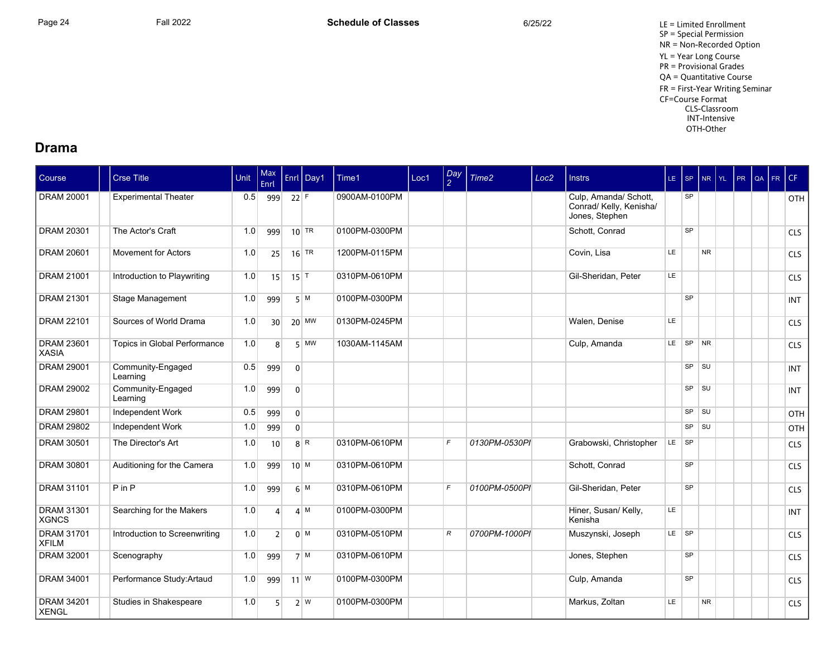Page 24 **Fall 2022** Fall 2022 **Schedule of Classes** 6/25/22 6/25/22 LE = Limited Enrollment SP = Special Permission NR = Non-Recorded Option YL = Year Long Course PR = Provisional Grades QA = Quantitative Course FR = First-Year Writing Seminar CF=Course Format CLS-Classroom INT-Intensive OTH-Other

#### **Drama**

| Course                            | <b>Crse Title</b>             | Unit | Max<br>Enrl     |                     | Enrl Day1          | Time1         | Loc1 | $\frac{Day}{2}$ | Time2         | Loc <sub>2</sub> | <b>Instrs</b>                                                      | $LE$ SP |           | <b>NR</b> | $ Y_L $ | PR | QA | FR | CF         |
|-----------------------------------|-------------------------------|------|-----------------|---------------------|--------------------|---------------|------|-----------------|---------------|------------------|--------------------------------------------------------------------|---------|-----------|-----------|---------|----|----|----|------------|
| DRAM 20001                        | <b>Experimental Theater</b>   | 0.5  | 999             | $22$ F              |                    | 0900AM-0100PM |      |                 |               |                  | Culp, Amanda/ Schott,<br>Conrad/ Kelly, Kenisha/<br>Jones, Stephen |         | SP        |           |         |    |    |    | OTH        |
| <b>DRAM 20301</b>                 | The Actor's Craft             | 1.0  | 999             |                     | $10$ TR            | 0100PM-0300PM |      |                 |               |                  | Schott, Conrad                                                     |         | SP        |           |         |    |    |    | <b>CLS</b> |
| <b>DRAM 20601</b>                 | <b>Movement for Actors</b>    | 1.0  | 25              |                     | $16$ <sup>TR</sup> | 1200PM-0115PM |      |                 |               |                  | Covin, Lisa                                                        | LE      |           | <b>NR</b> |         |    |    |    | <b>CLS</b> |
| <b>DRAM 21001</b>                 | Introduction to Playwriting   | 1.0  | 15              | $15$ <sup>T</sup>   |                    | 0310PM-0610PM |      |                 |               |                  | Gil-Sheridan, Peter                                                | LE.     |           |           |         |    |    |    | <b>CLS</b> |
| <b>DRAM 21301</b>                 | Stage Management              | 1.0  | 999             |                     | 5 M                | 0100PM-0300PM |      |                 |               |                  |                                                                    |         | SP        |           |         |    |    |    | <b>INT</b> |
| <b>DRAM 22101</b>                 | Sources of World Drama        | 1.0  | 30 <sup>1</sup> |                     | $20$ MW            | 0130PM-0245PM |      |                 |               |                  | Walen. Denise                                                      | LE.     |           |           |         |    |    |    | <b>CLS</b> |
| <b>DRAM 23601</b><br><b>XASIA</b> | Topics in Global Performance  | 1.0  | 8 <sup>1</sup>  |                     | $5$ MW             | 1030AM-1145AM |      |                 |               |                  | Culp, Amanda                                                       | LE.     | SP NR     |           |         |    |    |    | <b>CLS</b> |
| <b>DRAM 29001</b>                 | Community-Engaged<br>Learning | 0.5  | 999             | $\overline{0}$      |                    |               |      |                 |               |                  |                                                                    |         | SP        | SU        |         |    |    |    | <b>INT</b> |
| <b>DRAM 29002</b>                 | Community-Engaged<br>Learning | 1.0  | 999             | $\mathbf{0}$        |                    |               |      |                 |               |                  |                                                                    |         | $SP$ $SU$ |           |         |    |    |    | <b>INT</b> |
| <b>DRAM 29801</b>                 | Independent Work              | 0.5  | 999             | $\overline{0}$      |                    |               |      |                 |               |                  |                                                                    |         | SP        | SU        |         |    |    |    | OTH        |
| <b>DRAM 29802</b>                 | Independent Work              | 1.0  | 999             | $\overline{0}$      |                    |               |      |                 |               |                  |                                                                    |         | SP        | SU        |         |    |    |    | OTH        |
| <b>DRAM 30501</b>                 | The Director's Art            | 1.0  | 10              |                     | $8$ R              | 0310PM-0610PM |      | $\mathsf{F}$    | 0130PM-0530PI |                  | Grabowski, Christopher                                             | LE SP   |           |           |         |    |    |    | <b>CLS</b> |
| <b>DRAM 30801</b>                 | Auditioning for the Camera    | 1.0  | 999             | $10^{M}$            |                    | 0310PM-0610PM |      |                 |               |                  | Schott, Conrad                                                     |         | <b>SP</b> |           |         |    |    |    | <b>CLS</b> |
| <b>DRAM 31101</b>                 | $P$ in $P$                    | 1.0  | 999             |                     | 6 M                | 0310PM-0610PM |      | $\mathsf{F}$    | 0100PM-0500PI |                  | Gil-Sheridan, Peter                                                |         | SP        |           |         |    |    |    | <b>CLS</b> |
| <b>DRAM 31301</b><br><b>XGNCS</b> | Searching for the Makers      | 1.0  | $\Delta$        |                     | 4 M                | 0100PM-0300PM |      |                 |               |                  | Hiner, Susan/ Kelly,<br>Kenisha                                    | LE.     |           |           |         |    |    |    | <b>INT</b> |
| <b>DRAM 31701</b><br><b>XFILM</b> | Introduction to Screenwriting | 1.0  | 2 <sup>1</sup>  |                     | $0 \mid M$         | 0310PM-0510PM |      | R               | 0700PM-1000PI |                  | Muszynski, Joseph                                                  | LE SP   |           |           |         |    |    |    | <b>CLS</b> |
| <b>DRAM 32001</b>                 | Scenography                   | 1.0  | 999             |                     | 7 M                | 0310PM-0610PM |      |                 |               |                  | Jones, Stephen                                                     |         | SP        |           |         |    |    |    | <b>CLS</b> |
| <b>DRAM 34001</b>                 | Performance Study: Artaud     | 1.0  | 999             | $11$ $\overline{W}$ |                    | 0100PM-0300PM |      |                 |               |                  | Culp, Amanda                                                       |         | SP        |           |         |    |    |    | <b>CLS</b> |
| <b>DRAM 34201</b><br><b>XENGL</b> | Studies in Shakespeare        | 1.0  | 5               |                     | 2 W                | 0100PM-0300PM |      |                 |               |                  | Markus, Zoltan                                                     | LE.     |           | <b>NR</b> |         |    |    |    | <b>CLS</b> |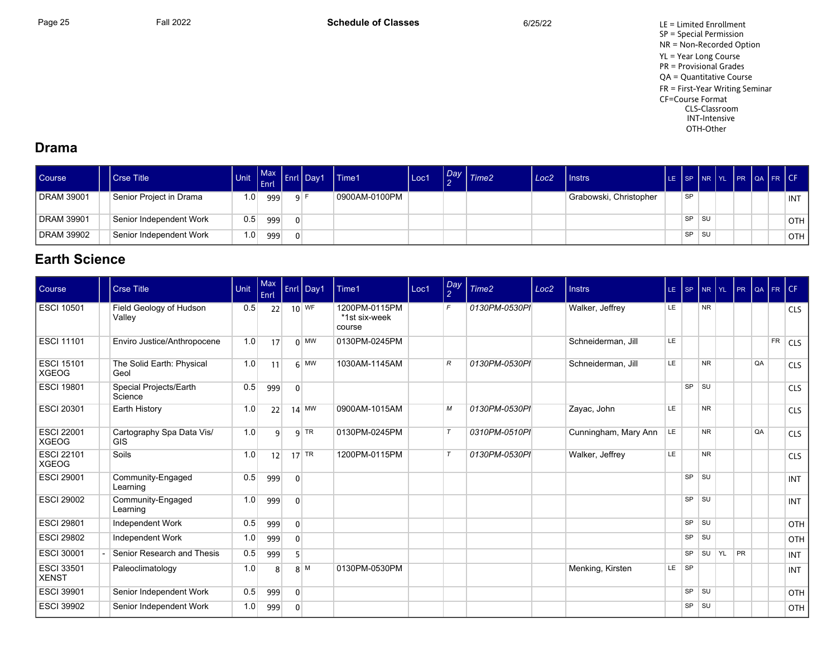Page 25 Fall 2022 Fall 2022 **Schedule of Classes** 6/25/22 6/25/22 LE = Limited Enrollment SP = Special Permission NR = Non-Recorded Option YL = Year Long Course PR = Provisional Grades QA = Quantitative Course FR = First-Year Writing Seminar CF=Course Format CLS-Classroom INT-Intensive OTH-Other

## **Drama**

| Course                  | <b>Crse Title</b>       | Unit             | Enrl |     | Max Enrl Day 1 | Time1         | Loc1 | Day: | Time <sub>2</sub> | Loc <sub>2</sub> | Instrs                 |           |      | SP NR YL | <b>IPR</b> | <b>IQA FRICE</b> |            |
|-------------------------|-------------------------|------------------|------|-----|----------------|---------------|------|------|-------------------|------------------|------------------------|-----------|------|----------|------------|------------------|------------|
| <b>DRAM 39001</b>       | Senior Project in Drama | 1.0              | 999  | 9 F |                | 0900AM-0100PM |      |      |                   |                  | Grabowski, Christopher | <b>SP</b> |      |          |            |                  | <b>INT</b> |
| <sup>1</sup> DRAM 39901 | Senior Independent Work | 0.5 <sub>1</sub> | 999  |     |                |               |      |      |                   |                  |                        | <b>SP</b> | ⊩SU  |          |            |                  | OTH        |
| DRAM 39902              | Senior Independent Work | 1.0 <sub>1</sub> | 999  |     |                |               |      |      |                   |                  |                        | <b>SP</b> | ∣ SU |          |            |                  | OTH        |

## **Earth Science**

| Course                            | <b>Crse Title</b>                       | Unit | Max<br>Enrl |                | Enrl Day1                | Time1                                    | Loc1 | Day<br>$\overline{2}$ | Time2         | Loc <sub>2</sub> | <b>Instrs</b>        |         |           |           | LE SP NR YL PR |    |    | QA FR CF  |            |
|-----------------------------------|-----------------------------------------|------|-------------|----------------|--------------------------|------------------------------------------|------|-----------------------|---------------|------------------|----------------------|---------|-----------|-----------|----------------|----|----|-----------|------------|
| <b>ESCI 10501</b>                 | Field Geology of Hudson<br>Valley       | 0.5  | 22          |                | $10$ WF                  | 1200PM-0115PM<br>*1st six-week<br>course |      | $\mathsf{F}$          | 0130PM-0530PI |                  | Walker, Jeffrey      | LE.     |           | <b>NR</b> |                |    |    |           | <b>CLS</b> |
| <b>ESCI 11101</b>                 | Enviro Justice/Anthropocene             | 1.0  | 17          |                | $0 \vert$ MW             | 0130PM-0245PM                            |      |                       |               |                  | Schneiderman, Jill   | LE.     |           |           |                |    |    | <b>FR</b> | <b>CLS</b> |
| <b>ESCI 15101</b><br><b>XGEOG</b> | The Solid Earth: Physical<br>Geol       | 1.0  | 11          |                | $6 \overline{\text{MW}}$ | 1030AM-1145AM                            |      | R                     | 0130PM-0530PI |                  | Schneiderman, Jill   | LE      |           | <b>NR</b> |                |    | QA |           | <b>CLS</b> |
| <b>ESCI 19801</b>                 | Special Projects/Earth<br>Science       | 0.5  | 999         | $\overline{0}$ |                          |                                          |      |                       |               |                  |                      |         | SP        | ∣s∪       |                |    |    |           | <b>CLS</b> |
| <b>ESCI 20301</b>                 | Earth History                           | 1.0  | 22          |                | $14$ MW                  | 0900AM-1015AM                            |      | М                     | 0130PM-0530PI |                  | Zayac, John          | LE.     |           | <b>NR</b> |                |    |    |           | <b>CLS</b> |
| <b>ESCI 22001</b><br><b>XGEOG</b> | Cartography Spa Data Vis/<br><b>GIS</b> | 1.0  | 9           |                | $9$ TR                   | 0130PM-0245PM                            |      | $\tau$                | 0310PM-0510PI |                  | Cunningham, Mary Ann | LE      |           | <b>NR</b> |                |    | QA |           | <b>CLS</b> |
| <b>ESCI 22101</b><br><b>XGEOG</b> | Soils                                   | 1.0  | 12          |                | $17$ TR                  | 1200PM-0115PM                            |      | $\tau$                | 0130PM-0530PI |                  | Walker, Jeffrey      | LE.     |           | <b>NR</b> |                |    |    |           | <b>CLS</b> |
| <b>ESCI 29001</b>                 | Community-Engaged<br>Learning           | 0.5  | 999         | $\overline{0}$ |                          |                                          |      |                       |               |                  |                      |         | <b>SP</b> | SU        |                |    |    |           | <b>INT</b> |
| <b>ESCI 29002</b>                 | Community-Engaged<br>Learning           | 1.0  | 999         | $\mathbf{0}$   |                          |                                          |      |                       |               |                  |                      |         | $SP$ $SU$ |           |                |    |    |           | <b>INT</b> |
| ESCI 29801                        | Independent Work                        | 0.5  | 999         | $\overline{0}$ |                          |                                          |      |                       |               |                  |                      |         | $SP$ $SU$ |           |                |    |    |           | OTH        |
| <b>ESCI 29802</b>                 | Independent Work                        | 1.0  | 999         | $\overline{0}$ |                          |                                          |      |                       |               |                  |                      |         | $SP$ $SU$ |           |                |    |    |           | <b>OTH</b> |
| ESCI 30001                        | Senior Research and Thesis              | 0.5  | 999         | 5              |                          |                                          |      |                       |               |                  |                      |         | SP        | SU YL     |                | PR |    |           | <b>INT</b> |
| <b>ESCI 33501</b><br><b>XENST</b> | Paleoclimatology                        | 1.0  | 8           |                | 8   M                    | 0130PM-0530PM                            |      |                       |               |                  | Menking, Kirsten     | $LE$ SP |           |           |                |    |    |           | <b>INT</b> |
| <b>ESCI 39901</b>                 | Senior Independent Work                 | 0.5  | 999         | $\overline{0}$ |                          |                                          |      |                       |               |                  |                      |         | SP SU     |           |                |    |    |           | <b>OTH</b> |
| ESCI 39902                        | Senior Independent Work                 | 1.0  | 999         | $\mathbf 0$    |                          |                                          |      |                       |               |                  |                      |         | SP        | SU        |                |    |    |           | <b>OTH</b> |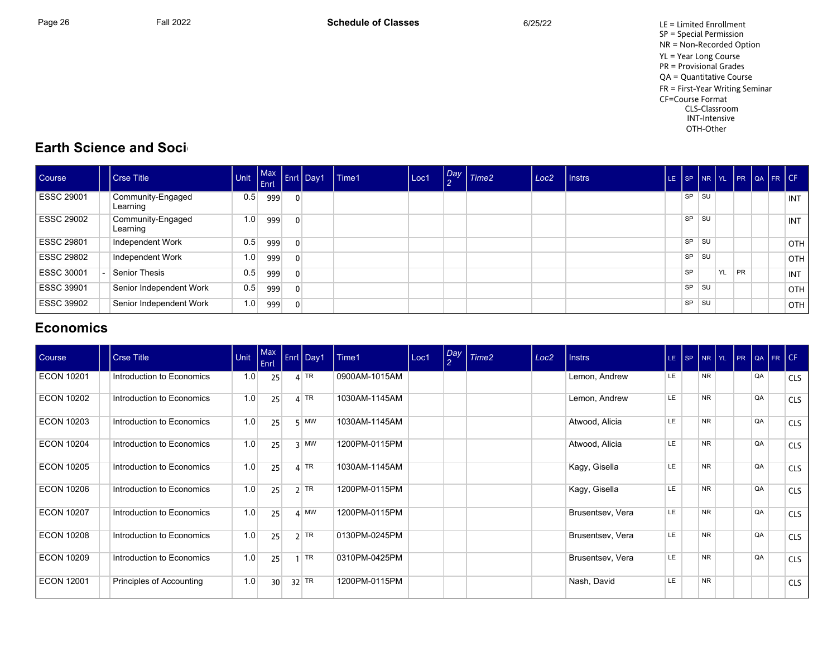Page 26 Fall 2022 Fall 2022 **Schedule of Classes** 6/25/22 6/25/22 LE = Limited Enrollment SP = Special Permission NR = Non-Recorded Option YL = Year Long Course PR = Provisional Grades QA = Quantitative Course FR = First-Year Writing Seminar CF=Course Format CLS-Classroom INT-Intensive OTH-Other

## **Earth Science and Soci-**

| <b>Course</b>     | <b>Crse Title</b>             | <b>Control English</b> |     |                | -nit Max Enri Day | Time1 | Loc1 | $\sim$ | Day Time2 | Loc <sub>2</sub> | I Instrs |           |    |    |    | LE SP NR YL PR QA FR CF |            |
|-------------------|-------------------------------|------------------------|-----|----------------|-------------------|-------|------|--------|-----------|------------------|----------|-----------|----|----|----|-------------------------|------------|
| <b>ESSC 29001</b> | Community-Engaged<br>Learning | 0.5                    | 999 | $\Omega$       |                   |       |      |        |           |                  |          | <b>SP</b> | SU |    |    |                         | INT        |
| ESSC 29002        | Community-Engaged<br>Learning | 1.0                    | 999 | $\overline{0}$ |                   |       |      |        |           |                  |          | <b>SP</b> | SU |    |    |                         | <b>INT</b> |
| ESSC 29801        | Independent Work              | 0.5                    | 999 | $\overline{0}$ |                   |       |      |        |           |                  |          | <b>SP</b> | SU |    |    |                         | OTH        |
| ESSC 29802        | Independent Work              | 1.0                    | 999 | $\overline{0}$ |                   |       |      |        |           |                  |          | SP        | SU |    |    |                         | <b>OTH</b> |
| ESSC 30001        | Senior Thesis                 | 0.5                    | 999 | $\overline{0}$ |                   |       |      |        |           |                  |          | SP        |    | YL | PR |                         | INT        |
| ESSC 39901        | Senior Independent Work       | 0.5                    | 999 | $\overline{0}$ |                   |       |      |        |           |                  |          | SP        | SU |    |    |                         | OTH        |
| ESSC 39902        | Senior Independent Work       | 1.0                    | 999 | $\Omega$       |                   |       |      |        |           |                  |          | SP        | SU |    |    |                         | OTH        |

## **Economics**

| Course            | <b>Crse Title</b> |                           | Unit | $\vert$ Max<br>Enrl | Enrl Day1                | Time1         | Loc1 | Day<br>$\overline{2}$ | Time <sub>2</sub> | Loc <sub>2</sub> | <b>Instrs</b>    |     | LE SP NR YL PR |  |    | $ QA FR$ CF |            |
|-------------------|-------------------|---------------------------|------|---------------------|--------------------------|---------------|------|-----------------------|-------------------|------------------|------------------|-----|----------------|--|----|-------------|------------|
| <b>ECON 10201</b> |                   | Introduction to Economics | 1.0  | 25                  | $4$ TR                   | 0900AM-1015AM |      |                       |                   |                  | Lemon, Andrew    | LE  | <b>NR</b>      |  | QA |             | <b>CLS</b> |
| <b>ECON 10202</b> |                   | Introduction to Economics | 1.0  | 25                  | $4$ TR                   | 1030AM-1145AM |      |                       |                   |                  | Lemon, Andrew    | LE. | <b>NR</b>      |  | QA |             | <b>CLS</b> |
| ECON 10203        |                   | Introduction to Economics | 1.0  | 25                  | $5$ MW                   | 1030AM-1145AM |      |                       |                   |                  | Atwood, Alicia   | LE  | <b>NR</b>      |  | QA |             | <b>CLS</b> |
| <b>ECON 10204</b> |                   | Introduction to Economics | 1.0  | 25                  | $3$ MW                   | 1200PM-0115PM |      |                       |                   |                  | Atwood, Alicia   | LE  | <b>NR</b>      |  | QA |             | <b>CLS</b> |
| <b>ECON 10205</b> |                   | Introduction to Economics | 1.0  | 25                  | $4$ TR                   | 1030AM-1145AM |      |                       |                   |                  | Kagy, Gisella    | LE  | <b>NR</b>      |  | QA |             | <b>CLS</b> |
| <b>ECON 10206</b> |                   | Introduction to Economics | 1.0  | 25                  | $2$ TR                   | 1200PM-0115PM |      |                       |                   |                  | Kagy, Gisella    | LE  | <b>NR</b>      |  | QA |             | <b>CLS</b> |
| <b>ECON 10207</b> |                   | Introduction to Economics | 1.0  | 25                  | $4 \overline{\text{MW}}$ | 1200PM-0115PM |      |                       |                   |                  | Brusentsev, Vera | LE  | <b>NR</b>      |  | QA |             | <b>CLS</b> |
| <b>ECON 10208</b> |                   | Introduction to Economics | 1.0  | 25                  | $2$ TR                   | 0130PM-0245PM |      |                       |                   |                  | Brusentsev, Vera | LE. | <b>NR</b>      |  | QA |             | <b>CLS</b> |
| <b>ECON 10209</b> |                   | Introduction to Economics | 1.0  | 25                  | TR                       | 0310PM-0425PM |      |                       |                   |                  | Brusentsev, Vera | LE. | <b>NR</b>      |  | QA |             | <b>CLS</b> |
| ECON 12001        |                   | Principles of Accounting  | 1.0  | 30 <sup>°</sup>     | $32$ TR                  | 1200PM-0115PM |      |                       |                   |                  | Nash, David      | LE  | <b>NR</b>      |  |    |             | <b>CLS</b> |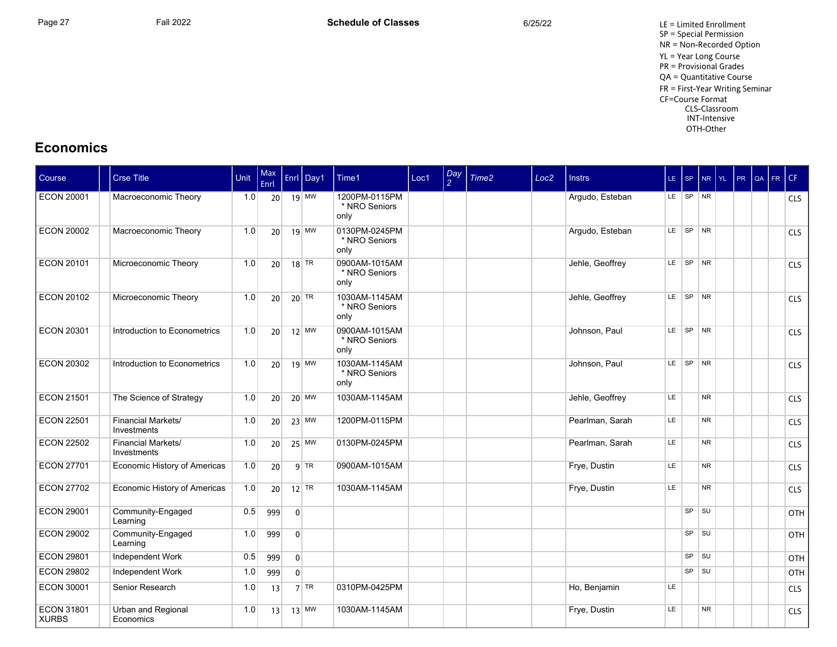Page 27 **Fall 2022** Fall 2022 **Schedule of Classes** 6/25/22 6/25/22 LE = Limited Enrollment SP = Special Permission NR = Non-Recorded Option YL = Year Long Course PR = Provisional Grades QA = Quantitative Course FR = First-Year Writing Seminar CF=Course Format CLS-Classroom INT-Intensive OTH-Other

## **Economics**

| Course                            | <b>Crse Title</b>                        | Unit | Max<br>Enrl     |                | Enrl Day1 | Time1                                  | Loc1 | Day<br>2 | Time2 | Loc <sub>2</sub> | <b>Instrs</b>   |     | $LE$ SP         |           | NR YL PR QA FR CF |  |            |
|-----------------------------------|------------------------------------------|------|-----------------|----------------|-----------|----------------------------------------|------|----------|-------|------------------|-----------------|-----|-----------------|-----------|-------------------|--|------------|
| <b>ECON 20001</b>                 | Macroeconomic Theory                     | 1.0  |                 | $20$ 19 MW     |           | 1200PM-0115PM<br>* NRO Seniors<br>only |      |          |       |                  | Argudo, Esteban |     | LE SP NR        |           |                   |  | <b>CLS</b> |
| <b>ECON 20002</b>                 | Macroeconomic Theory                     | 1.0  | 20              |                | $19$ MW   | 0130PM-0245PM<br>* NRO Seniors<br>only |      |          |       |                  | Argudo, Esteban |     | LE SP NR        |           |                   |  | CLS        |
| <b>ECON 20101</b>                 | Microeconomic Theory                     | 1.0  | 20 <sup>1</sup> |                | $18$ TR   | 0900AM-1015AM<br>* NRO Seniors<br>only |      |          |       |                  | Jehle, Geoffrey |     | LE SP NR        |           |                   |  | <b>CLS</b> |
| <b>ECON 20102</b>                 | Microeconomic Theory                     | 1.0  |                 | 20 $20$ TR     |           | 1030AM-1145AM<br>* NRO Seniors<br>only |      |          |       |                  | Jehle, Geoffrey |     | LE SP NR        |           |                   |  | <b>CLS</b> |
| <b>ECON 20301</b>                 | Introduction to Econometrics             | 1.0  |                 | $20$ 12 MW     |           | 0900AM-1015AM<br>* NRO Seniors<br>only |      |          |       |                  | Johnson, Paul   |     | $LE$ $SP$ $NR$  |           |                   |  | <b>CLS</b> |
| <b>ECON 20302</b>                 | Introduction to Econometrics             | 1.0  | 20              |                | $19$ MW   | 1030AM-1145AM<br>* NRO Seniors<br>only |      |          |       |                  | Johnson, Paul   |     | LE SP NR        |           |                   |  | <b>CLS</b> |
| <b>ECON 21501</b>                 | The Science of Strategy                  | 1.0  | 20 <sup>1</sup> |                | $20$ MW   | 1030AM-1145AM                          |      |          |       |                  | Jehle, Geoffrey | LE  |                 | <b>NR</b> |                   |  | <b>CLS</b> |
| <b>ECON 22501</b>                 | Financial Markets/<br>Investments        | 1.0  |                 | 20 23 MW       |           | 1200PM-0115PM                          |      |          |       |                  | Pearlman, Sarah | LE. |                 | <b>NR</b> |                   |  | <b>CLS</b> |
| <b>ECON 22502</b>                 | <b>Financial Markets/</b><br>Investments | 1.0  | 20 <sup>1</sup> |                | $25$ MW   | 0130PM-0245PM                          |      |          |       |                  | Pearlman, Sarah | LE. |                 | <b>NR</b> |                   |  | <b>CLS</b> |
| <b>ECON 27701</b>                 | Economic History of Americas             | 1.0  | 20              |                | $q$ TR    | 0900AM-1015AM                          |      |          |       |                  | Frye, Dustin    | LE  |                 | <b>NR</b> |                   |  | <b>CLS</b> |
| <b>ECON 27702</b>                 | Economic History of Americas             | 1.0  | 20              |                | $12$ TR   | 1030AM-1145AM                          |      |          |       |                  | Frye, Dustin    | LE. |                 | <b>NR</b> |                   |  | <b>CLS</b> |
| <b>ECON 29001</b>                 | Community-Engaged<br>Learning            | 0.5  | 999             | $\overline{0}$ |           |                                        |      |          |       |                  |                 |     | SP              | <b>SU</b> |                   |  | OTH        |
| <b>ECON 29002</b>                 | Community-Engaged<br>Learning            | 1.0  | 999             | $\overline{0}$ |           |                                        |      |          |       |                  |                 |     | $SP$ $  SU$     |           |                   |  | OTH        |
| <b>ECON 29801</b>                 | Independent Work                         | 0.5  | 999             | 0 <sup>1</sup> |           |                                        |      |          |       |                  |                 |     | SP              | <b>SU</b> |                   |  | OTH        |
| <b>ECON 29802</b>                 | Independent Work                         | 1.0  | 999             | $\overline{0}$ |           |                                        |      |          |       |                  |                 |     | SP <sup>2</sup> | l su      |                   |  | OTH        |
| <b>ECON 30001</b>                 | Senior Research                          | 1.0  | 13              |                | $7$ TR    | 0310PM-0425PM                          |      |          |       |                  | Ho, Benjamin    | LE. |                 |           |                   |  | <b>CLS</b> |
| <b>ECON 31801</b><br><b>XURBS</b> | Urban and Regional<br>Economics          | 1.0  | 13              |                | $13$ MW   | 1030AM-1145AM                          |      |          |       |                  | Frye, Dustin    | LE. |                 | <b>NR</b> |                   |  | <b>CLS</b> |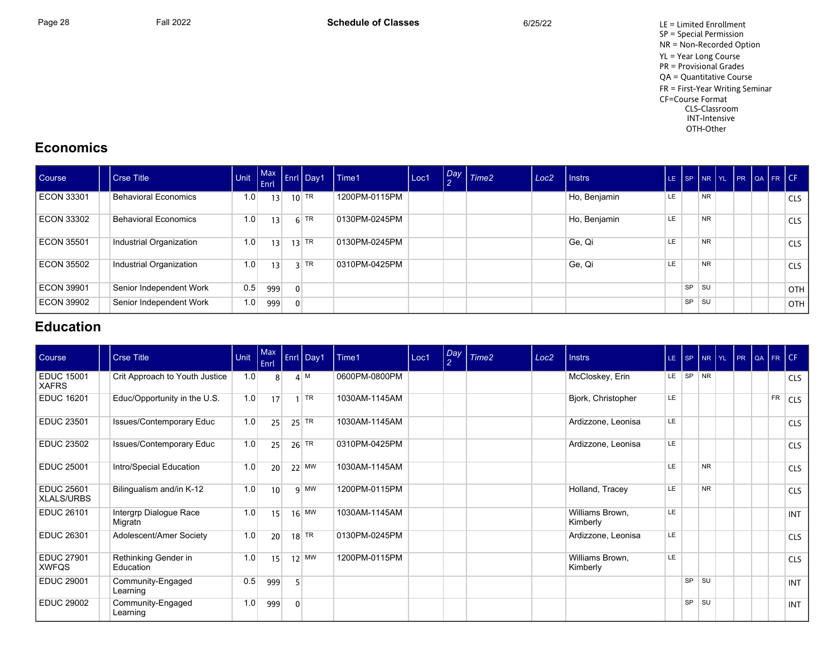Page 28 Fall 2022 Fall 2022 **Schedule of Classes** 6/25/22 6/25/22 LE = Limited Enrollment SP = Special Permission NR = Non-Recorded Option YL = Year Long Course PR = Provisional Grades QA = Quantitative Course FR = First-Year Writing Seminar CF=Course Format CLS-Classroom INT-Intensive OTH-Other

## **Economics**

| Course            | Crse Title                  | Unit | <b>Enrl</b> |                | Fort Max Enri Day1 | Time1         | Loc1 | Day Time2 | Loc <sub>2</sub> | l Instrs     | LE ISP    |           |           | NR YL PR QA FR CF |  |  |            |
|-------------------|-----------------------------|------|-------------|----------------|--------------------|---------------|------|-----------|------------------|--------------|-----------|-----------|-----------|-------------------|--|--|------------|
| <b>ECON 33301</b> | <b>Behavioral Economics</b> | 1.0  | 13          |                | $10$ TR            | 1200PM-0115PM |      |           |                  | Ho, Benjamin | <b>LE</b> |           | <b>NR</b> |                   |  |  | <b>CLS</b> |
| <b>ECON 33302</b> | <b>Behavioral Economics</b> | 1.0  | 13          |                | $6$ TR             | 0130PM-0245PM |      |           |                  | Ho, Benjamin | LE        |           | <b>NR</b> |                   |  |  | <b>CLS</b> |
| ECON 35501        | Industrial Organization     | 1.0  | 13          |                | 13 TR              | 0130PM-0245PM |      |           |                  | Ge, Qi       | <b>LE</b> |           | <b>NR</b> |                   |  |  | <b>CLS</b> |
| ECON 35502        | Industrial Organization     | 1.0  | 13          |                | $3$ TR             | 0310PM-0425PM |      |           |                  | Ge, Qi       | LE        |           | <b>NR</b> |                   |  |  | <b>CLS</b> |
| ECON 39901        | Senior Independent Work     | 0.5  | 999         | $\Omega$       |                    |               |      |           |                  |              |           | <b>SP</b> | l su      |                   |  |  | <b>OTH</b> |
| <b>ECON 39902</b> | Senior Independent Work     | 1.0  | 999         | $\overline{0}$ |                    |               |      |           |                  |              |           | <b>SP</b> | ⊩SU       |                   |  |  | OTH        |

## **Education**

| Course                            | <b>Crse Title</b>                 | Unit | $ $ Max<br>Enrl |              | Enrl Day1 | Time1         | Loc1 | Day<br>$\overline{2}$ | Time <sub>2</sub> | Loc <sub>2</sub> | <b>Instrs</b>               |           | LE SP NR YL PR QA FR CF |           |  |           |            |
|-----------------------------------|-----------------------------------|------|-----------------|--------------|-----------|---------------|------|-----------------------|-------------------|------------------|-----------------------------|-----------|-------------------------|-----------|--|-----------|------------|
| <b>EDUC 15001</b><br><b>XAFRS</b> | Crit Approach to Youth Justice    | 1.0  | 8               |              | $4^{M}$   | 0600PM-0800PM |      |                       |                   |                  | McCloskey, Erin             |           | LE SP NR                |           |  |           | <b>CLS</b> |
| <b>EDUC 16201</b>                 | Educ/Opportunity in the U.S.      | 1.0  | 17              |              | TR        | 1030AM-1145AM |      |                       |                   |                  | Bjork, Christopher          | <b>LE</b> |                         |           |  | <b>FR</b> | <b>CLS</b> |
| <b>EDUC 23501</b>                 | Issues/Contemporary Educ          | 1.0  | 25              |              | $25$ TR   | 1030AM-1145AM |      |                       |                   |                  | Ardizzone, Leonisa          | LE.       |                         |           |  |           | <b>CLS</b> |
| <b>EDUC 23502</b>                 | <b>Issues/Contemporary Educ</b>   | 1.0  | 25              |              | $26$ TR   | 0310PM-0425PM |      |                       |                   |                  | Ardizzone, Leonisa          | LE.       |                         |           |  |           | <b>CLS</b> |
| <b>EDUC 25001</b>                 | Intro/Special Education           | 1.0  | 20              |              | $22$ MW   | 1030AM-1145AM |      |                       |                   |                  |                             | <b>LE</b> |                         | <b>NR</b> |  |           | <b>CLS</b> |
| <b>EDUC 25601</b><br>XLALS/URBS   | Bilingualism and/in K-12          | 1.0  | 10              |              | $9$ MW    | 1200PM-0115PM |      |                       |                   |                  | Holland, Tracey             | LE        |                         | <b>NR</b> |  |           | <b>CLS</b> |
| <b>EDUC 26101</b>                 | Intergrp Dialogue Race<br>Migratn | 1.0  | 15              |              | $16$ MW   | 1030AM-1145AM |      |                       |                   |                  | Williams Brown,<br>Kimberly | LE.       |                         |           |  |           | <b>INT</b> |
| <b>EDUC 26301</b>                 | Adolescent/Amer Society           | 1.0  | 20              |              | $18$ TR   | 0130PM-0245PM |      |                       |                   |                  | Ardizzone, Leonisa          | LE.       |                         |           |  |           | <b>CLS</b> |
| <b>EDUC 27901</b><br><b>XWFQS</b> | Rethinking Gender in<br>Education | 1.0  | 15              |              | $12$ MW   | 1200PM-0115PM |      |                       |                   |                  | Williams Brown,<br>Kimberly | LE        |                         |           |  |           | <b>CLS</b> |
| <b>EDUC 29001</b>                 | Community-Engaged<br>Learning     | 0.5  | 999             | 5            |           |               |      |                       |                   |                  |                             |           | SP SU                   |           |  |           | <b>INT</b> |
| <b>EDUC 29002</b>                 | Community-Engaged<br>Learning     | 1.0  | 999             | $\mathbf{0}$ |           |               |      |                       |                   |                  |                             |           | $SP$ $SU$               |           |  |           | <b>INT</b> |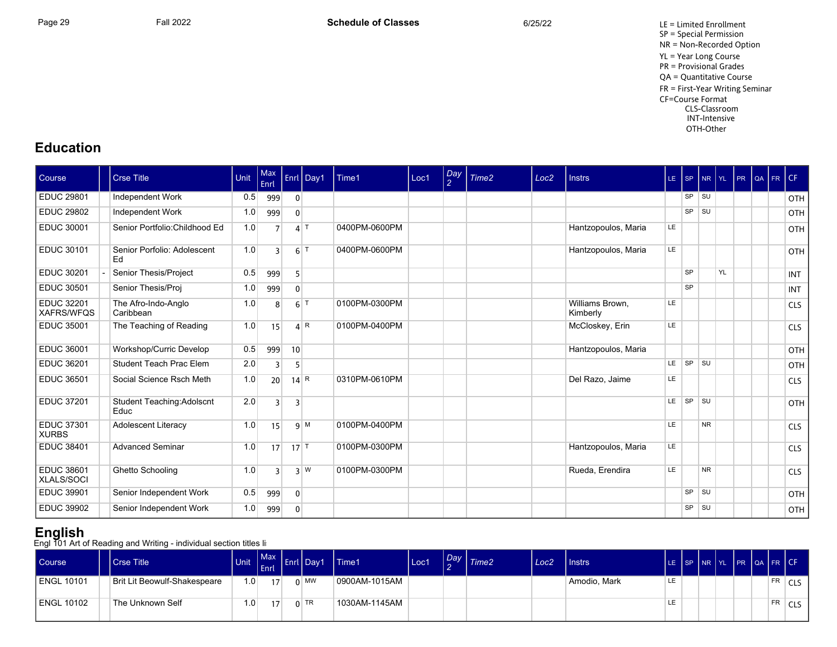Page 29 Fall 2022 Fall 2022 **Schedule of Classes** 6/25/22 6/25/22 LE = Limited Enrollment SP = Special Permission NR = Non-Recorded Option YL = Year Long Course PR = Provisional Grades QA = Quantitative Course FR = First-Year Writing Seminar CF=Course Format CLS-Classroom INT-Intensive OTH-Other

## **Education**

| Course                                 | <b>Crse Title</b>                  | Unit | Max<br>Enrl     |                   | Enrl Day1        | Time1         | Loc1 | $\left  \frac{Day}{2} \right $ | Time <sub>2</sub> | Loc <sub>2</sub> | <b>Instrs</b>               |           | LE SP     | $N$ R $Y$ L |           | PR | QA | $F$ R $CF$ |            |
|----------------------------------------|------------------------------------|------|-----------------|-------------------|------------------|---------------|------|--------------------------------|-------------------|------------------|-----------------------------|-----------|-----------|-------------|-----------|----|----|------------|------------|
| <b>EDUC 29801</b>                      | Independent Work                   | 0.5  | 999             | $\overline{0}$    |                  |               |      |                                |                   |                  |                             |           |           | $SP$ $SU$   |           |    |    |            | OTH        |
| <b>EDUC 29802</b>                      | Independent Work                   | 1.0  | 999             | $\mathbf{0}$      |                  |               |      |                                |                   |                  |                             |           | <b>SP</b> | <b>SU</b>   |           |    |    |            | OTH        |
| <b>EDUC 30001</b>                      | Senior Portfolio: Childhood Ed     | 1.0  | 7               |                   | $4$ T            | 0400PM-0600PM |      |                                |                   |                  | Hantzopoulos, Maria         | <b>LE</b> |           |             |           |    |    |            | <b>OTH</b> |
| <b>EDUC 30101</b>                      | Senior Porfolio: Adolescent<br>Ed  | 1.0  | २               |                   | $6$ <sup>T</sup> | 0400PM-0600PM |      |                                |                   |                  | Hantzopoulos, Maria         | LE.       |           |             |           |    |    |            | OTH        |
| <b>EDUC 30201</b>                      | Senior Thesis/Project              | 0.5  | 999             | 5                 |                  |               |      |                                |                   |                  |                             |           | <b>SP</b> |             | <b>YL</b> |    |    |            | <b>INT</b> |
| <b>EDUC 30501</b>                      | Senior Thesis/Proj                 | 1.0  | 999             | $\mathbf{0}$      |                  |               |      |                                |                   |                  |                             |           | <b>SP</b> |             |           |    |    |            | <b>INT</b> |
| <b>EDUC 32201</b><br><b>XAFRS/WFQS</b> | The Afro-Indo-Anglo<br>Caribbean   | 1.0  | 8               |                   | $6$ <sup>T</sup> | 0100PM-0300PM |      |                                |                   |                  | Williams Brown,<br>Kimberly | LE        |           |             |           |    |    |            | <b>CLS</b> |
| <b>EDUC 35001</b>                      | The Teaching of Reading            | 1.0  | 15              |                   | 4 R              | 0100PM-0400PM |      |                                |                   |                  | McCloskey, Erin             | LE.       |           |             |           |    |    |            | <b>CLS</b> |
| <b>EDUC 36001</b>                      | Workshop/Curric Develop            | 0.5  | 999             | 10 <sup>1</sup>   |                  |               |      |                                |                   |                  | Hantzopoulos, Maria         |           |           |             |           |    |    |            | OTH        |
| <b>EDUC 36201</b>                      | Student Teach Prac Elem            | 2.0  | 3               | 5                 |                  |               |      |                                |                   |                  |                             | LE.       | SP        | <b>SU</b>   |           |    |    |            | OTH        |
| <b>EDUC 36501</b>                      | Social Science Rsch Meth           | 1.0  | 20 <sup>2</sup> | $14$ <sup>R</sup> |                  | 0310PM-0610PM |      |                                |                   |                  | Del Razo, Jaime             | <b>LE</b> |           |             |           |    |    |            | <b>CLS</b> |
| <b>EDUC 37201</b>                      | Student Teaching: Adolscnt<br>Educ | 2.0  | 3               | 3                 |                  |               |      |                                |                   |                  |                             | LE.       | SP        | <b>SU</b>   |           |    |    |            | OTH        |
| <b>EDUC 37301</b><br><b>XURBS</b>      | Adolescent Literacy                | 1.0  | 15              |                   | 9 M              | 0100PM-0400PM |      |                                |                   |                  |                             | LE.       |           | <b>NR</b>   |           |    |    |            | <b>CLS</b> |
| <b>EDUC 38401</b>                      | <b>Advanced Seminar</b>            | 1.0  | 17              | $17$ T            |                  | 0100PM-0300PM |      |                                |                   |                  | Hantzopoulos, Maria         | LE.       |           |             |           |    |    |            | <b>CLS</b> |
| <b>EDUC 38601</b><br>XLALS/SOCI        | Ghetto Schooling                   | 1.0  | 3               |                   | 3 W              | 0100PM-0300PM |      |                                |                   |                  | Rueda, Erendira             | LE        |           | <b>NR</b>   |           |    |    |            | <b>CLS</b> |
| <b>EDUC 39901</b>                      | Senior Independent Work            | 0.5  | 999             | $\mathbf{0}$      |                  |               |      |                                |                   |                  |                             |           | SP        | <b>SU</b>   |           |    |    |            | <b>OTH</b> |
| <b>EDUC 39902</b>                      | Senior Independent Work            | 1.0  | 999             | $\mathbf{0}$      |                  |               |      |                                |                   |                  |                             |           | <b>SP</b> | <b>SU</b>   |           |    |    |            | OTH        |

**English**<br>Engl 101 Art of Reading and Writing - individual section titles li:

| <b>Course</b> | <b>Crse Title</b>            | <b>Unit</b>      | Enrl            | Max Enrl Day 1 | l Time1       | Loc1 | $\sqrt{Day}$ $\sqrt{Time2}$ | Loc <sub>2</sub> | $ $ Instrs   |     |  |  |    | LE SP NR YL PR QA FR CF |
|---------------|------------------------------|------------------|-----------------|----------------|---------------|------|-----------------------------|------------------|--------------|-----|--|--|----|-------------------------|
| ENGL 10101    | Brit Lit Beowulf-Shakespeare | 1.0 <sub>1</sub> | 17 <sup>1</sup> | $0 \mid$ MW    | 0900AM-1015AM |      |                             |                  | Amodio, Mark | LE. |  |  | FR | CLS                     |
| ENGL 10102    | The Unknown Self             | .0 <sub>1</sub>  | 17 <sup>1</sup> | $0$ TR         | 1030AM-1145AM |      |                             |                  |              |     |  |  | FR | CLS                     |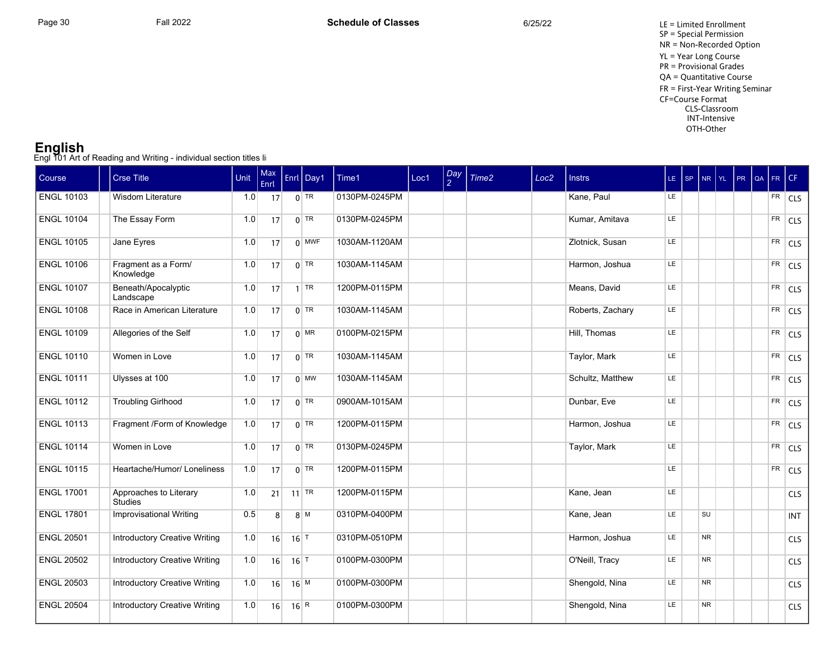**English**<br>Engl 101 Art of Reading and Writing - individual section titles li:

| Course            | <b>Crse Title</b>                        | Unit | Max<br>Enrl    |                             | Enrl Day1    | Time1         | Loc1 | Day<br>$\mathcal{L}$ | Time <sub>2</sub> | Loc <sub>2</sub> | <b>Instrs</b>    | LE SP     |           | NR YL | PR | QA FR CF   |                |
|-------------------|------------------------------------------|------|----------------|-----------------------------|--------------|---------------|------|----------------------|-------------------|------------------|------------------|-----------|-----------|-------|----|------------|----------------|
| <b>ENGL 10103</b> | Wisdom Literature                        | 1.0  | 17             |                             | $0$ TR       | 0130PM-0245PM |      |                      |                   |                  | Kane, Paul       | LE.       |           |       |    |            | $FR$ CLS       |
| <b>ENGL 10104</b> | The Essay Form                           | 1.0  | 17             |                             | $0$ TR       | 0130PM-0245PM |      |                      |                   |                  | Kumar, Amitava   | LE        |           |       |    |            | $FR$ CLS       |
| <b>ENGL 10105</b> | Jane Eyres                               | 1.0  | 17             |                             | $0$ MWF      | 1030AM-1120AM |      |                      |                   |                  | Zlotnick, Susan  | LE.       |           |       |    |            | $FR$ CLS       |
| <b>ENGL 10106</b> | Fragment as a Form/<br>Knowledge         | 1.0  | 17             |                             | $0$ TR       | 1030AM-1145AM |      |                      |                   |                  | Harmon, Joshua   | <b>LE</b> |           |       |    |            | FR CLS         |
| <b>ENGL 10107</b> | Beneath/Apocalyptic<br>Landscape         | 1.0  | 17             |                             | $1$ TR       | 1200PM-0115PM |      |                      |                   |                  | Means, David     | LE        |           |       |    |            | $FR$ CLS       |
| <b>ENGL 10108</b> | Race in American Literature              | 1.0  | 17             |                             | $0$ TR       | 1030AM-1145AM |      |                      |                   |                  | Roberts, Zachary | <b>LE</b> |           |       |    |            | $FR$ CLS       |
| <b>ENGL 10109</b> | Allegories of the Self                   | 1.0  | 17             |                             | $0$ MR       | 0100PM-0215PM |      |                      |                   |                  | Hill, Thomas     | LE        |           |       |    |            | $FR$ CLS       |
| <b>ENGL 10110</b> | Women in Love                            | 1.0  | 17             |                             | $0$ TR       | 1030AM-1145AM |      |                      |                   |                  | Taylor, Mark     | LE        |           |       |    |            | FR CLS         |
| <b>ENGL 10111</b> | Ulysses at 100                           | 1.0  | 17             |                             | $0 \vert$ MW | 1030AM-1145AM |      |                      |                   |                  | Schultz, Matthew | LE.       |           |       |    |            | $FR$ CLS       |
| <b>ENGL 10112</b> | <b>Troubling Girlhood</b>                | 1.0  | 17             |                             | $0$ TR       | 0900AM-1015AM |      |                      |                   |                  | Dunbar, Eve      | LE        |           |       |    | FR         | <sub>CLS</sub> |
| <b>ENGL 10113</b> | Fragment /Form of Knowledge              | 1.0  | 17             |                             | $0$ TR       | 1200PM-0115PM |      |                      |                   |                  | Harmon, Joshua   | LE.       |           |       |    | FR.        | <sub>CLS</sub> |
| <b>ENGL 10114</b> | Women in Love                            | 1.0  | 17             |                             | $0$ TR       | 0130PM-0245PM |      |                      |                   |                  | Taylor, Mark     | LE        |           |       |    | ${\sf FR}$ | <sub>CLS</sub> |
| <b>ENGL 10115</b> | Heartache/Humor/ Loneliness              | 1.0  | 17             |                             | $0$ TR       | 1200PM-0115PM |      |                      |                   |                  |                  | LE        |           |       |    | FR         | <sub>CLS</sub> |
| <b>ENGL 17001</b> | Approaches to Literary<br><b>Studies</b> | 1.0  | 21             |                             | $11$ TR      | 1200PM-0115PM |      |                      |                   |                  | Kane, Jean       | LE.       |           |       |    |            | CLS            |
| <b>ENGL 17801</b> | <b>Improvisational Writing</b>           | 0.5  | 8 <sup>1</sup> |                             | $8^{M}$      | 0310PM-0400PM |      |                      |                   |                  | Kane, Jean       | LE.       | <b>SU</b> |       |    |            | <b>INT</b>     |
| <b>ENGL 20501</b> | <b>Introductory Creative Writing</b>     | 1.0  | 16             | $16$ <sup>T</sup>           |              | 0310PM-0510PM |      |                      |                   |                  | Harmon, Joshua   | LE        | <b>NR</b> |       |    |            | <b>CLS</b>     |
| <b>ENGL 20502</b> | <b>Introductory Creative Writing</b>     | 1.0  | 16             | $16$ <sup>T</sup>           |              | 0100PM-0300PM |      |                      |                   |                  | O'Neill, Tracy   | LE        | <b>NR</b> |       |    |            | <b>CLS</b>     |
| <b>ENGL 20503</b> | <b>Introductory Creative Writing</b>     | 1.0  | 16             | $16$ M                      |              | 0100PM-0300PM |      |                      |                   |                  | Shengold, Nina   | LE        | <b>NR</b> |       |    |            | <b>CLS</b>     |
| <b>ENGL 20504</b> | <b>Introductory Creative Writing</b>     | 1.0  | 16             | $16 \overline{\mid R \mid}$ |              | 0100PM-0300PM |      |                      |                   |                  | Shengold, Nina   | LE.       | <b>NR</b> |       |    |            | CLS            |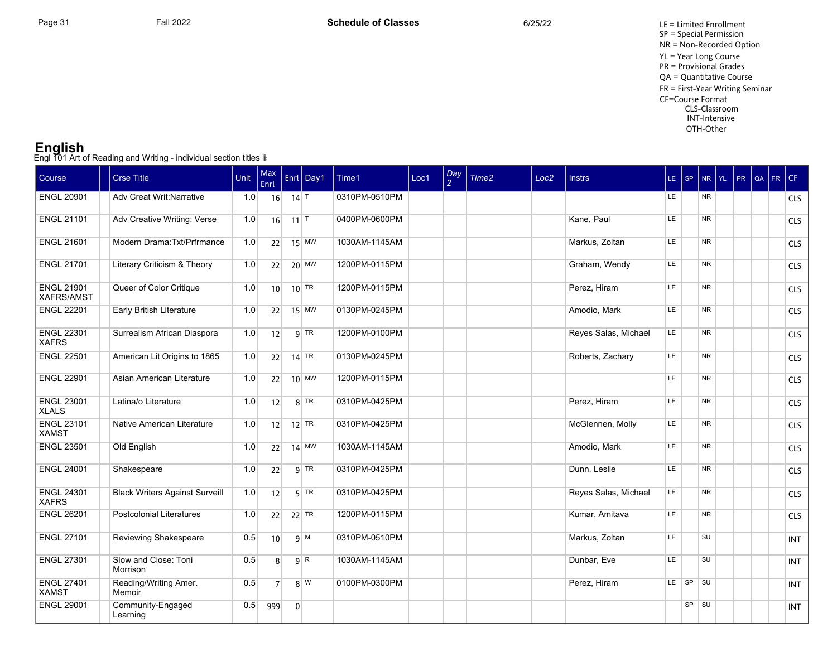**English**<br>Engl 101 Art of Reading and Writing - individual section titles li:

| Course                            | <b>Crse Title</b>                      | Unit | Max<br>Enrl    |                | Enrl Day1          | Time1         | Loc1 | Day<br>$\mathcal{P}$ | Time <sub>2</sub> | Loc <sub>2</sub> | <b>Instrs</b>        |           | LE SP     |           | NR YL | I PR | $\alpha$ Fr $\epsilon$ |            |
|-----------------------------------|----------------------------------------|------|----------------|----------------|--------------------|---------------|------|----------------------|-------------------|------------------|----------------------|-----------|-----------|-----------|-------|------|------------------------|------------|
| <b>ENGL 20901</b>                 | Adv Creat Writ: Narrative              | 1.0  | 16             | $14$ T         |                    | 0310PM-0510PM |      |                      |                   |                  |                      | LE.       |           | <b>NR</b> |       |      |                        | <b>CLS</b> |
| <b>ENGL 21101</b>                 | Adv Creative Writing: Verse            | 1.0  | 16             | 11             |                    | 0400PM-0600PM |      |                      |                   |                  | Kane, Paul           | LE.       |           | <b>NR</b> |       |      |                        | <b>CLS</b> |
| <b>ENGL 21601</b>                 | Modern Drama: Txt/Prfrmance            | 1.0  | 22             |                | $15$ MW            | 1030AM-1145AM |      |                      |                   |                  | Markus, Zoltan       | LE        |           | <b>NR</b> |       |      |                        | <b>CLS</b> |
| <b>ENGL 21701</b>                 | Literary Criticism & Theory            | 1.0  | 22             |                | $20$ MW            | 1200PM-0115PM |      |                      |                   |                  | Graham, Wendy        | LE.       |           | <b>NR</b> |       |      |                        | <b>CLS</b> |
| <b>ENGL 21901</b><br>XAFRS/AMST   | Queer of Color Critique                | 1.0  | 10             |                | $10$ <sup>TR</sup> | 1200PM-0115PM |      |                      |                   |                  | Perez, Hiram         | LE.       |           | <b>NR</b> |       |      |                        | <b>CLS</b> |
| <b>ENGL 22201</b>                 | Early British Literature               | 1.0  | 22             |                | $15$ MW            | 0130PM-0245PM |      |                      |                   |                  | Amodio, Mark         | LE        |           | <b>NR</b> |       |      |                        | <b>CLS</b> |
| <b>ENGL 22301</b><br><b>XAFRS</b> | Surrealism African Diaspora            | 1.0  | 12             |                | $9$ TR             | 1200PM-0100PM |      |                      |                   |                  | Reyes Salas, Michael | LE.       |           | <b>NR</b> |       |      |                        | <b>CLS</b> |
| <b>ENGL 22501</b>                 | American Lit Origins to 1865           | 1.0  | 22             |                | $14$ TR            | 0130PM-0245PM |      |                      |                   |                  | Roberts, Zachary     | LE        |           | <b>NR</b> |       |      |                        | <b>CLS</b> |
| <b>ENGL 22901</b>                 | Asian American Literature              | 1.0  | 22             |                | $10$ MW            | 1200PM-0115PM |      |                      |                   |                  |                      | LE        |           | <b>NR</b> |       |      |                        | <b>CLS</b> |
| <b>ENGL 23001</b><br><b>XLALS</b> | Latina/o Literature                    | 1.0  | 12             |                | $8$ TR             | 0310PM-0425PM |      |                      |                   |                  | Perez, Hiram         | <b>LE</b> |           | <b>NR</b> |       |      |                        | <b>CLS</b> |
| <b>ENGL 23101</b><br><b>XAMST</b> | Native American Literature             | 1.0  | 12             |                | $12$ TR            | 0310PM-0425PM |      |                      |                   |                  | McGlennen, Molly     | <b>LE</b> |           | <b>NR</b> |       |      |                        | <b>CLS</b> |
| <b>ENGL 23501</b>                 | Old English                            | 1.0  | 22             |                | $14$ MW            | 1030AM-1145AM |      |                      |                   |                  | Amodio, Mark         | LE.       |           | <b>NR</b> |       |      |                        | <b>CLS</b> |
| <b>ENGL 24001</b>                 | Shakespeare                            | 1.0  | 22             |                | $9$ TR             | 0310PM-0425PM |      |                      |                   |                  | Dunn, Leslie         | <b>LE</b> |           | <b>NR</b> |       |      |                        | <b>CLS</b> |
| <b>ENGL 24301</b><br><b>XAFRS</b> | <b>Black Writers Against Surveill</b>  | 1.0  | 12             |                | $5$ TR             | 0310PM-0425PM |      |                      |                   |                  | Reyes Salas, Michael | LE        |           | <b>NR</b> |       |      |                        | <b>CLS</b> |
| <b>ENGL 26201</b>                 | <b>Postcolonial Literatures</b>        | 1.0  | 22             |                | $22$ TR            | 1200PM-0115PM |      |                      |                   |                  | Kumar, Amitava       | LE        |           | <b>NR</b> |       |      |                        | <b>CLS</b> |
| <b>ENGL 27101</b>                 | Reviewing Shakespeare                  | 0.5  | 10             |                | 9 M                | 0310PM-0510PM |      |                      |                   |                  | Markus, Zoltan       | LE        |           | <b>SU</b> |       |      |                        | <b>INT</b> |
| <b>ENGL 27301</b>                 | Slow and Close: Toni<br>Morrison       | 0.5  | 8 <sup>1</sup> |                | $9 \overline{R}$   | 1030AM-1145AM |      |                      |                   |                  | Dunbar, Eve          | LE        |           | SU        |       |      |                        | <b>INT</b> |
| <b>ENGL 27401</b><br><b>XAMST</b> | Reading/Writing Amer.<br><b>Memoir</b> | 0.5  | 7 <sup>1</sup> |                | 8 W                | 0100PM-0300PM |      |                      |                   |                  | Perez, Hiram         | LE.       | SP SU     |           |       |      |                        | <b>INT</b> |
| <b>ENGL 29001</b>                 | Community-Engaged<br>Learning          | 0.5  | 999            | $\overline{0}$ |                    |               |      |                      |                   |                  |                      |           | $SP$ $SU$ |           |       |      |                        | <b>INT</b> |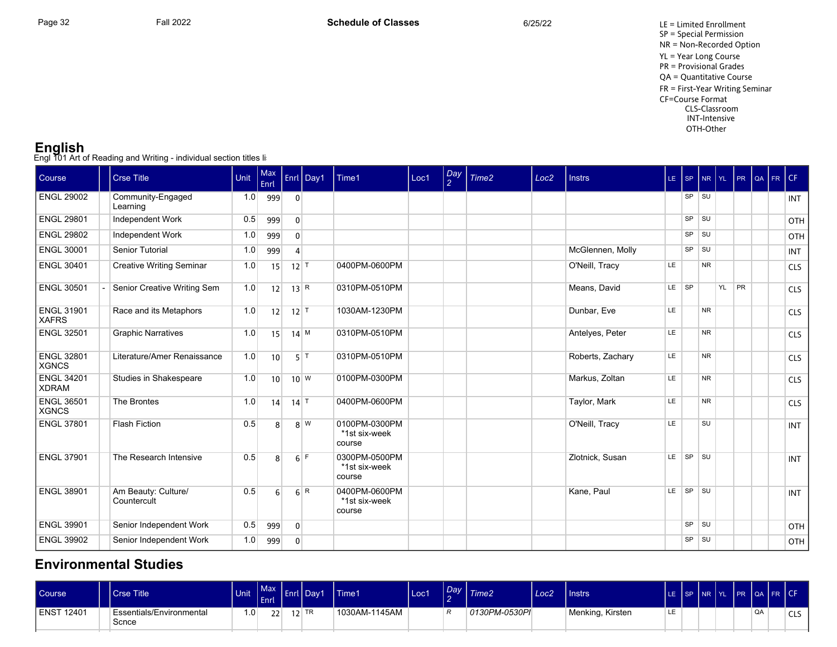**English**<br>Engl 101 Art of Reading and Writing - individual section titles li:

| Course                            | <b>Crse Title</b>                  | Unit | Max<br>Enrl     |                             | Enrl Day1        | Time1                                    | Loc1 | Day<br>2 | Time <sub>2</sub> | Loc <sub>2</sub> | <b>Instrs</b>    | LE SP     |           |                |       |  | NR YL PR QA FR CF |            |
|-----------------------------------|------------------------------------|------|-----------------|-----------------------------|------------------|------------------------------------------|------|----------|-------------------|------------------|------------------|-----------|-----------|----------------|-------|--|-------------------|------------|
| <b>ENGL 29002</b>                 | Community-Engaged<br>Learning      | 1.0  | 999             | $\overline{0}$              |                  |                                          |      |          |                   |                  |                  |           | $SP$ $SU$ |                |       |  |                   | <b>INT</b> |
| <b>ENGL 29801</b>                 | Independent Work                   | 0.5  | 999             | $\overline{0}$              |                  |                                          |      |          |                   |                  |                  |           | $SP$ $SU$ |                |       |  |                   | OTH        |
| <b>ENGL 29802</b>                 | Independent Work                   | 1.0  | 999             | $\Omega$                    |                  |                                          |      |          |                   |                  |                  |           | $SP$ $SU$ |                |       |  |                   | OTH        |
| <b>ENGL 30001</b>                 | Senior Tutorial                    | 1.0  | 999             |                             |                  |                                          |      |          |                   |                  | McGlennen, Molly |           | <b>SP</b> | l su           |       |  |                   | <b>INT</b> |
| <b>ENGL 30401</b>                 | <b>Creative Writing Seminar</b>    | 1.0  | 15              | $12$ <sup>T</sup>           |                  | 0400PM-0600PM                            |      |          |                   |                  | O'Neill, Tracy   | <b>LE</b> |           | <b>NR</b>      |       |  |                   | CLS        |
| <b>ENGL 30501</b>                 | Senior Creative Writing Sem        | 1.0  | 12              | $13 \overline{\mid R \mid}$ |                  | 0310PM-0510PM                            |      |          |                   |                  | Means, David     | LE SP     |           |                | YL PR |  |                   | <b>CLS</b> |
| <b>ENGL 31901</b><br><b>XAFRS</b> | Race and its Metaphors             | 1.0  | 12              | $12$ T                      |                  | 1030AM-1230PM                            |      |          |                   |                  | Dunbar, Eve      | LE        |           | <b>NR</b>      |       |  |                   | <b>CLS</b> |
| <b>ENGL 32501</b>                 | <b>Graphic Narratives</b>          | 1.0  | 15              | $14$ M                      |                  | 0310PM-0510PM                            |      |          |                   |                  | Antelves, Peter  | LE        |           | N <sub>R</sub> |       |  |                   | <b>CLS</b> |
| <b>ENGL 32801</b><br><b>XGNCS</b> | Literature/Amer Renaissance        | 1.0  | 10 <sup>1</sup> |                             | $5$ T            | 0310PM-0510PM                            |      |          |                   |                  | Roberts, Zachary | LE        |           | <b>NR</b>      |       |  |                   | <b>CLS</b> |
| <b>ENGL 34201</b><br><b>XDRAM</b> | Studies in Shakespeare             | 1.0  | 10              |                             | $10^{W}$         | 0100PM-0300PM                            |      |          |                   |                  | Markus, Zoltan   | LE        |           | <b>NR</b>      |       |  |                   | <b>CLS</b> |
| <b>ENGL 36501</b><br><b>XGNCS</b> | The Brontes                        | 1.0  | 14              | $14$ T                      |                  | 0400PM-0600PM                            |      |          |                   |                  | Taylor, Mark     | LE        |           | <b>NR</b>      |       |  |                   | <b>CLS</b> |
| <b>ENGL 37801</b>                 | <b>Flash Fiction</b>               | 0.5  | 8 <sup>1</sup>  |                             | 8 W              | 0100PM-0300PM<br>*1st six-week<br>course |      |          |                   |                  | O'Neill, Tracy   | LE        |           | SU             |       |  |                   | <b>INT</b> |
| <b>ENGL 37901</b>                 | The Research Intensive             | 0.5  | 8 <sup>1</sup>  |                             | 6F               | 0300PM-0500PM<br>*1st six-week<br>course |      |          |                   |                  | Zlotnick, Susan  | LE        | $ $ SP    | $\vert$ su     |       |  |                   | <b>INT</b> |
| <b>ENGL 38901</b>                 | Am Beauty: Culture/<br>Countercult | 0.5  | 6 <sup>1</sup>  |                             | $6 \overline{R}$ | 0400PM-0600PM<br>*1st six-week<br>course |      |          |                   |                  | Kane, Paul       | LE.       | SP SU     |                |       |  |                   | <b>INT</b> |
| <b>ENGL 39901</b>                 | Senior Independent Work            | 0.5  | 999             | $\overline{0}$              |                  |                                          |      |          |                   |                  |                  |           | SP SU     |                |       |  |                   | <b>OTH</b> |
| <b>ENGL 39902</b>                 | Senior Independent Work            | 1.0  | 999             | $\overline{0}$              |                  |                                          |      |          |                   |                  |                  |           | SP        | l su           |       |  |                   | <b>OTH</b> |

#### **Environmental Studies**

| Course      | <b>Crse Title</b>                 | Unit             | Enrl | Max Enrl Day1 | <b>Time1</b>  | Loc1 | Day<br>$\sim$<br>- | Time2         | Loc <sub>2</sub> | Instrs           |    |  | LE SP NR YL PR QA FR CF |    |        |
|-------------|-----------------------------------|------------------|------|---------------|---------------|------|--------------------|---------------|------------------|------------------|----|--|-------------------------|----|--------|
| LENST 12401 | Essentials/Environmental<br>Scnce | 1.0 <sub>1</sub> | 221  | $12$ TR       | 1030AM-1145AM |      | D                  | 0130PM-0530PI |                  | Menking, Kirsten | LE |  |                         | QA | $\sim$ |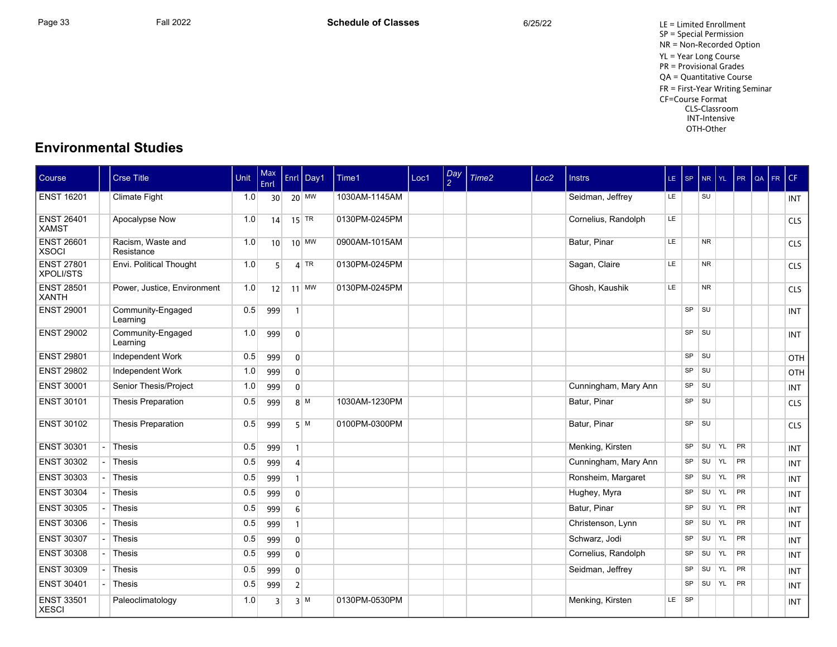## **Environmental Studies**

| <b>Course</b>                         | <b>Crse Title</b>               | Unit | Max<br>Enrl     |                  | Enrl   Day1 | Time1         | Loc1 | Day<br>$\mathcal{L}$ | Time <sub>2</sub> | Loc <sub>2</sub> | <b>Instrs</b>        | LE SP |             | $NR$ $YL$ |               | PR        | QA | FR CF |            |
|---------------------------------------|---------------------------------|------|-----------------|------------------|-------------|---------------|------|----------------------|-------------------|------------------|----------------------|-------|-------------|-----------|---------------|-----------|----|-------|------------|
| <b>ENST 16201</b>                     | <b>Climate Fight</b>            | 1.0  | 30 <sup>1</sup> |                  | $20$ MW     | 1030AM-1145AM |      |                      |                   |                  | Seidman, Jeffrey     | LE.   |             | SU        |               |           |    |       | <b>INT</b> |
| <b>ENST 26401</b><br><b>XAMST</b>     | Apocalypse Now                  | 1.0  | 14              |                  | $15$ TR     | 0130PM-0245PM |      |                      |                   |                  | Cornelius, Randolph  | LE    |             |           |               |           |    |       | <b>CLS</b> |
| <b>ENST 26601</b><br><b>XSOCI</b>     | Racism. Waste and<br>Resistance | 1.0  | 10 <sup>1</sup> |                  | $10$ MW     | 0900AM-1015AM |      |                      |                   |                  | Batur, Pinar         | LE    |             | <b>NR</b> |               |           |    |       | CLS        |
| <b>ENST 27801</b><br><b>XPOLI/STS</b> | Envi. Political Thought         | 1.0  | 5 <sup>1</sup>  |                  | $4$ TR      | 0130PM-0245PM |      |                      |                   |                  | Sagan, Claire        | LE    |             | <b>NR</b> |               |           |    |       | <b>CLS</b> |
| <b>ENST 28501</b><br><b>XANTH</b>     | Power, Justice, Environment     | 1.0  | 12              |                  | $11$ MW     | 0130PM-0245PM |      |                      |                   |                  | Ghosh, Kaushik       | LE    |             | <b>NR</b> |               |           |    |       | <b>CLS</b> |
| <b>ENST 29001</b>                     | Community-Engaged<br>Learning   | 0.5  | 999             |                  |             |               |      |                      |                   |                  |                      |       | $SP$ $SU$   |           |               |           |    |       | <b>INT</b> |
| <b>ENST 29002</b>                     | Community-Engaged<br>Learning   | 1.0  | 999             | $\overline{0}$   |             |               |      |                      |                   |                  |                      |       | $SP$ $  SU$ |           |               |           |    |       | <b>INT</b> |
| <b>ENST 29801</b>                     | <b>Independent Work</b>         | 0.5  | 999             | $\overline{0}$   |             |               |      |                      |                   |                  |                      |       | SP          | ∣s∪       |               |           |    |       | OTH        |
| <b>ENST 29802</b>                     | <b>Independent Work</b>         | 1.0  | 999             | $\overline{0}$   |             |               |      |                      |                   |                  |                      |       | SP          | <b>SU</b> |               |           |    |       | OTH        |
| <b>ENST 30001</b>                     | Senior Thesis/Project           | 1.0  | 999             | $\overline{0}$   |             |               |      |                      |                   |                  | Cunningham, Mary Ann |       | SP          | <b>SU</b> |               |           |    |       | <b>INT</b> |
| <b>ENST 30101</b>                     | <b>Thesis Preparation</b>       | 0.5  | 999             |                  | $8^{M}$     | 1030AM-1230PM |      |                      |                   |                  | Batur, Pinar         |       | <b>SP</b>   | ∣s∪       |               |           |    |       | <b>CLS</b> |
| <b>ENST 30102</b>                     | <b>Thesis Preparation</b>       | 0.5  | 999             |                  | 5M          | 0100PM-0300PM |      |                      |                   |                  | Batur, Pinar         |       | SP          | $ $ SU    |               |           |    |       | CLS        |
| <b>ENST 30301</b>                     | Thesis                          | 0.5  | 999             | $\mathbf{1}$     |             |               |      |                      |                   |                  | Menking, Kirsten     |       | SP          | SU        | YL            | PR        |    |       | <b>INT</b> |
| <b>ENST 30302</b>                     | Thesis                          | 0.5  | 999             | $\Delta$         |             |               |      |                      |                   |                  | Cunningham, Mary Ann |       | SP          | SU YL     |               | <b>PR</b> |    |       | <b>INT</b> |
| <b>ENST 30303</b>                     | Thesis                          | 0.5  | 999             |                  |             |               |      |                      |                   |                  | Ronsheim, Margaret   |       | SP          | SU        | YL            | <b>PR</b> |    |       | <b>INT</b> |
| <b>ENST 30304</b>                     | Thesis                          | 0.5  | 999             | $\overline{0}$   |             |               |      |                      |                   |                  | Hughey, Myra         |       | SP          | SU YL     |               | <b>PR</b> |    |       | <b>INT</b> |
| <b>ENST 30305</b>                     | Thesis                          | 0.5  | 999             | $6 \overline{6}$ |             |               |      |                      |                   |                  | Batur, Pinar         |       | SP          | SU        | <b>YL</b>     | <b>PR</b> |    |       | <b>INT</b> |
| <b>ENST 30306</b>                     | Thesis                          | 0.5  | 999             |                  |             |               |      |                      |                   |                  | Christenson, Lynn    |       | SP          | SU YL     |               | <b>PR</b> |    |       | <b>INT</b> |
| <b>ENST 30307</b>                     | Thesis                          | 0.5  | 999             | $\overline{0}$   |             |               |      |                      |                   |                  | Schwarz, Jodi        |       | <b>SP</b>   | SU        | $\mathsf{YL}$ | <b>PR</b> |    |       | <b>INT</b> |
| <b>ENST 30308</b>                     | Thesis                          | 0.5  | 999             | $\mathbf{0}$     |             |               |      |                      |                   |                  | Cornelius, Randolph  |       | SP          | SU YL     |               | PR        |    |       | <b>INT</b> |
| <b>ENST 30309</b>                     | Thesis                          | 0.5  | 999             | $\overline{0}$   |             |               |      |                      |                   |                  | Seidman, Jeffrey     |       | SP          | SU YL     |               | <b>PR</b> |    |       | <b>INT</b> |
| <b>ENST 30401</b>                     | Thesis                          | 0.5  | 999             | 2 <sup>1</sup>   |             |               |      |                      |                   |                  |                      |       | SP          | SU YL     |               | <b>PR</b> |    |       | <b>INT</b> |
| <b>ENST 33501</b><br>  XESCI          | Paleoclimatology                | 1.0  | $\overline{3}$  |                  | $3 \mid M$  | 0130PM-0530PM |      |                      |                   |                  | Menking, Kirsten     | LE.   | $ $ SP      |           |               |           |    |       | <b>INT</b> |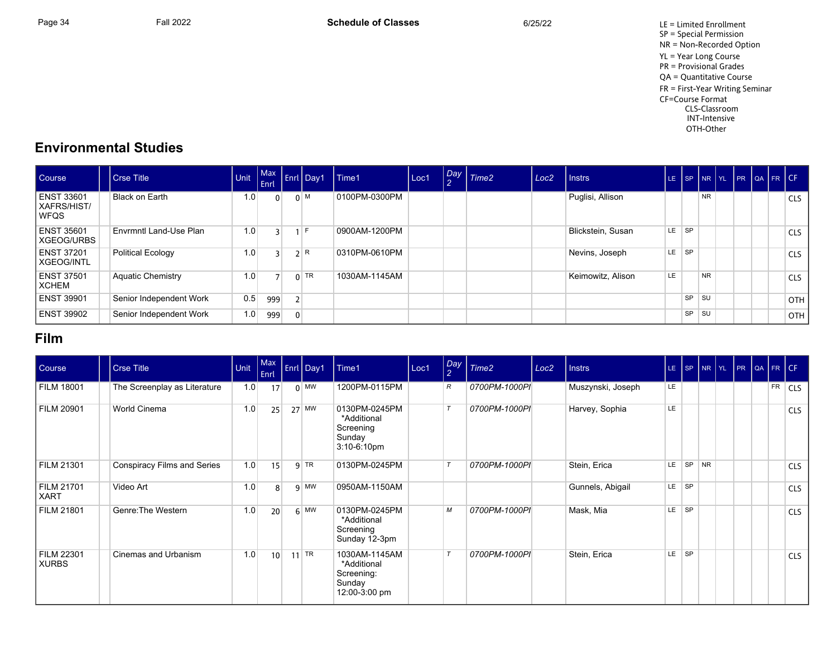Page 34 Fall 2022 Fall 2022 **Schedule of Classes** 6/25/22 6/25/22 LE = Limited Enrollment SP = Special Permission NR = Non-Recorded Option YL = Year Long Course PR = Provisional Grades QA = Quantitative Course FR = First-Year Writing Seminar CF=Course Format CLS-Classroom INT-Intensive OTH-Other

## **Environmental Studies**

| Course                                          | Crse Title               | <b>Unit</b> | <b>LEnri</b> |                | Max Enrl Day 1 | Time1         | Loc1 | $\sqrt{Day}$<br>$\Omega$ | $\mid$ Time2 | Loc <sub>2</sub> | <b>Instrs</b>     |     |           |           |  | LE SP NR YL PR QA FR CF |            |
|-------------------------------------------------|--------------------------|-------------|--------------|----------------|----------------|---------------|------|--------------------------|--------------|------------------|-------------------|-----|-----------|-----------|--|-------------------------|------------|
| <b>ENST 33601</b><br>XAFRS/HIST/<br><b>WFQS</b> | Black on Earth           | 1.0         |              |                | $0 \mid M$     | 0100PM-0300PM |      |                          |              |                  | Puglisi, Allison  |     |           | <b>NR</b> |  |                         | <b>CLS</b> |
| <b>ENST 35601</b><br>XGEOG/URBS                 | Envrmntl Land-Use Plan   | 1.0         |              |                | $1$ F          | 0900AM-1200PM |      |                          |              |                  | Blickstein, Susan | LE. | <b>SP</b> |           |  |                         | <b>CLS</b> |
| ENST 37201<br>XGEOG/INTL                        | <b>Political Ecology</b> | 1.0         |              |                | 2 R            | 0310PM-0610PM |      |                          |              |                  | Nevins, Joseph    | LE  | <b>SP</b> |           |  |                         | <b>CLS</b> |
| <b>ENST 37501</b><br>XCHEM                      | <b>Aquatic Chemistry</b> | 1.0         |              |                | $0$ TR         | 1030AM-1145AM |      |                          |              |                  | Keimowitz, Alison | LE  |           | <b>NR</b> |  |                         | <b>CLS</b> |
| <b>ENST 39901</b>                               | Senior Independent Work  | 0.5         | 999          |                |                |               |      |                          |              |                  |                   |     | <b>SP</b> | <b>SU</b> |  |                         | <b>OTH</b> |
| <b>ENST 39902</b>                               | Senior Independent Work  | 1.0         | 999          | $\overline{0}$ |                |               |      |                          |              |                  |                   |     | SP        | <b>SU</b> |  |                         | OTH        |

## **Film**

| Course                     | <b>Crse Title</b>            | Unit | Max<br>Enrl     | Enrl Day1 | Time1                                                                 | Loc1 | $\log$<br>$\overline{2}$ | Time <sub>2</sub> | Loc <sub>2</sub> | <b>Instrs</b>     |     |                        | LE SP NR YL PR QA FR CF |  |    |                |
|----------------------------|------------------------------|------|-----------------|-----------|-----------------------------------------------------------------------|------|--------------------------|-------------------|------------------|-------------------|-----|------------------------|-------------------------|--|----|----------------|
| <b>FILM 18001</b>          | The Screenplay as Literature | 1.0  | 17              | $0$ MW    | 1200PM-0115PM                                                         |      | R                        | 0700PM-1000PI     |                  | Muszynski, Joseph | LE  |                        |                         |  | FR | <sub>CLS</sub> |
| <b>FILM 20901</b>          | World Cinema                 | 1.0  | 25              | $27$ MW   | 0130PM-0245PM<br>*Additional<br>Screening<br>Sunday<br>$3:10-6:10$ pm |      |                          | 0700PM-1000PI     |                  | Harvey, Sophia    | LE. |                        |                         |  |    | <b>CLS</b>     |
| <b>FILM 21301</b>          | Conspiracy Films and Series  | 1.0  | 15              | $q$ TR    | 0130PM-0245PM                                                         |      |                          | 0700PM-1000PI     |                  | Stein, Erica      | LE. | SP NR                  |                         |  |    | <b>CLS</b>     |
| FILM 21701<br><b>XART</b>  | Video Art                    | 1.0  | $\mathbf{8}$    | $q$ MW    | 0950AM-1150AM                                                         |      |                          |                   |                  | Gunnels, Abigail  | LE. | <b>SP</b>              |                         |  |    | <b>CLS</b>     |
| FILM 21801                 | Genre: The Western           | 1.0  | 20              | $6$ MW    | 0130PM-0245PM<br>*Additional<br>Screening<br>Sunday 12-3pm            |      | М                        | 0700PM-1000PI     |                  | Mask, Mia         | LE. | $\overline{\text{SP}}$ |                         |  |    | <b>CLS</b>     |
| <b>FILM 22301</b><br>XURBS | Cinemas and Urbanism         | 1.0  | 10 <sup>1</sup> | $11$ TR   | 1030AM-1145AM<br>*Additional<br>Screening:<br>Sunday<br>12:00-3:00 pm |      |                          | 0700PM-1000PI     |                  | Stein, Erica      | LE. | SP                     |                         |  |    | <b>CLS</b>     |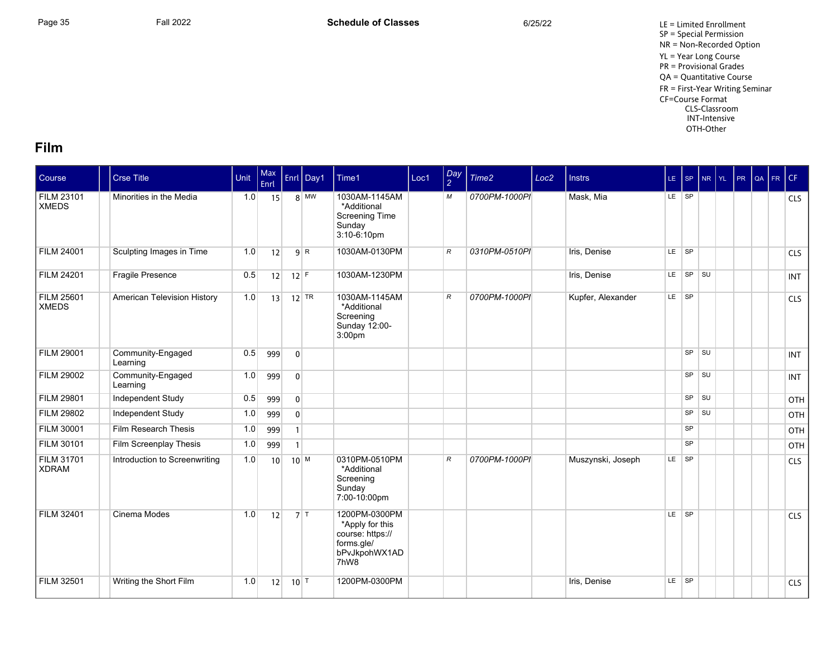Page 35 Fall 2022 Fall 2022 **Schedule of Classes** 6/25/22 6/25/22 LE = Limited Enrollment SP = Special Permission NR = Non-Recorded Option YL = Year Long Course PR = Provisional Grades QA = Quantitative Course FR = First-Year Writing Seminar CF=Course Format CLS-Classroom INT-Intensive OTH-Other

#### **Film**

| Course                            | <b>Crse Title</b>             | Unit | Max<br>Enrl     |                   | Enrl Day1    | Time1                                                                                       | Loc1 | Day<br>2      | Time2         | Loc <sub>2</sub> | <b>Instrs</b>     |           | LE SP     | $NR$ $YL$   | PR | QA FR CF |            |
|-----------------------------------|-------------------------------|------|-----------------|-------------------|--------------|---------------------------------------------------------------------------------------------|------|---------------|---------------|------------------|-------------------|-----------|-----------|-------------|----|----------|------------|
| <b>FILM 23101</b><br><b>XMEDS</b> | Minorities in the Media       | 1.0  | 15              |                   | $8 \vert$ MW | 1030AM-1145AM<br>*Additional<br><b>Screening Time</b><br>Sunday<br>$3:10-6:10$ pm           |      | М             | 0700PM-1000PI |                  | Mask, Mia         | LE SP     |           |             |    |          | <b>CLS</b> |
| <b>FILM 24001</b>                 | Sculpting Images in Time      | 1.0  | 12              |                   | 9 R          | 1030AM-0130PM                                                                               |      | $\mathcal{R}$ | 0310PM-0510PI |                  | Iris, Denise      | LE SP     |           |             |    |          | <b>CLS</b> |
| <b>FILM 24201</b>                 | Fragile Presence              | 0.5  | 12              | $12$ F            |              | 1030AM-1230PM                                                                               |      |               |               |                  | Iris, Denise      | LE.       | SP SU     |             |    |          | <b>INT</b> |
| <b>FILM 25601</b><br><b>XMEDS</b> | American Television History   | 1.0  | 13              |                   | $12$ TR      | 1030AM-1145AM<br>*Additional<br>Screening<br>Sunday 12:00-<br>3:00 <sub>pm</sub>            |      | $\mathcal{R}$ | 0700PM-1000PI |                  | Kupfer, Alexander | $LE$ $SP$ |           |             |    |          | CLS        |
| <b>FILM 29001</b>                 | Community-Engaged<br>Learning | 0.5  | 999             | $\overline{0}$    |              |                                                                                             |      |               |               |                  |                   |           |           | $SP$ $  SU$ |    |          | <b>INT</b> |
| <b>FILM 29002</b>                 | Community-Engaged<br>Learning | 1.0  | 999             | $\mathbf{0}$      |              |                                                                                             |      |               |               |                  |                   |           | SP        | $\vert$ su  |    |          | <b>INT</b> |
| <b>FILM 29801</b>                 | Independent Study             | 0.5  | 999             | $\overline{0}$    |              |                                                                                             |      |               |               |                  |                   |           | SP        | <b>SU</b>   |    |          | OTH        |
| <b>FILM 29802</b>                 | Independent Study             | 1.0  | 999             | $\mathbf 0$       |              |                                                                                             |      |               |               |                  |                   |           | <b>SP</b> | l SU        |    |          | OTH        |
| <b>FILM 30001</b>                 | Film Research Thesis          | 1.0  | 999             | $\mathbf{1}$      |              |                                                                                             |      |               |               |                  |                   |           | <b>SP</b> |             |    |          | OTH        |
| <b>FILM 30101</b>                 | Film Screenplay Thesis        | 1.0  | 999             | $\mathbf{1}$      |              |                                                                                             |      |               |               |                  |                   |           | <b>SP</b> |             |    |          | OTH        |
| <b>FILM 31701</b><br><b>XDRAM</b> | Introduction to Screenwriting | 1.0  | 10 <sup>1</sup> | $10^{M}$          |              | 0310PM-0510PM<br>*Additional<br>Screening<br>Sunday<br>7:00-10:00pm                         |      | $\mathcal{R}$ | 0700PM-1000PI |                  | Muszynski, Joseph | LE.       | $ $ SP    |             |    |          | CLS        |
| <b>FILM 32401</b>                 | Cinema Modes                  | 1.0  | 12              |                   | $7$ T        | 1200PM-0300PM<br>*Apply for this<br>course: https://<br>forms.gle/<br>bPvJkpohWX1AD<br>7hW8 |      |               |               |                  |                   |           | LE SP     |             |    |          | <b>CLS</b> |
| <b>FILM 32501</b>                 | Writing the Short Film        | 1.0  | 12              | $10$ <sup>T</sup> |              | 1200PM-0300PM                                                                               |      |               |               |                  | Iris, Denise      |           | LE SP     |             |    |          | CLS        |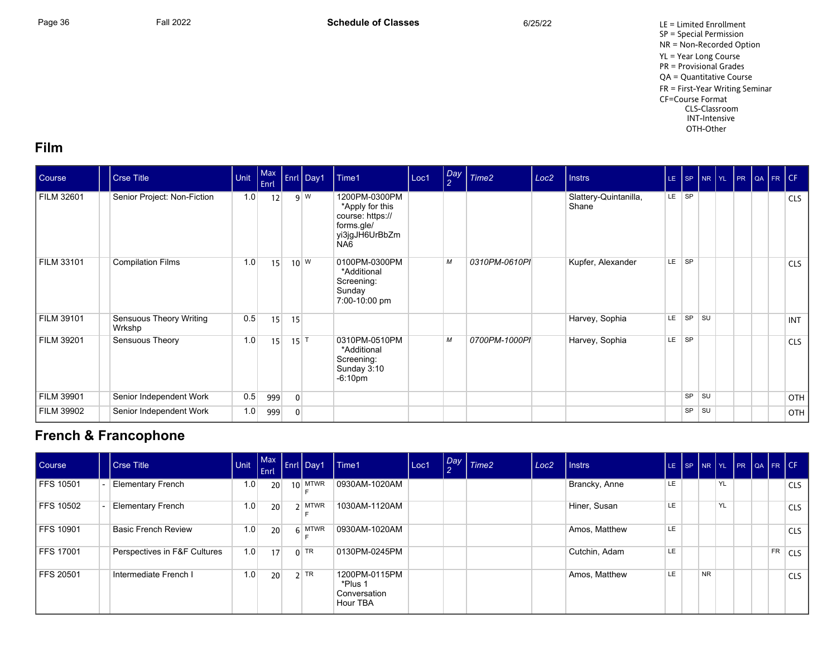Page 36 Fall 2022 Fall 2022 **Schedule of Classes** 6/25/22 6/25/22 LE = Limited Enrollment SP = Special Permission NR = Non-Recorded Option YL = Year Long Course PR = Provisional Grades QA = Quantitative Course FR = First-Year Writing Seminar CF=Course Format CLS-Classroom INT-Intensive OTH-Other

#### **Film**

| Course            | <b>Crse Title</b>                 | Unit | Max<br>Enrl |                   | Enrl Day1  | Time1                                                                                       | Loc1 | $\frac{Day}{2}$ | Time <sub>2</sub> | Loc <sub>2</sub> | <b>Instrs</b>                  |     |           |    | LE SP NR YL PR QA FR CF |  |            |
|-------------------|-----------------------------------|------|-------------|-------------------|------------|---------------------------------------------------------------------------------------------|------|-----------------|-------------------|------------------|--------------------------------|-----|-----------|----|-------------------------|--|------------|
| <b>FILM 32601</b> | Senior Project: Non-Fiction       | 1.0  | 12          |                   | $9 \mid W$ | 1200PM-0300PM<br>*Apply for this<br>course: https://<br>forms.gle/<br>yi3jgJH6UrBbZm<br>NA6 |      |                 |                   |                  | Slattery-Quintanilla,<br>Shane | LE. | $ $ SP    |    |                         |  | <b>CLS</b> |
| FILM 33101        | <b>Compilation Films</b>          | 1.0  | 15          |                   | $10^{W}$   | 0100PM-0300PM<br>*Additional<br>Screening:<br>Sunday<br>7:00-10:00 pm                       |      | М               | 0310PM-0610PI     |                  | Kupfer, Alexander              | LE. | SP        |    |                         |  | <b>CLS</b> |
| <b>FILM 39101</b> | Sensuous Theory Writing<br>Wrkshp | 0.5  | 15          | 15                |            |                                                                                             |      |                 |                   |                  | Harvey, Sophia                 | LE. | <b>SP</b> | SU |                         |  | <b>INT</b> |
| FILM 39201        | Sensuous Theory                   | 1.0  | 15          | $15$ <sup>T</sup> |            | 0310PM-0510PM<br>*Additional<br>Screening:<br>Sunday 3:10<br>$-6:10pm$                      |      | М               | 0700PM-1000PI     |                  | Harvey, Sophia                 | LE. | <b>SP</b> |    |                         |  | <b>CLS</b> |
| FILM 39901        | Senior Independent Work           | 0.5  | 999         | $\mathbf{0}$      |            |                                                                                             |      |                 |                   |                  |                                |     | SP        | SU |                         |  | OTH        |
| <b>FILM 39902</b> | Senior Independent Work           | 1.0  | 999         | $\mathbf{0}$      |            |                                                                                             |      |                 |                   |                  |                                |     | SP        | SU |                         |  | OTH        |

## **French & Francophone**

| Course           | Crse Title                   |     | $ $ Enrl        | Unit $\left[\begin{array}{c c} \text{Max} \\ \text{-} \end{array}\right]$ Enrl Day1 | Time1                                                | Loc1 | Day Time2 | Loc <sub>2</sub> | I Instrs      |     | LE $ SP NR $ |           |           |  |           | YL PR QA FR CF |
|------------------|------------------------------|-----|-----------------|-------------------------------------------------------------------------------------|------------------------------------------------------|------|-----------|------------------|---------------|-----|--------------|-----------|-----------|--|-----------|----------------|
| FFS 10501        | <b>Elementary French</b>     | 1.0 | 20              | $10$ MTWR                                                                           | 0930AM-1020AM                                        |      |           |                  | Brancky, Anne | LE. |              |           | YL        |  |           | <b>CLS</b>     |
| <b>FFS 10502</b> | <b>Elementary French</b>     | 1.0 | 20 <sup>1</sup> | 2 MTWR                                                                              | 1030AM-1120AM                                        |      |           |                  | Hiner, Susan  | LE  |              |           | <b>YL</b> |  |           | <b>CLS</b>     |
| FFS 10901        | <b>Basic French Review</b>   | 1.0 | 20 <sup>1</sup> | $6$ MTWR                                                                            | 0930AM-1020AM                                        |      |           |                  | Amos, Matthew | LE. |              |           |           |  |           | <b>CLS</b>     |
| FFS 17001        | Perspectives in F&F Cultures | 1.0 | 17              | $0$ TR                                                                              | 0130PM-0245PM                                        |      |           |                  | Cutchin, Adam | LE. |              |           |           |  | <b>FR</b> | <b>CLS</b>     |
| FFS 20501        | Intermediate French I        | 1.0 | 20 <sup>1</sup> | $2$ TR                                                                              | 1200PM-0115PM<br>*Plus 1<br>Conversation<br>Hour TBA |      |           |                  | Amos, Matthew | LE. |              | <b>NR</b> |           |  |           | <b>CLS</b>     |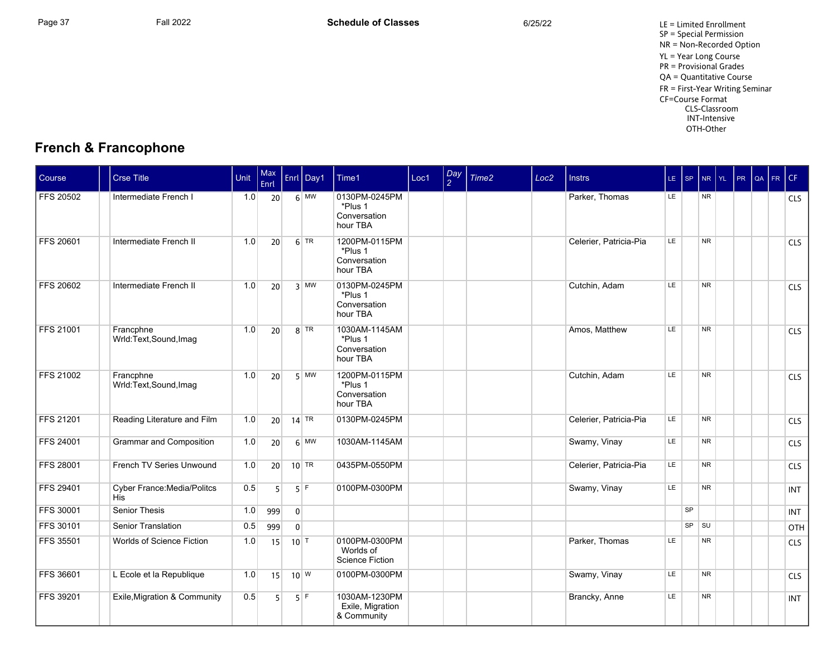## **French & Francophone**

| <b>Course</b>    | <b>Crse Title</b>                         | Unit | Max<br>Enrl     |                | Enrl Day1     | Time1                                                | Loc1 | Day<br>$\mathcal{P}$ | Time <sub>2</sub> | Loc <sub>2</sub> | <b>Instrs</b>          |     | LE SP     | $N$ R $Y$ L    | PR QA FR CF |  |            |
|------------------|-------------------------------------------|------|-----------------|----------------|---------------|------------------------------------------------------|------|----------------------|-------------------|------------------|------------------------|-----|-----------|----------------|-------------|--|------------|
| <b>FFS 20502</b> | Intermediate French I                     | 1.0  | 20 <sup>2</sup> |                | $6 \mid$ MW   | 0130PM-0245PM<br>*Plus 1<br>Conversation<br>hour TBA |      |                      |                   |                  | Parker, Thomas         | LE. |           | <b>NR</b>      |             |  | <b>CLS</b> |
| <b>FFS 20601</b> | Intermediate French II                    | 1.0  | 20              |                | $6$ TR        | 1200PM-0115PM<br>*Plus 1<br>Conversation<br>hour TBA |      |                      |                   |                  | Celerier, Patricia-Pia | LE  |           | <b>NR</b>      |             |  | CLS        |
| <b>FFS 20602</b> | Intermediate French II                    | 1.0  | 20              |                | $3$ MW        | 0130PM-0245PM<br>*Plus 1<br>Conversation<br>hour TBA |      |                      |                   |                  | Cutchin, Adam          | LE  |           | <b>NR</b>      |             |  | CLS        |
| <b>FFS 21001</b> | Francphne<br>Wrld:Text,Sound,Imag         | 1.0  | 20 <sup>1</sup> |                | $8$ TR        | 1030AM-1145AM<br>*Plus 1<br>Conversation<br>hour TBA |      |                      |                   |                  | Amos, Matthew          | LE  |           | <b>NR</b>      |             |  | <b>CLS</b> |
| <b>FFS 21002</b> | Francphne<br>Wrld:Text,Sound,Imag         | 1.0  | 20              |                | $5$ MW        | 1200PM-0115PM<br>*Plus 1<br>Conversation<br>hour TBA |      |                      |                   |                  | Cutchin, Adam          | LE  |           | <b>NR</b>      |             |  | CLS        |
| <b>FFS 21201</b> | Reading Literature and Film               | 1.0  | 20 <sup>1</sup> |                | $14$ TR       | 0130PM-0245PM                                        |      |                      |                   |                  | Celerier, Patricia-Pia | LE. |           | <b>NR</b>      |             |  | <b>CLS</b> |
| <b>FFS 24001</b> | <b>Grammar and Composition</b>            | 1.0  | 20 <sup>1</sup> |                | $6 \mid M W$  | 1030AM-1145AM                                        |      |                      |                   |                  | Swamy, Vinay           | LE. |           | <b>NR</b>      |             |  | <b>CLS</b> |
| <b>FFS 28001</b> | French TV Series Unwound                  | 1.0  | 20              |                | $10$ TR       | 0435PM-0550PM                                        |      |                      |                   |                  | Celerier, Patricia-Pia | LE  |           | <b>NR</b>      |             |  | CLS        |
| <b>FFS 29401</b> | <b>Cyber France: Media/Politcs</b><br>His | 0.5  | 5 <sup>1</sup>  |                | $5$ F         | 0100PM-0300PM                                        |      |                      |                   |                  | Swamy, Vinay           | LE  |           | N <sub>R</sub> |             |  | <b>INT</b> |
| <b>FFS 30001</b> | Senior Thesis                             | 1.0  | 999             | $\overline{0}$ |               |                                                      |      |                      |                   |                  |                        |     | <b>SP</b> |                |             |  | <b>INT</b> |
| <b>FFS 30101</b> | Senior Translation                        | 0.5  | 999             | 0 <sup>1</sup> |               |                                                      |      |                      |                   |                  |                        |     | <b>SP</b> | <b>SU</b>      |             |  | OTH        |
| <b>FFS 35501</b> | Worlds of Science Fiction                 | 1.0  | 15              | 10             |               | 0100PM-0300PM<br>Worlds of<br><b>Science Fiction</b> |      |                      |                   |                  | Parker, Thomas         | LE  |           | <b>NR</b>      |             |  | CLS        |
| <b>FFS 36601</b> | L Ecole et la Republique                  | 1.0  | 15              |                | $10^{\mid W}$ | 0100PM-0300PM                                        |      |                      |                   |                  | Swamy, Vinay           | LE  |           | <b>NR</b>      |             |  | CLS        |
| <b>FFS 39201</b> | Exile, Migration & Community              | 0.5  | 5 <sup>1</sup>  |                | $5$ F         | 1030AM-1230PM<br>Exile, Migration<br>& Community     |      |                      |                   |                  | Brancky, Anne          | LE  |           | <b>NR</b>      |             |  | <b>INT</b> |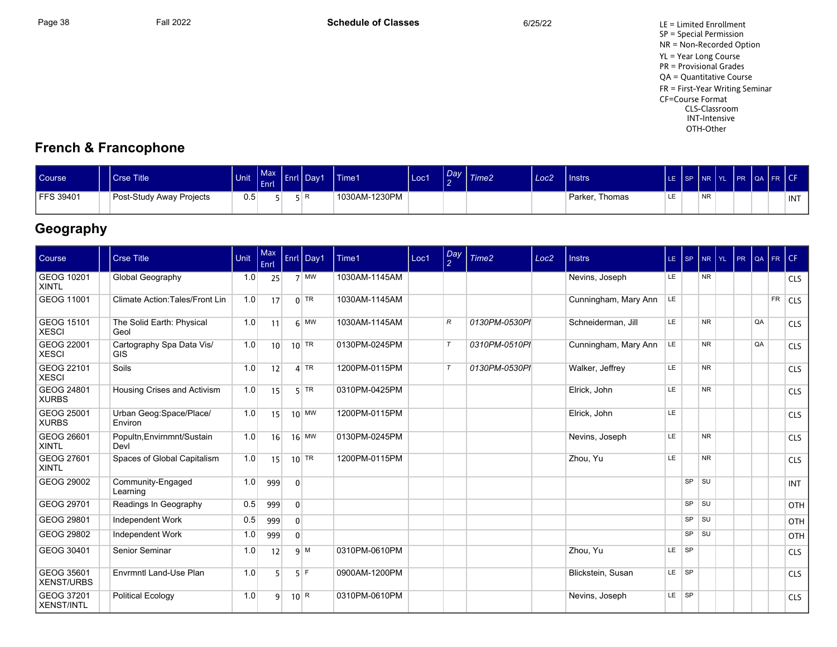Page 38 Fall 2022 Fall 2022 **Schedule of Classes** 6/25/22 6/25/22 LE = Limited Enrollment SP = Special Permission NR = Non-Recorded Option YL = Year Long Course PR = Provisional Grades QA = Quantitative Course FR = First-Year Writing Seminar CF=Course Format CLS-Classroom INT-Intensive OTH-Other

## **French & Francophone**

| <b>Course</b> | <b>Crse Title</b>        | Unit | <b>Max</b><br><b>LEnri</b> | - 1 - 4 | Enrl   Day1 | 'Time1        | Loc1 | Day<br>$\sim$ | Time2 | Loc <sub>2</sub> | Instrs            |   | ILE ISP INR IYL |                 | IPR OA FR CF |  |            |
|---------------|--------------------------|------|----------------------------|---------|-------------|---------------|------|---------------|-------|------------------|-------------------|---|-----------------|-----------------|--------------|--|------------|
| FFS 39401     | Post-Study Away Projects | 0.5  |                            |         | l R         | 1030AM-1230PM |      |               |       |                  | Thomas<br>Parker, | ᄔ |                 | NR <sup>1</sup> |              |  | <b>INT</b> |

## **Geography**

| Course                          | <b>Crse Title</b>                       | Unit | Max<br>Enrl  |                | Enrl Day1        | Time1         | Loc1 | Day    | Time2         | Loc <sub>2</sub> | <b>Instrs</b>        | $LE$ $SP$ |           | NR.            | l yl | PR | l QA | $F$ R $CF$ |            |
|---------------------------------|-----------------------------------------|------|--------------|----------------|------------------|---------------|------|--------|---------------|------------------|----------------------|-----------|-----------|----------------|------|----|------|------------|------------|
| GEOG 10201<br><b>XINTL</b>      | Global Geography                        | 1.0  | 25           |                | $7$ MW           | 1030AM-1145AM |      |        |               |                  | Nevins, Joseph       | LE        |           | <b>NR</b>      |      |    |      |            | <b>CLS</b> |
| GEOG 11001                      | Climate Action: Tales/Front Lin         | 1.0  | 17           |                | $0$ TR           | 1030AM-1145AM |      |        |               |                  | Cunningham, Mary Ann | LE        |           |                |      |    |      | <b>FR</b>  | <b>CLS</b> |
| GEOG 15101<br><b>XESCI</b>      | The Solid Earth: Physical<br>Geol       | 1.0  | 11           |                | $6$ MW           | 1030AM-1145AM |      | R      | 0130PM-0530PI |                  | Schneiderman, Jill   | LE        |           | <b>NR</b>      |      |    | QA   |            | <b>CLS</b> |
| GEOG 22001<br><b>XESCI</b>      | Cartography Spa Data Vis/<br><b>GIS</b> | 1.0  | 10           |                | $10$ TR          | 0130PM-0245PM |      | $\tau$ | 0310PM-0510PI |                  | Cunningham, Mary Ann | LE.       |           | <b>NR</b>      |      |    | QA   |            | <b>CLS</b> |
| GEOG 22101<br><b>XESCI</b>      | Soils                                   | 1.0  | 12           |                | $4$ TR           | 1200PM-0115PM |      | $\tau$ | 0130PM-0530PI |                  | Walker, Jeffrey      | LE        |           | <b>NR</b>      |      |    |      |            | <b>CLS</b> |
| GEOG 24801<br><b>XURBS</b>      | Housing Crises and Activism             | 1.0  | 15           |                | $5$ TR           | 0310PM-0425PM |      |        |               |                  | Elrick, John         | LE        |           | <b>NR</b>      |      |    |      |            | <b>CLS</b> |
| GEOG 25001<br><b>XURBS</b>      | Urban Geog:Space/Place/<br>Environ      | 1.0  | 15           |                | $10$ MW          | 1200PM-0115PM |      |        |               |                  | Elrick, John         | LE        |           |                |      |    |      |            | <b>CLS</b> |
| GEOG 26601<br><b>XINTL</b>      | Popultn, Envirnmnt/Sustain<br>Devl      | 1.0  | 16           |                | $16$ MW          | 0130PM-0245PM |      |        |               |                  | Nevins, Joseph       | LE        |           | N <sub>R</sub> |      |    |      |            | <b>CLS</b> |
| GEOG 27601<br><b>XINTL</b>      | Spaces of Global Capitalism             | 1.0  | 15           |                | $10$ TR          | 1200PM-0115PM |      |        |               |                  | Zhou, Yu             | LE        |           | N <sub>R</sub> |      |    |      |            | <b>CLS</b> |
| GEOG 29002                      | Community-Engaged<br>Learning           | 1.0  | 999          | $\overline{0}$ |                  |               |      |        |               |                  |                      |           | SP SU     |                |      |    |      |            | <b>INT</b> |
| GEOG 29701                      | Readings In Geography                   | 0.5  | 999          | $\overline{0}$ |                  |               |      |        |               |                  |                      |           | $SP$ $SU$ |                |      |    |      |            | OTH        |
| GEOG 29801                      | Independent Work                        | 0.5  | 999          | $\overline{0}$ |                  |               |      |        |               |                  |                      |           | $SP$ $SU$ |                |      |    |      |            | OTH        |
| GEOG 29802                      | Independent Work                        | 1.0  | 999          | $\overline{0}$ |                  |               |      |        |               |                  |                      |           | SP SU     |                |      |    |      |            | OTH        |
| GEOG 30401                      | Senior Seminar                          | 1.0  | 12           |                | $q \mid M$       | 0310PM-0610PM |      |        |               |                  | Zhou, Yu             | LE SP     |           |                |      |    |      |            | <b>CLS</b> |
| GEOG 35601<br><b>XENST/URBS</b> | Envrmntl Land-Use Plan                  | 1.0  | 5            |                | 5F               | 0900AM-1200PM |      |        |               |                  | Blickstein, Susan    | LE SP     |           |                |      |    |      |            | <b>CLS</b> |
| GEOG 37201<br><b>XENST/INTL</b> | <b>Political Ecology</b>                | 1.0  | $\mathsf{q}$ |                | 10 <sup> R</sup> | 0310PM-0610PM |      |        |               |                  | Nevins, Joseph       | $LE$ $SP$ |           |                |      |    |      |            | <b>CLS</b> |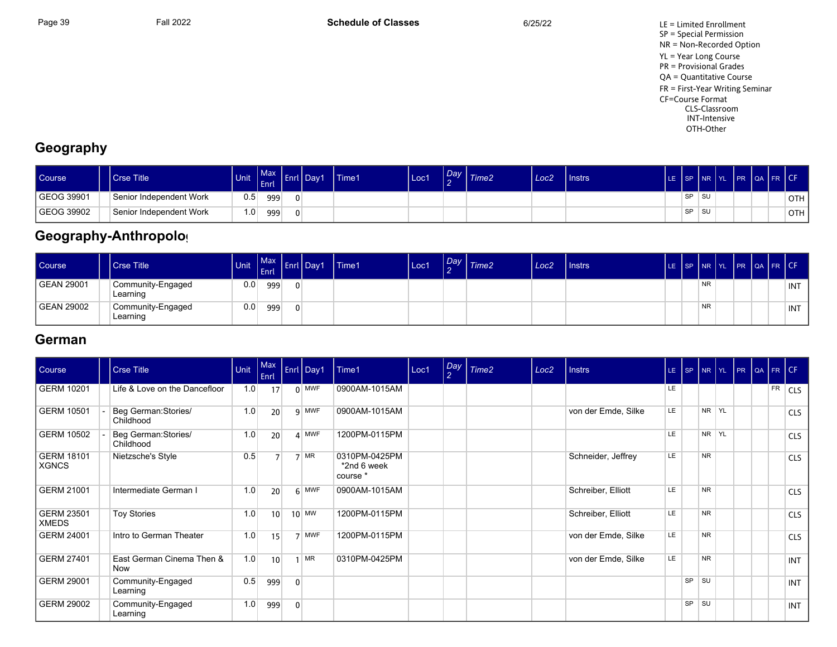

## **Geography**

| Course     | <b>Crse Title</b>       | <b>Unit</b>      | Max <sup>1</sup><br><b>Enrl</b> | -nrl | l Day1 | <b>Time1</b> | Loc' | $\sim$ | $\log$ $\frac{7}{1}$ Time2 | Loc <sub>2</sub> | Instrs | LE ISP INR YL |           |      | PR QA FR CF |  |                  |
|------------|-------------------------|------------------|---------------------------------|------|--------|--------------|------|--------|----------------------------|------------------|--------|---------------|-----------|------|-------------|--|------------------|
| GEOG 39901 | Senior Independent Work | 0.5              | 999                             |      |        |              |      |        |                            |                  |        |               | <b>SP</b> | ∣ SU |             |  | OTH <sub>1</sub> |
| GEOG 39902 | Senior Independent Work | 1.0 <sub>1</sub> | 999                             |      |        |              |      |        |                            |                  |        |               | <b>SP</b> | l su |             |  | OTH.             |

# Geography-Anthropolog

| Course     | l Crse Title                  | <b>Unit</b> | $ $ Enrl |          | $\left  \begin{array}{c} \text{Max} \\ \text{-} \end{array} \right $ Enrl Day1 | Time1 | Loc1 | Day<br>$\sim$ | Time2 | Loc2 | Instrs |  |           |  |  | LE SP NR YL PR QA FR CF |
|------------|-------------------------------|-------------|----------|----------|--------------------------------------------------------------------------------|-------|------|---------------|-------|------|--------|--|-----------|--|--|-------------------------|
| GEAN 29001 | Community-Engaged<br>Learning | 0.0         | 999      | $\Omega$ |                                                                                |       |      |               |       |      |        |  | <b>NR</b> |  |  | INT                     |
| GEAN 29002 | Community-Engaged<br>Learning | 0.0         | 999      | $\Omega$ |                                                                                |       |      |               |       |      |        |  | <b>NR</b> |  |  | INT                     |

## **German**

| Course                            | <b>Crse Title</b>                 | Unit | $ $ Max<br>Enrl |              | Enrl Day1      | Time1                                    | Loc1 | Day<br>$\mathcal{P}$ | Time2 | Loc <sub>2</sub> | <b>Instrs</b>       | $LE$ $ SP$ |       | NR YL     | PR | QA FR CF |           |            |
|-----------------------------------|-----------------------------------|------|-----------------|--------------|----------------|------------------------------------------|------|----------------------|-------|------------------|---------------------|------------|-------|-----------|----|----------|-----------|------------|
| <b>GERM 10201</b>                 | Life & Love on the Dancefloor     | 1.0  | 17              |              | $0$ MWF        | 0900AM-1015AM                            |      |                      |       |                  |                     | LE.        |       |           |    |          | <b>FR</b> | <b>CLS</b> |
| GERM 10501                        | Beg German: Stories/<br>Childhood | 1.0  | 20              |              | $9$ MWF        | 0900AM-1015AM                            |      |                      |       |                  | von der Emde, Silke | LE         |       | NR YL     |    |          |           | <b>CLS</b> |
| <b>GERM 10502</b>                 | Beg German: Stories/<br>Childhood | 1.0  | 20              |              | 4 MWF          | 1200PM-0115PM                            |      |                      |       |                  |                     | LE.        |       | NR YL     |    |          |           | <b>CLS</b> |
| <b>GERM 18101</b><br>XGNCS        | Nietzsche's Style                 | 0.5  | $\overline{ }$  |              | $7$ MR         | 0310PM-0425PM<br>*2nd 6 week<br>course * |      |                      |       |                  | Schneider, Jeffrey  | LE.        |       | <b>NR</b> |    |          |           | <b>CLS</b> |
| <b>GERM 21001</b>                 | Intermediate German I             | 1.0  | 20              |              | $6$ MWF        | 0900AM-1015AM                            |      |                      |       |                  | Schreiber, Elliott  | LE.        |       | <b>NR</b> |    |          |           | <b>CLS</b> |
| <b>GERM 23501</b><br><b>XMEDS</b> | <b>Toy Stories</b>                | 1.0  | 10 <sup>1</sup> |              | $10$ MW        | 1200PM-0115PM                            |      |                      |       |                  | Schreiber, Elliott  | LE         |       | <b>NR</b> |    |          |           | <b>CLS</b> |
| GERM 24001                        | Intro to German Theater           | 1.0  | 15              |              | 7 MWF          | 1200PM-0115PM                            |      |                      |       |                  | von der Emde, Silke | LE         |       | <b>NR</b> |    |          |           | <b>CLS</b> |
| <b>GERM 27401</b>                 | East German Cinema Then &<br>Now  | 1.0  | 10              |              | M <sub>R</sub> | 0310PM-0425PM                            |      |                      |       |                  | von der Emde, Silke | LE         |       | <b>NR</b> |    |          |           | <b>INT</b> |
| GERM 29001                        | Community-Engaged<br>Learning     | 0.5  | 999             | $\mathbf{0}$ |                |                                          |      |                      |       |                  |                     |            | SP    | ∣s∪       |    |          |           | <b>INT</b> |
| <b>GERM 29002</b>                 | Community-Engaged<br>Learning     | 1.0  | 999             | $\mathbf{0}$ |                |                                          |      |                      |       |                  |                     |            | SP SU |           |    |          |           | <b>INT</b> |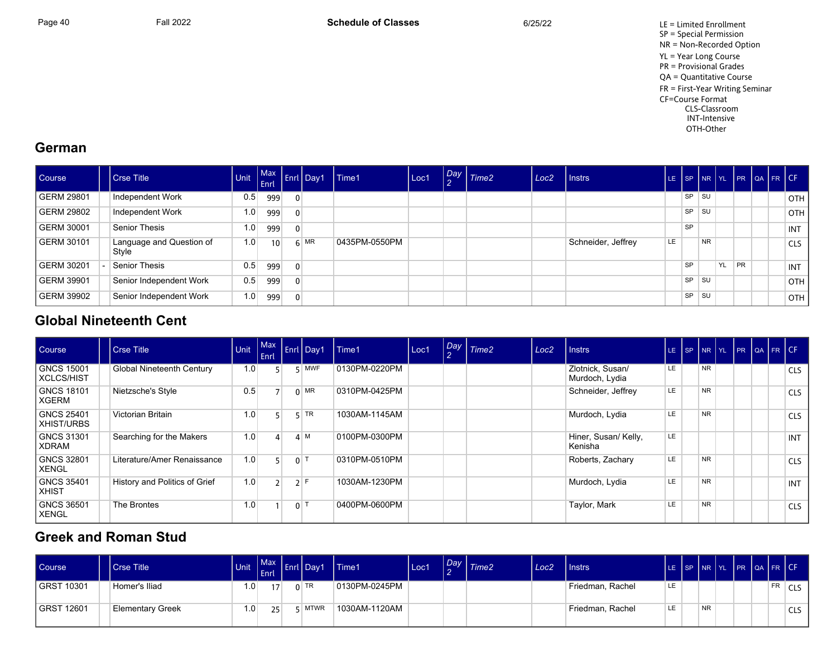

## **German**

| <b>Course</b>     | <b>Crse Title</b>                 | <b>Unit</b> | <b>V</b> Enri |                | Max Enri Day1 | Time1         | Loc1 | $\sim$ | Day Time2 | Loc <sub>2</sub> | Instrs             | LE. |           | SP NR YL  |           |           | FR QA FR CF |            |
|-------------------|-----------------------------------|-------------|---------------|----------------|---------------|---------------|------|--------|-----------|------------------|--------------------|-----|-----------|-----------|-----------|-----------|-------------|------------|
| <b>GERM 29801</b> | Independent Work                  | 0.5         | 999           | $\mathbf{0}$   |               |               |      |        |           |                  |                    |     | <b>SP</b> | <b>SU</b> |           |           |             | <b>OTH</b> |
| <b>GERM 29802</b> | Independent Work                  | 1.0         | 999           | $\overline{0}$ |               |               |      |        |           |                  |                    |     | <b>SP</b> | <b>SU</b> |           |           |             | <b>OTH</b> |
| GERM 30001        | Senior Thesis                     | 1.0         | 999           | $\overline{0}$ |               |               |      |        |           |                  |                    |     | <b>SP</b> |           |           |           |             | INT        |
| GERM 30101        | Language and Question of<br>Style | 1.0         | 10            |                | $6$ MR        | 0435PM-0550PM |      |        |           |                  | Schneider, Jeffrey | LE  |           | <b>NR</b> |           |           |             | <b>CLS</b> |
| <b>GERM 30201</b> | Senior Thesis                     | 0.5         | 999           | $\Omega$       |               |               |      |        |           |                  |                    |     | <b>SP</b> |           | <b>YL</b> | <b>PR</b> |             | INT        |
| <b>GERM 39901</b> | Senior Independent Work           | 0.5         | 999           | $\overline{0}$ |               |               |      |        |           |                  |                    |     | <b>SP</b> | . SU      |           |           |             | <b>OTH</b> |
| <b>GERM 39902</b> | Senior Independent Work           | 1.0         | 999           | $\Omega$       |               |               |      |        |           |                  |                    |     | SP        | . SU      |           |           |             | <b>OTH</b> |

## **Global Nineteenth Cent**

| Course                                 | <b>Crse Title</b>                | Unit | Max<br>Enrl    |                | <b>Enrl Day1</b> | Time1         | Loc1 | Day | Time <sub>2</sub> | Loc <sub>2</sub> | l Instrs l                         |     | LE $ SP NR$ |           | <b>TYL</b> | PR |  | QA FR CF   |
|----------------------------------------|----------------------------------|------|----------------|----------------|------------------|---------------|------|-----|-------------------|------------------|------------------------------------|-----|-------------|-----------|------------|----|--|------------|
| <b>GNCS 15001</b><br>XCLCS/HIST        | <b>Global Nineteenth Century</b> | 1.0  |                |                | $5$ MWF          | 0130PM-0220PM |      |     |                   |                  | Zlotnick, Susan/<br>Murdoch, Lydia | LE  |             | <b>NR</b> |            |    |  | <b>CLS</b> |
| <b>GNCS 18101</b><br><b>XGERM</b>      | Nietzsche's Style                | 0.5  |                |                | $0$ MR           | 0310PM-0425PM |      |     |                   |                  | Schneider, Jeffrey                 | LE  |             | <b>NR</b> |            |    |  | <b>CLS</b> |
| <b>GNCS 25401</b><br><b>XHIST/URBS</b> | Victorian Britain                | 1.0  |                |                | $5$ TR           | 1030AM-1145AM |      |     |                   |                  | Murdoch, Lydia                     | LE  |             | <b>NR</b> |            |    |  | <b>CLS</b> |
| <b>GNCS 31301</b><br>XDRAM             | Searching for the Makers         | 1.0  | 4              |                | 4 M              | 0100PM-0300PM |      |     |                   |                  | Hiner, Susan/ Kelly,<br>Kenisha    | LE  |             |           |            |    |  | <b>INT</b> |
| <b>GNCS 32801</b><br>XENGL             | Literature/Amer Renaissance      | 1.0  |                | 0 <sup>1</sup> |                  | 0310PM-0510PM |      |     |                   |                  | Roberts, Zachary                   | LE. |             | <b>NR</b> |            |    |  | <b>CLS</b> |
| <b>GNCS 35401</b><br>  XHIST           | History and Politics of Grief    | 1.0  | $\overline{2}$ |                | $2$ F            | 1030AM-1230PM |      |     |                   |                  | Murdoch, Lydia                     | LE  |             | <b>NR</b> |            |    |  | <b>INT</b> |
| <b>GNCS 36501</b><br>  XENGL           | The Brontes                      | 1.0  |                | $0$   1        |                  | 0400PM-0600PM |      |     |                   |                  | Taylor, Mark                       | LE  |             | <b>NR</b> |            |    |  | <b>CLS</b> |

## **Greek and Roman Studi**

| Course       | <b>Crse Title</b>       | Unit             | $\blacksquare$ Max<br><b>LEnri</b> | $\vert$ Enrl $\vert$ Day1 | <b>Time1</b>  | Loc1 | Day | Time <sub>2</sub> | Loc <sub>2</sub> | Instrs           | LE SP NR YL PR QA FR CF |           |  |           |        |
|--------------|-------------------------|------------------|------------------------------------|---------------------------|---------------|------|-----|-------------------|------------------|------------------|-------------------------|-----------|--|-----------|--------|
| I GRST 10301 | Homer's Iliad           | 1.0              |                                    | $0$ TR                    | 0130PM-0245PM |      |     |                   |                  | Friedman, Rachel | LE                      |           |  | <b>FR</b> | 'CLS ∣ |
| I GRST 12601 | <b>Elementary Greek</b> | 1.0 <sub>1</sub> | 25                                 | <b>MTWR</b>               | 1030AM-1120AM |      |     |                   |                  | Friedman, Rachel | LE                      | <b>NR</b> |  |           | CLS    |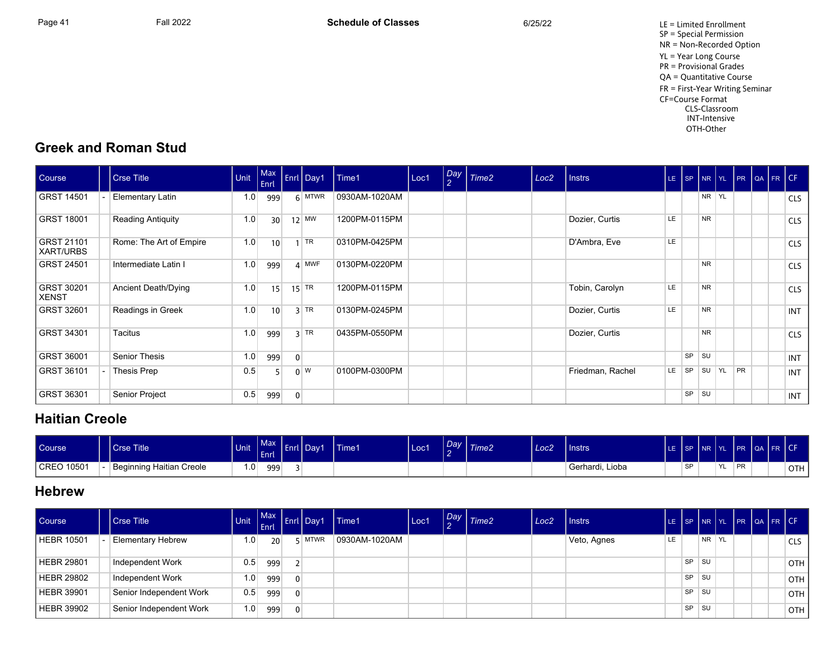Page 41 Fall 2022 Fall 2022 **Schedule of Classes** 6/25/22 6/25/22 LE = Limited Enrollment SP = Special Permission NR = Non-Recorded Option YL = Year Long Course PR = Provisional Grades QA = Quantitative Course FR = First-Year Writing Seminar CF=Course Format CLS-Classroom INT-Intensive OTH-Other

## **Greek and Roman Studi**

| Course                            | <b>Crse Title</b>          | Unit | $ $ Max<br>Enrl |                | Enrl Day1   | Time1         | Loc1 | Day<br>$\overline{2}$ | Time2 | Loc <sub>2</sub> | <b>Instrs</b>    |     |    |           |                           |           | LE SP NR YL PR QA FR CF |            |
|-----------------------------------|----------------------------|------|-----------------|----------------|-------------|---------------|------|-----------------------|-------|------------------|------------------|-----|----|-----------|---------------------------|-----------|-------------------------|------------|
| <b>GRST 14501</b>                 | Elementary Latin           | 1.0  | 999             |                | $6$ MTWR    | 0930AM-1020AM |      |                       |       |                  |                  |     |    |           | NR YL                     |           |                         | <b>CLS</b> |
| <b>GRST 18001</b>                 | <b>Reading Antiquity</b>   | 1.0  | 30 <sup>1</sup> |                | $12$ MW     | 1200PM-0115PM |      |                       |       |                  | Dozier, Curtis   | LE. |    | <b>NR</b> |                           |           |                         | <b>CLS</b> |
| <b>GRST 21101</b><br>XART/URBS    | Rome: The Art of Empire    | 1.0  | 10              |                | $1$ TR      | 0310PM-0425PM |      |                       |       |                  | D'Ambra, Eve     | LE. |    |           |                           |           |                         | <b>CLS</b> |
| <b>GRST 24501</b>                 | Intermediate Latin I       | 1.0  | 999             |                | $4$ MWF     | 0130PM-0220PM |      |                       |       |                  |                  |     |    | <b>NR</b> |                           |           |                         | <b>CLS</b> |
| <b>GRST 30201</b><br><b>XENST</b> | <b>Ancient Death/Dying</b> | 1.0  | 15              |                | $15$ TR     | 1200PM-0115PM |      |                       |       |                  | Tobin, Carolyn   | LE. |    | <b>NR</b> |                           |           |                         | <b>CLS</b> |
| <b>GRST 32601</b>                 | Readings in Greek          | 1.0  | 10 <sup>1</sup> |                | $3$ TR      | 0130PM-0245PM |      |                       |       |                  | Dozier, Curtis   | LE. |    | <b>NR</b> |                           |           |                         | <b>INT</b> |
| GRST 34301                        | Tacitus                    | 1.0  | 999             |                | $3$ TR      | 0435PM-0550PM |      |                       |       |                  | Dozier, Curtis   |     |    | <b>NR</b> |                           |           |                         | <b>CLS</b> |
| GRST 36001                        | <b>Senior Thesis</b>       | 1.0  | 999             | $\overline{0}$ |             |               |      |                       |       |                  |                  |     | SP | <b>SU</b> |                           |           |                         | INT        |
| GRST 36101                        | Thesis Prep                | 0.5  |                 |                | $0 \vert W$ | 0100PM-0300PM |      |                       |       |                  | Friedman, Rachel | LE. | SP | <b>SU</b> | $\overline{\mathsf{Y}}$ L | <b>PR</b> |                         | INT        |
| GRST 36301                        | Senior Project             | 0.5  | 999             | $\overline{0}$ |             |               |      |                       |       |                  |                  |     | SP | <b>SU</b> |                           |           |                         | INT        |

## **Haitian Creole**

| Course     | Crse Title               | <b>Unit</b> | Max<br>Enrl <sup>1</sup> | <b>Lend</b> | rl Day1 | Time1 | Loc1 | Day<br>-- | Time <sub>2</sub> | Loc <sub>2</sub> | Instrs          | ΙF | l SP i    | Inr Iyl |     |    | PR QA FR CF |       |
|------------|--------------------------|-------------|--------------------------|-------------|---------|-------|------|-----------|-------------------|------------------|-----------------|----|-----------|---------|-----|----|-------------|-------|
| CREO 10501 | Beginning Haitian Creole | ا 0. ا      | 999                      |             |         |       |      |           |                   |                  | Gerhardi, Lioba |    | <b>QD</b> |         | YL. | PR |             | OTH I |

## **Hebrew**

| Course            | <b>Crse Title</b>        | <b>Unit End Inc.</b> |                 |          | Finit Max Enrl Day1 | l Time1       | Loc1 | $\sqrt{\frac{Day}{a}}$ Time2 | Loc <sub>2</sub> | l Instrs    |    |           |           |   |  | LE SP NR YL PR QA FR CF |       |
|-------------------|--------------------------|----------------------|-----------------|----------|---------------------|---------------|------|------------------------------|------------------|-------------|----|-----------|-----------|---|--|-------------------------|-------|
| <b>HEBR 10501</b> | <b>Elementary Hebrew</b> | 1.0 <sub>1</sub>     | 20 <sup>1</sup> |          | $5$ MTWR            | 0930AM-1020AM |      |                              |                  | Veto, Agnes | LE |           | NR.       | Y |  |                         | CLS   |
| HEBR 29801        | Independent Work         | 0.5                  | 999             |          |                     |               |      |                              |                  |             |    | SP.       | <b>SU</b> |   |  |                         | OTH I |
| <b>HEBR 29802</b> | Independent Work         | 1.0                  | 999             | $\Omega$ |                     |               |      |                              |                  |             |    | $SP$ $SU$ |           |   |  |                         | OTH I |
| HEBR 39901        | Senior Independent Work  | 0.5                  | 999             | $\Omega$ |                     |               |      |                              |                  |             |    | SP        | <b>SU</b> |   |  |                         | OTH I |
| <b>HEBR 39902</b> | Senior Independent Work  | 1.0                  | 999             | $\Omega$ |                     |               |      |                              |                  |             |    | <b>SP</b> | SU        |   |  |                         | OTH I |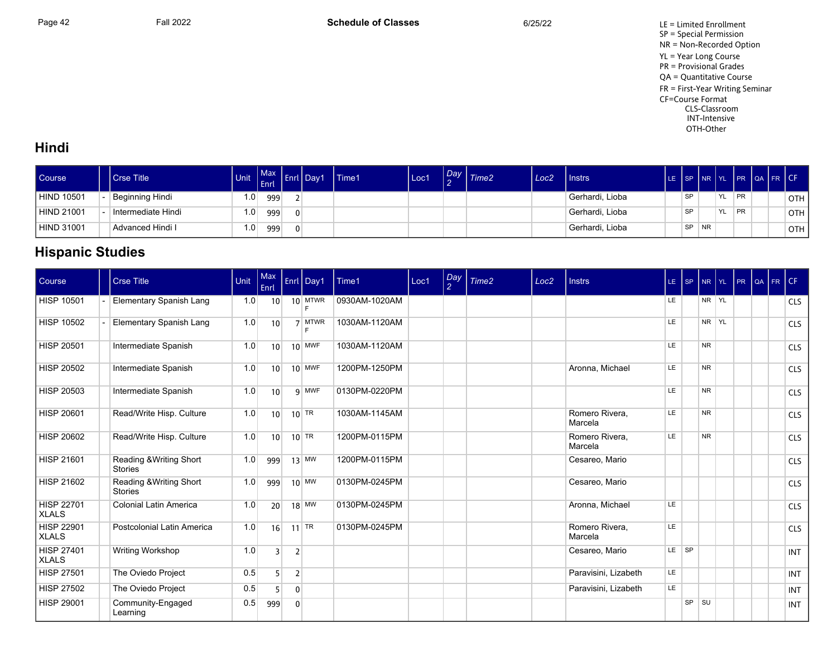Page 42 **Fall 2022** Fall 2022 **Schedule of Classes** 6/25/22 6/25/22 LE = Limited Enrollment SP = Special Permission NR = Non-Recorded Option YL = Year Long Course PR = Provisional Grades QA = Quantitative Course FR = First-Year Writing Seminar CF=Course Format CLS-Classroom INT-Intensive OTH-Other

## **Hindi**

| Course            | Crse Title <sup>1</sup> | <b>Unit</b>      | <b>Max</b><br>Enrl | . . | Enrl   Day1 | Time1 | Loc1 | $\sim$ | $\log$ $\frac{7}{1}$ Time2 | Loc2 | Instrs          |           | LE SP INR YL |           |           | IPR LOA FR ICF |            |
|-------------------|-------------------------|------------------|--------------------|-----|-------------|-------|------|--------|----------------------------|------|-----------------|-----------|--------------|-----------|-----------|----------------|------------|
| <b>HIND 10501</b> | Beginning Hindi         | 1.0              | 999                |     |             |       |      |        |                            |      | Gerhardi, Lioba | SP        |              | <b>YL</b> | <b>PR</b> |                | <b>OTH</b> |
| <b>HIND 21001</b> | Intermediate Hindi      | 1.0 <sub>1</sub> | 999                |     |             |       |      |        |                            |      | Gerhardi, Lioba | SP        |              | <b>YL</b> | <b>PR</b> |                | <b>OTH</b> |
| <b>HIND 31001</b> | Advanced Hindi I        | 1.0              | 999                |     |             |       |      |        |                            |      | Gerhardi, Lioba | <b>SP</b> | <b>NR</b>    |           |           |                | OTH        |

## **Hispanic Studies**

| Course                            | <b>Crse Title</b>                         | Unit | Max<br>Enrl     |                | Enrl Day1          | Time1         | Loc1 | Day<br>2 | Time <sub>2</sub> | Loc <sub>2</sub> | <b>Instrs</b>             | LE SP |    |                | NR YL PR |  | QA FR CF |            |
|-----------------------------------|-------------------------------------------|------|-----------------|----------------|--------------------|---------------|------|----------|-------------------|------------------|---------------------------|-------|----|----------------|----------|--|----------|------------|
| <b>HISP 10501</b>                 | Elementary Spanish Lang                   | 1.0  | 10 <sup>1</sup> |                | $10$ MTWR<br>E     | 0930AM-1020AM |      |          |                   |                  |                           | LE.   |    | NR YL          |          |  |          | <b>CLS</b> |
| <b>HISP 10502</b>                 | Elementary Spanish Lang                   | 1.0  | 10              |                | 7 MTWR<br>E        | 1030AM-1120AM |      |          |                   |                  |                           | LE    |    | NR YL          |          |  |          | <b>CLS</b> |
| <b>HISP 20501</b>                 | Intermediate Spanish                      | 1.0  | 10 <sup>1</sup> |                | $10$ MWF           | 1030AM-1120AM |      |          |                   |                  |                           | LE    |    | <b>NR</b>      |          |  |          | <b>CLS</b> |
| <b>HISP 20502</b>                 | Intermediate Spanish                      | 1.0  | 10 <sup>1</sup> |                | $10$ MWF           | 1200PM-1250PM |      |          |                   |                  | Aronna, Michael           | LE.   |    | NR.            |          |  |          | <b>CLS</b> |
| <b>HISP 20503</b>                 | Intermediate Spanish                      | 1.0  | 10              |                | 9 MWF              | 0130PM-0220PM |      |          |                   |                  |                           | LE    |    | <b>NR</b>      |          |  |          | <b>CLS</b> |
| <b>HISP 20601</b>                 | Read/Write Hisp. Culture                  | 1.0  | 10 <sup>1</sup> |                | $10$ TR            | 1030AM-1145AM |      |          |                   |                  | Romero Rivera.<br>Marcela | LE.   |    | N <sub>R</sub> |          |  |          | <b>CLS</b> |
| <b>HISP 20602</b>                 | Read/Write Hisp. Culture                  | 1.0  | 10 <sup>1</sup> |                | $10$ <sup>TR</sup> | 1200PM-0115PM |      |          |                   |                  | Romero Rivera,<br>Marcela | LE    |    | NR.            |          |  |          | <b>CLS</b> |
| <b>HISP 21601</b>                 | Reading & Writing Short<br><b>Stories</b> | 1.0  | 999             |                | $13$ MW            | 1200PM-0115PM |      |          |                   |                  | Cesareo, Mario            |       |    |                |          |  |          | <b>CLS</b> |
| <b>HISP 21602</b>                 | Reading & Writing Short<br><b>Stories</b> | 1.0  | 999             |                | $10$ MW            | 0130PM-0245PM |      |          |                   |                  | Cesareo, Mario            |       |    |                |          |  |          | <b>CLS</b> |
| <b>HISP 22701</b><br><b>XLALS</b> | <b>Colonial Latin America</b>             | 1.0  | 20              |                | $18$ MW            | 0130PM-0245PM |      |          |                   |                  | Aronna, Michael           | LE.   |    |                |          |  |          | <b>CLS</b> |
| <b>HISP 22901</b><br><b>XLALS</b> | Postcolonial Latin America                | 1.0  | 16              |                | 11 TR              | 0130PM-0245PM |      |          |                   |                  | Romero Rivera,<br>Marcela | LE    |    |                |          |  |          | <b>CLS</b> |
| <b>HISP 27401</b><br><b>XLALS</b> | <b>Writing Workshop</b>                   | 1.0  | $\overline{3}$  | $\overline{2}$ |                    |               |      |          |                   |                  | Cesareo, Mario            | LE SP |    |                |          |  |          | <b>INT</b> |
| <b>HISP 27501</b>                 | The Oviedo Project                        | 0.5  | 5 <sup>1</sup>  | $\overline{2}$ |                    |               |      |          |                   |                  | Paravisini, Lizabeth      | LE.   |    |                |          |  |          | <b>INT</b> |
| <b>HISP 27502</b>                 | The Oviedo Project                        | 0.5  | 5               | $\mathbf{0}$   |                    |               |      |          |                   |                  | Paravisini, Lizabeth      | LE    |    |                |          |  |          | <b>INT</b> |
| <b>HISP 29001</b>                 | Community-Engaged<br>Learning             | 0.5  | 999             | $\mathbf 0$    |                    |               |      |          |                   |                  |                           |       | SP | <b>SU</b>      |          |  |          | <b>INT</b> |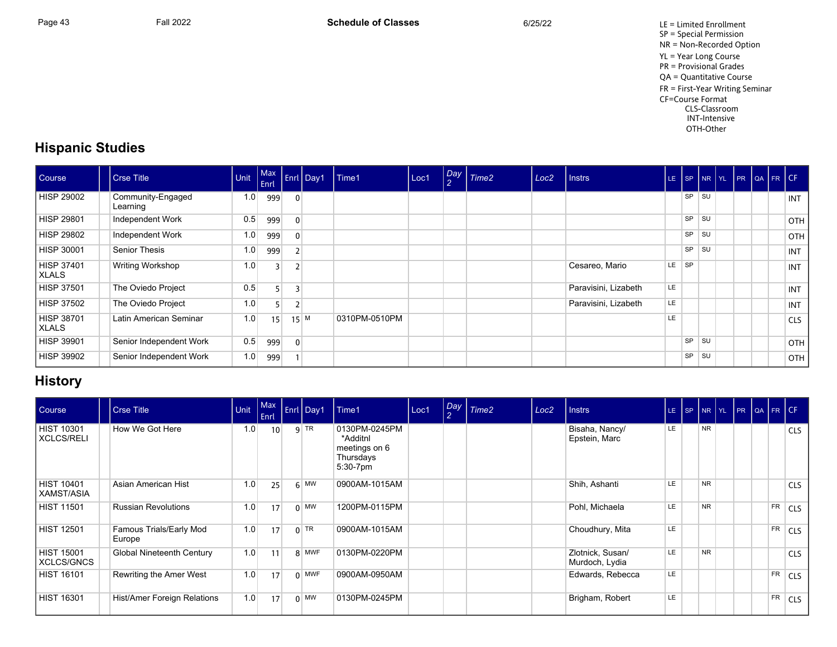Page 43 Fall 2022 Fall 2022 **Schedule of Classes** 6/25/22 6/25/22 LE = Limited Enrollment SP = Special Permission NR = Non-Recorded Option YL = Year Long Course PR = Provisional Grades QA = Quantitative Course FR = First-Year Writing Seminar CF=Course Format CLS-Classroom INT-Intensive OTH-Other

## **Hispanic Studies**

| Course                     | Crse Title                    | Unit | Enrl           |                | Max Enrl Day1 | Time1         | Loc1 | $\overline{2}$ | Day Time2 | Loc <sub>2</sub> | l Instrs             | LE. |           | $SP$ $NR$ $YL$ |  | PR QA FR CF |            |
|----------------------------|-------------------------------|------|----------------|----------------|---------------|---------------|------|----------------|-----------|------------------|----------------------|-----|-----------|----------------|--|-------------|------------|
| HISP 29002                 | Community-Engaged<br>Learning | 1.0  | 999            | $\mathbf{0}$   |               |               |      |                |           |                  |                      |     | <b>SP</b> | <b>SU</b>      |  |             | <b>INT</b> |
| HISP 29801                 | Independent Work              | 0.5  | 999            |                |               |               |      |                |           |                  |                      |     | <b>SP</b> | l su           |  |             | OTH        |
| HISP 29802                 | Independent Work              | 1.0  | 999            | $\overline{0}$ |               |               |      |                |           |                  |                      |     | SP        | l su           |  |             | OTH        |
| HISP 30001                 | Senior Thesis                 | 1.0  | 999            |                |               |               |      |                |           |                  |                      |     | SP        | SU             |  |             | INT        |
| HISP 37401<br>  XLALS      | Writing Workshop              | 1.0  | $\overline{3}$ |                |               |               |      |                |           |                  | Cesareo, Mario       | LE. | SP        |                |  |             | <b>INT</b> |
| HISP 37501                 | The Oviedo Project            | 0.5  | 5              | 3              |               |               |      |                |           |                  | Paravisini, Lizabeth | LE. |           |                |  |             | INT        |
| <b>HISP 37502</b>          | The Oviedo Project            | 1.0  |                |                |               |               |      |                |           |                  | Paravisini, Lizabeth | LE. |           |                |  |             | <b>INT</b> |
| HISP 38701<br><b>XLALS</b> | Latin American Seminar        | 1.0  | 15             |                | 15 M          | 0310PM-0510PM |      |                |           |                  |                      | LE. |           |                |  |             | <b>CLS</b> |
| <b>HISP 39901</b>          | Senior Independent Work       | 0.5  | 999            | $\overline{0}$ |               |               |      |                |           |                  |                      |     | <b>SP</b> | <b>SU</b>      |  |             | <b>OTH</b> |
| <b>HISP 39902</b>          | Senior Independent Work       | 1.0  | 999            |                |               |               |      |                |           |                  |                      |     | SP        | SU             |  |             | <b>OTH</b> |

## **History**

| Course                          | <b>Crse Title</b>                 | Unit | Max<br>Enrl | Enrl Day1   | Time1                                                                  | Loc1 | Day<br>$\mathcal{P}$ | Time <sub>2</sub> | Loc <sub>2</sub> | l Instrs                           | LE  | SP NR |           | YL PR QA FR CF |           |            |
|---------------------------------|-----------------------------------|------|-------------|-------------|------------------------------------------------------------------------|------|----------------------|-------------------|------------------|------------------------------------|-----|-------|-----------|----------------|-----------|------------|
| HIST 10301<br><b>XCLCS/RELI</b> | How We Got Here                   | 1.0  | 10          | $9$ TR      | 0130PM-0245PM<br>*Additnl<br>meetings on 6<br>Thursdays<br>$5:30-7$ pm |      |                      |                   |                  | Bisaha, Nancy/<br>Epstein, Marc    | LE. |       | <b>NR</b> |                |           | <b>CLS</b> |
| HIST 10401<br>XAMST/ASIA        | Asian American Hist               | 1.0  | 25          | $6$ MW      | 0900AM-1015AM                                                          |      |                      |                   |                  | Shih, Ashanti                      | LE. |       | <b>NR</b> |                |           | <b>CLS</b> |
| HIST 11501                      | <b>Russian Revolutions</b>        | 1.0  | 17          | $0$ MW      | 1200PM-0115PM                                                          |      |                      |                   |                  | Pohl, Michaela                     | LE. |       | <b>NR</b> |                | <b>FR</b> | <b>CLS</b> |
| <b>HIST 12501</b>               | Famous Trials/Early Mod<br>Europe | 1.0  | 17          | $0$ TR      | 0900AM-1015AM                                                          |      |                      |                   |                  | Choudhury, Mita                    | LE. |       |           |                | <b>FR</b> | <b>CLS</b> |
| HIST 15001<br>XCLCS/GNCS        | Global Nineteenth Century         | 1.0  | 11          | 8 MWF       | 0130PM-0220PM                                                          |      |                      |                   |                  | Zlotnick, Susan/<br>Murdoch, Lydia | LE. |       | <b>NR</b> |                |           | <b>CLS</b> |
| <b>HIST 16101</b>               | Rewriting the Amer West           | 1.0  | 17          | $0$ MWF     | 0900AM-0950AM                                                          |      |                      |                   |                  | Edwards, Rebecca                   | LE. |       |           |                | <b>FR</b> | <b>CLS</b> |
| HIST 16301                      | Hist/Amer Foreign Relations       | 1.0  | 17          | $0 \mid$ MW | 0130PM-0245PM                                                          |      |                      |                   |                  | Brigham, Robert                    | LE. |       |           |                | <b>FR</b> | <b>CLS</b> |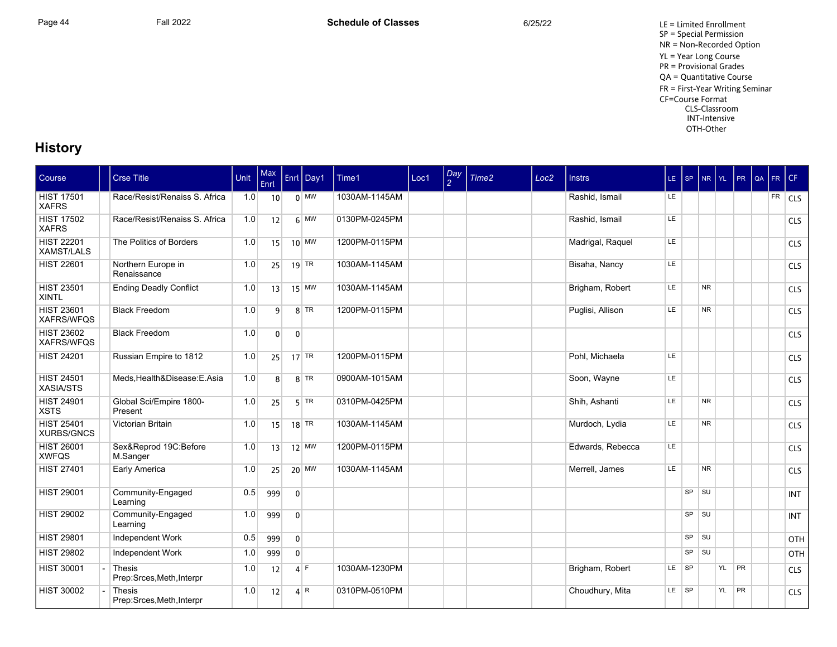## **History**

| Course                                 | <b>Crse Title</b>                          | Unit | Max<br><b>Enrl</b> |                | Enrl   Day1  | Time1         | Loc1 | $\frac{Day}{2}$ | Time <sub>2</sub> | Loc <sub>2</sub> | <b>Instrs</b>    | $LE$ SP |           | NR             | YL | PR        | QA | FR        | CF         |
|----------------------------------------|--------------------------------------------|------|--------------------|----------------|--------------|---------------|------|-----------------|-------------------|------------------|------------------|---------|-----------|----------------|----|-----------|----|-----------|------------|
| <b>HIST 17501</b><br><b>XAFRS</b>      | Race/Resist/Renaiss S. Africa              | 1.0  | 10                 |                | $0 \vert$ MW | 1030AM-1145AM |      |                 |                   |                  | Rashid, Ismail   | LE.     |           |                |    |           |    | <b>FR</b> | <b>CLS</b> |
| <b>HIST 17502</b><br><b>XAFRS</b>      | Race/Resist/Renaiss S. Africa              | 1.0  | 12                 |                | $6$ MW       | 0130PM-0245PM |      |                 |                   |                  | Rashid, Ismail   | LE      |           |                |    |           |    |           | <b>CLS</b> |
| <b>HIST 22201</b><br>XAMST/LALS        | The Politics of Borders                    | 1.0  | 15                 |                | $10$ MW      | 1200PM-0115PM |      |                 |                   |                  | Madrigal, Raquel | LE      |           |                |    |           |    |           | <b>CLS</b> |
| <b>HIST 22601</b>                      | Northern Europe in<br>Renaissance          | 1.0  | 25                 |                | $19$ TR      | 1030AM-1145AM |      |                 |                   |                  | Bisaha, Nancy    | LE      |           |                |    |           |    |           | <b>CLS</b> |
| <b>HIST 23501</b><br><b>XINTL</b>      | <b>Ending Deadly Conflict</b>              | 1.0  | 13                 |                | $15$ MW      | 1030AM-1145AM |      |                 |                   |                  | Brigham, Robert  | LE      |           | <b>NR</b>      |    |           |    |           | <b>CLS</b> |
| <b>HIST 23601</b><br>XAFRS/WFQS        | <b>Black Freedom</b>                       | 1.0  | $\overline{9}$     |                | $8 $ TR      | 1200PM-0115PM |      |                 |                   |                  | Puglisi, Allison | LE      |           | N <sub>R</sub> |    |           |    |           | <b>CLS</b> |
| <b>HIST 23602</b><br>XAFRS/WFQS        | <b>Black Freedom</b>                       | 1.0  | $\overline{0}$     | $\mathbf{0}$   |              |               |      |                 |                   |                  |                  |         |           |                |    |           |    |           | <b>CLS</b> |
| <b>HIST 24201</b>                      | Russian Empire to 1812                     | 1.0  | 25                 |                | $17$ TR      | 1200PM-0115PM |      |                 |                   |                  | Pohl, Michaela   | LE      |           |                |    |           |    |           | <b>CLS</b> |
| <b>HIST 24501</b><br>XASIA/STS         | Meds, Health&Disease: E.Asia               | 1.0  | 8 <sup>1</sup>     |                | $8$ TR       | 0900AM-1015AM |      |                 |                   |                  | Soon, Wayne      | LE      |           |                |    |           |    |           | <b>CLS</b> |
| <b>HIST 24901</b><br><b>XSTS</b>       | Global Sci/Empire 1800-<br>Present         | 1.0  | 25                 |                | $5$ TR       | 0310PM-0425PM |      |                 |                   |                  | Shih, Ashanti    | LE      |           | N <sub>R</sub> |    |           |    |           | <b>CLS</b> |
| <b>HIST 25401</b><br><b>XURBS/GNCS</b> | Victorian Britain                          | 1.0  | 15                 |                | $18$ TR      | 1030AM-1145AM |      |                 |                   |                  | Murdoch, Lydia   | LE.     |           | N <sub>R</sub> |    |           |    |           | <b>CLS</b> |
| <b>HIST 26001</b><br><b>XWFQS</b>      | Sex&Reprod 19C:Before<br>M.Sanger          | 1.0  | 13                 |                | $12$ MW      | 1200PM-0115PM |      |                 |                   |                  | Edwards, Rebecca | LE      |           |                |    |           |    |           | <b>CLS</b> |
| <b>HIST 27401</b>                      | Early America                              | 1.0  | 25                 |                | $20$ MW      | 1030AM-1145AM |      |                 |                   |                  | Merrell, James   | LE      |           | <b>NR</b>      |    |           |    |           | <b>CLS</b> |
| <b>HIST 29001</b>                      | Community-Engaged<br>Learning              | 0.5  | 999                | $\overline{0}$ |              |               |      |                 |                   |                  |                  |         | SP        | <b>SU</b>      |    |           |    |           | INT        |
| <b>HIST 29002</b>                      | Community-Engaged<br>Learning              | 1.0  | 999                | $\mathbf{0}$   |              |               |      |                 |                   |                  |                  |         | $SP$ $SU$ |                |    |           |    |           | <b>INT</b> |
| <b>HIST 29801</b>                      | Independent Work                           | 0.5  | 999                | $\overline{0}$ |              |               |      |                 |                   |                  |                  |         | $SP$ $SU$ |                |    |           |    |           | OTH        |
| <b>HIST 29802</b>                      | Independent Work                           | 1.0  | 999                | $\overline{0}$ |              |               |      |                 |                   |                  |                  |         | <b>SP</b> | l su           |    |           |    |           | OTH        |
| <b>HIST 30001</b>                      | Thesis<br>Prep:Srces, Meth, Interpr        | 1.0  | 12                 |                | $4$ F        | 1030AM-1230PM |      |                 |                   |                  | Brigham, Robert  | LE.     | <b>SP</b> |                | YL | <b>PR</b> |    |           | <b>CLS</b> |
| <b>HIST 30002</b>                      | <b>Thesis</b><br>Prep:Srces, Meth, Interpr | 1.0  | 12                 |                | 4 R          | 0310PM-0510PM |      |                 |                   |                  | Choudhury, Mita  | LE SP   |           |                | YL | PR        |    |           | <b>CLS</b> |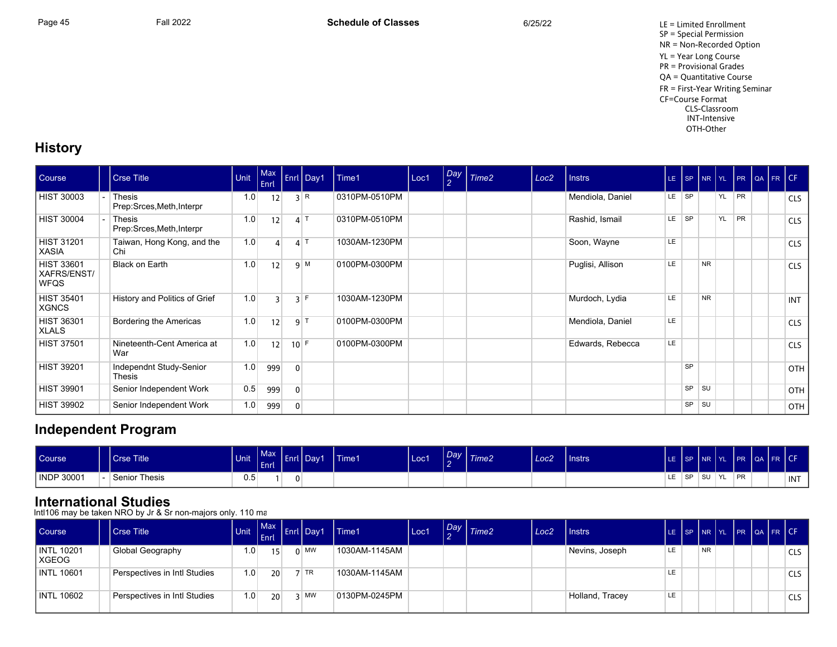Page 45 Fall 2022 Fall 2022 **Schedule of Classes** 6/25/22 6/25/22 LE = Limited Enrollment SP = Special Permission NR = Non-Recorded Option YL = Year Long Course PR = Provisional Grades QA = Quantitative Course FR = First-Year Writing Seminar CF=Course Format CLS-Classroom INT-Intensive OTH-Other

## **History**

| Course                                          | <b>Crse Title</b>                          | Unit | Max<br>Enrl    |                | Enrl Day1       | Time1         | Loc1 | Day<br>$\overline{2}$ | Time <sub>2</sub> | Loc <sub>2</sub> | <b>Instrs</b>    |     |           |           | LE SP NR YL PR QA FR CF |           |  |            |
|-------------------------------------------------|--------------------------------------------|------|----------------|----------------|-----------------|---------------|------|-----------------------|-------------------|------------------|------------------|-----|-----------|-----------|-------------------------|-----------|--|------------|
| <b>HIST 30003</b>                               | <b>Thesis</b><br>Prep:Srces, Meth, Interpr | 1.0  | 12             |                | 3 R             | 0310PM-0510PM |      |                       |                   |                  | Mendiola, Daniel | LE. | <b>SP</b> |           | YL                      | <b>PR</b> |  | <b>CLS</b> |
| <b>HIST 30004</b>                               | Thesis<br>Prep:Srces, Meth, Interpr        | 1.0  | 12             |                | $4$ T           | 0310PM-0510PM |      |                       |                   |                  | Rashid, Ismail   | LE. | <b>SP</b> |           | <b>YL</b>               | <b>PR</b> |  | <b>CLS</b> |
| <b>HIST 31201</b><br><b>XASIA</b>               | Taiwan, Hong Kong, and the<br>Chi          | 1.0  |                |                | $\mathbf{A}$ T  | 1030AM-1230PM |      |                       |                   |                  | Soon, Wayne      | LE. |           |           |                         |           |  | <b>CLS</b> |
| <b>HIST 33601</b><br>XAFRS/ENST/<br><b>WFQS</b> | <b>Black on Earth</b>                      | 1.0  | 12             |                | 9 M             | 0100PM-0300PM |      |                       |                   |                  | Puglisi, Allison | LE  |           | <b>NR</b> |                         |           |  | <b>CLS</b> |
| <b>HIST 35401</b><br><b>XGNCS</b>               | History and Politics of Grief              | 1.0  | $\overline{3}$ |                | $3$ F           | 1030AM-1230PM |      |                       |                   |                  | Murdoch, Lydia   | LE. |           | <b>NR</b> |                         |           |  | <b>INT</b> |
| <b>HIST 36301</b><br><b>XLALS</b>               | Bordering the Americas                     | 1.0  | 12             |                | 9 <sup> T</sup> | 0100PM-0300PM |      |                       |                   |                  | Mendiola, Daniel | LE  |           |           |                         |           |  | <b>CLS</b> |
| <b>HIST 37501</b>                               | Nineteenth-Cent America at<br>War          | 1.0  | 12             | $10$ F         |                 | 0100PM-0300PM |      |                       |                   |                  | Edwards, Rebecca | LE  |           |           |                         |           |  | <b>CLS</b> |
| <b>HIST 39201</b>                               | Independnt Study-Senior<br>Thesis          | 1.0  | 999            | $\mathbf{0}$   |                 |               |      |                       |                   |                  |                  |     | <b>SP</b> |           |                         |           |  | OTH        |
| <b>HIST 39901</b>                               | Senior Independent Work                    | 0.5  | 999            | $\mathbf{0}$   |                 |               |      |                       |                   |                  |                  |     | SP        | <b>SU</b> |                         |           |  | OTH        |
| <b>HIST 39902</b>                               | Senior Independent Work                    | 1.0  | 999            | $\overline{0}$ |                 |               |      |                       |                   |                  |                  |     | SP        | l su      |                         |           |  | <b>OTH</b> |

## **Independent Program**

| Course     | Crse Title           | Unit          | $Max \mid$<br>____<br>Enrl | ' Day1 | Time1 | Loc1 | $\sim$ | $\left  \frac{Day}{a} \right $ Time2 | Loc <sub>2</sub> | <b>Unstrs</b> |     |      | LE ISP INR IYL | FR QA FR CF |  |     |
|------------|----------------------|---------------|----------------------------|--------|-------|------|--------|--------------------------------------|------------------|---------------|-----|------|----------------|-------------|--|-----|
| INDP 30001 | <b>Senior Thesis</b> | $0.5^{\circ}$ |                            |        |       |      |        |                                      |                  |               | LE. | l SP | ISU YL         | <b>PR</b>   |  | INT |

## **International Studies**

Intl106 may be taken NRO by Jr & Sr non-majors only. 110 ma

| <b>Course</b>         | l Crse Title                 | Unit | Enrl            | $\left  \begin{array}{c} \text{Max} \\ - \end{array} \right $ Enrl Day1 | Time1         | Loc1 | $\left  \begin{smallmatrix} Day \\ a \end{smallmatrix} \right $ Time2 | Loc <sub>2</sub> | I Instrs        |    |           |  |  | LE SP NR YL PR QA FR CF |
|-----------------------|------------------------------|------|-----------------|-------------------------------------------------------------------------|---------------|------|-----------------------------------------------------------------------|------------------|-----------------|----|-----------|--|--|-------------------------|
| INTL 10201<br>  XGEOG | Global Geography             | 1.0  | 15 <sup>1</sup> | $0 \mid$ MW                                                             | 1030AM-1145AM |      |                                                                       |                  | Nevins, Joseph  | LE | <b>NR</b> |  |  | CLS                     |
| <b>INTL 10601</b>     | Perspectives in Intl Studies | 1.0  | 20 <sup>1</sup> | $7$ TR                                                                  | 1030AM-1145AM |      |                                                                       |                  |                 | LE |           |  |  | CLS                     |
| <b>INTL 10602</b>     | Perspectives in Intl Studies | 1.0  | 20 <sup>1</sup> | २ MW                                                                    | 0130PM-0245PM |      |                                                                       |                  | Holland, Tracey | LE |           |  |  | <b>CLS</b>              |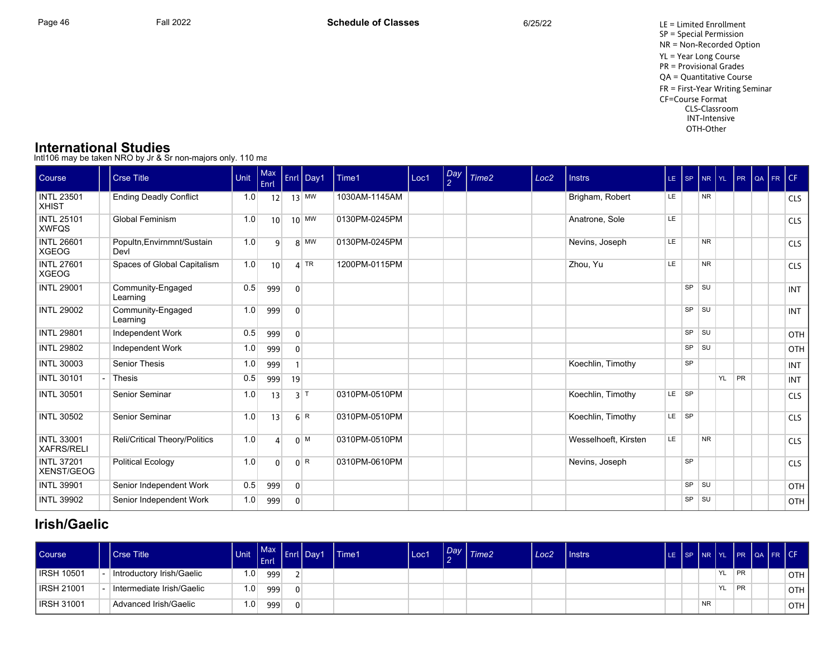Page 46 Fall 2022 Fall 2022 **Schedule of Classes** 6/25/22 6/25/22 LE = Limited Enrollment SP = Special Permission NR = Non-Recorded Option YL = Year Long Course PR = Provisional Grades QA = Quantitative Course FR = First-Year Writing Seminar CF=Course Format CLS-Classroom INT-Intensive OTH-Other

### **International Studies**

Intl106 may be taken NRO by Jr & Sr non-majors only. 110 ma

| Course                                 | <b>Crse Title</b>                  | Unit | Max<br>Enrl     |                | Enrl Day1          | Time1         | Loc1 | $\frac{Day}{2}$ | Time <sub>2</sub> | Loc <sub>2</sub> | <b>Instrs</b>        | $LE$ $ SP$ |           | NR YL          |    | PR | QA FR CF |            |
|----------------------------------------|------------------------------------|------|-----------------|----------------|--------------------|---------------|------|-----------------|-------------------|------------------|----------------------|------------|-----------|----------------|----|----|----------|------------|
| <b>INTL 23501</b><br><b>XHIST</b>      | <b>Ending Deadly Conflict</b>      | 1.0  | 12              |                | $13$ MW            | 1030AM-1145AM |      |                 |                   |                  | Brigham, Robert      | LE.        |           | N <sub>R</sub> |    |    |          | <b>CLS</b> |
| <b>INTL 25101</b><br><b>XWFQS</b>      | <b>Global Feminism</b>             | 1.0  | 10 <sup>1</sup> |                | $10$ MW            | 0130PM-0245PM |      |                 |                   |                  | Anatrone, Sole       | LE         |           |                |    |    |          | <b>CLS</b> |
| <b>INTL 26601</b><br><b>XGEOG</b>      | Popultn, Envirnmnt/Sustain<br>Devl | 1.0  | 9               |                | $8$ MW             | 0130PM-0245PM |      |                 |                   |                  | Nevins, Joseph       | LE         |           | <b>NR</b>      |    |    |          | <b>CLS</b> |
| <b>INTL 27601</b><br><b>XGEOG</b>      | Spaces of Global Capitalism        | 1.0  | 10              |                | $4$ TR             | 1200PM-0115PM |      |                 |                   |                  | Zhou, Yu             | LE         |           | <b>NR</b>      |    |    |          | <b>CLS</b> |
| <b>INTL 29001</b>                      | Community-Engaged<br>Learning      | 0.5  | 999             | $\mathbf 0$    |                    |               |      |                 |                   |                  |                      |            | $SP$ $SU$ |                |    |    |          | <b>INT</b> |
| <b>INTL 29002</b>                      | Community-Engaged<br>Learning      | 1.0  | 999             | $\mathbf 0$    |                    |               |      |                 |                   |                  |                      |            | $SP$ $SU$ |                |    |    |          | <b>INT</b> |
| <b>INTL 29801</b>                      | Independent Work                   | 0.5  | 999             | $\overline{0}$ |                    |               |      |                 |                   |                  |                      |            | $SP$ $SU$ |                |    |    |          | OTH        |
| <b>INTL 29802</b>                      | <b>Independent Work</b>            | 1.0  | 999             | $\mathbf 0$    |                    |               |      |                 |                   |                  |                      |            | $SP$ $SU$ |                |    |    |          | <b>OTH</b> |
| <b>INTL 30003</b>                      | <b>Senior Thesis</b>               | 1.0  | 999             |                |                    |               |      |                 |                   |                  | Koechlin, Timothy    |            | <b>SP</b> |                |    |    |          | <b>INT</b> |
| <b>INTL 30101</b>                      | <b>Thesis</b>                      | 0.5  | 999             | 19             |                    |               |      |                 |                   |                  |                      |            |           |                | YL | PR |          | <b>INT</b> |
| <b>INTL 30501</b>                      | Senior Seminar                     | 1.0  | 13              |                | $3$ T              | 0310PM-0510PM |      |                 |                   |                  | Koechlin, Timothy    | $LE$ $SP$  |           |                |    |    |          | <b>CLS</b> |
| <b>INTL 30502</b>                      | Senior Seminar                     | 1.0  | 13              |                | 6 R                | 0310PM-0510PM |      |                 |                   |                  | Koechlin, Timothy    | $LE$ $SP$  |           |                |    |    |          | <b>CLS</b> |
| <b>INTL 33001</b><br><b>XAFRS/RELI</b> | Reli/Critical Theory/Politics      | 1.0  | $\Delta$        |                | $0^{M}$            | 0310PM-0510PM |      |                 |                   |                  | Wesselhoeft, Kirsten | LE         |           | <b>NR</b>      |    |    |          | <b>CLS</b> |
| <b>INTL 37201</b><br>XENST/GEOG        | <b>Political Ecology</b>           | 1.0  | $\Omega$        |                | $0^{\overline{R}}$ | 0310PM-0610PM |      |                 |                   |                  | Nevins, Joseph       |            | SP        |                |    |    |          | <b>CLS</b> |
| <b>INTL 39901</b>                      | Senior Independent Work            | 0.5  | 999             | $\overline{0}$ |                    |               |      |                 |                   |                  |                      |            | $SP$ $SU$ |                |    |    |          | <b>OTH</b> |
| <b>INTL 39902</b>                      | Senior Independent Work            | 1.0  | 999             | $\mathbf{0}$   |                    |               |      |                 |                   |                  |                      |            | $SP$ $SU$ |                |    |    |          | <b>OTH</b> |

## **Irish/Gaelic**

| Course <sup>1</sup> | l Crse Title              | <b>Unit</b> | <b>Max</b><br>. Enrl | . I<br>Enrl | Day1 | <b>Time1</b> | Loc1 | Day | Time2 | Loc <sub>2</sub> | l Instrs |  |           |     |           | LE SP NR YL PR QA FR CF |       |
|---------------------|---------------------------|-------------|----------------------|-------------|------|--------------|------|-----|-------|------------------|----------|--|-----------|-----|-----------|-------------------------|-------|
| <b>IRSH 10501</b>   | Introductory Irish/Gaelic | ا 0. ا      | 999                  |             |      |              |      |     |       |                  |          |  |           | YL. | <b>PR</b> |                         | OTH   |
| IRSH 21001          | Intermediate Irish/Gaelic | $1.0^+$     | 999                  | 0.          |      |              |      |     |       |                  |          |  |           | YL. | <b>PR</b> |                         | OTH I |
| <b>IRSH 31001</b>   | Advanced Irish/Gaelic     | ≀0.،        | 999                  | $\Omega$    |      |              |      |     |       |                  |          |  | <b>NR</b> |     |           |                         | OTH   |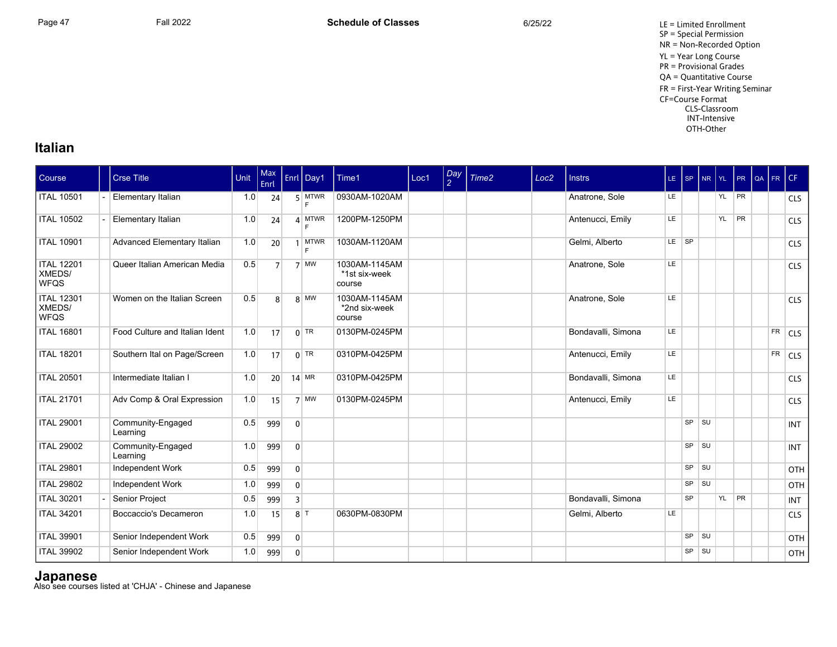## **Italian**

| Course                                     | <b>Crse Title</b>              | Unit | Max<br>Enrl    |                | Enrl Day1        | Time1                                    | Loc1 | Day<br>2 | Time <sub>2</sub> | Loc <sub>2</sub> | <b>Instrs</b>      |           | $LE$ $SP$ | NR YL PR |    | QA FR CF  |            |
|--------------------------------------------|--------------------------------|------|----------------|----------------|------------------|------------------------------------------|------|----------|-------------------|------------------|--------------------|-----------|-----------|----------|----|-----------|------------|
| <b>ITAL 10501</b>                          | Elementary Italian             | 1.0  | 24             |                | $5$ MTWR<br>E    | 0930AM-1020AM                            |      |          |                   |                  | Anatrone, Sole     | LE.       |           | YL       | PR |           | <b>CLS</b> |
| <b>ITAL 10502</b>                          | Elementary Italian             | 1.0  | 24             |                | 4 MTWR<br>E      | 1200PM-1250PM                            |      |          |                   |                  | Antenucci, Emily   | LE        |           | YL       | PR |           | <b>CLS</b> |
| <b>ITAL 10901</b>                          | Advanced Elementary Italian    | 1.0  | 20             |                | <b>MTWR</b><br>F | 1030AM-1120AM                            |      |          |                   |                  | Gelmi, Alberto     | $LE$ $SP$ |           |          |    |           | <b>CLS</b> |
| <b>ITAL 12201</b><br>XMEDS/<br><b>WFQS</b> | Queer Italian American Media   | 0.5  | 7 <sup>1</sup> |                | 7 MW             | 1030AM-1145AM<br>*1st six-week<br>course |      |          |                   |                  | Anatrone, Sole     | LE        |           |          |    |           | <b>CLS</b> |
| <b>ITAL 12301</b><br>XMEDS/<br><b>WFQS</b> | Women on the Italian Screen    | 0.5  | 8              |                | $8$ MW           | 1030AM-1145AM<br>*2nd six-week<br>course |      |          |                   |                  | Anatrone, Sole     | LE        |           |          |    |           | <b>CLS</b> |
| <b>ITAL 16801</b>                          | Food Culture and Italian Ident | 1.0  | 17             |                | $0$ TR           | 0130PM-0245PM                            |      |          |                   |                  | Bondavalli, Simona | LE        |           |          |    | <b>FR</b> | CLS        |
| <b>ITAL 18201</b>                          | Southern Ital on Page/Screen   | 1.0  | 17             |                | $0$ TR           | 0310PM-0425PM                            |      |          |                   |                  | Antenucci, Emily   | <b>LE</b> |           |          |    | FR        | <b>CLS</b> |
| <b>ITAL 20501</b>                          | Intermediate Italian I         | 1.0  | 20             |                | $14$ MR          | 0310PM-0425PM                            |      |          |                   |                  | Bondavalli, Simona | LE.       |           |          |    |           | <b>CLS</b> |
| <b>ITAL 21701</b>                          | Adv Comp & Oral Expression     | 1.0  | 15             |                | $7$ MW           | 0130PM-0245PM                            |      |          |                   |                  | Antenucci, Emily   | LE        |           |          |    |           | <b>CLS</b> |
| <b>ITAL 29001</b>                          | Community-Engaged<br>Learning  | 0.5  | 999            | $\overline{0}$ |                  |                                          |      |          |                   |                  |                    |           | $SP$ $SU$ |          |    |           | <b>INT</b> |
| <b>ITAL 29002</b>                          | Community-Engaged<br>Learning  | 1.0  | 999            | $\overline{0}$ |                  |                                          |      |          |                   |                  |                    |           | SP SU     |          |    |           | <b>INT</b> |
| <b>ITAL 29801</b>                          | Independent Work               | 0.5  | 999            | $\overline{0}$ |                  |                                          |      |          |                   |                  |                    |           | SP SU     |          |    |           | OTH        |
| <b>ITAL 29802</b>                          | Independent Work               | 1.0  | 999            | $\overline{0}$ |                  |                                          |      |          |                   |                  |                    |           | SP SU     |          |    |           | OTH        |
| <b>ITAL 30201</b>                          | Senior Project                 | 0.5  | 999            | $\overline{3}$ |                  |                                          |      |          |                   |                  | Bondavalli, Simona |           | <b>SP</b> | YL       | PR |           | <b>INT</b> |
| <b>ITAL 34201</b>                          | Boccaccio's Decameron          | 1.0  | 15             |                | $8$   T          | 0630PM-0830PM                            |      |          |                   |                  | Gelmi, Alberto     | LE        |           |          |    |           | <b>CLS</b> |
| <b>ITAL 39901</b>                          | Senior Independent Work        | 0.5  | 999            | $\overline{0}$ |                  |                                          |      |          |                   |                  |                    |           | SP SU     |          |    |           | <b>OTH</b> |
| <b>ITAL 39902</b>                          | Senior Independent Work        | 1.0  | 999            | $\overline{0}$ |                  |                                          |      |          |                   |                  |                    |           | $SP$ $SU$ |          |    |           | OTH        |

**Japanese**<br>Also see courses listed at 'CHJA' - Chinese and Japanese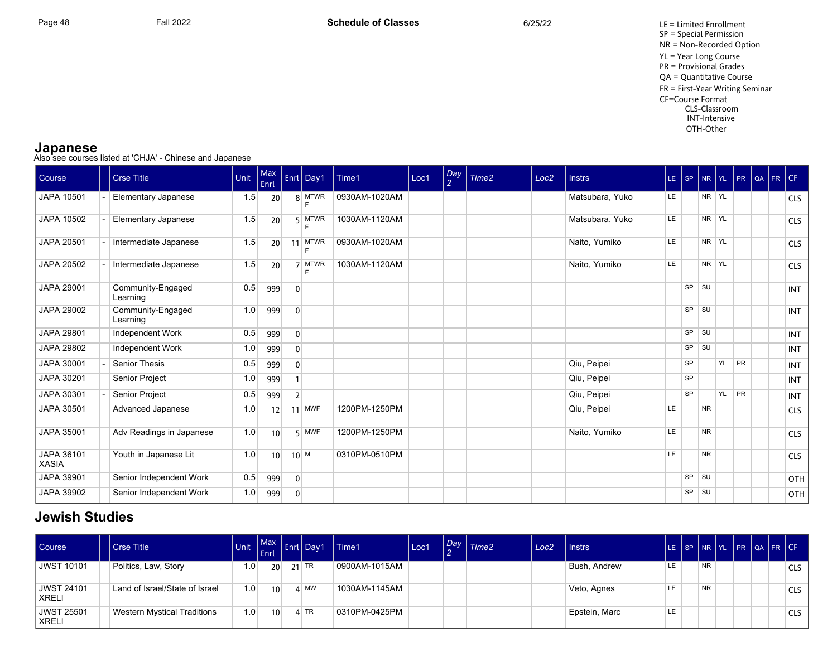Page 48 Fall 2022 Fall 2022 **Schedule of Classes** 6/25/22 6/25/22 LE = Limited Enrollment SP = Special Permission NR = Non-Recorded Option YL = Year Long Course PR = Provisional Grades QA = Quantitative Course FR = First-Year Writing Seminar CF=Course Format CLS-Classroom INT-Intensive OTH-Other

**Japanese**<br>Also see courses listed at 'CHJA' - Chinese and Japanese

| <b>Course</b>              | <b>Crse Title</b>             | Unit | Max<br>Enrl     |                | Enrl Day1        | Time1         | Loc1 | Day<br>2 | Time <sub>2</sub> | Loc <sub>2</sub> | <b>Instrs</b>   | LE SP |           |            |    | NR YL PR QA | FR CF |            |
|----------------------------|-------------------------------|------|-----------------|----------------|------------------|---------------|------|----------|-------------------|------------------|-----------------|-------|-----------|------------|----|-------------|-------|------------|
| JAPA 10501                 | <b>Elementary Japanese</b>    | 1.5  | 20              |                | 8 MTWR           | 0930AM-1020AM |      |          |                   |                  | Matsubara, Yuko | LE    |           | NR YL      |    |             |       | <b>CLS</b> |
| JAPA 10502                 | Elementary Japanese           | 1.5  | 20              |                | $5$ MTWR<br>F    | 1030AM-1120AM |      |          |                   |                  | Matsubara, Yuko | LE    |           | NR YL      |    |             |       | <b>CLS</b> |
| JAPA 20501                 | Intermediate Japanese         | 1.5  | 20              | 11             | <b>MTWR</b><br>F | 0930AM-1020AM |      |          |                   |                  | Naito, Yumiko   | LE    |           | NR YL      |    |             |       | <b>CLS</b> |
| JAPA 20502                 | Intermediate Japanese         | 1.5  | 20              |                | 7 MTWR           | 1030AM-1120AM |      |          |                   |                  | Naito, Yumiko   | LE    |           | NR YL      |    |             |       | <b>CLS</b> |
| JAPA 29001                 | Community-Engaged<br>Learning | 0.5  | 999             | $\overline{0}$ |                  |               |      |          |                   |                  |                 |       | SP        | l su       |    |             |       | <b>INT</b> |
| JAPA 29002                 | Community-Engaged<br>Learning | 1.0  | 999             | $\mathbf{0}$   |                  |               |      |          |                   |                  |                 |       | SP        | l su       |    |             |       | <b>INT</b> |
| JAPA 29801                 | Independent Work              | 0.5  | 999             | $\Omega$       |                  |               |      |          |                   |                  |                 |       | $SP$ $SU$ |            |    |             |       | <b>INT</b> |
| JAPA 29802                 | Independent Work              | 1.0  | 999             | $\mathbf{0}$   |                  |               |      |          |                   |                  |                 |       | SP        | <b>SU</b>  |    |             |       | <b>INT</b> |
| JAPA 30001                 | <b>Senior Thesis</b>          | 0.5  | 999             | $\Omega$       |                  |               |      |          |                   |                  | Qiu, Peipei     |       | <b>SP</b> |            | YL | <b>PR</b>   |       | <b>INT</b> |
| JAPA 30201                 | Senior Project                | 1.0  | 999             |                |                  |               |      |          |                   |                  | Qiu, Peipei     |       | <b>SP</b> |            |    |             |       | <b>INT</b> |
| JAPA 30301                 | Senior Project                | 0.5  | 999             | $\overline{2}$ |                  |               |      |          |                   |                  | Qiu, Peipei     |       | <b>SP</b> |            | YL | PR          |       | <b>INT</b> |
| JAPA 30501                 | Advanced Japanese             | 1.0  | 12              |                | $11$ MWF         | 1200PM-1250PM |      |          |                   |                  | Qiu, Peipei     | LE    |           | <b>NR</b>  |    |             |       | <b>CLS</b> |
| JAPA 35001                 | Adv Readings in Japanese      | 1.0  | 10              |                | 5 MWF            | 1200PM-1250PM |      |          |                   |                  | Naito, Yumiko   | LE.   |           | <b>NR</b>  |    |             |       | <b>CLS</b> |
| JAPA 36101<br><b>XASIA</b> | Youth in Japanese Lit         | 1.0  | 10 <sup>1</sup> |                | $10^{M}$         | 0310PM-0510PM |      |          |                   |                  |                 | LE    |           | <b>NR</b>  |    |             |       | <b>CLS</b> |
| JAPA 39901                 | Senior Independent Work       | 0.5  | 999             | $\overline{0}$ |                  |               |      |          |                   |                  |                 |       | SP        | <b>SU</b>  |    |             |       | OTH        |
| JAPA 39902                 | Senior Independent Work       | 1.0  | 999             | $\mathbf{0}$   |                  |               |      |          |                   |                  |                 |       | SP        | $\vert$ SU |    |             |       | OTH        |

## **Jewish Studies**

| <b>Course</b>         | l Crse Title                       | <b>Unit</b> | $ $ Enrl        | $\left  \begin{array}{c} \text{Max} \\ - \end{array} \right $ Enrl Day1 | l Time1       | Loc1 | Day | $\mid$ Time2 | Loc2 | I Instrs      |    |           |  | LE SP NR YL PR QA FR CF |            |
|-----------------------|------------------------------------|-------------|-----------------|-------------------------------------------------------------------------|---------------|------|-----|--------------|------|---------------|----|-----------|--|-------------------------|------------|
| <b>JWST 10101</b>     | Politics, Law, Story               | $.0 \,$     | 20 <sup>1</sup> | $21$ TR                                                                 | 0900AM-1015AM |      |     |              |      | Bush, Andrew  | LE | <b>NR</b> |  |                         | <b>CLS</b> |
| UWST 24101<br>l XRELI | Land of Israel/State of Israel     | 1.0         | 10 <sup>1</sup> | $\mathbf{A}$ MW                                                         | 1030AM-1145AM |      |     |              |      | Veto, Agnes   | LE | <b>NR</b> |  |                         | <b>CLS</b> |
| UWST 25501<br>l XRELI | <b>Western Mystical Traditions</b> | 1.0         | 10 <sup>1</sup> | $4$ TR                                                                  | 0310PM-0425PM |      |     |              |      | Epstein, Marc | LE |           |  |                         | <b>CLS</b> |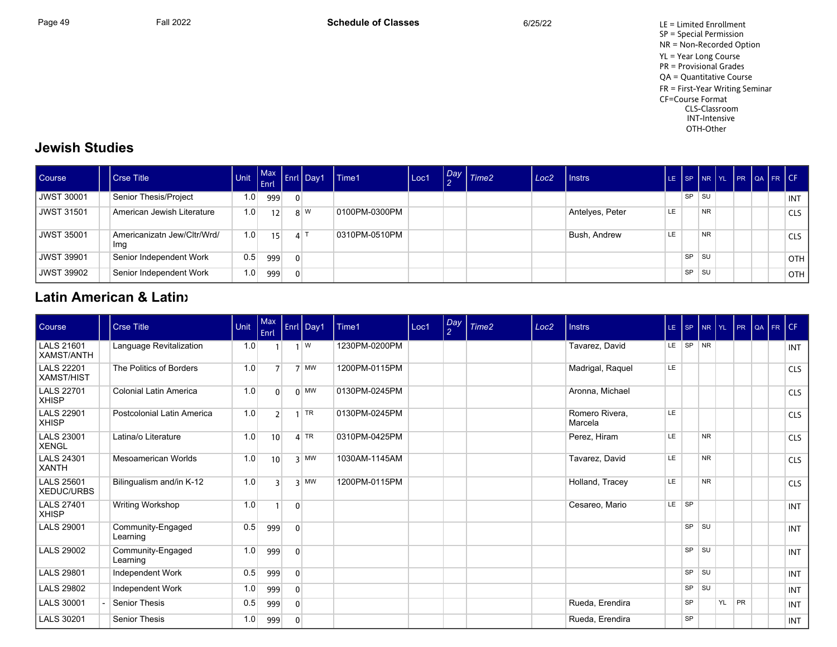Page 49 Fall 2022 Fall 2022 **Schedule of Classes** 6/25/22 6/25/22 LE = Limited Enrollment SP = Special Permission NR = Non-Recorded Option YL = Year Long Course PR = Provisional Grades QA = Quantitative Course FR = First-Year Writing Seminar CF=Course Format CLS-Classroom INT-Intensive OTH-Other

## **Jewish Studies**

| Course     | <b>Crse Title</b>                  |                  | Enrl |          | Max Enrl Day1 | Time1         | Loc1 | $\frac{Day}{2}$ Time2 | Loc <sub>2</sub> | <b>Instrs</b>   |     |           |           |  | LE SP NR YL PR QA FR CF |            |
|------------|------------------------------------|------------------|------|----------|---------------|---------------|------|-----------------------|------------------|-----------------|-----|-----------|-----------|--|-------------------------|------------|
| UWST 30001 | Senior Thesis/Project              | 1.0              | 999  |          |               |               |      |                       |                  |                 |     | <b>SP</b> | ∣ su      |  |                         | <b>INT</b> |
| UWST 31501 | American Jewish Literature         | 1.0 <sub>1</sub> | 12   |          | 8 W           | 0100PM-0300PM |      |                       |                  | Antelyes, Peter | LE. |           | <b>NR</b> |  |                         | <b>CLS</b> |
| UWST 35001 | Americanizatn Jew/Cltr/Wrd/<br>Img | 1.0              | 15   |          | 4 1           | 0310PM-0510PM |      |                       |                  | Bush, Andrew    | LE  |           | <b>NR</b> |  |                         | <b>CLS</b> |
| UWST 39901 | Senior Independent Work            | 0.5              | 999  | $\Omega$ |               |               |      |                       |                  |                 |     | <b>SP</b> | l su      |  |                         | <b>OTH</b> |
| UWST 39902 | Senior Independent Work            | 1.0              | 999  | $\Omega$ |               |               |      |                       |                  |                 |     | <b>SP</b> | ⊩SU       |  |                         | <b>OTH</b> |

## **Latin American & Latinx**

| Course                                 | <b>Crse Title</b>             | Unit | Max<br>Enrl    |                | Enrl Day1    | Time1         | Loc1 | Day<br>$\overline{2}$ | Time <sub>2</sub> | Loc <sub>2</sub> | <b>Instrs</b>             | $LE$ SP   |           | NR YL     |           | PR        | QA | FR CF |            |
|----------------------------------------|-------------------------------|------|----------------|----------------|--------------|---------------|------|-----------------------|-------------------|------------------|---------------------------|-----------|-----------|-----------|-----------|-----------|----|-------|------------|
| <b>LALS 21601</b><br><b>XAMST/ANTH</b> | Language Revitalization       | 1.0  |                |                | $1 \mid W$   | 1230PM-0200PM |      |                       |                   |                  | Tavarez, David            |           | LE SP NR  |           |           |           |    |       | <b>INT</b> |
| <b>LALS 22201</b><br><b>XAMST/HIST</b> | The Politics of Borders       | 1.0  | 7 <sup>1</sup> |                | $7$ MW       | 1200PM-0115PM |      |                       |                   |                  | Madrigal, Raquel          | LE.       |           |           |           |           |    |       | <b>CLS</b> |
| <b>LALS 22701</b><br><b>XHISP</b>      | Colonial Latin America        | 1.0  | $\overline{0}$ |                | $0 \vert$ MW | 0130PM-0245PM |      |                       |                   |                  | Aronna, Michael           |           |           |           |           |           |    |       | <b>CLS</b> |
| <b>LALS 22901</b><br><b>XHISP</b>      | Postcolonial Latin America    | 1.0  | $\overline{2}$ |                | TR           | 0130PM-0245PM |      |                       |                   |                  | Romero Rivera.<br>Marcela | LE        |           |           |           |           |    |       | <b>CLS</b> |
| <b>LALS 23001</b><br><b>XENGL</b>      | Latina/o Literature           | 1.0  | 10             |                | $4$ TR       | 0310PM-0425PM |      |                       |                   |                  | Perez, Hiram              | <b>LE</b> |           | <b>NR</b> |           |           |    |       | <b>CLS</b> |
| <b>LALS 24301</b><br><b>XANTH</b>      | Mesoamerican Worlds           | 1.0  | 10             |                | $3$ MW       | 1030AM-1145AM |      |                       |                   |                  | Tavarez, David            | LE.       |           | <b>NR</b> |           |           |    |       | <b>CLS</b> |
| <b>LALS 25601</b><br><b>XEDUC/URBS</b> | Bilingualism and/in K-12      | 1.0  | ξ              |                | $3$ MW       | 1200PM-0115PM |      |                       |                   |                  | Holland, Tracey           | LE.       |           | <b>NR</b> |           |           |    |       | <b>CLS</b> |
| <b>LALS 27401</b><br><b>XHISP</b>      | Writing Workshop              | 1.0  |                | $\mathbf{0}$   |              |               |      |                       |                   |                  | Cesareo, Mario            | $LE$ $SP$ |           |           |           |           |    |       | <b>INT</b> |
| <b>LALS 29001</b>                      | Community-Engaged<br>Learning | 0.5  | 999            | $\mathbf{0}$   |              |               |      |                       |                   |                  |                           |           | <b>SP</b> | l SU      |           |           |    |       | <b>INT</b> |
| <b>LALS 29002</b>                      | Community-Engaged<br>Learning | 1.0  | 999            | $\mathbf{0}$   |              |               |      |                       |                   |                  |                           |           | SP        | l SU      |           |           |    |       | <b>INT</b> |
| <b>LALS 29801</b>                      | Independent Work              | 0.5  | 999            | $\mathbf{0}$   |              |               |      |                       |                   |                  |                           |           | SP        | <b>SU</b> |           |           |    |       | <b>INT</b> |
| <b>LALS 29802</b>                      | Independent Work              | 1.0  | 999            | $\overline{0}$ |              |               |      |                       |                   |                  |                           |           | SP        | <b>SU</b> |           |           |    |       | <b>INT</b> |
| <b>LALS 30001</b>                      | <b>Senior Thesis</b>          | 0.5  | 999            | $\mathbf{0}$   |              |               |      |                       |                   |                  | Rueda, Erendira           |           | <b>SP</b> |           | <b>YL</b> | <b>PR</b> |    |       | <b>INT</b> |
| <b>LALS 30201</b>                      | <b>Senior Thesis</b>          | 1.0  | 999            | $\mathbf{0}$   |              |               |      |                       |                   |                  | Rueda, Erendira           |           | <b>SP</b> |           |           |           |    |       | <b>INT</b> |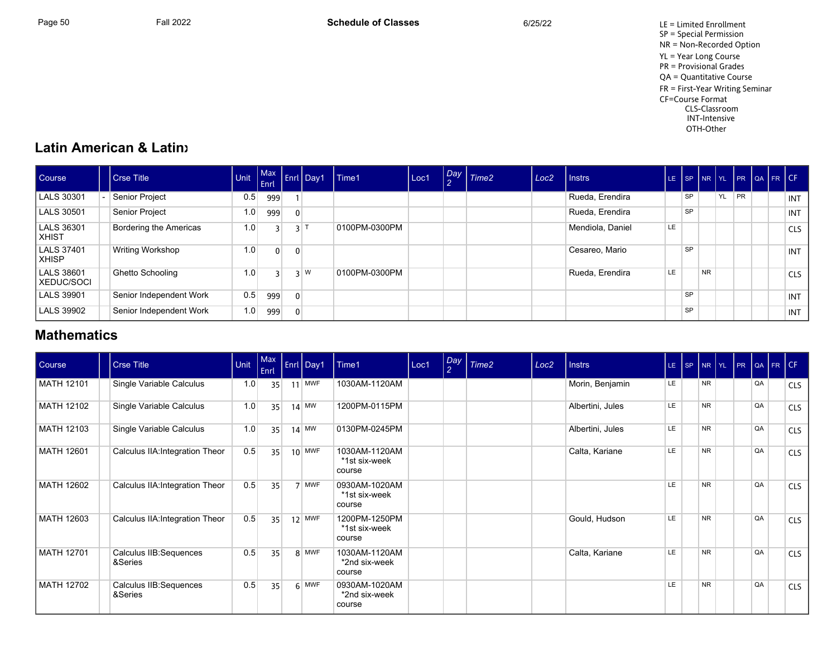Page 50 Fall 2022 Fall 2022 **Schedule of Classes** 6/25/22 6/25/22 LE = Limited Enrollment SP = Special Permission NR = Non-Recorded Option YL = Year Long Course PR = Provisional Grades QA = Quantitative Course FR = First-Year Writing Seminar CF=Course Format CLS-Classroom INT-Intensive OTH-Other

## **Latin American & Latinx**

| Course                      | Crse Title              | <b>Unit</b> | Enrl           |                | Max Enrl Day1 | Time1         | Loc1 | Day Time2 | Loc <sub>2</sub> | <b>Instrs</b>    | LE. |           |           |    |           | SP NR YL PR QA FR CF |            |
|-----------------------------|-------------------------|-------------|----------------|----------------|---------------|---------------|------|-----------|------------------|------------------|-----|-----------|-----------|----|-----------|----------------------|------------|
| LALS 30301                  | Senior Project          | 0.5         | 999            |                |               |               |      |           |                  | Rueda, Erendira  |     | <b>SP</b> |           | YL | <b>PR</b> |                      | INT        |
| LALS 30501                  | Senior Project          | 1.0         | 999            | $\overline{0}$ |               |               |      |           |                  | Rueda, Erendira  |     | <b>SP</b> |           |    |           |                      | INT        |
| LALS 36301<br>l xhist       | Bordering the Americas  | 1.0         |                |                | $3^{1}$       | 0100PM-0300PM |      |           |                  | Mendiola, Daniel | LE  |           |           |    |           |                      | <b>CLS</b> |
| LALS 37401<br>l XHISP.      | Writing Workshop        | 1.0         | $\overline{0}$ |                |               |               |      |           |                  | Cesareo, Mario   |     | <b>SP</b> |           |    |           |                      | <b>INT</b> |
| LALS 38601<br>l XEDUC/SOCI- | Ghetto Schooling        | 1.0         |                |                | $3 \mid W$    | 0100PM-0300PM |      |           |                  | Rueda, Erendira  | LE. |           | <b>NR</b> |    |           |                      | <b>CLS</b> |
| LALS 39901                  | Senior Independent Work | 0.5         | 999            | $\overline{0}$ |               |               |      |           |                  |                  |     | SP        |           |    |           |                      | INT        |
| LALS 39902                  | Senior Independent Work | 1.0         | 999            |                |               |               |      |           |                  |                  |     | <b>SP</b> |           |    |           |                      | INT        |

## **Mathematics**

| Course     | <b>Crse Title</b>                  | Unit | Enrl | Max Enrl Day1 | Time1                                    | Loc1 | Day<br>$\mathcal{P}$ | Time <sub>2</sub> | Loc <sub>2</sub> | <b>Instrs</b>    |           | $LE$ $ SP$ |           |  |    | NR YL PR QA FR CF |            |
|------------|------------------------------------|------|------|---------------|------------------------------------------|------|----------------------|-------------------|------------------|------------------|-----------|------------|-----------|--|----|-------------------|------------|
| MATH 12101 | Single Variable Calculus           | 1.0  | 35   | $11$ MWF      | 1030AM-1120AM                            |      |                      |                   |                  | Morin, Benjamin  | LE.       |            | <b>NR</b> |  | QA |                   | <b>CLS</b> |
| MATH 12102 | Single Variable Calculus           | 1.0  | 35   | $14$ MW       | 1200PM-0115PM                            |      |                      |                   |                  | Albertini, Jules | LE        |            | <b>NR</b> |  | QA |                   | <b>CLS</b> |
| MATH 12103 | Single Variable Calculus           | 1.0  | 35   | $14$ MW       | 0130PM-0245PM                            |      |                      |                   |                  | Albertini, Jules | LE.       |            | <b>NR</b> |  | QA |                   | <b>CLS</b> |
| MATH 12601 | Calculus IIA: Integration Theor    | 0.5  | 35   | $10$ MWF      | 1030AM-1120AM<br>*1st six-week<br>course |      |                      |                   |                  | Calta, Kariane   | LE        |            | <b>NR</b> |  | QA |                   | <b>CLS</b> |
| MATH 12602 | Calculus IIA: Integration Theor    | 0.5  | 35   | 7 MWF         | 0930AM-1020AM<br>*1st six-week<br>course |      |                      |                   |                  |                  | LE.       |            | <b>NR</b> |  | QA |                   | <b>CLS</b> |
| MATH 12603 | Calculus IIA: Integration Theor    | 0.5  | 35   | $12$ MWF      | 1200PM-1250PM<br>*1st six-week<br>course |      |                      |                   |                  | Gould, Hudson    | LE.       |            | <b>NR</b> |  | QA |                   | <b>CLS</b> |
| MATH 12701 | Calculus IIB: Sequences<br>&Series | 0.5  | 35   | 8 MWF         | 1030AM-1120AM<br>*2nd six-week<br>course |      |                      |                   |                  | Calta, Kariane   | LE.       |            | <b>NR</b> |  | QA |                   | <b>CLS</b> |
| MATH 12702 | Calculus IIB: Sequences<br>&Series | 0.5  | 35   | $6$ MWF       | 0930AM-1020AM<br>*2nd six-week<br>course |      |                      |                   |                  |                  | <b>LE</b> |            | <b>NR</b> |  | QA |                   | <b>CLS</b> |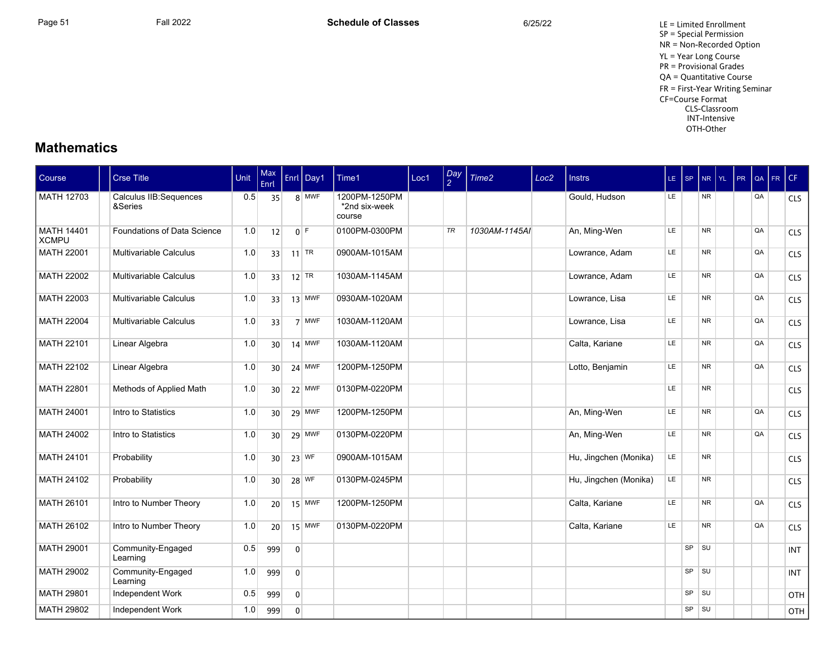## **Mathematics**

| Course                            | <b>Crse Title</b>                 | Unit | Max<br>Enrl     |                | Enrl   Day1 | Time1                                    | Loc1 | $\frac{Day}{2}$ | Time <sub>2</sub> | Loc <sub>2</sub> | <b>Instrs</b>         | $LE$ SP |           | $NR$ $YL$ | PR | QA | FR | CF         |
|-----------------------------------|-----------------------------------|------|-----------------|----------------|-------------|------------------------------------------|------|-----------------|-------------------|------------------|-----------------------|---------|-----------|-----------|----|----|----|------------|
| <b>MATH 12703</b>                 | Calculus IIB:Sequences<br>&Series | 0.5  | 35              |                | 8 MWF       | 1200PM-1250PM<br>*2nd six-week<br>course |      |                 |                   |                  | Gould, Hudson         | LE.     |           | <b>NR</b> |    | QA |    | <b>CLS</b> |
| <b>MATH 14401</b><br><b>XCMPU</b> | Foundations of Data Science       | 1.0  | 12              |                | $0$ F       | 0100PM-0300PM                            |      | TR              | 1030AM-1145AI     |                  | An, Ming-Wen          | LE.     |           | <b>NR</b> |    | QA |    | <b>CLS</b> |
| MATH 22001                        | Multivariable Calculus            | 1.0  | 33              |                | $11$ TR     | 0900AM-1015AM                            |      |                 |                   |                  | Lowrance, Adam        | LE.     |           | <b>NR</b> |    | QA |    | <b>CLS</b> |
| MATH 22002                        | Multivariable Calculus            | 1.0  | 33              |                | $12$ TR     | 1030AM-1145AM                            |      |                 |                   |                  | Lowrance, Adam        | LE      |           | <b>NR</b> |    | QA |    | CLS        |
| MATH 22003                        | Multivariable Calculus            | 1.0  | 33              |                | $13$ MWF    | 0930AM-1020AM                            |      |                 |                   |                  | Lowrance, Lisa        | LE.     |           | <b>NR</b> |    | QA |    | <b>CLS</b> |
| <b>MATH 22004</b>                 | Multivariable Calculus            | 1.0  | 33              |                | 7 MWF       | 1030AM-1120AM                            |      |                 |                   |                  | Lowrance, Lisa        | LE.     |           | <b>NR</b> |    | QA |    | <b>CLS</b> |
| MATH 22101                        | Linear Algebra                    | 1.0  | 30 <sup>1</sup> |                | $14$ MWF    | 1030AM-1120AM                            |      |                 |                   |                  | Calta, Kariane        | LE.     |           | <b>NR</b> |    | QA |    | <b>CLS</b> |
| MATH 22102                        | Linear Algebra                    | 1.0  | 30 <sup>1</sup> |                | $24$ MWF    | 1200PM-1250PM                            |      |                 |                   |                  | Lotto, Benjamin       | LE.     |           | <b>NR</b> |    | QA |    | <b>CLS</b> |
| MATH 22801                        | Methods of Applied Math           | 1.0  | 30 <sup>1</sup> |                | $22$ MWF    | 0130PM-0220PM                            |      |                 |                   |                  |                       | LE      |           | <b>NR</b> |    |    |    | <b>CLS</b> |
| MATH 24001                        | Intro to Statistics               | 1.0  | 30 <sup>1</sup> |                | $29$ MWF    | 1200PM-1250PM                            |      |                 |                   |                  | An, Ming-Wen          | LE      |           | <b>NR</b> |    | QA |    | <b>CLS</b> |
| MATH 24002                        | Intro to Statistics               | 1.0  | 30 <sup>1</sup> |                | 29 MWF      | 0130PM-0220PM                            |      |                 |                   |                  | An, Ming-Wen          | LE.     |           | <b>NR</b> |    | QA |    | <b>CLS</b> |
| MATH 24101                        | Probability                       | 1.0  | 30 <sup>1</sup> |                | $23$ WF     | 0900AM-1015AM                            |      |                 |                   |                  | Hu, Jingchen (Monika) | LE.     |           | <b>NR</b> |    |    |    | <b>CLS</b> |
| <b>MATH 24102</b>                 | Probability                       | 1.0  | 30 <sup>°</sup> |                | 28 WF       | 0130PM-0245PM                            |      |                 |                   |                  | Hu, Jingchen (Monika) | LE.     |           | <b>NR</b> |    |    |    | <b>CLS</b> |
| MATH 26101                        | Intro to Number Theory            | 1.0  | 20 <sup>1</sup> |                | $15$ MWF    | 1200PM-1250PM                            |      |                 |                   |                  | Calta, Kariane        | LE.     |           | <b>NR</b> |    | QA |    | <b>CLS</b> |
| <b>MATH 26102</b>                 | Intro to Number Theory            | 1.0  | 20 <sup>1</sup> |                | $15$ MWF    | 0130PM-0220PM                            |      |                 |                   |                  | Calta, Kariane        | LE.     |           | <b>NR</b> |    | QA |    | <b>CLS</b> |
| MATH 29001                        | Community-Engaged<br>Learning     | 0.5  | 999             | $\overline{0}$ |             |                                          |      |                 |                   |                  |                       |         | SP        | SU        |    |    |    | <b>INT</b> |
| MATH 29002                        | Community-Engaged<br>Learning     | 1.0  | 999             | $\overline{0}$ |             |                                          |      |                 |                   |                  |                       |         | SP        | <b>SU</b> |    |    |    | <b>INT</b> |
| MATH 29801                        | Independent Work                  | 0.5  | 999             | $\overline{0}$ |             |                                          |      |                 |                   |                  |                       |         | SP        | SU        |    |    |    | OTH        |
| MATH 29802                        | Independent Work                  | 1.0  | 999             | $\overline{0}$ |             |                                          |      |                 |                   |                  |                       |         | $SP$ $SU$ |           |    |    |    | OTH        |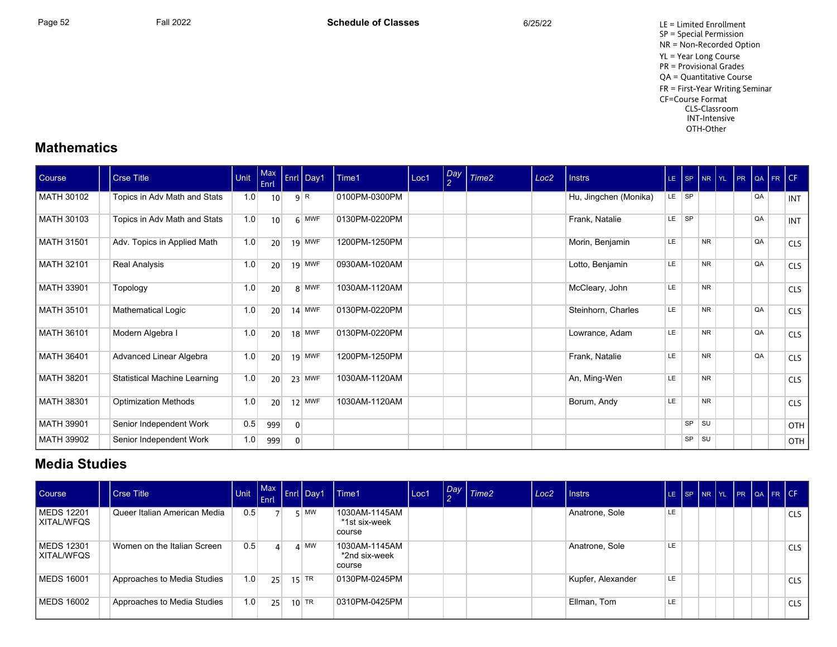Page 52 Fall 2022 Fall 2022 **Schedule of Classes** 6/25/22 6/25/22 LE = Limited Enrollment SP = Special Permission NR = Non-Recorded Option YL = Year Long Course PR = Provisional Grades QA = Quantitative Course FR = First-Year Writing Seminar CF=Course Format CLS-Classroom INT-Intensive OTH-Other

## **Mathematics**

| Course            | <b>Crse Title</b>                   | Unit | $ $ Max<br>Enrl |                | Enrl Day1 | Time1         | Loc1 | $\left  \frac{Day}{2} \right $ | Time <sub>2</sub> | Loc <sub>2</sub> | <b>Instrs</b>         |       | $LE$ $SP$ |           | NR YL PR |    | $\log$ FR CF |            |
|-------------------|-------------------------------------|------|-----------------|----------------|-----------|---------------|------|--------------------------------|-------------------|------------------|-----------------------|-------|-----------|-----------|----------|----|--------------|------------|
| <b>MATH 30102</b> | Topics in Adv Math and Stats        | 1.0  | 10              |                | 9 R       | 0100PM-0300PM |      |                                |                   |                  | Hu, Jingchen (Monika) | LE SP |           |           |          | QA |              | <b>INT</b> |
| MATH 30103        | Topics in Adv Math and Stats        | 1.0  | 10              |                | $6$ MWF   | 0130PM-0220PM |      |                                |                   |                  | Frank, Natalie        | LE SP |           |           |          | QA |              | <b>INT</b> |
| <b>MATH 31501</b> | Adv. Topics in Applied Math         | 1.0  | 20              |                | $19$ MWF  | 1200PM-1250PM |      |                                |                   |                  | Morin, Benjamin       | LE.   |           | <b>NR</b> |          | QA |              | <b>CLS</b> |
| MATH 32101        | Real Analysis                       | 1.0  | 20              |                | $19$ MWF  | 0930AM-1020AM |      |                                |                   |                  | Lotto, Benjamin       | LE    |           | <b>NR</b> |          | QA |              | <b>CLS</b> |
| MATH 33901        | Topology                            | 1.0  | 20              |                | 8 MWF     | 1030AM-1120AM |      |                                |                   |                  | McCleary, John        | LE    |           | <b>NR</b> |          |    |              | <b>CLS</b> |
| <b>MATH 35101</b> | Mathematical Logic                  | 1.0  | 20              |                | $14$ MWF  | 0130PM-0220PM |      |                                |                   |                  | Steinhorn, Charles    | LE.   |           | <b>NR</b> |          | QA |              | <b>CLS</b> |
| MATH 36101        | Modern Algebra I                    | 1.0  | 20              |                | $18$ MWF  | 0130PM-0220PM |      |                                |                   |                  | Lowrance, Adam        | LE.   |           | <b>NR</b> |          | QA |              | <b>CLS</b> |
| MATH 36401        | Advanced Linear Algebra             | 1.0  | 20              |                | $19$ MWF  | 1200PM-1250PM |      |                                |                   |                  | Frank, Natalie        | LE.   |           | <b>NR</b> |          | QA |              | <b>CLS</b> |
| <b>MATH 38201</b> | <b>Statistical Machine Learning</b> | 1.0  | 20              |                | $23$ MWF  | 1030AM-1120AM |      |                                |                   |                  | An, Ming-Wen          | LE    |           | <b>NR</b> |          |    |              | <b>CLS</b> |
| MATH 38301        | <b>Optimization Methods</b>         | 1.0  | 20              |                | $12$ MWF  | 1030AM-1120AM |      |                                |                   |                  | Borum, Andy           | LE    |           | <b>NR</b> |          |    |              | <b>CLS</b> |
| <b>MATH 39901</b> | Senior Independent Work             | 0.5  | 999             | $\overline{0}$ |           |               |      |                                |                   |                  |                       |       | SP        | <b>SU</b> |          |    |              | OTH        |
| MATH 39902        | Senior Independent Work             | 1.0  | 999             | $\overline{0}$ |           |               |      |                                |                   |                  |                       |       | SP        | <b>SU</b> |          |    |              | OTH        |

## **Media Studies**

| Course                            | Crse Title                   | <b>Unit</b>      | Enrl     | Init Max Enrl Day1 | l Time1                                  | Loc1 | Day Time2 | Loc <sub>2</sub> | <b>Instrs</b>     | LE SP NR YL PR QA FR CF |  |  |  |            |
|-----------------------------------|------------------------------|------------------|----------|--------------------|------------------------------------------|------|-----------|------------------|-------------------|-------------------------|--|--|--|------------|
| <b>MEDS 12201</b><br>  XITAL/WFQS | Queer Italian American Media | 0.5              |          | ς   MW             | 1030AM-1145AM<br>*1st six-week<br>course |      |           |                  | Anatrone, Sole    | LE                      |  |  |  | CLS        |
| <b>MEDS 12301</b><br>  XITAL/WFQS | Women on the Italian Screen  | 0.5              | $\Delta$ | $4 \mid M W$       | 1030AM-1145AM<br>*2nd six-week<br>course |      |           |                  | Anatrone, Sole    | LE                      |  |  |  | CLS        |
| <b>MEDS 16001</b>                 | Approaches to Media Studies  | 1.0 <sub>1</sub> | 25       | $15$ TR            | 0130PM-0245PM                            |      |           |                  | Kupfer, Alexander | LE                      |  |  |  | <b>CLS</b> |
| <b>MEDS 16002</b>                 | Approaches to Media Studies  | 1.0              | 25       | $10$ TR            | 0310PM-0425PM                            |      |           |                  | Ellman, Tom       | LE                      |  |  |  | <b>CLS</b> |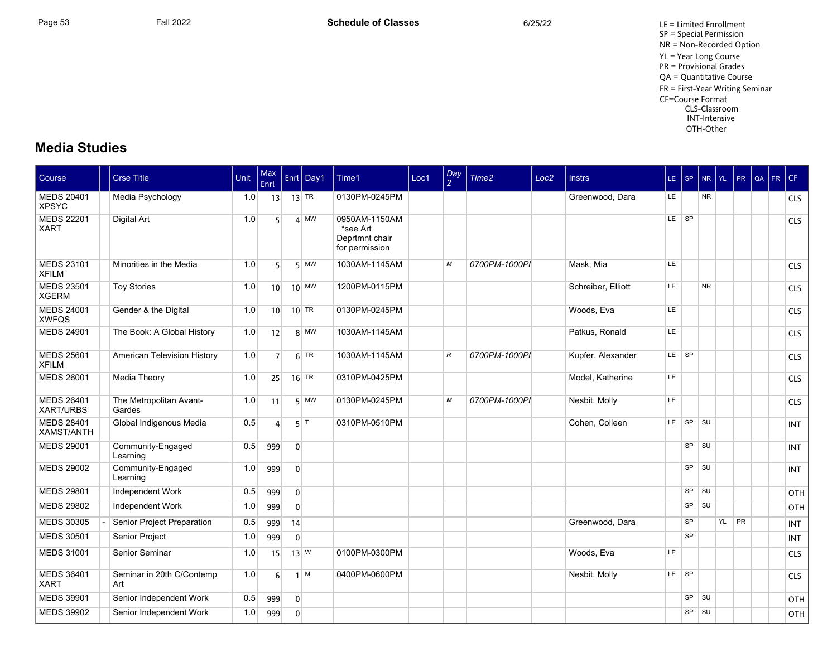Page 53 Fall 2022 Fall 2022 **Schedule of Classes** 6/25/22 6/25/22 LE = Limited Enrollment SP = Special Permission NR = Non-Recorded Option YL = Year Long Course PR = Provisional Grades QA = Quantitative Course FR = First-Year Writing Seminar CF=Course Format CLS-Classroom INT-Intensive OTH-Other

## **Media Studies**

| <b>Course</b>                         | <b>Crse Title</b>                 | <b>Unit</b> | <b>Max</b><br>Enrl |                | Enrl Day1  | Time1                                                         | Loc1 | Day<br>$\overline{2}$ | Time <sub>2</sub> | Loc <sub>2</sub> | <b>Instrs</b>      | LE.       | l SP.     | NR YL     |    | <b>PR</b> | l QA | FR CF |            |
|---------------------------------------|-----------------------------------|-------------|--------------------|----------------|------------|---------------------------------------------------------------|------|-----------------------|-------------------|------------------|--------------------|-----------|-----------|-----------|----|-----------|------|-------|------------|
| <b>MEDS 20401</b><br><b>XPSYC</b>     | Media Psychology                  | 1.0         | 13                 |                | $13$ TR    | 0130PM-0245PM                                                 |      |                       |                   |                  | Greenwood, Dara    | <b>LE</b> |           | <b>NR</b> |    |           |      |       | <b>CLS</b> |
| <b>MEDS 22201</b><br><b>XART</b>      | <b>Digital Art</b>                | 1.0         | 5 <sup>1</sup>     |                | $4$ MW     | 0950AM-1150AM<br>*see Art<br>Deprtmnt chair<br>for permission |      |                       |                   |                  |                    | LE SP     |           |           |    |           |      |       | CLS        |
| <b>MEDS 23101</b><br><b>XFILM</b>     | Minorities in the Media           | 1.0         | 5 <sup>1</sup>     |                | $5$ MW     | 1030AM-1145AM                                                 |      | M                     | 0700PM-1000PI     |                  | Mask, Mia          | LE.       |           |           |    |           |      |       | <b>CLS</b> |
| <b>MEDS 23501</b><br><b>XGERM</b>     | <b>Toy Stories</b>                | 1.0         | 10 <sup>1</sup>    |                | $10$ MW    | 1200PM-0115PM                                                 |      |                       |                   |                  | Schreiber. Elliott | LE.       |           | <b>NR</b> |    |           |      |       | <b>CLS</b> |
| <b>MEDS 24001</b><br><b>XWFQS</b>     | Gender & the Digital              | 1.0         | 10 <sup>1</sup>    |                | $10$ TR    | 0130PM-0245PM                                                 |      |                       |                   |                  | Woods, Eva         | LE        |           |           |    |           |      |       | <b>CLS</b> |
| <b>MEDS 24901</b>                     | The Book: A Global History        | 1.0         | 12                 |                | $8$ MW     | 1030AM-1145AM                                                 |      |                       |                   |                  | Patkus, Ronald     | LE        |           |           |    |           |      |       | CLS        |
| <b>MEDS 25601</b><br><b>XFILM</b>     | American Television History       | 1.0         | 7                  |                | $6$ TR     | 1030AM-1145AM                                                 |      | $\mathcal{R}$         | 0700PM-1000PI     |                  | Kupfer, Alexander  | LE.       | $ $ SP    |           |    |           |      |       | <b>CLS</b> |
| <b>MEDS 26001</b>                     | Media Theory                      | 1.0         | 25                 |                | $16$ TR    | 0310PM-0425PM                                                 |      |                       |                   |                  | Model, Katherine   | LE.       |           |           |    |           |      |       | <b>CLS</b> |
| <b>MEDS 26401</b><br><b>XART/URBS</b> | The Metropolitan Avant-<br>Gardes | 1.0         | 11                 |                | $5$ MW     | 0130PM-0245PM                                                 |      | M                     | 0700PM-1000PI     |                  | Nesbit, Molly      | <b>LE</b> |           |           |    |           |      |       | <b>CLS</b> |
| <b>MEDS 28401</b><br>XAMST/ANTH       | Global Indigenous Media           | 0.5         | 4                  |                | $5$ T      | 0310PM-0510PM                                                 |      |                       |                   |                  | Cohen, Colleen     | LE.       | SP        | <b>SU</b> |    |           |      |       | <b>INT</b> |
| <b>MEDS 29001</b>                     | Community-Engaged<br>Learning     | 0.5         | 999                | $\overline{0}$ |            |                                                               |      |                       |                   |                  |                    |           | SP        | <b>SU</b> |    |           |      |       | <b>INT</b> |
| <b>MEDS 29002</b>                     | Community-Engaged<br>Learning     | 1.0         | 999                | $\overline{0}$ |            |                                                               |      |                       |                   |                  |                    |           |           | SP SU     |    |           |      |       | <b>INT</b> |
| <b>MEDS 29801</b>                     | Independent Work                  | 0.5         | 999                | $\overline{0}$ |            |                                                               |      |                       |                   |                  |                    |           | <b>SP</b> | <b>SU</b> |    |           |      |       | OTH        |
| <b>MEDS 29802</b>                     | Independent Work                  | 1.0         | 999                | $\overline{0}$ |            |                                                               |      |                       |                   |                  |                    |           | SP        | SU        |    |           |      |       | OTH        |
| <b>MEDS 30305</b>                     | Senior Project Preparation        | 0.5         | 999                | 14             |            |                                                               |      |                       |                   |                  | Greenwood, Dara    |           | SP        |           | YL | PR        |      |       | <b>INT</b> |
| <b>MEDS 30501</b>                     | Senior Project                    | 1.0         | 999                | $\mathbf{0}$   |            |                                                               |      |                       |                   |                  |                    |           | <b>SP</b> |           |    |           |      |       | <b>INT</b> |
| <b>MEDS 31001</b>                     | Senior Seminar                    | 1.0         | 15                 |                | $13$ W     | 0100PM-0300PM                                                 |      |                       |                   |                  | Woods, Eva         | LE.       |           |           |    |           |      |       | CLS        |
| <b>MEDS 36401</b><br><b>XART</b>      | Seminar in 20th C/Contemp<br>Art  | 1.0         | $6 \mid$           |                | $1 \mid M$ | 0400PM-0600PM                                                 |      |                       |                   |                  | Nesbit, Molly      | LE.       | $ $ SP    |           |    |           |      |       | <b>CLS</b> |
| <b>MEDS 39901</b>                     | Senior Independent Work           | 0.5         | 999                | $\overline{0}$ |            |                                                               |      |                       |                   |                  |                    |           | SP        | SU        |    |           |      |       | OTH        |
| <b>MEDS 39902</b>                     | Senior Independent Work           | 1.0         | 999                | $\overline{0}$ |            |                                                               |      |                       |                   |                  |                    |           | <b>SP</b> | <b>SU</b> |    |           |      |       | <b>OTH</b> |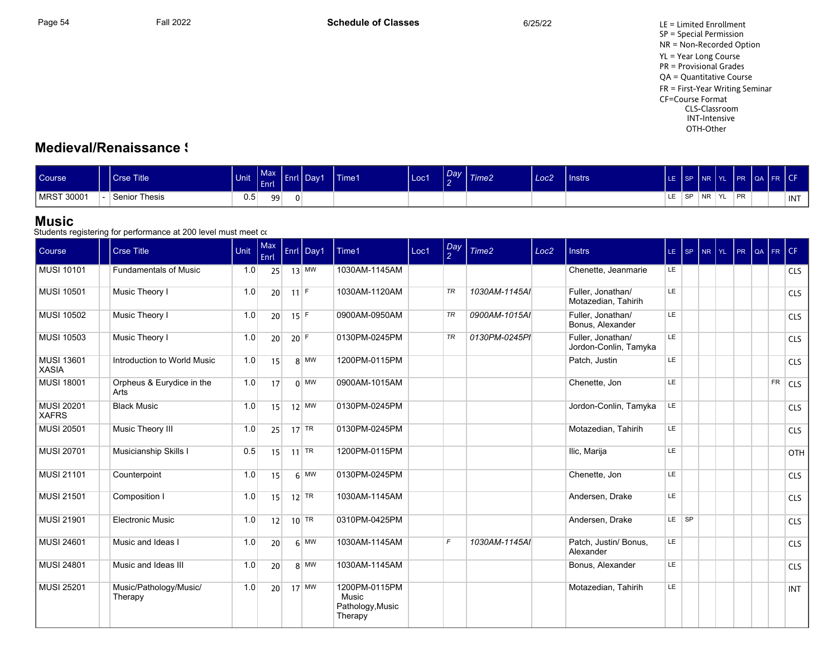## **Medieval/Renaissance \$**

| Course     | Crse Title                    | Unit | Max <sub>n</sub><br>Enrl | .nrl | Day1 | Time1 | Loc1 | Dav <sup>1</sup> | Time <sub>2</sub> | Loc <sub>2</sub> | Instrs | LE | l SP.     | l NR      | <b>IYL</b> | <b>I</b> PR | QA FR CF |       |
|------------|-------------------------------|------|--------------------------|------|------|-------|------|------------------|-------------------|------------------|--------|----|-----------|-----------|------------|-------------|----------|-------|
| MRST 30001 | Senior <sup>-</sup><br>Thesis | 0.5  | 99                       |      |      |       |      |                  |                   |                  |        | LE | <b>SP</b> | $N_{\rm}$ | I YL       | PR          |          | ' INT |

#### **Music**

| Course                            | <b>Crse Title</b>                 | Unit | Max<br>Enrl     |        | Enrl Day1                     | Time1                                                 | Loc1 | $\frac{Day}{2}$ | Time <sub>2</sub> | Loc <sub>2</sub> | <b>Instrs</b>                              |           | LE SP | NR | YL. | PR | QA FR CF  |            |
|-----------------------------------|-----------------------------------|------|-----------------|--------|-------------------------------|-------------------------------------------------------|------|-----------------|-------------------|------------------|--------------------------------------------|-----------|-------|----|-----|----|-----------|------------|
| <b>MUSI 10101</b>                 | <b>Fundamentals of Music</b>      | 1.0  | 25              |        | $13$ MW                       | 1030AM-1145AM                                         |      |                 |                   |                  | Chenette, Jeanmarie                        | LE.       |       |    |     |    |           | <b>CLS</b> |
| MUSI 10501                        | Music Theory I                    | 1.0  | 20 <sup>1</sup> | $11$ F |                               | 1030AM-1120AM                                         |      | TR              | 1030AM-1145AI     |                  | Fuller, Jonathan/<br>Motazedian, Tahirih   | LE.       |       |    |     |    |           | CLS        |
| <b>MUSI 10502</b>                 | Music Theory I                    | 1.0  | 20              |        | $15$ F                        | 0900AM-0950AM                                         |      | TR              | 0900AM-1015AI     |                  | Fuller. Jonathan/<br>Bonus, Alexander      | LE        |       |    |     |    |           | <b>CLS</b> |
| <b>MUSI 10503</b>                 | Music Theory I                    | 1.0  | 20              | $20$ F |                               | 0130PM-0245PM                                         |      | TR              | 0130PM-0245PI     |                  | Fuller, Jonathan/<br>Jordon-Conlin, Tamyka | LE        |       |    |     |    |           | <b>CLS</b> |
| <b>MUSI 13601</b><br><b>XASIA</b> | Introduction to World Music       | 1.0  | 15              |        | $8$ MW                        | 1200PM-0115PM                                         |      |                 |                   |                  | Patch, Justin                              | <b>LE</b> |       |    |     |    |           | <b>CLS</b> |
| MUSI 18001                        | Orpheus & Eurydice in the<br>Arts | 1.0  | 17              |        | $0 \vert$ MW                  | 0900AM-1015AM                                         |      |                 |                   |                  | Chenette, Jon                              | LE.       |       |    |     |    | <b>FR</b> | <b>CLS</b> |
| <b>MUSI 20201</b><br><b>XAFRS</b> | <b>Black Music</b>                | 1.0  | 15              |        | $12$ MW                       | 0130PM-0245PM                                         |      |                 |                   |                  | Jordon-Conlin, Tamyka                      | LE        |       |    |     |    |           | <b>CLS</b> |
| <b>MUSI 20501</b>                 | Music Theory III                  | 1.0  | 25              |        | $17$ TR                       | 0130PM-0245PM                                         |      |                 |                   |                  | Motazedian, Tahirih                        | LE        |       |    |     |    |           | <b>CLS</b> |
| MUSI 20701                        | Musicianship Skills I             | 0.5  | 15              |        | $11$ TR                       | 1200PM-0115PM                                         |      |                 |                   |                  | Ilic, Marija                               | LE        |       |    |     |    |           | OTH        |
| <b>MUSI 21101</b>                 | Counterpoint                      | 1.0  | 15              |        | $6 \overline{\text{MW}}$      | 0130PM-0245PM                                         |      |                 |                   |                  | Chenette, Jon                              | LE        |       |    |     |    |           | <b>CLS</b> |
| <b>MUSI 21501</b>                 | Composition I                     | 1.0  | 15              |        | $12$ TR                       | 1030AM-1145AM                                         |      |                 |                   |                  | Andersen, Drake                            | LE        |       |    |     |    |           | <b>CLS</b> |
| MUSI 21901                        | <b>Electronic Music</b>           | 1.0  | 12              |        | $10$ <sup>TR</sup>            | 0310PM-0425PM                                         |      |                 |                   |                  | Andersen, Drake                            |           | LE SP |    |     |    |           | <b>CLS</b> |
| <b>MUSI 24601</b>                 | Music and Ideas I                 | 1.0  | 20              |        | $6 \overline{\phantom{a}}$ MW | 1030AM-1145AM                                         |      | F               | 1030AM-1145AI     |                  | Patch, Justin/ Bonus,<br>Alexander         | LE.       |       |    |     |    |           | <b>CLS</b> |
| MUSI 24801                        | Music and Ideas III               | 1.0  | 20              |        | 8 MW                          | 1030AM-1145AM                                         |      |                 |                   |                  | Bonus, Alexander                           | LE        |       |    |     |    |           | <b>CLS</b> |
| MUSI 25201                        | Music/Pathology/Music/<br>Therapy | 1.0  | 20 <sup>1</sup> |        | $17$ MW                       | 1200PM-0115PM<br>Music<br>Pathology, Music<br>Therapy |      |                 |                   |                  | Motazedian, Tahirih                        | LE.       |       |    |     |    |           | <b>INT</b> |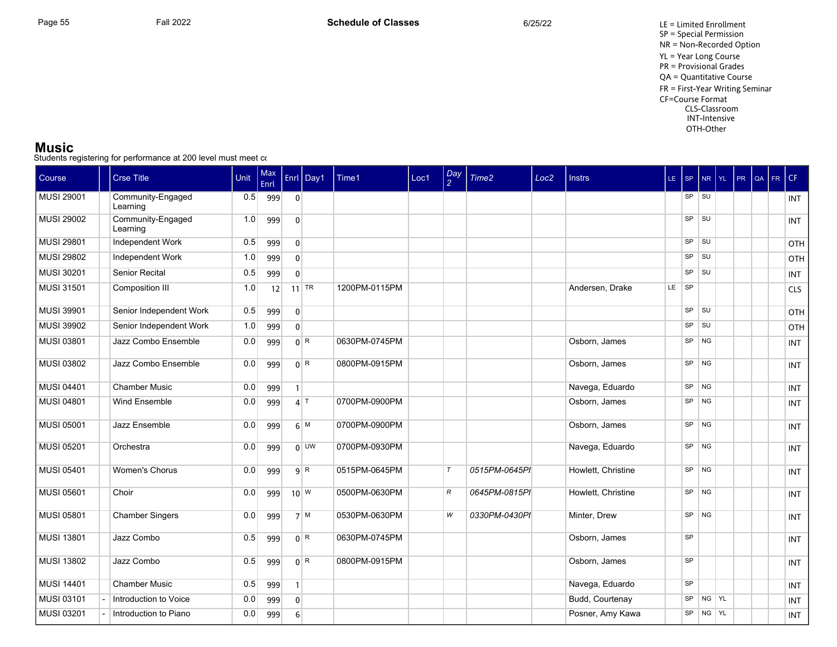#### **Music**

| Course            | <b>Crse Title</b>             | Unit | Max<br>Enrl |                  | Enrl $\vert$ Day1 | Time1         | Loc1 | $\frac{Day}{2}$ | Time <sub>2</sub> | Loc <sub>2</sub> | <b>Instrs</b>      |       |                |       | LE SP $NR YL PR QA$ | FR. | CF         |
|-------------------|-------------------------------|------|-------------|------------------|-------------------|---------------|------|-----------------|-------------------|------------------|--------------------|-------|----------------|-------|---------------------|-----|------------|
| <b>MUSI 29001</b> | Community-Engaged<br>Learning | 0.5  | 999         | $\overline{0}$   |                   |               |      |                 |                   |                  |                    |       | $SP$ $SU$      |       |                     |     | INT        |
| <b>MUSI 29002</b> | Community-Engaged<br>Learning | 1.0  | 999         | $\mathbf{0}$     |                   |               |      |                 |                   |                  |                    |       | $SP$ $SU$      |       |                     |     | <b>INT</b> |
| <b>MUSI 29801</b> | Independent Work              | 0.5  | 999         | $\mathbf{0}$     |                   |               |      |                 |                   |                  |                    | SP    | <b>SU</b>      |       |                     |     | OTH        |
| <b>MUSI 29802</b> | Independent Work              | 1.0  | 999         | $\mathbf{0}$     |                   |               |      |                 |                   |                  |                    | SP    | SU             |       |                     |     | OTH        |
| MUSI 30201        | <b>Senior Recital</b>         | 0.5  | 999         | $\Omega$         |                   |               |      |                 |                   |                  |                    | SP    | <b>SU</b>      |       |                     |     | <b>INT</b> |
| <b>MUSI 31501</b> | Composition III               | 1.0  | 12          |                  | $11$ TR           | 1200PM-0115PM |      |                 |                   |                  | Andersen, Drake    | LE SP |                |       |                     |     | <b>CLS</b> |
| <b>MUSI 39901</b> | Senior Independent Work       | 0.5  | 999         | $\overline{0}$   |                   |               |      |                 |                   |                  |                    |       | $SP$ $SU$      |       |                     |     | OTH        |
| <b>MUSI 39902</b> | Senior Independent Work       | 1.0  | 999         | $\overline{0}$   |                   |               |      |                 |                   |                  |                    | SP    | SU             |       |                     |     | OTH        |
| <b>MUSI 03801</b> | Jazz Combo Ensemble           | 0.0  | 999         |                  | 0 <sup>R</sup>    | 0630PM-0745PM |      |                 |                   |                  | Osborn, James      | SP    | <b>NG</b>      |       |                     |     | INT        |
| <b>MUSI 03802</b> | Jazz Combo Ensemble           | 0.0  | 999         |                  | 0 <sup>R</sup>    | 0800PM-0915PM |      |                 |                   |                  | Osborn, James      | SP    | N <sub>G</sub> |       |                     |     | <b>INT</b> |
| <b>MUSI 04401</b> | <b>Chamber Music</b>          | 0.0  | 999         | $\mathbf{1}$     |                   |               |      |                 |                   |                  | Navega, Eduardo    | SP    | $N$ G          |       |                     |     | INT        |
| <b>MUSI 04801</b> | Wind Ensemble                 | 0.0  | 999         |                  | $4$ T             | 0700PM-0900PM |      |                 |                   |                  | Osborn, James      | SP    | N <sub>G</sub> |       |                     |     | INT        |
| <b>MUSI 05001</b> | Jazz Ensemble                 | 0.0  | 999         |                  | 6 M               | 0700PM-0900PM |      |                 |                   |                  | Osborn, James      | SP    | N <sub>G</sub> |       |                     |     | <b>INT</b> |
| <b>MUSI 05201</b> | Orchestra                     | 0.0  | 999         |                  | $0$ UW            | 0700PM-0930PM |      |                 |                   |                  | Navega, Eduardo    |       | $SP$ NG        |       |                     |     | <b>INT</b> |
| <b>MUSI 05401</b> | <b>Women's Chorus</b>         | 0.0  | 999         |                  | 9 R               | 0515PM-0645PM |      | $\tau$          | 0515PM-0645PI     |                  | Howlett, Christine |       | $SP$ NG        |       |                     |     | <b>INT</b> |
| <b>MUSI 05601</b> | Choir                         | 0.0  | 999         |                  | $10^{W}$          | 0500PM-0630PM |      | R               | 0645PM-0815PI     |                  | Howlett, Christine |       | $SP$ NG        |       |                     |     | <b>INT</b> |
| <b>MUSI 05801</b> | <b>Chamber Singers</b>        | 0.0  | 999         |                  | $71$ M            | 0530PM-0630PM |      | W               | 0330PM-0430PI     |                  | Minter, Drew       |       | $SP$ NG        |       |                     |     | <b>INT</b> |
| <b>MUSI 13801</b> | Jazz Combo                    | 0.5  | 999         |                  | 0 <sup>R</sup>    | 0630PM-0745PM |      |                 |                   |                  | Osborn, James      | SP    |                |       |                     |     | <b>INT</b> |
| <b>MUSI 13802</b> | Jazz Combo                    | 0.5  | 999         |                  | 0 <sup>R</sup>    | 0800PM-0915PM |      |                 |                   |                  | Osborn, James      | SP    |                |       |                     |     | INT        |
| <b>MUSI 14401</b> | <b>Chamber Music</b>          | 0.5  | 999         | $\mathbf{1}$     |                   |               |      |                 |                   |                  | Navega, Eduardo    | SP    |                |       |                     |     | <b>INT</b> |
| MUSI 03101        | Introduction to Voice         | 0.0  | 999         | $\mathbf{0}$     |                   |               |      |                 |                   |                  | Budd, Courtenay    | SP    |                | NG YL |                     |     | INT        |
| MUSI 03201        | Introduction to Piano         | 0.0  | 999         | $6 \overline{6}$ |                   |               |      |                 |                   |                  | Posner, Amy Kawa   | SP    | NG YL          |       |                     |     | INT        |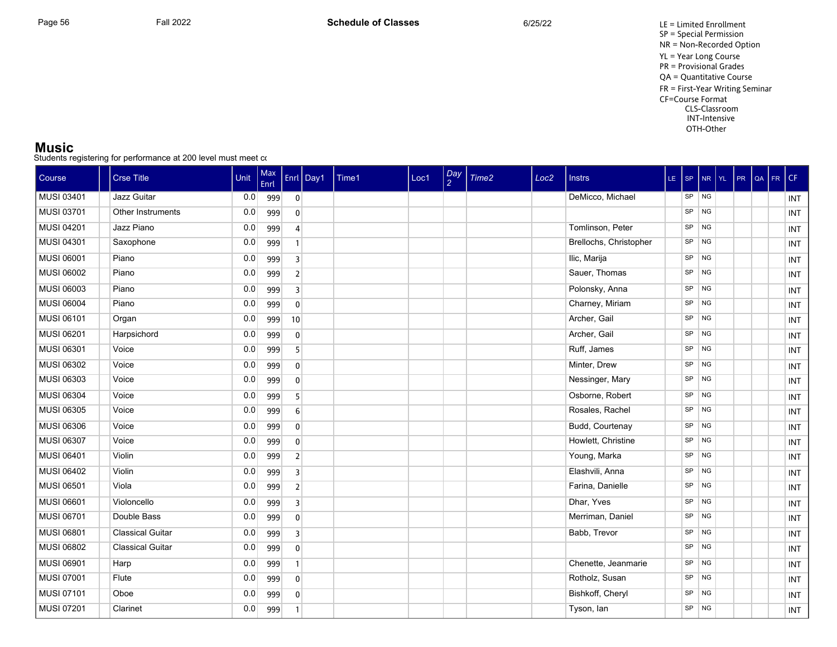#### **Music**

| Course            | <b>Crse Title</b>       | Unit | Max<br>Enrl |                         | Enrl Day1 | Time1 | Loc1 | $\frac{Day}{2}$ | Time <sub>2</sub> | Loc <sub>2</sub> | <b>Instrs</b>          |    |                | LE SP NR YL | $PR$ $QA$ | FR. | CF         |
|-------------------|-------------------------|------|-------------|-------------------------|-----------|-------|------|-----------------|-------------------|------------------|------------------------|----|----------------|-------------|-----------|-----|------------|
| MUSI 03401        | Jazz Guitar             | 0.0  | 999         | $\overline{0}$          |           |       |      |                 |                   |                  | DeMicco, Michael       | SP | <b>NG</b>      |             |           |     | INT        |
| <b>MUSI 03701</b> | Other Instruments       | 0.0  | 999         | $\mathbf{0}$            |           |       |      |                 |                   |                  |                        | SP | <b>NG</b>      |             |           |     | INT        |
| <b>MUSI 04201</b> | Jazz Piano              | 0.0  | 999         | $\overline{4}$          |           |       |      |                 |                   |                  | Tomlinson, Peter       | SP | <b>NG</b>      |             |           |     | INT        |
| <b>MUSI 04301</b> | Saxophone               | 0.0  | 999         | $\overline{1}$          |           |       |      |                 |                   |                  | Brellochs, Christopher | SP | <b>NG</b>      |             |           |     | <b>INT</b> |
| <b>MUSI 06001</b> | Piano                   | 0.0  | 999         | $\overline{\mathbf{3}}$ |           |       |      |                 |                   |                  | Ilic, Marija           | SP | <b>NG</b>      |             |           |     | INT        |
| <b>MUSI 06002</b> | Piano                   | 0.0  | 999         | $\overline{2}$          |           |       |      |                 |                   |                  | Sauer, Thomas          | SP | <b>NG</b>      |             |           |     | <b>INT</b> |
| <b>MUSI 06003</b> | Piano                   | 0.0  | 999         | $\overline{3}$          |           |       |      |                 |                   |                  | Polonsky, Anna         | SP | <b>NG</b>      |             |           |     | INT        |
| <b>MUSI 06004</b> | Piano                   | 0.0  | 999         | $\mathbf{0}$            |           |       |      |                 |                   |                  | Charney, Miriam        | SP | <b>NG</b>      |             |           |     | <b>INT</b> |
| <b>MUSI 06101</b> | Organ                   | 0.0  | 999         | 10                      |           |       |      |                 |                   |                  | Archer, Gail           | SP | <b>NG</b>      |             |           |     | INT        |
| MUSI 06201        | Harpsichord             | 0.0  | 999         | $\mathbf{0}$            |           |       |      |                 |                   |                  | Archer, Gail           | SP | <b>NG</b>      |             |           |     | INT        |
| MUSI 06301        | Voice                   | 0.0  | 999         | 5                       |           |       |      |                 |                   |                  | Ruff, James            | SP | <b>NG</b>      |             |           |     | INT        |
| MUSI 06302        | Voice                   | 0.0  | 999         | $\mathbf{0}$            |           |       |      |                 |                   |                  | Minter, Drew           | SP | <b>NG</b>      |             |           |     | INT        |
| <b>MUSI 06303</b> | Voice                   | 0.0  | 999         | $\mathbf{0}$            |           |       |      |                 |                   |                  | Nessinger, Mary        | SP | <b>NG</b>      |             |           |     | INT        |
| <b>MUSI 06304</b> | Voice                   | 0.0  | 999         | 5                       |           |       |      |                 |                   |                  | Osborne, Robert        | SP | <b>NG</b>      |             |           |     | INT        |
| <b>MUSI 06305</b> | Voice                   | 0.0  | 999         | $6 \overline{6}$        |           |       |      |                 |                   |                  | Rosales, Rachel        | SP | <b>NG</b>      |             |           |     | INT        |
| <b>MUSI 06306</b> | Voice                   | 0.0  | 999         | $\mathbf{0}$            |           |       |      |                 |                   |                  | Budd, Courtenay        | SP | <b>NG</b>      |             |           |     | INT        |
| <b>MUSI 06307</b> | Voice                   | 0.0  | 999         | $\mathbf{0}$            |           |       |      |                 |                   |                  | Howlett, Christine     | SP | <b>NG</b>      |             |           |     | INT        |
| <b>MUSI 06401</b> | Violin                  | 0.0  | 999         | $\overline{2}$          |           |       |      |                 |                   |                  | Young, Marka           | SP | <b>NG</b>      |             |           |     | <b>INT</b> |
| <b>MUSI 06402</b> | Violin                  | 0.0  | 999         | $\overline{3}$          |           |       |      |                 |                   |                  | Elashvili, Anna        | SP | <b>NG</b>      |             |           |     | INT        |
| <b>MUSI 06501</b> | Viola                   | 0.0  | 999         | $\overline{2}$          |           |       |      |                 |                   |                  | Farina, Danielle       | SP | <b>NG</b>      |             |           |     | INT        |
| <b>MUSI 06601</b> | Violoncello             | 0.0  | 999         | $\overline{3}$          |           |       |      |                 |                   |                  | Dhar, Yves             | SP | <b>NG</b>      |             |           |     | INT        |
| <b>MUSI 06701</b> | Double Bass             | 0.0  | 999         | $\mathbf{0}$            |           |       |      |                 |                   |                  | Merriman, Daniel       | SP | <b>NG</b>      |             |           |     | <b>INT</b> |
| <b>MUSI 06801</b> | <b>Classical Guitar</b> | 0.0  | 999         | $\overline{3}$          |           |       |      |                 |                   |                  | Babb, Trevor           | SP | <b>NG</b>      |             |           |     | INT        |
| <b>MUSI 06802</b> | <b>Classical Guitar</b> | 0.0  | 999         | $\mathbf{0}$            |           |       |      |                 |                   |                  |                        | SP | <b>NG</b>      |             |           |     | INT        |
| <b>MUSI 06901</b> | Harp                    | 0.0  | 999         | $\mathbf{1}$            |           |       |      |                 |                   |                  | Chenette, Jeanmarie    | SP | <b>NG</b>      |             |           |     | INT        |
| <b>MUSI 07001</b> | Flute                   | 0.0  | 999         | $\mathbf{0}$            |           |       |      |                 |                   |                  | Rotholz, Susan         | SP | <b>NG</b>      |             |           |     | <b>INT</b> |
| <b>MUSI 07101</b> | Oboe                    | 0.0  | 999         | $\mathbf{0}$            |           |       |      |                 |                   |                  | Bishkoff, Cheryl       | SP | <b>NG</b>      |             |           |     | INT        |
| MUSI 07201        | Clarinet                | 0.0  | 999         | $\mathbf{1}$            |           |       |      |                 |                   |                  | Tyson, lan             | SP | N <sub>G</sub> |             |           |     | INT        |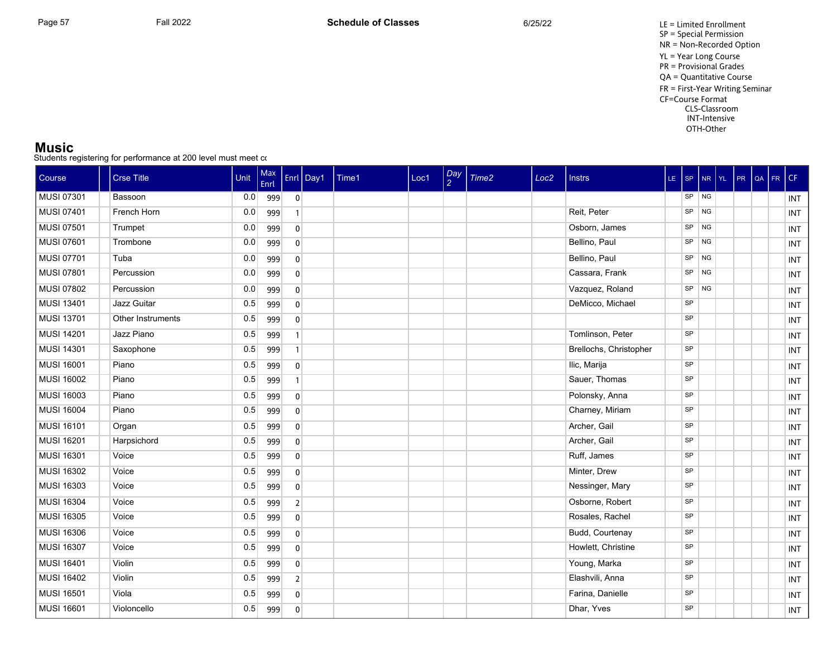Page 57 Fall 2022 Fall 2022 **Schedule of Classes** 6/25/22 6/25/22 LE = Limited Enrollment SP = Special Permission NR = Non-Recorded Option YL = Year Long Course PR = Provisional Grades QA = Quantitative Course FR = First-Year Writing Seminar CF=Course Format CLS-Classroom INT-Intensive OTH-Other

#### **Music**

| Course            | <b>Crse Title</b> | Unit | Max<br>Enrl |                | Enrl   Day1 | Time1 | Loc1 | $\frac{Day}{2}$ | Time <sub>2</sub> | Loc <sub>2</sub> | <b>Instrs</b>          | $LE$ SP   |           | $N_R$ $Y_L$ | PR | QA | FR | CF  |
|-------------------|-------------------|------|-------------|----------------|-------------|-------|------|-----------------|-------------------|------------------|------------------------|-----------|-----------|-------------|----|----|----|-----|
| <b>MUSI 07301</b> | Bassoon           | 0.0  | 999         | $\overline{0}$ |             |       |      |                 |                   |                  |                        | SP        | NG        |             |    |    |    | INT |
| MUSI 07401        | French Horn       | 0.0  | 999         |                |             |       |      |                 |                   |                  | Reit, Peter            | SP        | <b>NG</b> |             |    |    |    | INT |
| <b>MUSI 07501</b> | Trumpet           | 0.0  | 999         | $\mathbf{0}$   |             |       |      |                 |                   |                  | Osborn, James          | SP        | <b>NG</b> |             |    |    |    | INT |
| <b>MUSI 07601</b> | Trombone          | 0.0  | 999         | $\mathbf{0}$   |             |       |      |                 |                   |                  | Bellino, Paul          | SP        | <b>NG</b> |             |    |    |    | INT |
| <b>MUSI 07701</b> | Tuba              | 0.0  | 999         | $\mathbf{0}$   |             |       |      |                 |                   |                  | Bellino, Paul          | SP        | <b>NG</b> |             |    |    |    | INT |
| <b>MUSI 07801</b> | Percussion        | 0.0  | 999         | $\mathbf{0}$   |             |       |      |                 |                   |                  | Cassara, Frank         | SP        | <b>NG</b> |             |    |    |    | INT |
| MUSI 07802        | Percussion        | 0.0  | 999         | $\mathbf{0}$   |             |       |      |                 |                   |                  | Vazquez, Roland        | SP        | <b>NG</b> |             |    |    |    | INT |
| <b>MUSI 13401</b> | Jazz Guitar       | 0.5  | 999         | $\mathbf{0}$   |             |       |      |                 |                   |                  | DeMicco, Michael       | SP        |           |             |    |    |    | INT |
| <b>MUSI 13701</b> | Other Instruments | 0.5  | 999         | $\mathbf{0}$   |             |       |      |                 |                   |                  |                        | SP        |           |             |    |    |    | INT |
| <b>MUSI 14201</b> | Jazz Piano        | 0.5  | 999         | $\mathbf{1}$   |             |       |      |                 |                   |                  | Tomlinson, Peter       | SP        |           |             |    |    |    | INT |
| <b>MUSI 14301</b> | Saxophone         | 0.5  | 999         | $\mathbf{1}$   |             |       |      |                 |                   |                  | Brellochs, Christopher | SP        |           |             |    |    |    | INT |
| <b>MUSI 16001</b> | Piano             | 0.5  | 999         | $\mathbf{0}$   |             |       |      |                 |                   |                  | Ilic, Marija           | SP        |           |             |    |    |    | INT |
| <b>MUSI 16002</b> | Piano             | 0.5  | 999         |                |             |       |      |                 |                   |                  | Sauer, Thomas          | SP        |           |             |    |    |    | INT |
| <b>MUSI 16003</b> | Piano             | 0.5  | 999         | $\mathbf{0}$   |             |       |      |                 |                   |                  | Polonsky, Anna         | SP        |           |             |    |    |    | INT |
| <b>MUSI 16004</b> | Piano             | 0.5  | 999         | $\mathbf{0}$   |             |       |      |                 |                   |                  | Charney, Miriam        | SP        |           |             |    |    |    | INT |
| <b>MUSI 16101</b> | Organ             | 0.5  | 999         | $\mathbf{0}$   |             |       |      |                 |                   |                  | Archer, Gail           | SP        |           |             |    |    |    | INT |
| <b>MUSI 16201</b> | Harpsichord       | 0.5  | 999         | $\mathbf{0}$   |             |       |      |                 |                   |                  | Archer, Gail           | SP        |           |             |    |    |    | INT |
| <b>MUSI 16301</b> | Voice             | 0.5  | 999         | $\mathbf{0}$   |             |       |      |                 |                   |                  | Ruff, James            | SP        |           |             |    |    |    | INT |
| <b>MUSI 16302</b> | Voice             | 0.5  | 999         | $\mathbf{0}$   |             |       |      |                 |                   |                  | Minter, Drew           | SP        |           |             |    |    |    | INT |
| <b>MUSI 16303</b> | Voice             | 0.5  | 999         | $\mathbf{0}$   |             |       |      |                 |                   |                  | Nessinger, Mary        | <b>SP</b> |           |             |    |    |    | INT |
| <b>MUSI 16304</b> | Voice             | 0.5  | 999         | $\overline{2}$ |             |       |      |                 |                   |                  | Osborne, Robert        | SP        |           |             |    |    |    | INT |
| <b>MUSI 16305</b> | Voice             | 0.5  | 999         | $\Omega$       |             |       |      |                 |                   |                  | Rosales, Rachel        | SP        |           |             |    |    |    | INT |
| <b>MUSI 16306</b> | Voice             | 0.5  | 999         | $\mathbf{0}$   |             |       |      |                 |                   |                  | Budd, Courtenay        | SP        |           |             |    |    |    | INT |
| <b>MUSI 16307</b> | Voice             | 0.5  | 999         | $\mathbf{0}$   |             |       |      |                 |                   |                  | Howlett, Christine     | <b>SP</b> |           |             |    |    |    | INT |
| <b>MUSI 16401</b> | Violin            | 0.5  | 999         | $\mathbf{0}$   |             |       |      |                 |                   |                  | Young, Marka           | SP        |           |             |    |    |    | INT |
| <b>MUSI 16402</b> | Violin            | 0.5  | 999         | $\overline{2}$ |             |       |      |                 |                   |                  | Elashvili, Anna        | SP        |           |             |    |    |    | INT |
| <b>MUSI 16501</b> | Viola             | 0.5  | 999         | $\mathbf{0}$   |             |       |      |                 |                   |                  | Farina, Danielle       | SP        |           |             |    |    |    | INT |
| <b>MUSI 16601</b> | Violoncello       | 0.5  | 999         | $\mathbf{0}$   |             |       |      |                 |                   |                  | Dhar, Yves             | SP        |           |             |    |    |    | INT |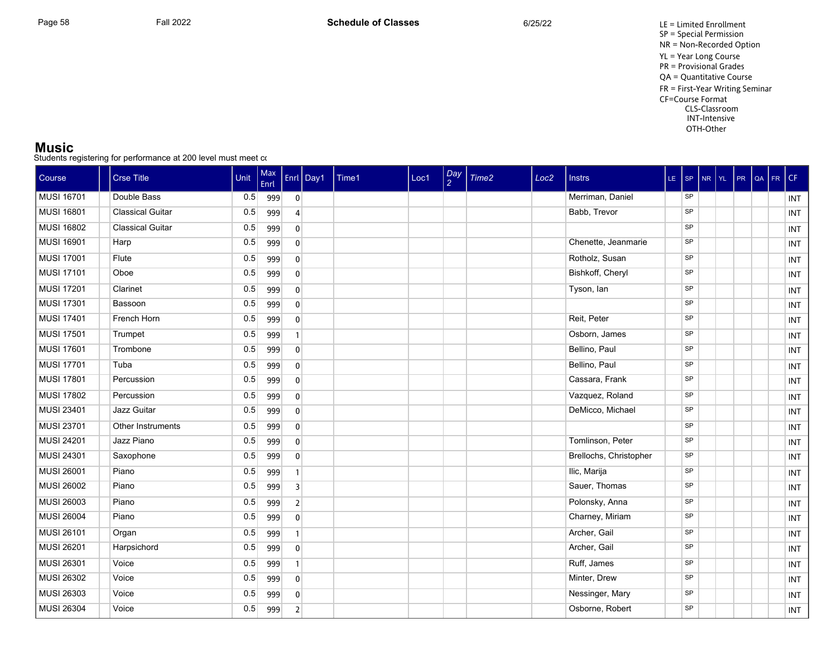Page 58 Fall 2022 Fall 2022 **Schedule of Classes** 6/25/22 6/25/22 LE = Limited Enrollment SP = Special Permission NR = Non-Recorded Option YL = Year Long Course PR = Provisional Grades QA = Quantitative Course FR = First-Year Writing Seminar CF=Course Format CLS-Classroom INT-Intensive OTH-Other

#### **Music**

| Course            | <b>Crse Title</b>       | Unit | Max<br>Enrl |                         | Enrl Day1 | Time1 | Loc1 | $\frac{Day}{2}$ | Time <sub>2</sub> | Loc <sub>2</sub> | <b>Instrs</b>          | LE SP NR YL |  | $PR$ $QA$ | FR. | CF         |
|-------------------|-------------------------|------|-------------|-------------------------|-----------|-------|------|-----------------|-------------------|------------------|------------------------|-------------|--|-----------|-----|------------|
| <b>MUSI 16701</b> | Double Bass             | 0.5  | 999         | $\overline{0}$          |           |       |      |                 |                   |                  | Merriman, Daniel       | <b>SP</b>   |  |           |     | INT        |
| <b>MUSI 16801</b> | <b>Classical Guitar</b> | 0.5  | 999         | $\overline{4}$          |           |       |      |                 |                   |                  | Babb, Trevor           | <b>SP</b>   |  |           |     | INT        |
| <b>MUSI 16802</b> | <b>Classical Guitar</b> | 0.5  | 999         | $\mathbf{0}$            |           |       |      |                 |                   |                  |                        | <b>SP</b>   |  |           |     | INT        |
| <b>MUSI 16901</b> | Harp                    | 0.5  | 999         | $\mathbf{0}$            |           |       |      |                 |                   |                  | Chenette, Jeanmarie    | SP          |  |           |     | INT        |
| <b>MUSI 17001</b> | Flute                   | 0.5  | 999         | $\mathbf{0}$            |           |       |      |                 |                   |                  | Rotholz, Susan         | SP          |  |           |     | INT        |
| <b>MUSI 17101</b> | Oboe                    | 0.5  | 999         | $\mathbf{0}$            |           |       |      |                 |                   |                  | Bishkoff, Cheryl       | SP          |  |           |     | INT        |
| <b>MUSI 17201</b> | Clarinet                | 0.5  | 999         | $\mathbf{0}$            |           |       |      |                 |                   |                  | Tyson, lan             | SP          |  |           |     | <b>INT</b> |
| <b>MUSI 17301</b> | Bassoon                 | 0.5  | 999         | $\mathbf{0}$            |           |       |      |                 |                   |                  |                        | SP          |  |           |     | <b>INT</b> |
| <b>MUSI 17401</b> | French Horn             | 0.5  | 999         | $\mathbf{0}$            |           |       |      |                 |                   |                  | Reit, Peter            | SP          |  |           |     | INT        |
| <b>MUSI 17501</b> | Trumpet                 | 0.5  | 999         | $\overline{1}$          |           |       |      |                 |                   |                  | Osborn, James          | SP          |  |           |     | INT        |
| <b>MUSI 17601</b> | Trombone                | 0.5  | 999         | $\mathbf 0$             |           |       |      |                 |                   |                  | Bellino, Paul          | SP          |  |           |     | INT        |
| <b>MUSI 17701</b> | Tuba                    | 0.5  | 999         | $\mathbf{0}$            |           |       |      |                 |                   |                  | Bellino, Paul          | SP          |  |           |     | INT        |
| <b>MUSI 17801</b> | Percussion              | 0.5  | 999         | $\mathbf 0$             |           |       |      |                 |                   |                  | Cassara, Frank         | SP          |  |           |     | INT        |
| <b>MUSI 17802</b> | Percussion              | 0.5  | 999         | $\mathbf{0}$            |           |       |      |                 |                   |                  | Vazquez, Roland        | SP          |  |           |     | <b>INT</b> |
| MUSI 23401        | Jazz Guitar             | 0.5  | 999         | $\mathbf{0}$            |           |       |      |                 |                   |                  | DeMicco, Michael       | SP          |  |           |     | INT        |
| MUSI 23701        | Other Instruments       | 0.5  | 999         | $\mathbf{0}$            |           |       |      |                 |                   |                  |                        | <b>SP</b>   |  |           |     | <b>INT</b> |
| <b>MUSI 24201</b> | Jazz Piano              | 0.5  | 999         | $\mathbf{0}$            |           |       |      |                 |                   |                  | Tomlinson, Peter       | SP          |  |           |     | <b>INT</b> |
| MUSI 24301        | Saxophone               | 0.5  | 999         | $\mathbf{0}$            |           |       |      |                 |                   |                  | Brellochs, Christopher | SP          |  |           |     | <b>INT</b> |
| <b>MUSI 26001</b> | Piano                   | 0.5  | 999         | $\mathbf{1}$            |           |       |      |                 |                   |                  | Ilic, Marija           | SP          |  |           |     | INT        |
| <b>MUSI 26002</b> | Piano                   | 0.5  | 999         | $\overline{\mathbf{3}}$ |           |       |      |                 |                   |                  | Sauer, Thomas          | SP          |  |           |     | <b>INT</b> |
| <b>MUSI 26003</b> | Piano                   | 0.5  | 999         | $\overline{2}$          |           |       |      |                 |                   |                  | Polonsky, Anna         | SP          |  |           |     | <b>INT</b> |
| <b>MUSI 26004</b> | Piano                   | 0.5  | 999         | $\mathbf{0}$            |           |       |      |                 |                   |                  | Charney, Miriam        | SP          |  |           |     | INT        |
| <b>MUSI 26101</b> | Organ                   | 0.5  | 999         | $\mathbf{1}$            |           |       |      |                 |                   |                  | Archer, Gail           | SP          |  |           |     | INT        |
| <b>MUSI 26201</b> | Harpsichord             | 0.5  | 999         | $\mathbf{0}$            |           |       |      |                 |                   |                  | Archer, Gail           | <b>SP</b>   |  |           |     | INT        |
| <b>MUSI 26301</b> | Voice                   | 0.5  | 999         | $\overline{1}$          |           |       |      |                 |                   |                  | Ruff, James            | SP          |  |           |     | INT        |
| <b>MUSI 26302</b> | Voice                   | 0.5  | 999         | $\mathbf{0}$            |           |       |      |                 |                   |                  | Minter, Drew           | SP          |  |           |     | <b>INT</b> |
| MUSI 26303        | Voice                   | 0.5  | 999         | $\mathbf{0}$            |           |       |      |                 |                   |                  | Nessinger, Mary        | SP          |  |           |     | INT        |
| <b>MUSI 26304</b> | Voice                   | 0.5  | 999         | $\mathbf 2$             |           |       |      |                 |                   |                  | Osborne, Robert        | SP          |  |           |     | INT        |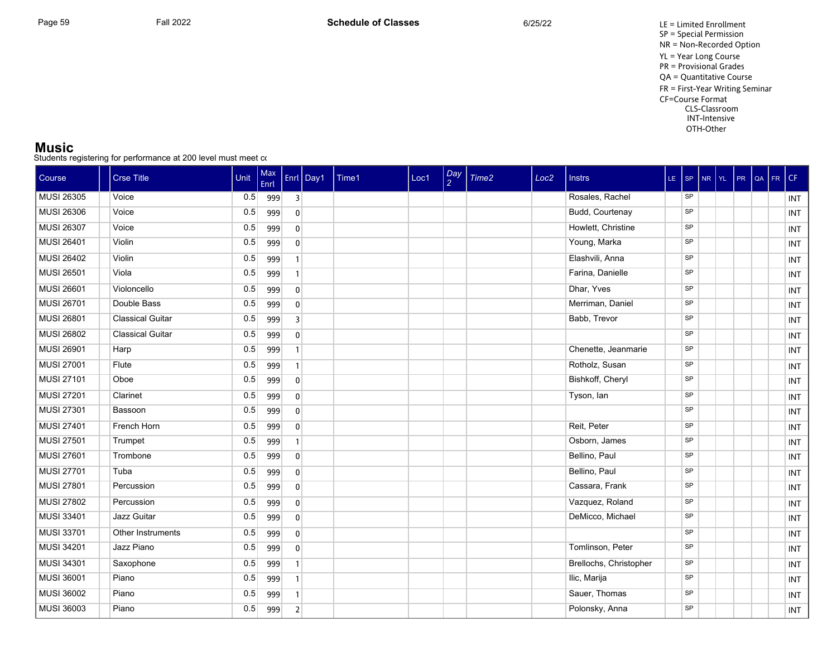#### **Music**

| Course            | <b>Crse Title</b>       | Unit | Max<br>Enrl |                | Enrl $\vert$ Day1 | Time1 | Loc1 | $\frac{Day}{2}$ | Time2 | Loc <sub>2</sub> | <b>Instrs</b>          |           |  | LE SP NR YL PR QA | FR. | CF         |
|-------------------|-------------------------|------|-------------|----------------|-------------------|-------|------|-----------------|-------|------------------|------------------------|-----------|--|-------------------|-----|------------|
| <b>MUSI 26305</b> | Voice                   | 0.5  | 999         | $\overline{3}$ |                   |       |      |                 |       |                  | Rosales, Rachel        | SP        |  |                   |     | INT        |
| <b>MUSI 26306</b> | Voice                   | 0.5  | 999         | $\mathbf{0}$   |                   |       |      |                 |       |                  | Budd, Courtenay        | SP        |  |                   |     | INT        |
| <b>MUSI 26307</b> | Voice                   | 0.5  | 999         | $\mathbf{0}$   |                   |       |      |                 |       |                  | Howlett, Christine     | SP        |  |                   |     | INT        |
| <b>MUSI 26401</b> | Violin                  | 0.5  | 999         | $\mathbf{0}$   |                   |       |      |                 |       |                  | Young, Marka           | SP        |  |                   |     | <b>INT</b> |
| <b>MUSI 26402</b> | Violin                  | 0.5  | 999         | $\overline{1}$ |                   |       |      |                 |       |                  | Elashvili, Anna        | SP        |  |                   |     | INT        |
| <b>MUSI 26501</b> | Viola                   | 0.5  | 999         | $\overline{1}$ |                   |       |      |                 |       |                  | Farina, Danielle       | SP        |  |                   |     | <b>INT</b> |
| <b>MUSI 26601</b> | Violoncello             | 0.5  | 999         | $\mathbf{0}$   |                   |       |      |                 |       |                  | Dhar, Yves             | SP        |  |                   |     | INT        |
| <b>MUSI 26701</b> | Double Bass             | 0.5  | 999         | $\mathbf{0}$   |                   |       |      |                 |       |                  | Merriman, Daniel       | SP        |  |                   |     | INT        |
| <b>MUSI 26801</b> | <b>Classical Guitar</b> | 0.5  | 999         | $\overline{3}$ |                   |       |      |                 |       |                  | Babb, Trevor           | SP        |  |                   |     | INT        |
| <b>MUSI 26802</b> | <b>Classical Guitar</b> | 0.5  | 999         | $\mathbf{0}$   |                   |       |      |                 |       |                  |                        | SP        |  |                   |     | <b>INT</b> |
| <b>MUSI 26901</b> | Harp                    | 0.5  | 999         | $\mathbf{1}$   |                   |       |      |                 |       |                  | Chenette, Jeanmarie    | SP        |  |                   |     | INT        |
| <b>MUSI 27001</b> | Flute                   | 0.5  | 999         | $\overline{1}$ |                   |       |      |                 |       |                  | Rotholz, Susan         | SP        |  |                   |     | INT        |
| <b>MUSI 27101</b> | Oboe                    | 0.5  | 999         | $\mathbf{0}$   |                   |       |      |                 |       |                  | Bishkoff, Cheryl       | <b>SP</b> |  |                   |     | INT        |
| <b>MUSI 27201</b> | Clarinet                | 0.5  | 999         | $\mathbf{0}$   |                   |       |      |                 |       |                  | Tyson, lan             | <b>SP</b> |  |                   |     | INT        |
| <b>MUSI 27301</b> | Bassoon                 | 0.5  | 999         | $\mathbf{0}$   |                   |       |      |                 |       |                  |                        | SP        |  |                   |     | INT        |
| <b>MUSI 27401</b> | French Horn             | 0.5  | 999         | $\mathbf{0}$   |                   |       |      |                 |       |                  | Reit, Peter            | SP        |  |                   |     | INT        |
| <b>MUSI 27501</b> | Trumpet                 | 0.5  | 999         |                |                   |       |      |                 |       |                  | Osborn, James          | SP        |  |                   |     | INT        |
| <b>MUSI 27601</b> | Trombone                | 0.5  | 999         | $\mathbf 0$    |                   |       |      |                 |       |                  | Bellino, Paul          | SP        |  |                   |     | <b>INT</b> |
| <b>MUSI 27701</b> | Tuba                    | 0.5  | 999         | $\mathbf 0$    |                   |       |      |                 |       |                  | Bellino, Paul          | SP        |  |                   |     | INT        |
| <b>MUSI 27801</b> | Percussion              | 0.5  | 999         | $\mathbf{0}$   |                   |       |      |                 |       |                  | Cassara, Frank         | <b>SP</b> |  |                   |     | INT        |
| <b>MUSI 27802</b> | Percussion              | 0.5  | 999         | $\mathbf{0}$   |                   |       |      |                 |       |                  | Vazquez, Roland        | SP        |  |                   |     | <b>INT</b> |
| <b>MUSI 33401</b> | Jazz Guitar             | 0.5  | 999         | $\mathbf{0}$   |                   |       |      |                 |       |                  | DeMicco, Michael       | SP        |  |                   |     | INT        |
| <b>MUSI 33701</b> | Other Instruments       | 0.5  | 999         | $\mathbf{0}$   |                   |       |      |                 |       |                  |                        | SP        |  |                   |     | INT        |
| <b>MUSI 34201</b> | Jazz Piano              | 0.5  | 999         | $\mathbf{0}$   |                   |       |      |                 |       |                  | Tomlinson, Peter       | <b>SP</b> |  |                   |     | <b>INT</b> |
| MUSI 34301        | Saxophone               | 0.5  | 999         | $\overline{1}$ |                   |       |      |                 |       |                  | Brellochs, Christopher | <b>SP</b> |  |                   |     | INT        |
| <b>MUSI 36001</b> | Piano                   | 0.5  | 999         | $\overline{1}$ |                   |       |      |                 |       |                  | Ilic, Marija           | SP        |  |                   |     | INT        |
| <b>MUSI 36002</b> | Piano                   | 0.5  | 999         | $\mathbf{1}$   |                   |       |      |                 |       |                  | Sauer, Thomas          | SP        |  |                   |     | INT        |
| <b>MUSI 36003</b> | Piano                   | 0.5  | 999         | $\overline{2}$ |                   |       |      |                 |       |                  | Polonsky, Anna         | SP        |  |                   |     | INT        |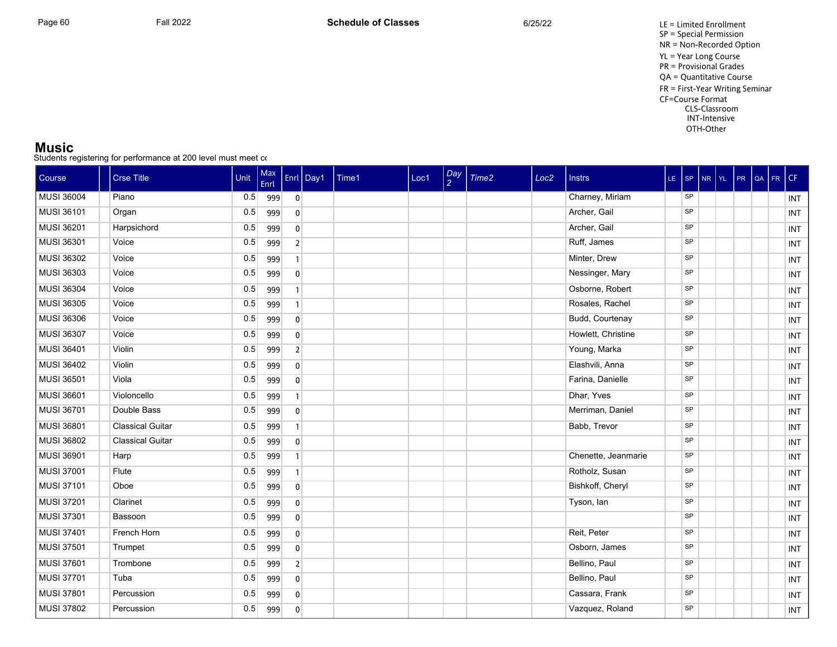#### **Music**

| Course            | <b>Crse Title</b>       | Unit | Max<br>Enrl |                | Enrl Day1 | Time1 | Loc1 | $\frac{Day}{2}$ | Time <sub>2</sub> | Loc <sub>2</sub> | <b>Instrs</b>       | LE SP NR YL |  | $PR$ $QA$ | FR. | CF         |
|-------------------|-------------------------|------|-------------|----------------|-----------|-------|------|-----------------|-------------------|------------------|---------------------|-------------|--|-----------|-----|------------|
| <b>MUSI 36004</b> | Piano                   | 0.5  | 999         | $\overline{0}$ |           |       |      |                 |                   |                  | Charney, Miriam     | <b>SP</b>   |  |           |     | INT        |
| <b>MUSI 36101</b> | Organ                   | 0.5  | 999         | $\mathbf{0}$   |           |       |      |                 |                   |                  | Archer, Gail        | SP          |  |           |     | INT        |
| <b>MUSI 36201</b> | Harpsichord             | 0.5  | 999         | $\mathbf{0}$   |           |       |      |                 |                   |                  | Archer, Gail        | SP          |  |           |     | INT        |
| <b>MUSI 36301</b> | Voice                   | 0.5  | 999         | $\overline{2}$ |           |       |      |                 |                   |                  | Ruff, James         | SP          |  |           |     | <b>INT</b> |
| MUSI 36302        | Voice                   | 0.5  | 999         | $\overline{1}$ |           |       |      |                 |                   |                  | Minter, Drew        | SP          |  |           |     | INT        |
| <b>MUSI 36303</b> | Voice                   | 0.5  | 999         | $\mathbf{0}$   |           |       |      |                 |                   |                  | Nessinger, Mary     | SP          |  |           |     | <b>INT</b> |
| <b>MUSI 36304</b> | Voice                   | 0.5  | 999         | $\mathbf{1}$   |           |       |      |                 |                   |                  | Osborne, Robert     | SP          |  |           |     | <b>INT</b> |
| <b>MUSI 36305</b> | Voice                   | 0.5  | 999         | $\mathbf{1}$   |           |       |      |                 |                   |                  | Rosales, Rachel     | SP          |  |           |     | INT        |
| <b>MUSI 36306</b> | Voice                   | 0.5  | 999         | $\mathbf{0}$   |           |       |      |                 |                   |                  | Budd, Courtenay     | SP          |  |           |     | INT        |
| <b>MUSI 36307</b> | Voice                   | 0.5  | 999         | $\mathbf{0}$   |           |       |      |                 |                   |                  | Howlett, Christine  | SP          |  |           |     | <b>INT</b> |
| MUSI 36401        | Violin                  | 0.5  | 999         | $\overline{2}$ |           |       |      |                 |                   |                  | Young, Marka        | SP          |  |           |     | <b>INT</b> |
| <b>MUSI 36402</b> | Violin                  | 0.5  | 999         | $\mathbf{0}$   |           |       |      |                 |                   |                  | Elashvili, Anna     | SP          |  |           |     | <b>INT</b> |
| <b>MUSI 36501</b> | Viola                   | 0.5  | 999         | $\mathbf 0$    |           |       |      |                 |                   |                  | Farina, Danielle    | SP          |  |           |     | INT        |
| <b>MUSI 36601</b> | Violoncello             | 0.5  | 999         | $\overline{1}$ |           |       |      |                 |                   |                  | Dhar, Yves          | SP          |  |           |     | <b>INT</b> |
| MUSI 36701        | Double Bass             | 0.5  | 999         | 0              |           |       |      |                 |                   |                  | Merriman, Daniel    | SP          |  |           |     | <b>INT</b> |
| <b>MUSI 36801</b> | <b>Classical Guitar</b> | 0.5  | 999         | $\overline{1}$ |           |       |      |                 |                   |                  | Babb, Trevor        | SP          |  |           |     | <b>INT</b> |
| <b>MUSI 36802</b> | <b>Classical Guitar</b> | 0.5  | 999         | $\mathbf 0$    |           |       |      |                 |                   |                  |                     | SP          |  |           |     | <b>INT</b> |
| <b>MUSI 36901</b> | Harp                    | 0.5  | 999         | $\overline{1}$ |           |       |      |                 |                   |                  | Chenette, Jeanmarie | SP          |  |           |     | <b>INT</b> |
| <b>MUSI 37001</b> | Flute                   | 0.5  | 999         | $\overline{1}$ |           |       |      |                 |                   |                  | Rotholz, Susan      | SP          |  |           |     | <b>INT</b> |
| <b>MUSI 37101</b> | Oboe                    | 0.5  | 999         | $\overline{0}$ |           |       |      |                 |                   |                  | Bishkoff, Cheryl    | SP          |  |           |     | <b>INT</b> |
| <b>MUSI 37201</b> | Clarinet                | 0.5  | 999         | $\mathbf{0}$   |           |       |      |                 |                   |                  | Tyson, lan          | SP          |  |           |     | <b>INT</b> |
| MUSI 37301        | Bassoon                 | 0.5  | 999         | $\mathbf{0}$   |           |       |      |                 |                   |                  |                     | SP          |  |           |     | INT        |
| <b>MUSI 37401</b> | French Horn             | 0.5  | 999         | $\mathbf{0}$   |           |       |      |                 |                   |                  | Reit, Peter         | SP          |  |           |     | INT        |
| <b>MUSI 37501</b> | Trumpet                 | 0.5  | 999         | $\mathbf{0}$   |           |       |      |                 |                   |                  | Osborn, James       | <b>SP</b>   |  |           |     | INT        |
| <b>MUSI 37601</b> | Trombone                | 0.5  | 999         | $\overline{2}$ |           |       |      |                 |                   |                  | Bellino, Paul       | SP          |  |           |     | INT        |
| <b>MUSI 37701</b> | Tuba                    | 0.5  | 999         | $\mathbf{0}$   |           |       |      |                 |                   |                  | Bellino, Paul       | SP          |  |           |     | INT        |
| <b>MUSI 37801</b> | Percussion              | 0.5  | 999         | $\mathbf{0}$   |           |       |      |                 |                   |                  | Cassara, Frank      | SP          |  |           |     | INT        |
| <b>MUSI 37802</b> | Percussion              | 0.5  | 999         | $\pmb{0}$      |           |       |      |                 |                   |                  | Vazquez, Roland     | SP          |  |           |     | INT        |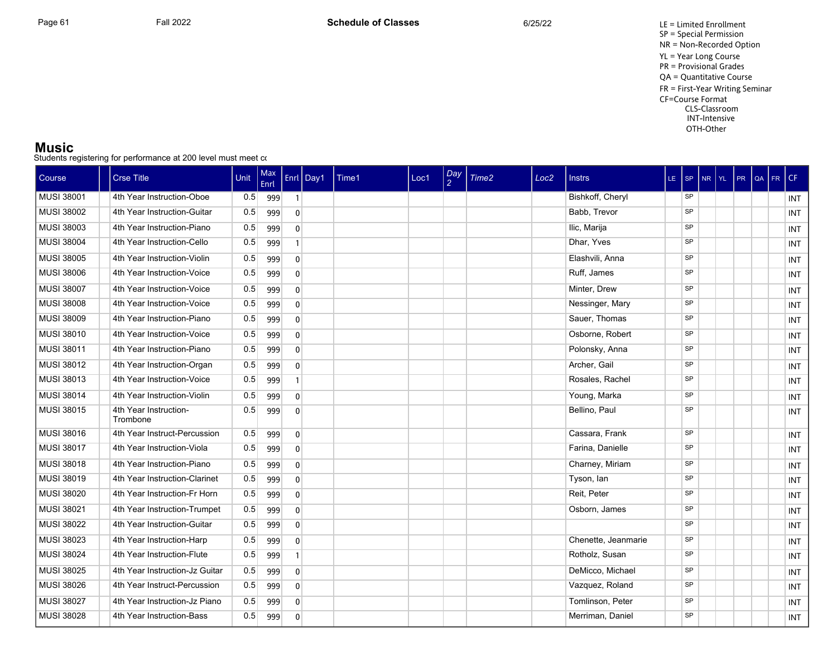#### **Music**

| Course            | <b>Crse Title</b>                 | Unit | Max<br>Enrl |                | Enrl Day1 | Time1 | Loc1 | Day<br>$\overline{2}$ | Time2 | Loc <sub>2</sub> | <b>Instrs</b>       | LE SP |           | $NR$ $YL$ |  | PR QA FR | l CF.      |
|-------------------|-----------------------------------|------|-------------|----------------|-----------|-------|------|-----------------------|-------|------------------|---------------------|-------|-----------|-----------|--|----------|------------|
| MUSI 38001        | 4th Year Instruction-Oboe         | 0.5  | 999         | $\mathbf{1}$   |           |       |      |                       |       |                  | Bishkoff, Cheryl    |       | SP        |           |  |          | <b>INT</b> |
| MUSI 38002        | 4th Year Instruction-Guitar       | 0.5  | 999         | $\mathbf{0}$   |           |       |      |                       |       |                  | Babb, Trevor        |       | <b>SP</b> |           |  |          | INT        |
| MUSI 38003        | 4th Year Instruction-Piano        | 0.5  | 999         | $\overline{0}$ |           |       |      |                       |       |                  | Ilic, Marija        |       | <b>SP</b> |           |  |          | INT        |
| <b>MUSI 38004</b> | 4th Year Instruction-Cello        | 0.5  | 999         | $\mathbf{1}$   |           |       |      |                       |       |                  | Dhar, Yves          |       | SP        |           |  |          | INT        |
| MUSI 38005        | 4th Year Instruction-Violin       | 0.5  | 999         | $\overline{0}$ |           |       |      |                       |       |                  | Elashvili, Anna     |       | <b>SP</b> |           |  |          | <b>INT</b> |
| MUSI 38006        | 4th Year Instruction-Voice        | 0.5  | 999         | $\overline{0}$ |           |       |      |                       |       |                  | Ruff, James         |       | <b>SP</b> |           |  |          | INT        |
| <b>MUSI 38007</b> | 4th Year Instruction-Voice        | 0.5  | 999         | $\overline{0}$ |           |       |      |                       |       |                  | Minter, Drew        |       | SP        |           |  |          | INT        |
| <b>MUSI 38008</b> | 4th Year Instruction-Voice        | 0.5  | 999         | $\overline{0}$ |           |       |      |                       |       |                  | Nessinger, Mary     |       | SP        |           |  |          | INT        |
| MUSI 38009        | 4th Year Instruction-Piano        | 0.5  | 999         | $\overline{0}$ |           |       |      |                       |       |                  | Sauer, Thomas       |       | <b>SP</b> |           |  |          | <b>INT</b> |
| <b>MUSI 38010</b> | 4th Year Instruction-Voice        | 0.5  | 999         | $\overline{0}$ |           |       |      |                       |       |                  | Osborne, Robert     |       | <b>SP</b> |           |  |          | <b>INT</b> |
| MUSI 38011        | 4th Year Instruction-Piano        | 0.5  | 999         | $\overline{0}$ |           |       |      |                       |       |                  | Polonsky, Anna      |       | <b>SP</b> |           |  |          | <b>INT</b> |
| MUSI 38012        | 4th Year Instruction-Organ        | 0.5  | 999         | $\mathbf{0}$   |           |       |      |                       |       |                  | Archer, Gail        |       | <b>SP</b> |           |  |          | <b>INT</b> |
| MUSI 38013        | 4th Year Instruction-Voice        | 0.5  | 999         | $\mathbf{1}$   |           |       |      |                       |       |                  | Rosales, Rachel     |       | <b>SP</b> |           |  |          | <b>INT</b> |
| MUSI 38014        | 4th Year Instruction-Violin       | 0.5  | 999         | $\overline{0}$ |           |       |      |                       |       |                  | Young, Marka        |       | <b>SP</b> |           |  |          | <b>INT</b> |
| <b>MUSI 38015</b> | 4th Year Instruction-<br>Trombone | 0.5  | 999         | $\mathbf{0}$   |           |       |      |                       |       |                  | Bellino, Paul       |       | SP        |           |  |          | <b>INT</b> |
| <b>MUSI 38016</b> | 4th Year Instruct-Percussion      | 0.5  | 999         | $\overline{0}$ |           |       |      |                       |       |                  | Cassara, Frank      |       | <b>SP</b> |           |  |          | <b>INT</b> |
| <b>MUSI 38017</b> | 4th Year Instruction-Viola        | 0.5  | 999         | $\overline{0}$ |           |       |      |                       |       |                  | Farina, Danielle    |       | <b>SP</b> |           |  |          | <b>INT</b> |
| MUSI 38018        | 4th Year Instruction-Piano        | 0.5  | 999         | $\mathbf{0}$   |           |       |      |                       |       |                  | Charney, Miriam     |       | <b>SP</b> |           |  |          | INT        |
| MUSI 38019        | 4th Year Instruction-Clarinet     | 0.5  | 999         | $\overline{0}$ |           |       |      |                       |       |                  | Tyson, lan          |       | <b>SP</b> |           |  |          | <b>INT</b> |
| MUSI 38020        | 4th Year Instruction-Fr Horn      | 0.5  | 999         | $\mathbf{0}$   |           |       |      |                       |       |                  | Reit, Peter         |       | <b>SP</b> |           |  |          | <b>INT</b> |
| MUSI 38021        | 4th Year Instruction-Trumpet      | 0.5  | 999         | $\overline{0}$ |           |       |      |                       |       |                  | Osborn, James       |       | SP        |           |  |          | <b>INT</b> |
| <b>MUSI 38022</b> | 4th Year Instruction-Guitar       | 0.5  | 999         | $\mathbf{0}$   |           |       |      |                       |       |                  |                     |       | <b>SP</b> |           |  |          | <b>INT</b> |
| MUSI 38023        | 4th Year Instruction-Harp         | 0.5  | 999         | $\mathbf{0}$   |           |       |      |                       |       |                  | Chenette, Jeanmarie |       | SP        |           |  |          | <b>INT</b> |
| MUSI 38024        | 4th Year Instruction-Flute        | 0.5  | 999         |                |           |       |      |                       |       |                  | Rotholz, Susan      |       | <b>SP</b> |           |  |          | <b>INT</b> |
| MUSI 38025        | 4th Year Instruction-Jz Guitar    | 0.5  | 999         | $\overline{0}$ |           |       |      |                       |       |                  | DeMicco, Michael    |       | <b>SP</b> |           |  |          | <b>INT</b> |
| <b>MUSI 38026</b> | 4th Year Instruct-Percussion      | 0.5  | 999         | $\Omega$       |           |       |      |                       |       |                  | Vazquez, Roland     |       | <b>SP</b> |           |  |          | INT        |
| <b>MUSI 38027</b> | 4th Year Instruction-Jz Piano     | 0.5  | 999         | $\mathbf{0}$   |           |       |      |                       |       |                  | Tomlinson, Peter    |       | <b>SP</b> |           |  |          | <b>INT</b> |
| MUSI 38028        | 4th Year Instruction-Bass         | 0.5  | 999         | $\mathbf{0}$   |           |       |      |                       |       |                  | Merriman, Daniel    |       | <b>SP</b> |           |  |          | INT        |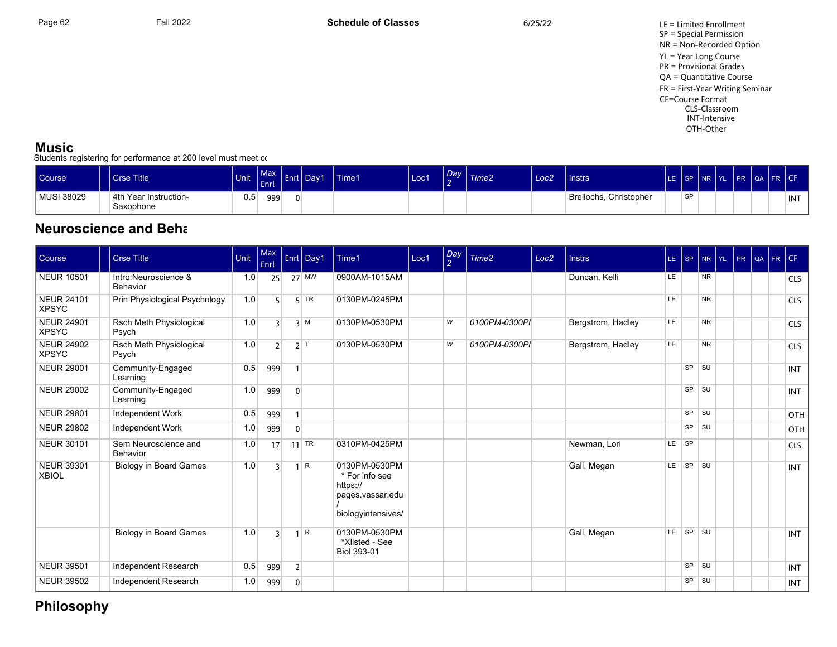Page 62 Fall 2022 Fall 2022 **Schedule of Classes** 6/25/22 6/25/22 LE = Limited Enrollment SP = Special Permission NR = Non-Recorded Option YL = Year Long Course PR = Provisional Grades QA = Quantitative Course FR = First-Year Writing Seminar CF=Course Format CLS-Classroom INT-Intensive OTH-Other

### **Music**

Students registering for performance at 200 level must meet co

| <b>Course</b> | Crse Title                         | Unit | $M_{\rm{av}}$<br>Enrl | . . | .<br>Day1 | <b>Time1</b> | Loc1 | Dav | Time2 | Loc2 | Instrs                 | LE. | ISP INR IYL |  | <b>IPR</b> | OA FR CF |     |
|---------------|------------------------------------|------|-----------------------|-----|-----------|--------------|------|-----|-------|------|------------------------|-----|-------------|--|------------|----------|-----|
| MUSI 38029    | 4th Year Instruction-<br>Saxophone | 0.5  | 999                   |     |           |              |      |     |       |      | Brellochs, Christopher |     | <b>SP</b>   |  |            |          | INT |

## **Neuroscience and Beha**

| Course                            | <b>Crse Title</b>                | Unit | Max<br>Enrl    |                | Enrl Day1    | Time1                                                                                 | Loc1 | Day<br>$\overline{2}$ | Time <sub>2</sub> | Loc <sub>2</sub> | <b>Instrs</b>     | LE SP     |           | NR        | $ Y_L $ | PR | QA | FR. | CF         |
|-----------------------------------|----------------------------------|------|----------------|----------------|--------------|---------------------------------------------------------------------------------------|------|-----------------------|-------------------|------------------|-------------------|-----------|-----------|-----------|---------|----|----|-----|------------|
| <b>NEUR 10501</b>                 | Intro:Neuroscience &<br>Behavior | 1.0  | 25             |                | $27$ MW      | 0900AM-1015AM                                                                         |      |                       |                   |                  | Duncan, Kelli     | LE.       |           | <b>NR</b> |         |    |    |     | <b>CLS</b> |
| <b>NEUR 24101</b><br><b>XPSYC</b> | Prin Physiological Psychology    | 1.0  | 5              |                | $5$ TR       | 0130PM-0245PM                                                                         |      |                       |                   |                  |                   | LE        |           | <b>NR</b> |         |    |    |     | <b>CLS</b> |
| <b>NEUR 24901</b><br><b>XPSYC</b> | Rsch Meth Physiological<br>Psych | 1.0  | २              |                | $3 \mid M$   | 0130PM-0530PM                                                                         |      | W                     | 0100PM-0300PI     |                  | Bergstrom, Hadley | LE        |           | <b>NR</b> |         |    |    |     | <b>CLS</b> |
| <b>NEUR 24902</b><br><b>XPSYC</b> | Rsch Meth Physiological<br>Psych | 1.0  | $\overline{2}$ |                | $2$ T        | 0130PM-0530PM                                                                         |      | W                     | 0100PM-0300PI     |                  | Bergstrom, Hadley | LE        |           | <b>NR</b> |         |    |    |     | <b>CLS</b> |
| <b>NEUR 29001</b>                 | Community-Engaged<br>Learning    | 0.5  | 999            | $\mathbf{1}$   |              |                                                                                       |      |                       |                   |                  |                   |           | SP        | <b>SU</b> |         |    |    |     | <b>INT</b> |
| <b>NEUR 29002</b>                 | Community-Engaged<br>Learning    | 1.0  | 999            | $\overline{0}$ |              |                                                                                       |      |                       |                   |                  |                   |           | SP        | <b>SU</b> |         |    |    |     | <b>INT</b> |
| <b>NEUR 29801</b>                 | Independent Work                 | 0.5  | 999            | $\mathbf{1}$   |              |                                                                                       |      |                       |                   |                  |                   |           | SP        | <b>SU</b> |         |    |    |     | OTH        |
| <b>NEUR 29802</b>                 | Independent Work                 | 1.0  | 999            | $\overline{0}$ |              |                                                                                       |      |                       |                   |                  |                   |           | <b>SP</b> | SU        |         |    |    |     | OTH        |
| <b>NEUR 30101</b>                 | Sem Neuroscience and<br>Behavior | 1.0  | 17             |                | $11$ TR      | 0310PM-0425PM                                                                         |      |                       |                   |                  | Newman, Lori      | $LE$ $SP$ |           |           |         |    |    |     | <b>CLS</b> |
| <b>NEUR 39301</b><br><b>XBIOL</b> | <b>Biology in Board Games</b>    | 1.0  | २              |                | $1 \rvert R$ | 0130PM-0530PM<br>* For info see<br>https://<br>pages vassar edu<br>biologyintensives/ |      |                       |                   |                  | Gall, Megan       | LE.       | SP        | <b>SU</b> |         |    |    |     | <b>INT</b> |
|                                   | <b>Biology in Board Games</b>    | 1.0  | २              |                | $1 \, R$     | 0130PM-0530PM<br>*Xlisted - See<br><b>Biol 393-01</b>                                 |      |                       |                   |                  | Gall, Megan       | LE        | SP        | <b>SU</b> |         |    |    |     | <b>INT</b> |
| <b>NEUR 39501</b>                 | Independent Research             | 0.5  | 999            | $\overline{2}$ |              |                                                                                       |      |                       |                   |                  |                   |           | SP        | <b>SU</b> |         |    |    |     | <b>INT</b> |
| <b>NEUR 39502</b>                 | Independent Research             | 1.0  | 999            | $\overline{0}$ |              |                                                                                       |      |                       |                   |                  |                   |           | SP        | <b>SU</b> |         |    |    |     | <b>INT</b> |

## **Philosophy**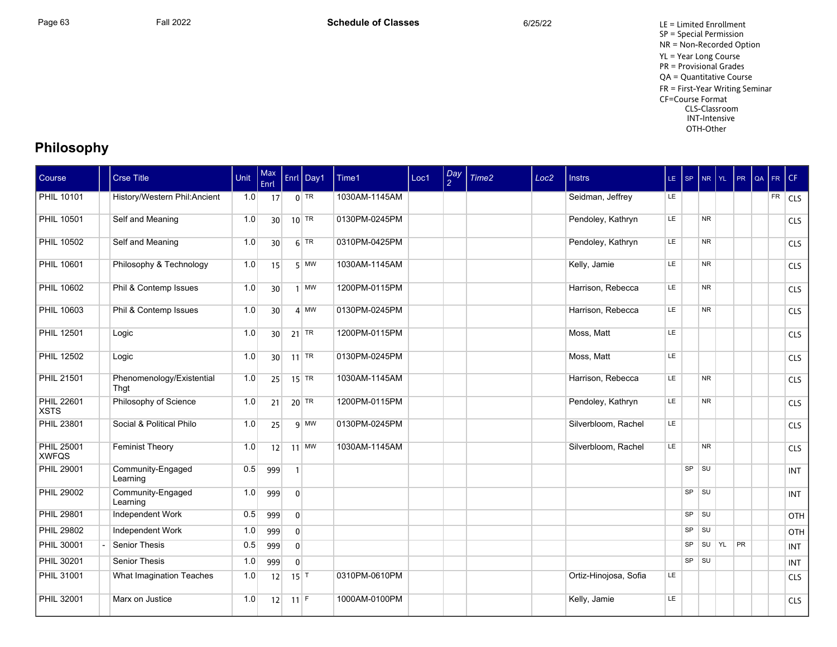Page 63 Fall 2022 Fall 2022 **Schedule of Classes** 6/25/22 6/25/22 LE = Limited Enrollment SP = Special Permission NR = Non-Recorded Option YL = Year Long Course PR = Provisional Grades QA = Quantitative Course FR = First-Year Writing Seminar CF=Course Format CLS-Classroom INT-Intensive OTH-Other

## **Philosophy**

| Course                            | <b>Crse Title</b>                 | Unit | Max<br>Enrl     |                   | Enrl Day1 | Time1         | Loc1 | $\frac{Day}{2}$ | Time <sub>2</sub> | Loc <sub>2</sub> | <b>Instrs</b>         | $LE$ SP   |           | NR YL          | PR        | QA FR CF |            |
|-----------------------------------|-----------------------------------|------|-----------------|-------------------|-----------|---------------|------|-----------------|-------------------|------------------|-----------------------|-----------|-----------|----------------|-----------|----------|------------|
| <b>PHIL 10101</b>                 | History/Western Phil:Ancient      | 1.0  | 17              |                   | $0$ TR    | 1030AM-1145AM |      |                 |                   |                  | Seidman, Jeffrey      | LE.       |           |                |           |          | $FR$ CLS   |
| PHIL 10501                        | Self and Meaning                  | 1.0  | 30 <sup>1</sup> |                   | $10$ TR   | 0130PM-0245PM |      |                 |                   |                  | Pendoley, Kathryn     | LE.       |           | N <sub>R</sub> |           |          | CLS        |
| PHIL 10502                        | Self and Meaning                  | 1.0  | 30              |                   | $6$ TR    | 0310PM-0425PM |      |                 |                   |                  | Pendoley, Kathryn     | <b>LE</b> |           | N <sub>R</sub> |           |          | <b>CLS</b> |
| PHIL 10601                        | Philosophy & Technology           | 1.0  | 15              |                   | $5$ MW    | 1030AM-1145AM |      |                 |                   |                  | Kelly, Jamie          | <b>LE</b> |           | <b>NR</b>      |           |          | <b>CLS</b> |
| <b>PHIL 10602</b>                 | Phil & Contemp Issues             | 1.0  | 30              |                   | $1$ MW    | 1200PM-0115PM |      |                 |                   |                  | Harrison, Rebecca     | LE        |           | <b>NR</b>      |           |          | <b>CLS</b> |
| PHIL 10603                        | Phil & Contemp Issues             | 1.0  | 30              |                   | $4$ MW    | 0130PM-0245PM |      |                 |                   |                  | Harrison, Rebecca     | <b>LE</b> |           | <b>NR</b>      |           |          | <b>CLS</b> |
| <b>PHIL 12501</b>                 | Logic                             | 1.0  | 30 <sup>1</sup> |                   | $21$ TR   | 1200PM-0115PM |      |                 |                   |                  | Moss, Matt            | <b>LE</b> |           |                |           |          | <b>CLS</b> |
| <b>PHIL 12502</b>                 | Logic                             | 1.0  | 30              |                   | $11$ TR   | 0130PM-0245PM |      |                 |                   |                  | Moss, Matt            | LE        |           |                |           |          | <b>CLS</b> |
| <b>PHIL 21501</b>                 | Phenomenology/Existential<br>That | 1.0  | 25              |                   | $15$ TR   | 1030AM-1145AM |      |                 |                   |                  | Harrison, Rebecca     | <b>LE</b> |           | <b>NR</b>      |           |          | <b>CLS</b> |
| <b>PHIL 22601</b><br><b>XSTS</b>  | Philosophy of Science             | 1.0  | 21              |                   | $20$ TR   | 1200PM-0115PM |      |                 |                   |                  | Pendoley, Kathryn     | LE        |           | <b>NR</b>      |           |          | <b>CLS</b> |
| <b>PHIL 23801</b>                 | Social & Political Philo          | 1.0  | 25              |                   | $9$ MW    | 0130PM-0245PM |      |                 |                   |                  | Silverbloom, Rachel   | <b>LE</b> |           |                |           |          | <b>CLS</b> |
| <b>PHIL 25001</b><br><b>XWFQS</b> | <b>Feminist Theory</b>            | 1.0  | 12              |                   | $11$ MW   | 1030AM-1145AM |      |                 |                   |                  | Silverbloom, Rachel   | LE        |           | N <sub>R</sub> |           |          | <b>CLS</b> |
| <b>PHIL 29001</b>                 | Community-Engaged<br>Learning     | 0.5  | 999             | $\mathbf{1}$      |           |               |      |                 |                   |                  |                       |           | SP        | $\vert$ SU     |           |          | <b>INT</b> |
| <b>PHIL 29002</b>                 | Community-Engaged<br>Learning     | 1.0  | 999             | $\overline{0}$    |           |               |      |                 |                   |                  |                       |           | $SP$ $SU$ |                |           |          | <b>INT</b> |
| <b>PHIL 29801</b>                 | Independent Work                  | 0.5  | 999             | $\overline{0}$    |           |               |      |                 |                   |                  |                       |           | $SP$ $SU$ |                |           |          | OTH        |
| PHIL 29802                        | Independent Work                  | 1.0  | 999             | $\mathbf{0}$      |           |               |      |                 |                   |                  |                       |           | SP        | <b>SU</b>      |           |          | OTH        |
| PHIL 30001                        | <b>Senior Thesis</b>              | 0.5  | 999             | $\overline{0}$    |           |               |      |                 |                   |                  |                       |           | <b>SP</b> | SU   YL        | <b>PR</b> |          | <b>INT</b> |
| PHIL 30201                        | <b>Senior Thesis</b>              | 1.0  | 999             | $\mathbf{0}$      |           |               |      |                 |                   |                  |                       |           | $SP$ $SU$ |                |           |          | <b>INT</b> |
| PHIL 31001                        | What Imagination Teaches          | 1.0  | 12              | $15$ <sup>T</sup> |           | 0310PM-0610PM |      |                 |                   |                  | Ortiz-Hinojosa, Sofia | LE        |           |                |           |          | <b>CLS</b> |
| PHIL 32001                        | Marx on Justice                   | 1.0  | 12              | $11$ F            |           | 1000AM-0100PM |      |                 |                   |                  | Kelly, Jamie          | LE        |           |                |           |          | <b>CLS</b> |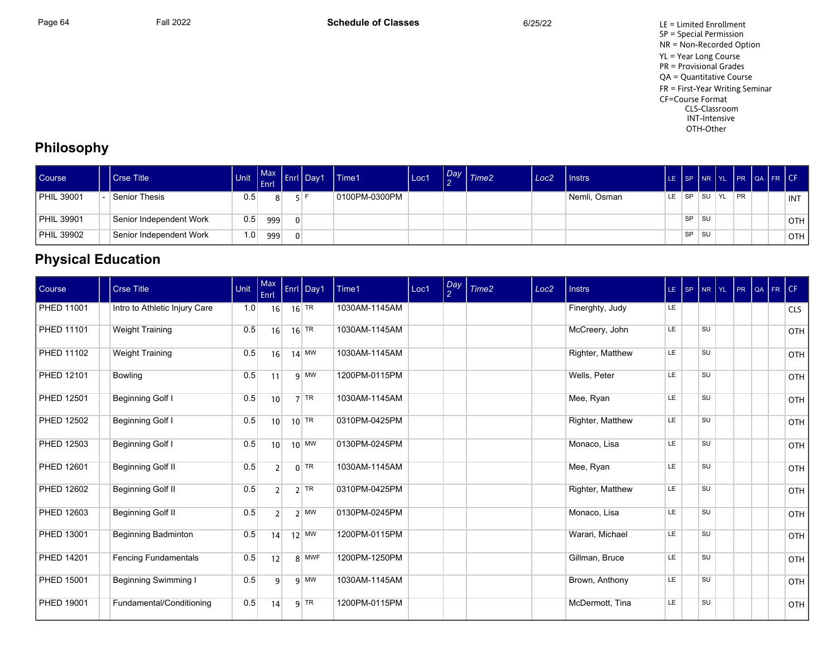Page 64 Fall 2022 Fall 2022 **Schedule of Classes** 6/25/22 6/25/22 LE = Limited Enrollment SP = Special Permission NR = Non-Recorded Option YL = Year Long Course PR = Provisional Grades QA = Quantitative Course FR = First-Year Writing Seminar CF=Course Format CLS-Classroom INT-Intensive OTH-Other

## **Philosophy**

| <b>Course</b>     | Crse Title                 | <b>Unit</b>      | <b>LEnrl</b> | Max Enri Day 1 | Time1         | Loc1 | Day | $\vert$ Time2 | Loc <sub>2</sub> | <b>I</b> Instrs | <b>ILE</b> |           |     |    |    | SP NR YL PR QA FR CF |            |
|-------------------|----------------------------|------------------|--------------|----------------|---------------|------|-----|---------------|------------------|-----------------|------------|-----------|-----|----|----|----------------------|------------|
| <b>PHIL 39001</b> | <sup>1</sup> Senior Thesis | 0.5              |              |                | 0100PM-0300PM |      |     |               |                  | Nemli, Osman    | LE.        | SP S      | ⊩SU | YL | PR |                      | INT        |
| <b>PHIL 39901</b> | Senior Independent Work    | 0.5 <sub>1</sub> | 999          |                |               |      |     |               |                  |                 |            | <b>SP</b> | ⊩SU |    |    |                      | <b>OTH</b> |
| <b>PHIL 39902</b> | Senior Independent Work    | 1.0              | 999          |                |               |      |     |               |                  |                 |            | <b>SP</b> | ⊩SU |    |    |                      | <b>OTH</b> |

## **Physical Education**

| Course            | Crse Title                    | Unit | Enrl            | Max Enrl Day1            | Time1         | Loc1 | $\log$<br>$\mathcal{P}$ | Time2 | Loc <sub>2</sub> | <b>Instrs</b>    | $LE$ SP   | NR YL | PR | QA FR CF |            |
|-------------------|-------------------------------|------|-----------------|--------------------------|---------------|------|-------------------------|-------|------------------|------------------|-----------|-------|----|----------|------------|
| PHED 11001        | Intro to Athletic Injury Care | 1.0  | 16              | 16 TR                    | 1030AM-1145AM |      |                         |       |                  | Finerghty, Judy  | LE.       |       |    |          | <b>CLS</b> |
| <b>PHED 11101</b> | <b>Weight Training</b>        | 0.5  | 16              | $16$ <sup>TR</sup>       | 1030AM-1145AM |      |                         |       |                  | McCreery, John   | LE.       | SU    |    |          | <b>OTH</b> |
| PHED 11102        | <b>Weight Training</b>        | 0.5  | 16              | $14$ MW                  | 1030AM-1145AM |      |                         |       |                  | Righter, Matthew | LE.       | SU    |    |          | OTH        |
| PHED 12101        | Bowling                       | 0.5  | 11              | $9$ MW                   | 1200PM-0115PM |      |                         |       |                  | Wells, Peter     | LE        | SU    |    |          | <b>OTH</b> |
| PHED 12501        | Beginning Golf I              | 0.5  | 10              | $7$ TR                   | 1030AM-1145AM |      |                         |       |                  | Mee, Ryan        | LE        | SU    |    |          | OTH        |
| <b>PHED 12502</b> | <b>Beginning Golf I</b>       | 0.5  | 10 <sup>1</sup> | $10$ TR                  | 0310PM-0425PM |      |                         |       |                  | Righter, Matthew | LE        | SU    |    |          | OTH        |
| PHED 12503        | Beginning Golf I              | 0.5  | 10              | $10$ MW                  | 0130PM-0245PM |      |                         |       |                  | Monaco, Lisa     | LE        | SU    |    |          | OTH        |
| PHED 12601        | Beginning Golf II             | 0.5  | $\overline{2}$  | $0$ TR                   | 1030AM-1145AM |      |                         |       |                  | Mee, Ryan        | LE        | SU    |    |          | OTH        |
| PHED 12602        | Beginning Golf II             | 0.5  | $\overline{2}$  | $2$ TR                   | 0310PM-0425PM |      |                         |       |                  | Righter, Matthew | LE        | SU    |    |          | OTH        |
| PHED 12603        | Beginning Golf II             | 0.5  | 2 <sup>1</sup>  | $2 \overline{\text{MW}}$ | 0130PM-0245PM |      |                         |       |                  | Monaco, Lisa     | <b>LE</b> | SU    |    |          | <b>OTH</b> |
| PHED 13001        | <b>Beginning Badminton</b>    | 0.5  | 14              | $12$ MW                  | 1200PM-0115PM |      |                         |       |                  | Warari, Michael  | LE        | SU    |    |          | OTH        |
| PHED 14201        | <b>Fencing Fundamentals</b>   | 0.5  | 12              | 8 MWF                    | 1200PM-1250PM |      |                         |       |                  | Gillman, Bruce   | LE.       | SU    |    |          | <b>OTH</b> |
| PHED 15001        | <b>Beginning Swimming I</b>   | 0.5  | 9               | $q$ MW                   | 1030AM-1145AM |      |                         |       |                  | Brown, Anthony   | LE.       | SU    |    |          | OTH        |
| PHED 19001        | Fundamental/Conditioning      | 0.5  | 14              | $9$ TR                   | 1200PM-0115PM |      |                         |       |                  | McDermott, Tina  | LE.       | SU    |    |          | OTH        |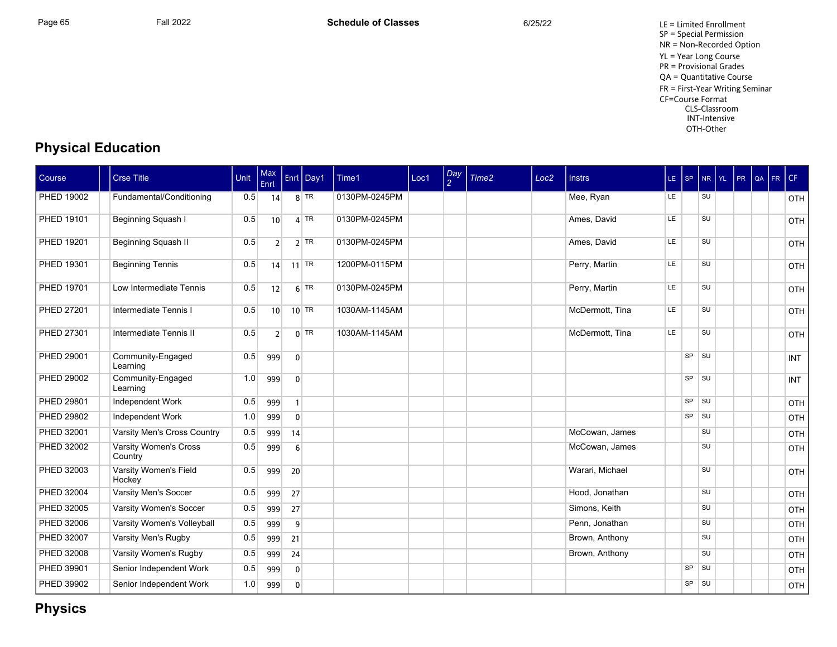Page 65 Fall 2022 Fall 2022 **Schedule of Classes** 6/25/22 6/25/22 LE = Limited Enrollment SP = Special Permission NR = Non-Recorded Option YL = Year Long Course PR = Provisional Grades QA = Quantitative Course FR = First-Year Writing Seminar CF=Course Format CLS-Classroom INT-Intensive OTH-Other

## **Physical Education**

| Course            | <b>Crse Title</b>                | <b>Unit</b> | Max<br>Enrl     |                | Enrl Day1 | Time1         | Loc1 | Day<br>2 | Time2 | Loc <sub>2</sub> | <b>Instrs</b>   | $LE$ SP |           | NR YL     | PR | l QA | FR | CF         |
|-------------------|----------------------------------|-------------|-----------------|----------------|-----------|---------------|------|----------|-------|------------------|-----------------|---------|-----------|-----------|----|------|----|------------|
| PHED 19002        | Fundamental/Conditioning         | 0.5         | 14              |                | $8$ TR    | 0130PM-0245PM |      |          |       |                  | Mee, Ryan       | LE.     |           | <b>SU</b> |    |      |    | OTH        |
| PHED 19101        | Beginning Squash I               | 0.5         | 10 <sup>1</sup> |                | $4$ TR    | 0130PM-0245PM |      |          |       |                  | Ames, David     | LE.     |           | <b>SU</b> |    |      |    | OTH        |
| PHED 19201        | Beginning Squash II              | 0.5         | $\overline{2}$  |                | $2$ TR    | 0130PM-0245PM |      |          |       |                  | Ames, David     | LE      |           | <b>SU</b> |    |      |    | OTH        |
| PHED 19301        | <b>Beginning Tennis</b>          | 0.5         | 4               |                | $11$ TR   | 1200PM-0115PM |      |          |       |                  | Perry, Martin   | LE.     |           | <b>SU</b> |    |      |    | OTH        |
| PHED 19701        | Low Intermediate Tennis          | 0.5         | 12              |                | $6$ TR    | 0130PM-0245PM |      |          |       |                  | Perry, Martin   | LE.     |           | SU        |    |      |    | OTH        |
| <b>PHED 27201</b> | Intermediate Tennis I            | 0.5         | 10              |                | $10$ TR   | 1030AM-1145AM |      |          |       |                  | McDermott, Tina | LE.     |           | SU        |    |      |    | OTH        |
| PHED 27301        | Intermediate Tennis II           | 0.5         | $\overline{2}$  |                | $0$ TR    | 1030AM-1145AM |      |          |       |                  | McDermott, Tina | LE.     |           | <b>SU</b> |    |      |    | OTH        |
| PHED 29001        | Community-Engaged<br>Learning    | 0.5         | 999             | $\overline{0}$ |           |               |      |          |       |                  |                 |         | <b>SP</b> | SU        |    |      |    | <b>INT</b> |
| PHED 29002        | Community-Engaged<br>Learning    | 1.0         | 999             | $\overline{0}$ |           |               |      |          |       |                  |                 |         | SP        | SU        |    |      |    | <b>INT</b> |
| PHED 29801        | Independent Work                 | 0.5         | 999             |                |           |               |      |          |       |                  |                 |         | SP        | SU        |    |      |    | OTH        |
| PHED 29802        | Independent Work                 | 1.0         | 999             | $\Omega$       |           |               |      |          |       |                  |                 |         | SP        | SU        |    |      |    | OTH        |
| PHED 32001        | Varsity Men's Cross Country      | 0.5         | 999             | 14             |           |               |      |          |       |                  | McCowan, James  |         |           | <b>SU</b> |    |      |    | OTH        |
| PHED 32002        | Varsity Women's Cross<br>Country | 0.5         | 999             | 6              |           |               |      |          |       |                  | McCowan, James  |         |           | SU        |    |      |    | OTH        |
| PHED 32003        | Varsity Women's Field<br>Hockey  | 0.5         | 999             | 20             |           |               |      |          |       |                  | Warari, Michael |         |           | SU        |    |      |    | OTH        |
| PHED 32004        | Varsity Men's Soccer             | 0.5         | 999             | 27             |           |               |      |          |       |                  | Hood, Jonathan  |         |           | SU        |    |      |    | OTH        |
| PHED 32005        | Varsity Women's Soccer           | 0.5         | 999             | 27             |           |               |      |          |       |                  | Simons, Keith   |         |           | <b>SU</b> |    |      |    | OTH        |
| PHED 32006        | Varsity Women's Volleyball       | 0.5         | 999             | 9              |           |               |      |          |       |                  | Penn. Jonathan  |         |           | SU        |    |      |    | OTH        |
| PHED 32007        | Varsity Men's Rugby              | 0.5         | 999             | 21             |           |               |      |          |       |                  | Brown, Anthony  |         |           | SU        |    |      |    | OTH        |
| PHED 32008        | Varsity Women's Rugby            | 0.5         | 999             | 24             |           |               |      |          |       |                  | Brown, Anthony  |         |           | SU        |    |      |    | OTH        |
| PHED 39901        | Senior Independent Work          | 0.5         | 999             | $\mathbf{0}$   |           |               |      |          |       |                  |                 |         | SP        | SU        |    |      |    | OTH        |
| PHED 39902        | Senior Independent Work          | 1.0         | 999             | $\mathbf{0}$   |           |               |      |          |       |                  |                 |         | <b>SP</b> | <b>SU</b> |    |      |    | OTH        |

## **Physics**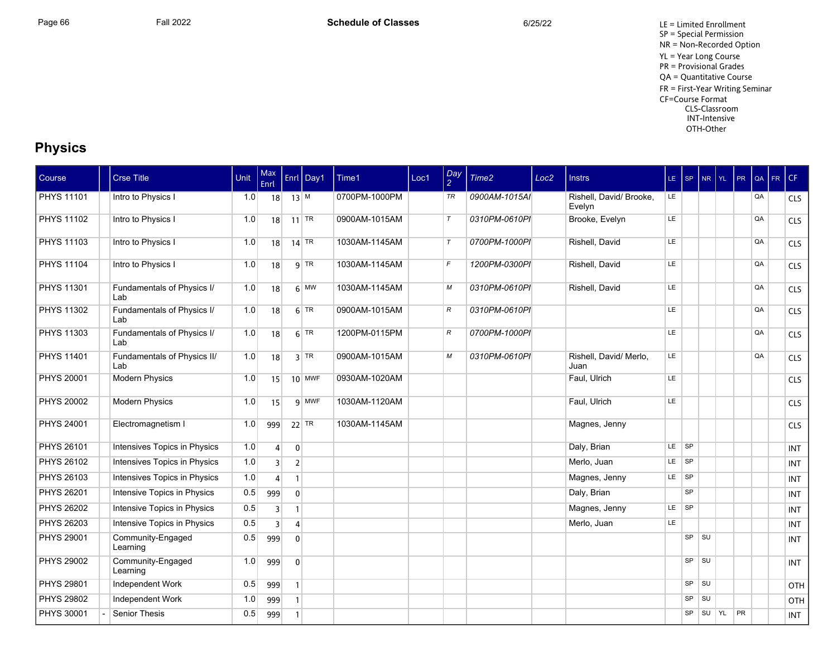Page 66 Fall 2022 Fall 2022 **Schedule of Classes** 6/25/22 6/25/22 LE = Limited Enrollment SP = Special Permission NR = Non-Recorded Option YL = Year Long Course PR = Provisional Grades QA = Quantitative Course FR = First-Year Writing Seminar CF=Course Format CLS-Classroom INT-Intensive OTH-Other

## **Physics**

| Course            | <b>Crse Title</b>                  | Unit | Max<br>Enrl    |                | Enrl Day1                | Time1         | Loc1 | $\frac{Day}{2}$ | Time2         | Loc <sub>2</sub> | <b>Instrs</b>                     | $LE$ SP |           | NR YL     | PR. | QA | FR | CF         |
|-------------------|------------------------------------|------|----------------|----------------|--------------------------|---------------|------|-----------------|---------------|------------------|-----------------------------------|---------|-----------|-----------|-----|----|----|------------|
| <b>PHYS 11101</b> | Intro to Physics I                 | 1.0  |                | $18$ 13 M      |                          | 0700PM-1000PM |      | TR              | 0900AM-1015AI |                  | Rishell, David/ Brooke,<br>Evelyn | LE.     |           |           |     | QA |    | <b>CLS</b> |
| <b>PHYS 11102</b> | Intro to Physics I                 | 1.0  | 18             |                | $11$ TR                  | 0900AM-1015AM |      | $\tau$          | 0310PM-0610PI |                  | Brooke, Evelyn                    | LE      |           |           |     | QA |    | <b>CLS</b> |
| <b>PHYS 11103</b> | Intro to Physics I                 | 1.0  | 18             |                | $14$ TR                  | 1030AM-1145AM |      | $\tau$          | 0700PM-1000PI |                  | Rishell, David                    | LE      |           |           |     | QA |    | <b>CLS</b> |
| <b>PHYS 11104</b> | Intro to Physics I                 | 1.0  | 18             |                | $9$ TR                   | 1030AM-1145AM |      | $\mathcal{F}$   | 1200PM-0300PI |                  | Rishell, David                    | LE.     |           |           |     | QA |    | <b>CLS</b> |
| <b>PHYS 11301</b> | Fundamentals of Physics I/<br>Lab  | 1.0  | 18             |                | $6 \overline{\text{MW}}$ | 1030AM-1145AM |      | М               | 0310PM-0610PI |                  | Rishell, David                    | LE.     |           |           |     | QA |    | <b>CLS</b> |
| <b>PHYS 11302</b> | Fundamentals of Physics I/<br>Lab  | 1.0  | 18             |                | $6$ TR                   | 0900AM-1015AM |      | $\mathcal{R}$   | 0310PM-0610PI |                  |                                   | LE.     |           |           |     | QA |    | <b>CLS</b> |
| <b>PHYS 11303</b> | Fundamentals of Physics I/<br>Lab  | 1.0  | 18             |                | $6$ TR                   | 1200PM-0115PM |      | $\mathcal{R}$   | 0700PM-1000PI |                  |                                   | LE.     |           |           |     | QA |    | <b>CLS</b> |
| <b>PHYS 11401</b> | Fundamentals of Physics II/<br>Lab | 1.0  | 18             |                | $3$ TR                   | 0900AM-1015AM |      | M               | 0310PM-0610PI |                  | Rishell, David/ Merlo,<br>Juan    | LE.     |           |           |     | QA |    | <b>CLS</b> |
| <b>PHYS 20001</b> | <b>Modern Physics</b>              | 1.0  | 15             |                | $10$ MWF                 | 0930AM-1020AM |      |                 |               |                  | Faul, Ulrich                      | LE      |           |           |     |    |    | <b>CLS</b> |
| <b>PHYS 20002</b> | <b>Modern Physics</b>              | 1.0  | 15             |                | 9 MWF                    | 1030AM-1120AM |      |                 |               |                  | Faul, Ulrich                      | LE.     |           |           |     |    |    | <b>CLS</b> |
| <b>PHYS 24001</b> | Electromagnetism I                 | 1.0  | 999            |                | $22$ TR                  | 1030AM-1145AM |      |                 |               |                  | Magnes, Jenny                     |         |           |           |     |    |    | <b>CLS</b> |
| <b>PHYS 26101</b> | Intensives Topics in Physics       | 1.0  | $\vert$        | $\overline{0}$ |                          |               |      |                 |               |                  | Daly, Brian                       | LE.     | $ $ SP    |           |     |    |    | <b>INT</b> |
| <b>PHYS 26102</b> | Intensives Topics in Physics       | 1.0  | $\overline{3}$ | $\overline{2}$ |                          |               |      |                 |               |                  | Merlo, Juan                       | LE.     | <b>SP</b> |           |     |    |    | <b>INT</b> |
| <b>PHYS 26103</b> | Intensives Topics in Physics       | 1.0  | 4              | $\mathbf{1}$   |                          |               |      |                 |               |                  | Magnes, Jenny                     | LE.     | <b>SP</b> |           |     |    |    | <b>INT</b> |
| <b>PHYS 26201</b> | Intensive Topics in Physics        | 0.5  | 999            | $\mathbf{0}$   |                          |               |      |                 |               |                  | Daly, Brian                       |         | SP        |           |     |    |    | <b>INT</b> |
| <b>PHYS 26202</b> | Intensive Topics in Physics        | 0.5  | 3              | $\mathbf{1}$   |                          |               |      |                 |               |                  | Magnes, Jenny                     | LE.     | ∣ sP      |           |     |    |    | <b>INT</b> |
| PHYS 26203        | Intensive Topics in Physics        | 0.5  | 3              | $\overline{4}$ |                          |               |      |                 |               |                  | Merlo, Juan                       | LE.     |           |           |     |    |    | <b>INT</b> |
| <b>PHYS 29001</b> | Community-Engaged<br>Learning      | 0.5  | 999            | $\overline{0}$ |                          |               |      |                 |               |                  |                                   |         | SP        | <b>SU</b> |     |    |    | <b>INT</b> |
| <b>PHYS 29002</b> | Community-Engaged<br>Learning      | 1.0  | 999            | $\mathbf{0}$   |                          |               |      |                 |               |                  |                                   |         | SP        | SU        |     |    |    | <b>INT</b> |
| <b>PHYS 29801</b> | Independent Work                   | 0.5  | 999            | 1 <sup>1</sup> |                          |               |      |                 |               |                  |                                   |         | SP        | SU        |     |    |    | OTH        |
| <b>PHYS 29802</b> | Independent Work                   | 1.0  | 999            | 1 <sup>1</sup> |                          |               |      |                 |               |                  |                                   |         | SP        | SU        |     |    |    | OTH        |
| <b>PHYS 30001</b> | <b>Senior Thesis</b>               | 0.5  | 999            | 1 <sup>1</sup> |                          |               |      |                 |               |                  |                                   |         | <b>SP</b> | SU YL     | PR  |    |    | <b>INT</b> |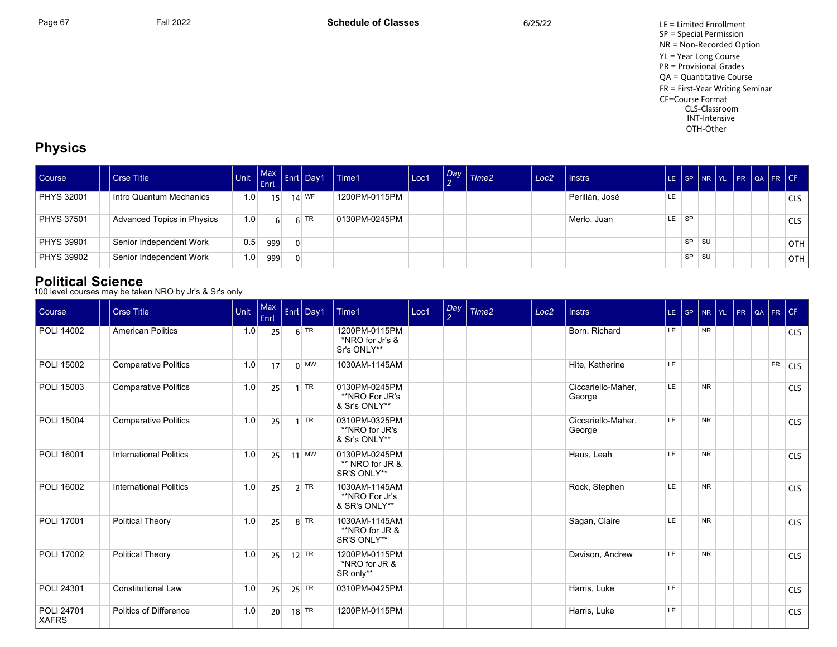Page 67 Fall 2022 Fall 2022 **Schedule of Classes** 6/25/22 6/25/22 LE = Limited Enrollment SP = Special Permission NR = Non-Recorded Option YL = Year Long Course PR = Provisional Grades QA = Quantitative Course FR = First-Year Writing Seminar CF=Course Format CLS-Classroom INT-Intensive OTH-Other

## **Physics**

| Course            | Crse Title                 |                  | L <sub>Enrl</sub> |          | <b>Enri Day1</b> | Time1         | Loc1 | $\left  \frac{Day}{2} \right $ Time2 | Loc <sub>2</sub> | I Instrs       | LE. |           |           |  | SP NR YL PR QA FR CF |            |
|-------------------|----------------------------|------------------|-------------------|----------|------------------|---------------|------|--------------------------------------|------------------|----------------|-----|-----------|-----------|--|----------------------|------------|
| PHYS 32001        | Intro Quantum Mechanics    | 1.0 <sub>1</sub> | 15                |          | $14$ WF          | 1200PM-0115PM |      |                                      |                  | Perillán, José | LE  |           |           |  |                      | <b>CLS</b> |
| <b>PHYS 37501</b> | Advanced Topics in Physics | 1.0              | 6                 |          | $6$ TR           | 0130PM-0245PM |      |                                      |                  | Merlo, Juan    | LE  | <b>SP</b> |           |  |                      | <b>CLS</b> |
| PHYS 39901        | Senior Independent Work    | 0.5              | 999               | $\Omega$ |                  |               |      |                                      |                  |                |     | <b>SP</b> | <b>SU</b> |  |                      | <b>OTH</b> |
| PHYS 39902        | Senior Independent Work    | 1.0              | 999               | $\Omega$ |                  |               |      |                                      |                  |                |     | <b>SP</b> | <b>SU</b> |  |                      | <b>OTH</b> |

## **Political Science**

100 level courses may be taken NRO by Jr's & Sr's only

| Course                     | <b>Crse Title</b>             | Unit | Max<br>Enrl | Enrl Day1          | Time1                                            | Loc1 | Day<br>$\mathcal{P}$ | Time <sub>2</sub> | Loc <sub>2</sub> | <b>Instrs</b>                | LE SP | NR        | <b>IYL</b> | PR | QA | FR        | CF         |
|----------------------------|-------------------------------|------|-------------|--------------------|--------------------------------------------------|------|----------------------|-------------------|------------------|------------------------------|-------|-----------|------------|----|----|-----------|------------|
| POLI 14002                 | <b>American Politics</b>      | 1.0  | 25          | $6$ TR             | 1200PM-0115PM<br>*NRO for Jr's &<br>Sr's ONLY**  |      |                      |                   |                  | Born, Richard                | LE.   | <b>NR</b> |            |    |    |           | <b>CLS</b> |
| POLI 15002                 | <b>Comparative Politics</b>   | 1.0  | 17          | $0 \mid$ MW        | 1030AM-1145AM                                    |      |                      |                   |                  | Hite, Katherine              | LE.   |           |            |    |    | <b>FR</b> | <b>CLS</b> |
| <b>POLI 15003</b>          | <b>Comparative Politics</b>   | 1.0  | 25          | TR                 | 0130PM-0245PM<br>**NRO For JR's<br>& Sr's ONLY** |      |                      |                   |                  | Ciccariello-Maher,<br>George | LE    | <b>NR</b> |            |    |    |           | <b>CLS</b> |
| <b>POLI 15004</b>          | <b>Comparative Politics</b>   | 1.0  | 25          | TR                 | 0310PM-0325PM<br>**NRO for JR's<br>& Sr's ONLY** |      |                      |                   |                  | Ciccariello-Maher.<br>George | LE.   | <b>NR</b> |            |    |    |           | <b>CLS</b> |
| POLI 16001                 | <b>International Politics</b> | 1.0  | 25          | $11$ MW            | 0130PM-0245PM<br>** NRO for JR &<br>SR'S ONLY**  |      |                      |                   |                  | Haus, Leah                   | LE    | <b>NR</b> |            |    |    |           | <b>CLS</b> |
| <b>POLI 16002</b>          | <b>International Politics</b> | 1.0  | 25          | $2$ TR             | 1030AM-1145AM<br>**NRO For Jr's<br>& SR's ONLY** |      |                      |                   |                  | Rock, Stephen                | LE    | <b>NR</b> |            |    |    |           | <b>CLS</b> |
| <b>POLI 17001</b>          | Political Theory              | 1.0  | 25          | $8$ TR             | 1030AM-1145AM<br>**NRO for JR &<br>SR'S ONLY**   |      |                      |                   |                  | Sagan, Claire                | LE    | <b>NR</b> |            |    |    |           | <b>CLS</b> |
| POLI 17002                 | Political Theory              | 1.0  | 25          | $12$ TR            | 1200PM-0115PM<br>*NRO for JR &<br>SR only**      |      |                      |                   |                  | Davison, Andrew              | LE    | <b>NR</b> |            |    |    |           | <b>CLS</b> |
| POLI 24301                 | <b>Constitutional Law</b>     | 1.0  | 25          | $25$ TR            | 0310PM-0425PM                                    |      |                      |                   |                  | Harris, Luke                 | LE.   |           |            |    |    |           | <b>CLS</b> |
| POLI 24701<br><b>XAFRS</b> | Politics of Difference        | 1.0  | 20          | $18$ <sup>TR</sup> | 1200PM-0115PM                                    |      |                      |                   |                  | Harris, Luke                 | LE    |           |            |    |    |           | <b>CLS</b> |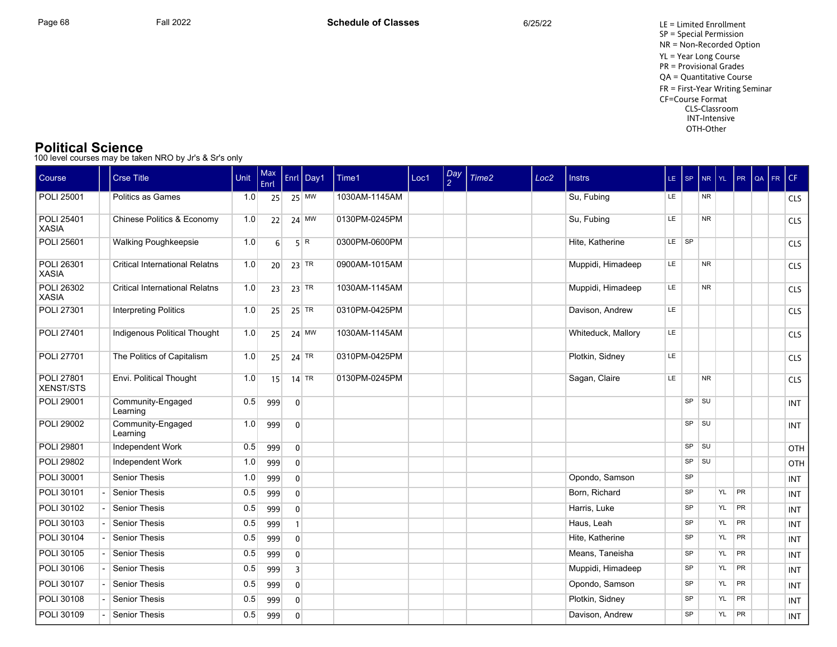#### **Political Science**

100 level courses may be taken NRO by Jr's & Sr's only

| Course                         | <b>Crse Title</b>                     | Unit | Max<br>Enrl     |                         | Enrl Day1 | Time1         | Loc1 | Day<br>$\mathcal{L}$ | Time2 | Loc <sub>2</sub> | <b>Instrs</b>      | $LE$ $SP$ |           | NR YL     |    | PR        | QA | FR CF |            |
|--------------------------------|---------------------------------------|------|-----------------|-------------------------|-----------|---------------|------|----------------------|-------|------------------|--------------------|-----------|-----------|-----------|----|-----------|----|-------|------------|
| POLI 25001                     | Politics as Games                     | 1.0  | 25              |                         | $25$ MW   | 1030AM-1145AM |      |                      |       |                  | Su, Fubing         | LE.       |           | <b>NR</b> |    |           |    |       | <b>CLS</b> |
| POLI 25401<br><b>XASIA</b>     | Chinese Politics & Economy            | 1.0  | 22              |                         | $24$ MW   | 0130PM-0245PM |      |                      |       |                  | Su, Fubing         | LE        |           | <b>NR</b> |    |           |    |       | <b>CLS</b> |
| POLI 25601                     | <b>Walking Poughkeepsie</b>           | 1.0  | 6 <sup>1</sup>  |                         | 5 R       | 0300PM-0600PM |      |                      |       |                  | Hite, Katherine    | $LE$ $SP$ |           |           |    |           |    |       | <b>CLS</b> |
| POLI 26301<br><b>XASIA</b>     | <b>Critical International Relatns</b> | 1.0  | 20 <sup>1</sup> |                         | $23$ TR   | 0900AM-1015AM |      |                      |       |                  | Muppidi, Himadeep  | LE.       |           | <b>NR</b> |    |           |    |       | <b>CLS</b> |
| POLI 26302<br><b>XASIA</b>     | <b>Critical International Relatns</b> | 1.0  | 23              |                         | $23$ TR   | 1030AM-1145AM |      |                      |       |                  | Muppidi, Himadeep  | <b>LE</b> |           | <b>NR</b> |    |           |    |       | <b>CLS</b> |
| POLI 27301                     | <b>Interpreting Politics</b>          | 1.0  | 25              |                         | $25$ TR   | 0310PM-0425PM |      |                      |       |                  | Davison, Andrew    | LE        |           |           |    |           |    |       | <b>CLS</b> |
| <b>POLI 27401</b>              | Indigenous Political Thought          | 1.0  | 25              |                         | $24$ MW   | 1030AM-1145AM |      |                      |       |                  | Whiteduck, Mallory | <b>LE</b> |           |           |    |           |    |       | <b>CLS</b> |
| POLI 27701                     | The Politics of Capitalism            | 1.0  | 25              |                         | $24$ TR   | 0310PM-0425PM |      |                      |       |                  | Plotkin, Sidney    | LE        |           |           |    |           |    |       | <b>CLS</b> |
| <b>POLI 27801</b><br>XENST/STS | Envi. Political Thought               | 1.0  | 15              |                         | $14$ TR   | 0130PM-0245PM |      |                      |       |                  | Sagan, Claire      | LE        |           | <b>NR</b> |    |           |    |       | CLS        |
| <b>POLI 29001</b>              | Community-Engaged<br>Learning         | 0.5  | 999             | $\mathbf 0$             |           |               |      |                      |       |                  |                    |           | SP        | ∣ su      |    |           |    |       | INT        |
| POLI 29002                     | Community-Engaged<br>Learning         | 1.0  | 999             | $\mathbf 0$             |           |               |      |                      |       |                  |                    |           |           | $SP$ $SU$ |    |           |    |       | <b>INT</b> |
| <b>POLI 29801</b>              | Independent Work                      | 0.5  | 999             | $\overline{0}$          |           |               |      |                      |       |                  |                    |           | SP        | <b>SU</b> |    |           |    |       | OTH        |
| <b>POLI 29802</b>              | Independent Work                      | 1.0  | 999             | $\overline{0}$          |           |               |      |                      |       |                  |                    |           | SP        | <b>SU</b> |    |           |    |       | OTH        |
| POLI 30001                     | <b>Senior Thesis</b>                  | 1.0  | 999             | $\overline{0}$          |           |               |      |                      |       |                  | Opondo, Samson     |           | SP        |           |    |           |    |       | <b>INT</b> |
| POLI 30101                     | Senior Thesis                         | 0.5  | 999             | $\overline{0}$          |           |               |      |                      |       |                  | Born, Richard      |           | SP        |           | YL | PR        |    |       | <b>INT</b> |
| POLI 30102                     | <b>Senior Thesis</b>                  | 0.5  | 999             | $\overline{0}$          |           |               |      |                      |       |                  | Harris, Luke       |           | SP        |           | YL | <b>PR</b> |    |       | <b>INT</b> |
| POLI 30103                     | Senior Thesis                         | 0.5  | 999             | $\mathbf{1}$            |           |               |      |                      |       |                  | Haus, Leah         |           | <b>SP</b> |           | YL | PR        |    |       | <b>INT</b> |
| <b>POLI 30104</b>              | <b>Senior Thesis</b>                  | 0.5  | 999             | $\overline{0}$          |           |               |      |                      |       |                  | Hite, Katherine    |           | <b>SP</b> |           | YL | <b>PR</b> |    |       | <b>INT</b> |
| POLI 30105                     | Senior Thesis                         | 0.5  | 999             | $\mathbf 0$             |           |               |      |                      |       |                  | Means, Taneisha    |           | <b>SP</b> |           | YL | PR        |    |       | <b>INT</b> |
| POLI 30106                     | <b>Senior Thesis</b>                  | 0.5  | 999             | $\overline{\mathbf{3}}$ |           |               |      |                      |       |                  | Muppidi, Himadeep  |           | SP        |           | YL | <b>PR</b> |    |       | <b>INT</b> |
| POLI 30107                     | Senior Thesis                         | 0.5  | 999             | $\overline{0}$          |           |               |      |                      |       |                  | Opondo, Samson     |           | SP        |           | YL | <b>PR</b> |    |       | <b>INT</b> |
| <b>POLI 30108</b>              | <b>Senior Thesis</b>                  | 0.5  | 999             | $\overline{0}$          |           |               |      |                      |       |                  | Plotkin, Sidney    |           | <b>SP</b> |           | YL | <b>PR</b> |    |       | <b>INT</b> |
| POLI 30109                     | Senior Thesis                         | 0.5  | 999             | $\mathbf 0$             |           |               |      |                      |       |                  | Davison, Andrew    |           | <b>SP</b> |           | YL | <b>PR</b> |    |       | <b>INT</b> |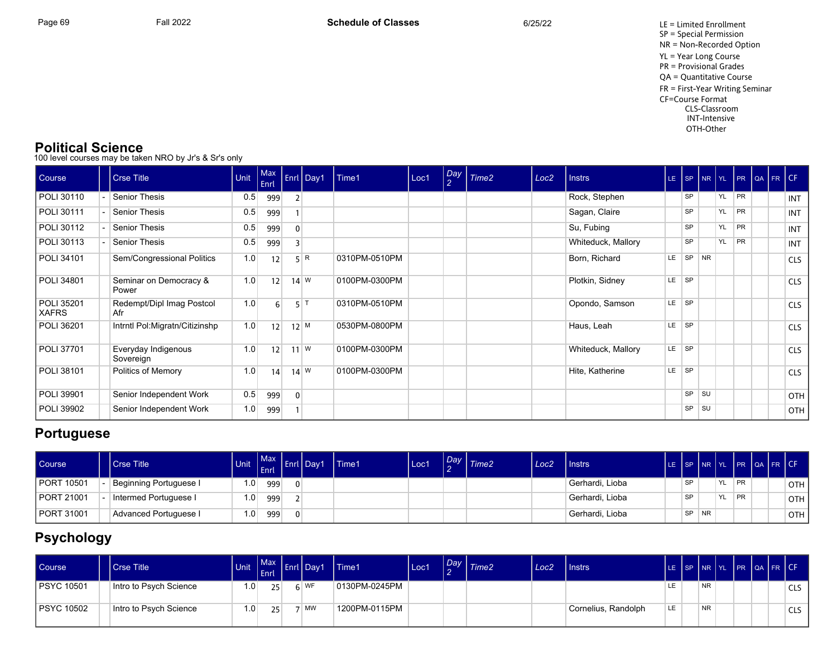### **Political Science**

100 level courses may be taken NRO by Jr's & Sr's only

| Course                     | <b>Crse Title</b>                | Unit | Max<br>Enrl    |                | <b>Enrl</b> Day1 | Time1         | Loc1 | $\frac{Day}{2}$ | Time2 | Loc <sub>2</sub> | Instrs             | LE- |           |           | $ $ SP $ $ NR $ $ YL | PR QA FR CF |  |            |
|----------------------------|----------------------------------|------|----------------|----------------|------------------|---------------|------|-----------------|-------|------------------|--------------------|-----|-----------|-----------|----------------------|-------------|--|------------|
| POLI 30110                 | <b>Senior Thesis</b>             | 0.5  | 999            |                |                  |               |      |                 |       |                  | Rock, Stephen      |     | SP        |           | YL                   | PR          |  | INT        |
| <b>POLI 30111</b>          | Senior Thesis                    | 0.5  | 999            |                |                  |               |      |                 |       |                  | Sagan, Claire      |     | <b>SP</b> |           | YL                   | <b>PR</b>   |  | INT        |
| POLI 30112                 | Senior Thesis                    | 0.5  | 999            | $\overline{0}$ |                  |               |      |                 |       |                  | Su, Fubing         |     | SP        |           | YL                   | PR          |  | INT        |
| POLI 30113                 | <b>Senior Thesis</b>             | 0.5  | 999            | $\overline{3}$ |                  |               |      |                 |       |                  | Whiteduck, Mallory |     | <b>SP</b> |           | YL                   | <b>PR</b>   |  | INT        |
| POLI 34101                 | Sem/Congressional Politics       | 1.0  | 12             |                | 5 R              | 0310PM-0510PM |      |                 |       |                  | Born, Richard      | LE  | SP        | NR        |                      |             |  | <b>CLS</b> |
| POLI 34801                 | Seminar on Democracy &<br>Power  | 1.0  | 12             |                | $14 \text{ W}$   | 0100PM-0300PM |      |                 |       |                  | Plotkin, Sidney    | LE  | <b>SP</b> |           |                      |             |  | <b>CLS</b> |
| POLI 35201<br><b>XAFRS</b> | Redempt/Dipl Imag Postcol<br>Afr | 1.0  | 6 <sup>1</sup> | 5              |                  | 0310PM-0510PM |      |                 |       |                  | Opondo, Samson     | LE  | <b>SP</b> |           |                      |             |  | <b>CLS</b> |
| POLI 36201                 | Intrntl Pol:Migratn/Citizinshp   | 1.0  | 12             | $12$ M         |                  | 0530PM-0800PM |      |                 |       |                  | Haus, Leah         | LE  | <b>SP</b> |           |                      |             |  | <b>CLS</b> |
| POLI 37701                 | Everyday Indigenous<br>Sovereign | 1.0  | 12             |                | $11$ W           | 0100PM-0300PM |      |                 |       |                  | Whiteduck, Mallory | LE. | <b>SP</b> |           |                      |             |  | <b>CLS</b> |
| POLI 38101                 | Politics of Memory               | 1.0  | 14             |                | $14 \text{ W}$   | 0100PM-0300PM |      |                 |       |                  | Hite, Katherine    | LE. | SP        |           |                      |             |  | <b>CLS</b> |
| <b>POLI 39901</b>          | Senior Independent Work          | 0.5  | 999            | $\overline{0}$ |                  |               |      |                 |       |                  |                    |     | <b>SP</b> | <b>SU</b> |                      |             |  | OTH        |
| POLI 39902                 | Senior Independent Work          | 1.0  | 999            |                |                  |               |      |                 |       |                  |                    |     | SP        | SU        |                      |             |  | OTH        |

## **Portuguese**

| Course            | <b>Crse Title</b>      | <b>Unit</b>      | <b>Max</b><br><b>LEnric</b> | Enrl | <b>I</b> Dav1 | Time1 | Loc1 | $\sqrt{Day}$ $\sqrt{Time2}$ | Loc2 | <b>I</b> Instrs              | TE. |           | ISP INR IYL |     |           | PR QA FR CF |       |
|-------------------|------------------------|------------------|-----------------------------|------|---------------|-------|------|-----------------------------|------|------------------------------|-----|-----------|-------------|-----|-----------|-------------|-------|
| <b>PORT 10501</b> | Beginning Portuguese I | 1.0 <sub>1</sub> | 999                         |      |               |       |      |                             |      | <sup>1</sup> Gerhardi, Lioba |     | <b>QD</b> |             | YL. | <b>PR</b> |             | OTH   |
| <b>PORT 21001</b> | Intermed Portuguese I  | 1.0              | 999                         |      |               |       |      |                             |      | Gerhardi, Lioba              |     | <b>QD</b> |             | YL  | <b>PR</b> |             | OTH I |
| <b>PORT 31001</b> | Advanced Portuguese I  | 1.0              | 999                         |      |               |       |      |                             |      | Gerhardi, Lioba              |     | SP        | <b>NR</b>   |     |           |             | OTH   |

# **Psychology**

| Course <sup>1</sup> | l Crse Title           | <b>Unit</b> | Max Enriques<br>l Enrl' | Day1   | Time1         | Loc1 | Day | Time2 | Loc <sub>2</sub> | Instrs              |      |           | LE SP INR YL PR QA FR CF |  |            |
|---------------------|------------------------|-------------|-------------------------|--------|---------------|------|-----|-------|------------------|---------------------|------|-----------|--------------------------|--|------------|
| <b>PSYC 10501</b>   | Intro to Psych Science | 0. ا        | 25 <sup>1</sup>         | $6$ WF | 0130PM-0245PM |      |     |       |                  |                     |      | <b>NR</b> |                          |  | <b>CLS</b> |
| <b>PSYC 10502</b>   | Intro to Psych Science | ≀0.،        | 25 <sup>2</sup>         | MW     | 1200PM-0115PM |      |     |       |                  | Cornelius, Randolph | I LE | <b>NR</b> |                          |  | CLS        |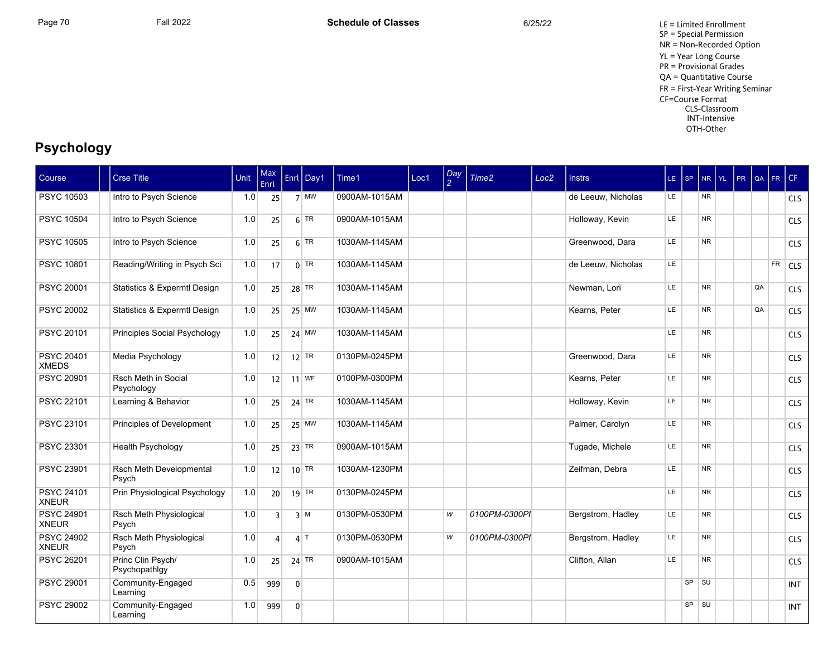Page 70 Fall 2022 Fall 2022 **Schedule of Classes** 6/25/22 6/25/22 LE = Limited Enrollment SP = Special Permission NR = Non-Recorded Option YL = Year Long Course PR = Provisional Grades QA = Quantitative Course FR = First-Year Writing Seminar CF=Course Format CLS-Classroom INT-Intensive OTH-Other

# **Psychology**

| Course                            | <b>Crse Title</b>                       | Unit | Max<br>Enrl             |                | Enrl Day1                     | Time1         | Loc1 | $\frac{Day}{2}$ | Time2         | Loc <sub>2</sub> | <b>Instrs</b>      | $LE$ $ SP$ |    | <b>NR</b> | I YL. | PR | l QA | FR | CF         |
|-----------------------------------|-----------------------------------------|------|-------------------------|----------------|-------------------------------|---------------|------|-----------------|---------------|------------------|--------------------|------------|----|-----------|-------|----|------|----|------------|
| <b>PSYC 10503</b>                 | Intro to Psych Science                  | 1.0  | 25                      |                | $7 \overline{\phantom{a}}$ MW | 0900AM-1015AM |      |                 |               |                  | de Leeuw, Nicholas | LE.        |    | <b>NR</b> |       |    |      |    | <b>CLS</b> |
| <b>PSYC 10504</b>                 | Intro to Psych Science                  | 1.0  | 25                      |                | $6$ TR                        | 0900AM-1015AM |      |                 |               |                  | Holloway, Kevin    | LE         |    | <b>NR</b> |       |    |      |    | <b>CLS</b> |
| <b>PSYC 10505</b>                 | Intro to Psych Science                  | 1.0  | 25                      |                | $6$ TR                        | 1030AM-1145AM |      |                 |               |                  | Greenwood, Dara    | LE         |    | <b>NR</b> |       |    |      |    | <b>CLS</b> |
| <b>PSYC 10801</b>                 | Reading/Writing in Psych Sci            | 1.0  | 17                      |                | $0$ TR                        | 1030AM-1145AM |      |                 |               |                  | de Leeuw, Nicholas | LE.        |    |           |       |    |      | FR | <b>CLS</b> |
| <b>PSYC 20001</b>                 | <b>Statistics &amp; Expermtl Design</b> | 1.0  | 25                      |                | $28$ TR                       | 1030AM-1145AM |      |                 |               |                  | Newman, Lori       | <b>LE</b>  |    | <b>NR</b> |       |    | QA   |    | <b>CLS</b> |
| <b>PSYC 20002</b>                 | Statistics & Expermtl Design            | 1.0  | 25                      |                | $25$ MW                       | 1030AM-1145AM |      |                 |               |                  | Kearns, Peter      | LE.        |    | <b>NR</b> |       |    | QA   |    | <b>CLS</b> |
| <b>PSYC 20101</b>                 | Principles Social Psychology            | 1.0  | 25                      |                | $24$ MW                       | 1030AM-1145AM |      |                 |               |                  |                    | LE         |    | <b>NR</b> |       |    |      |    | <b>CLS</b> |
| <b>PSYC 20401</b><br><b>XMEDS</b> | Media Psychology                        | 1.0  | 12                      |                | $12$ TR                       | 0130PM-0245PM |      |                 |               |                  | Greenwood, Dara    | LE.        |    | <b>NR</b> |       |    |      |    | <b>CLS</b> |
| <b>PSYC 20901</b>                 | Rsch Meth in Social<br>Psychology       | 1.0  | 12                      |                | $11$ WF                       | 0100PM-0300PM |      |                 |               |                  | Kearns, Peter      | LE         |    | <b>NR</b> |       |    |      |    | <b>CLS</b> |
| <b>PSYC 22101</b>                 | Learning & Behavior                     | 1.0  | 25                      |                | 24 TR                         | 1030AM-1145AM |      |                 |               |                  | Holloway, Kevin    | <b>LE</b>  |    | <b>NR</b> |       |    |      |    | <b>CLS</b> |
| <b>PSYC 23101</b>                 | Principles of Development               | 1.0  | 25                      |                | $25$ MW                       | 1030AM-1145AM |      |                 |               |                  | Palmer, Carolyn    | LE.        |    | <b>NR</b> |       |    |      |    | <b>CLS</b> |
| <b>PSYC 23301</b>                 | <b>Health Psychology</b>                | 1.0  | 25                      |                | $23$ TR                       | 0900AM-1015AM |      |                 |               |                  | Tugade, Michele    | LE         |    | <b>NR</b> |       |    |      |    | <b>CLS</b> |
| <b>PSYC 23901</b>                 | Rsch Meth Developmental<br>Psych        | 1.0  | 12                      |                | $10$ <sup>TR</sup>            | 1030AM-1230PM |      |                 |               |                  | Zeifman, Debra     | LE.        |    | <b>NR</b> |       |    |      |    | <b>CLS</b> |
| <b>PSYC 24101</b><br><b>XNEUR</b> | Prin Physiological Psychology           | 1.0  | 20                      |                | $19$ TR                       | 0130PM-0245PM |      |                 |               |                  |                    | LE.        |    | <b>NR</b> |       |    |      |    | <b>CLS</b> |
| <b>PSYC 24901</b><br><b>XNEUR</b> | Rsch Meth Physiological<br>Psych        | 1.0  | $\overline{\mathbf{3}}$ |                | $3 \mid M$                    | 0130PM-0530PM |      | W               | 0100PM-0300PI |                  | Bergstrom, Hadley  | LE         |    | <b>NR</b> |       |    |      |    | <b>CLS</b> |
| <b>PSYC 24902</b><br><b>XNEUR</b> | Rsch Meth Physiological<br>Psych        | 1.0  | $\Delta$                |                | $4$ T                         | 0130PM-0530PM |      | W               | 0100PM-0300PI |                  | Bergstrom, Hadley  | LE         |    | <b>NR</b> |       |    |      |    | <b>CLS</b> |
| <b>PSYC 26201</b>                 | Princ Clin Psych/<br>Psychopathlgy      | 1.0  | 25                      |                | $24$ TR                       | 0900AM-1015AM |      |                 |               |                  | Clifton, Allan     | LE.        |    | <b>NR</b> |       |    |      |    | <b>CLS</b> |
| <b>PSYC 29001</b>                 | Community-Engaged<br>Learning           | 0.5  | 999                     | $\overline{0}$ |                               |               |      |                 |               |                  |                    |            | SP | SU        |       |    |      |    | <b>INT</b> |
| <b>PSYC 29002</b>                 | Community-Engaged<br>Learning           | 1.0  | 999                     | $\mathbf 0$    |                               |               |      |                 |               |                  |                    |            | SP | SU        |       |    |      |    | <b>INT</b> |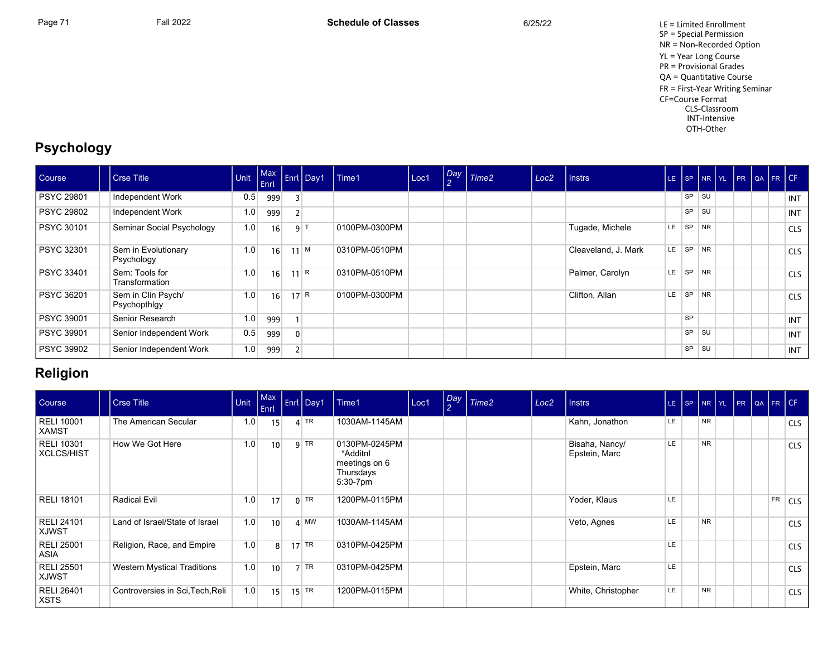Page 71 Fall 2022 Fall 2022 **Schedule of Classes** 6/25/22 6/25/22 LE = Limited Enrollment SP = Special Permission NR = Non-Recorded Option YL = Year Long Course PR = Provisional Grades QA = Quantitative Course FR = First-Year Writing Seminar CF=Course Format CLS-Classroom INT-Intensive OTH-Other

# **Psychology**

| Course            | Crse Title                         | Unit             | Max<br><b>Enrl</b> |                | Enrl Day1       | Time1         | Loc1 | $\begin{bmatrix} Day \\ 2 \end{bmatrix}$ Time2 | Loc <sub>2</sub> | Instrs              | LE. |           | SP NR YL  |  | PR QA FR CF |            |
|-------------------|------------------------------------|------------------|--------------------|----------------|-----------------|---------------|------|------------------------------------------------|------------------|---------------------|-----|-----------|-----------|--|-------------|------------|
| <b>PSYC 29801</b> | Independent Work                   | 0.5              | 999                |                |                 |               |      |                                                |                  |                     |     | <b>SP</b> | <b>SU</b> |  |             | INT        |
| <b>PSYC 29802</b> | Independent Work                   | 1.0 <sub>1</sub> | 999                |                |                 |               |      |                                                |                  |                     |     | <b>SP</b> | <b>SU</b> |  |             | INT        |
| <b>PSYC 30101</b> | Seminar Social Psychology          | 1.0              | 16                 |                | 9 <sup> T</sup> | 0100PM-0300PM |      |                                                |                  | Tugade, Michele     | LE  | <b>SP</b> | <b>NR</b> |  |             | <b>CLS</b> |
| <b>PSYC 32301</b> | Sem in Evolutionary<br>Psychology  | 1.0 <sub>1</sub> | 16                 |                | $11^{M}$        | 0310PM-0510PM |      |                                                |                  | Cleaveland, J. Mark | LE  | <b>SP</b> | <b>NR</b> |  |             | <b>CLS</b> |
| PSYC 33401        | Sem: Tools for<br>Transformation   | 1.0              | 16                 |                | 11 R            | 0310PM-0510PM |      |                                                |                  | Palmer, Carolyn     | LE  | <b>SP</b> | <b>NR</b> |  |             | <b>CLS</b> |
| PSYC 36201        | Sem in Clin Psych/<br>Psychopthigy | 1.0              | 16                 |                | 17 R            | 0100PM-0300PM |      |                                                |                  | Clifton, Allan      | LE  | <b>SP</b> | <b>NR</b> |  |             | <b>CLS</b> |
| <b>PSYC 39001</b> | Senior Research                    | 1.0              | 999                |                |                 |               |      |                                                |                  |                     |     | <b>SP</b> |           |  |             | INT        |
| <b>PSYC 39901</b> | Senior Independent Work            | 0.5              | 999                | $\overline{0}$ |                 |               |      |                                                |                  |                     |     | <b>SP</b> | SU        |  |             | INT        |
| PSYC 39902        | Senior Independent Work            | 1.0              | 999                |                |                 |               |      |                                                |                  |                     |     | SP        | <b>SU</b> |  |             | INT        |

## **Religion**

| Course                                 | <b>Crse Title</b>                  | <b>Unit</b> | <b>Max</b><br>Enrl | Enrl Day1 | Time1                                                               | Loc1 | Day<br>$\overline{2}$ | Time <sub>2</sub> | Loc <sub>2</sub> | <b>Instrs</b>                   |     |           | LE SP NR YL PR QA FR CF |    |            |
|----------------------------------------|------------------------------------|-------------|--------------------|-----------|---------------------------------------------------------------------|------|-----------------------|-------------------|------------------|---------------------------------|-----|-----------|-------------------------|----|------------|
| <b>RELI 10001</b><br>XAMST             | The American Secular               | 1.0         | 15 <sub>1</sub>    | $4$ TR    | 1030AM-1145AM                                                       |      |                       |                   |                  | Kahn, Jonathon                  | LE  | <b>NR</b> |                         |    | <b>CLS</b> |
| <b>RELI 10301</b><br><b>XCLCS/HIST</b> | How We Got Here                    | 1.0         | 10                 | $9$ TR    | 0130PM-0245PM<br>*Additnl<br>meetings on 6<br>Thursdays<br>5:30-7pm |      |                       |                   |                  | Bisaha, Nancy/<br>Epstein, Marc | LE. | <b>NR</b> |                         |    | <b>CLS</b> |
| <b>RELI 18101</b>                      | <b>Radical Evil</b>                | 1.0         | 17                 | $0$ TR    | 1200PM-0115PM                                                       |      |                       |                   |                  | Yoder, Klaus                    | LE  |           |                         | FR | <b>CLS</b> |
| <b>RELI 24101</b><br><b>XJWST</b>      | Land of Israel/State of Israel     | 1.0         | 10                 | $4$ MW    | 1030AM-1145AM                                                       |      |                       |                   |                  | Veto, Agnes                     | LE  | <b>NR</b> |                         |    | <b>CLS</b> |
| <b>RELI 25001</b><br>ASIA              | Religion, Race, and Empire         | 1.0         | 8 <sup>1</sup>     | $17$ TR   | 0310PM-0425PM                                                       |      |                       |                   |                  |                                 | LE  |           |                         |    | <b>CLS</b> |
| <b>RELI 25501</b><br><b>XJWST</b>      | <b>Western Mystical Traditions</b> | 1.0         | 10                 | $7$ TR    | 0310PM-0425PM                                                       |      |                       |                   |                  | Epstein, Marc                   | LE  |           |                         |    | <b>CLS</b> |
| <b>RELI 26401</b><br><b>XSTS</b>       | Controversies in Sci, Tech, Reli   | 1.0         | 15                 | $15$ TR   | 1200PM-0115PM                                                       |      |                       |                   |                  | White, Christopher              | LE. | <b>NR</b> |                         |    | <b>CLS</b> |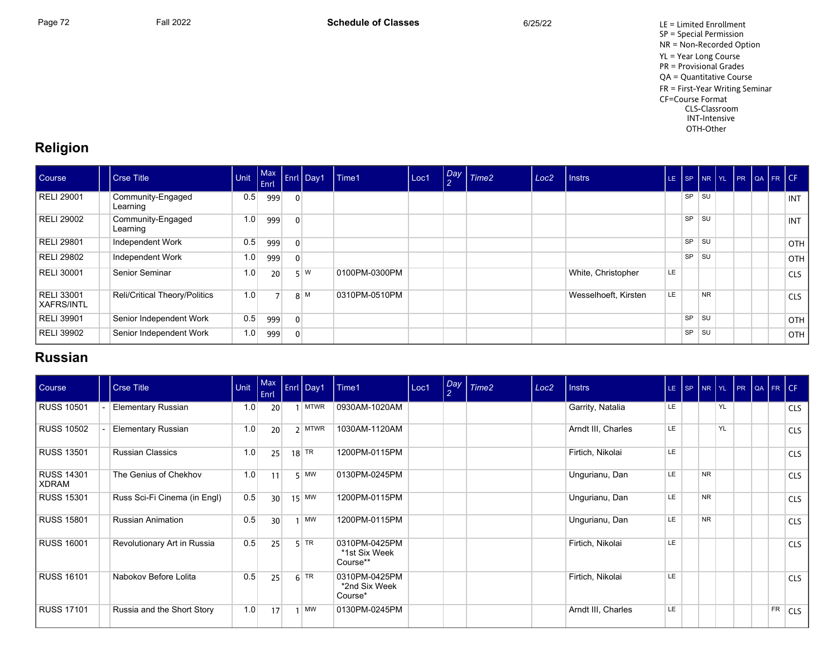

## **Religion**

| Course                     | Crse Title                    | Unit             | Enrl <sup>1</sup> |                | Max Enri Day | Time1         | Loc1 | $\left  \frac{Day}{2} \right $ Time2 | Loc <sub>2</sub> | I Instrs             | LE.       |           |           |  | SP NR YL PR QA FR CF |            |
|----------------------------|-------------------------------|------------------|-------------------|----------------|--------------|---------------|------|--------------------------------------|------------------|----------------------|-----------|-----------|-----------|--|----------------------|------------|
| RELI 29001                 | Community-Engaged<br>Learning | 0.5              | 999               | $\overline{0}$ |              |               |      |                                      |                  |                      |           | <b>SP</b> | <b>SU</b> |  |                      | INT        |
| RELI 29002                 | Community-Engaged<br>Learning | 1.0 <sub>1</sub> | 999               | $\Omega$       |              |               |      |                                      |                  |                      |           | SP        | SU        |  |                      | INT        |
| RELI 29801                 | Independent Work              | 0.5              | 999               | $\Omega$       |              |               |      |                                      |                  |                      |           | <b>SP</b> | SU        |  |                      | <b>OTH</b> |
| RELI 29802                 | Independent Work              | 1.0 <sub>1</sub> | 999               | $\overline{0}$ |              |               |      |                                      |                  |                      |           | <b>SP</b> | SU        |  |                      | OTH        |
| RELI 30001                 | Senior Seminar                | 1.0              | 20                |                | $5 \mid W$   | 0100PM-0300PM |      |                                      |                  | White, Christopher   | <b>LE</b> |           |           |  |                      | <b>CLS</b> |
| RELI 33001<br>  XAFRS/INTL | Reli/Critical Theory/Politics | 1.0              | 7 <sup>1</sup>    |                | 8 M          | 0310PM-0510PM |      |                                      |                  | Wesselhoeft, Kirsten | LE        |           | <b>NR</b> |  |                      | <b>CLS</b> |
| <b>RELI 39901</b>          | Senior Independent Work       | 0.5              | 999               | $\overline{0}$ |              |               |      |                                      |                  |                      |           | SP        | SU        |  |                      | <b>OTH</b> |
| RELI 39902                 | Senior Independent Work       | 1.0              | 999               | $\overline{0}$ |              |               |      |                                      |                  |                      |           | SP        | <b>SU</b> |  |                      | <b>OTH</b> |

## **Russian**

| Course                            | <b>Crse Title</b>            | Unit | $ $ Max<br>Enrl | Enrl Day1          | Time1                                      | Loc1 | Day<br>$\mathcal{P}$ | Time <sub>2</sub> | Loc <sub>2</sub> | <b>Instrs</b>      |           | $LE$ $SP$ |           |    |  |    | NR YL PR QA FR CF |
|-----------------------------------|------------------------------|------|-----------------|--------------------|--------------------------------------------|------|----------------------|-------------------|------------------|--------------------|-----------|-----------|-----------|----|--|----|-------------------|
| <b>RUSS 10501</b>                 | <b>Elementary Russian</b>    | 1.0  | 20              | <b>MTWR</b>        | 0930AM-1020AM                              |      |                      |                   |                  | Garrity, Natalia   | <b>LE</b> |           |           | YL |  |    | <b>CLS</b>        |
| <b>RUSS 10502</b>                 | Elementary Russian           | 1.0  | 20              | $2$ MTWR           | 1030AM-1120AM                              |      |                      |                   |                  | Arndt III, Charles | LE        |           |           | YL |  |    | <b>CLS</b>        |
| <b>RUSS 13501</b>                 | <b>Russian Classics</b>      | 1.0  | 25              | $18$ <sup>TR</sup> | 1200PM-0115PM                              |      |                      |                   |                  | Firtich, Nikolai   | <b>LE</b> |           |           |    |  |    | <b>CLS</b>        |
| <b>RUSS 14301</b><br><b>XDRAM</b> | The Genius of Chekhov        | 1.0  | 11              | $5$ MW             | 0130PM-0245PM                              |      |                      |                   |                  | Ungurianu, Dan     | LE        |           | <b>NR</b> |    |  |    | <b>CLS</b>        |
| <b>RUSS 15301</b>                 | Russ Sci-Fi Cinema (in Engl) | 0.5  | 30              | $15$ MW            | 1200PM-0115PM                              |      |                      |                   |                  | Ungurianu, Dan     | <b>LE</b> |           | <b>NR</b> |    |  |    | <b>CLS</b>        |
| <b>RUSS 15801</b>                 | <b>Russian Animation</b>     | 0.5  | 30              | MW                 | 1200PM-0115PM                              |      |                      |                   |                  | Ungurianu, Dan     | <b>LE</b> |           | <b>NR</b> |    |  |    | <b>CLS</b>        |
| <b>RUSS 16001</b>                 | Revolutionary Art in Russia  | 0.5  | 25              | $5$ TR             | 0310PM-0425PM<br>*1st Six Week<br>Course** |      |                      |                   |                  | Firtich, Nikolai   | LE        |           |           |    |  |    | <b>CLS</b>        |
| <b>RUSS 16101</b>                 | Nabokov Before Lolita        | 0.5  | 25              | $6$ TR             | 0310PM-0425PM<br>*2nd Six Week<br>Course*  |      |                      |                   |                  | Firtich, Nikolai   | LE        |           |           |    |  |    | <b>CLS</b>        |
| <b>RUSS 17101</b>                 | Russia and the Short Story   | 1.0  | 17              | MW                 | 0130PM-0245PM                              |      |                      |                   |                  | Arndt III, Charles | LE        |           |           |    |  | FR | <b>CLS</b>        |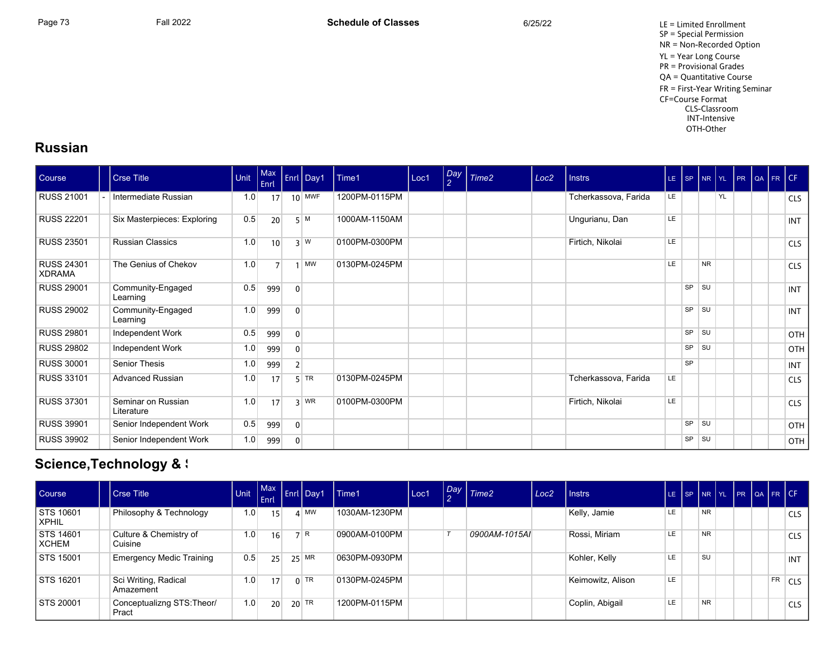Page 73 Fall 2022 Fall 2022 **Schedule of Classes** 6/25/22 6/25/22 LE = Limited Enrollment SP = Special Permission NR = Non-Recorded Option YL = Year Long Course PR = Provisional Grades QA = Quantitative Course FR = First-Year Writing Seminar CF=Course Format CLS-Classroom INT-Intensive OTH-Other

### **Russian**

| Course                             | <b>Crse Title</b>                | Unit | $ $ Max<br>Enrl |                | Enrl Day1 | Time1         | Loc1 | $\left  \frac{Day}{2} \right $ | Time <sub>2</sub> | Loc <sub>2</sub> | <b>Instrs</b>        |     | $LE$ $SP$ |           |    |  | NR YL PR QA FR CF |            |
|------------------------------------|----------------------------------|------|-----------------|----------------|-----------|---------------|------|--------------------------------|-------------------|------------------|----------------------|-----|-----------|-----------|----|--|-------------------|------------|
| <b>RUSS 21001</b>                  | Intermediate Russian             | 1.0  | 17              |                | $10$ MWF  | 1200PM-0115PM |      |                                |                   |                  | Tcherkassova, Farida | LE. |           |           | YL |  |                   | <b>CLS</b> |
| <b>RUSS 22201</b>                  | Six Masterpieces: Exploring      | 0.5  | 20              |                | 5M        | 1000AM-1150AM |      |                                |                   |                  | Ungurianu, Dan       | LE. |           |           |    |  |                   | <b>INT</b> |
| <b>RUSS 23501</b>                  | <b>Russian Classics</b>          | 1.0  | 10              |                | 3 W       | 0100PM-0300PM |      |                                |                   |                  | Firtich, Nikolai     | LE  |           |           |    |  |                   | <b>CLS</b> |
| <b>RUSS 24301</b><br><b>XDRAMA</b> | The Genius of Chekov             | 1.0  | $\overline{7}$  |                | $1$ MW    | 0130PM-0245PM |      |                                |                   |                  |                      | LE. |           | <b>NR</b> |    |  |                   | <b>CLS</b> |
| <b>RUSS 29001</b>                  | Community-Engaged<br>Learning    | 0.5  | 999             | $\mathbf{0}$   |           |               |      |                                |                   |                  |                      |     | <b>SP</b> | SU        |    |  |                   | <b>INT</b> |
| <b>RUSS 29002</b>                  | Community-Engaged<br>Learning    | 1.0  | 999             | $\mathbf{0}$   |           |               |      |                                |                   |                  |                      |     | SP        | <b>SU</b> |    |  |                   | <b>INT</b> |
| <b>RUSS 29801</b>                  | Independent Work                 | 0.5  | 999             | $\overline{0}$ |           |               |      |                                |                   |                  |                      |     | SP        | SU        |    |  |                   | OTH        |
| <b>RUSS 29802</b>                  | Independent Work                 | 1.0  | 999             | $\overline{0}$ |           |               |      |                                |                   |                  |                      |     | <b>SP</b> | <b>SU</b> |    |  |                   | OTH        |
| <b>RUSS 30001</b>                  | Senior Thesis                    | 1.0  | 999             | 2 <sup>1</sup> |           |               |      |                                |                   |                  |                      |     | <b>SP</b> |           |    |  |                   | <b>INT</b> |
| <b>RUSS 33101</b>                  | <b>Advanced Russian</b>          | 1.0  | 17              |                | $5$ TR    | 0130PM-0245PM |      |                                |                   |                  | Tcherkassova, Farida | LE. |           |           |    |  |                   | <b>CLS</b> |
| <b>RUSS 37301</b>                  | Seminar on Russian<br>Literature | 1.0  | 17              |                | $3$ WR    | 0100PM-0300PM |      |                                |                   |                  | Firtich, Nikolai     | LE. |           |           |    |  |                   | <b>CLS</b> |
| <b>RUSS 39901</b>                  | Senior Independent Work          | 0.5  | 999             | 0              |           |               |      |                                |                   |                  |                      |     | SP        | <b>SU</b> |    |  |                   | OTH        |
| <b>RUSS 39902</b>                  | Senior Independent Work          | 1.0  | 999             | $\overline{0}$ |           |               |      |                                |                   |                  |                      |     | SP        | <b>SU</b> |    |  |                   | OTH        |

# **Science,Technology & S**

| <b>Course</b>             | <b>Crse Title</b>                   | Unit | l Enrl          | Init Max Enrl Day1 | l Time1       | Loc1 | Day<br>$\sim$ | $\sqrt{T}$ Time2 | Loc <sub>2</sub> | <b>Instrs</b>     | LE- | l se l |           |  |    | NR YL PR QA FR CF |
|---------------------------|-------------------------------------|------|-----------------|--------------------|---------------|------|---------------|------------------|------------------|-------------------|-----|--------|-----------|--|----|-------------------|
| <b>STS 10601</b><br>XPHIL | Philosophy & Technology             | 1.0  | 15              | $4$ MW             | 1030AM-1230PM |      |               |                  |                  | Kelly, Jamie      | LE. |        | <b>NR</b> |  |    | <b>CLS</b>        |
| STS 14601<br>XCHEM        | Culture & Chemistry of<br>Cuisine   | 1.0  | 16              | 7 R                | 0900AM-0100PM |      |               | 0900AM-1015AI    |                  | Rossi, Miriam     | LE  |        | <b>NR</b> |  |    | <b>CLS</b>        |
| STS 15001                 | <b>Emergency Medic Training</b>     | 0.5  | 25              | $25$ MR            | 0630PM-0930PM |      |               |                  |                  | Kohler, Kelly     | LE  |        | SU        |  |    | INT               |
| <b>STS 16201</b>          | Sci Writing, Radical<br>Amazement   | 1.0  | 17              | $0$ TR             | 0130PM-0245PM |      |               |                  |                  | Keimowitz, Alison | LE. |        |           |  | FR | <b>CLS</b>        |
| <b>STS 20001</b>          | Conceptualizng STS: Theor/<br>Pract | 1.0  | 20 <sup>1</sup> | $20$ TR            | 1200PM-0115PM |      |               |                  |                  | Coplin, Abigail   | LE. |        | <b>NR</b> |  |    | <b>CLS</b>        |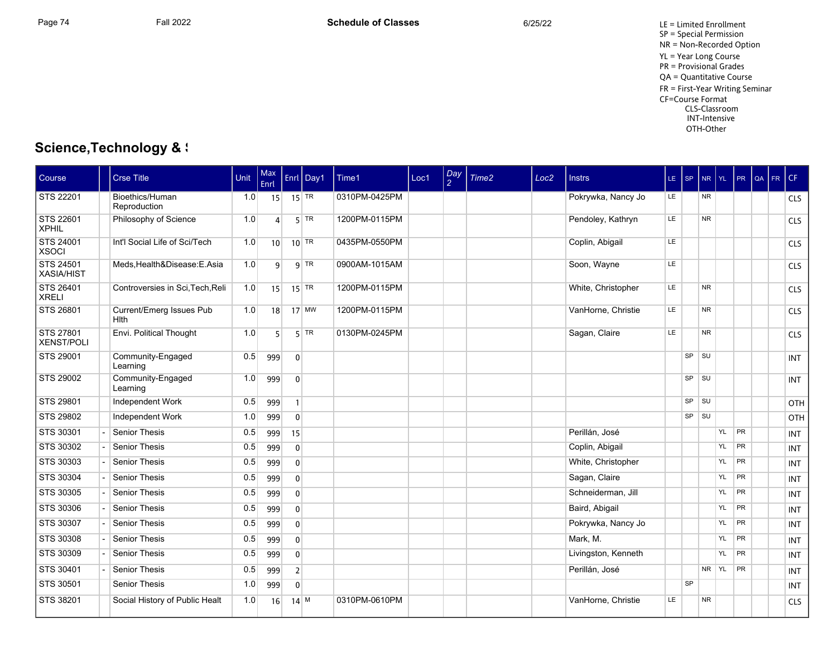SP = Special Permission NR = Non-Recorded Option YL = Year Long Course PR = Provisional Grades QA = Quantitative Course FR = First-Year Writing Seminar CF=Course Format CLS-Classroom INT-Intensive OTH-Other

# **Science,Technology & S**

| Course                         | <b>Crse Title</b>                       | Unit | Max<br>Enrl     |                | Enrl Day1 | Time1         | Loc1 | Day<br>$\mathcal{P}$ | Time <sub>2</sub> | Loc <sub>2</sub> | <b>Instrs</b>       | $LE$ $ SP$ |           | <b>NR</b> | YL. | <b>PR</b> | QA | FR. | l CF.      |
|--------------------------------|-----------------------------------------|------|-----------------|----------------|-----------|---------------|------|----------------------|-------------------|------------------|---------------------|------------|-----------|-----------|-----|-----------|----|-----|------------|
| STS 22201                      | Bioethics/Human<br>Reproduction         | 1.0  | 15 <sup>1</sup> | $15$ TR        |           | 0310PM-0425PM |      |                      |                   |                  | Pokrywka, Nancy Jo  | LE.        |           | <b>NR</b> |     |           |    |     | <b>CLS</b> |
| STS 22601<br><b>XPHIL</b>      | Philosophy of Science                   | 1.0  | $\overline{a}$  |                | $5$ TR    | 1200PM-0115PM |      |                      |                   |                  | Pendoley, Kathryn   | LE.        |           | <b>NR</b> |     |           |    |     | <b>CLS</b> |
| STS 24001<br><b>XSOCI</b>      | Int'l Social Life of Sci/Tech           | 1.0  | 10 <sup>1</sup> |                | $10$ TR   | 0435PM-0550PM |      |                      |                   |                  | Coplin, Abigail     | LE.        |           |           |     |           |    |     | <b>CLS</b> |
| <b>STS 24501</b><br>XASIA/HIST | Meds.Health&Disease:E.Asia              | 1.0  | $\overline{9}$  |                | $9$ TR    | 0900AM-1015AM |      |                      |                   |                  | Soon, Wayne         | LE.        |           |           |     |           |    |     | <b>CLS</b> |
| STS 26401<br><b>XRELI</b>      | Controversies in Sci, Tech, Reli        | 1.0  | 15              |                | $15$ TR   | 1200PM-0115PM |      |                      |                   |                  | White, Christopher  | LE.        |           | <b>NR</b> |     |           |    |     | <b>CLS</b> |
| STS 26801                      | Current/Emerg Issues Pub<br><b>Hith</b> | 1.0  | 18              |                | $17$ MW   | 1200PM-0115PM |      |                      |                   |                  | VanHorne, Christie  | LE.        |           | <b>NR</b> |     |           |    |     | <b>CLS</b> |
| STS 27801<br><b>XENST/POLI</b> | Envi. Political Thought                 | 1.0  | 5 <sup>1</sup>  |                | $5$ TR    | 0130PM-0245PM |      |                      |                   |                  | Sagan, Claire       | LE.        |           | <b>NR</b> |     |           |    |     | <b>CLS</b> |
| <b>STS 29001</b>               | Community-Engaged<br>Learning           | 0.5  | 999             | $\mathbf{0}$   |           |               |      |                      |                   |                  |                     |            | <b>SP</b> | SU        |     |           |    |     | <b>INT</b> |
| STS 29002                      | Community-Engaged<br>Learning           | 1.0  | 999             | $\mathbf 0$    |           |               |      |                      |                   |                  |                     |            | SP        | SU        |     |           |    |     | <b>INT</b> |
| <b>STS 29801</b>               | Independent Work                        | 0.5  | 999             | $\mathbf{1}$   |           |               |      |                      |                   |                  |                     |            | <b>SP</b> | SU        |     |           |    |     | OTH        |
| <b>STS 29802</b>               | <b>Independent Work</b>                 | 1.0  | 999             | $\overline{0}$ |           |               |      |                      |                   |                  |                     |            | <b>SP</b> | SU        |     |           |    |     | OTH        |
| STS 30301                      | <b>Senior Thesis</b>                    | 0.5  | 999             | 15             |           |               |      |                      |                   |                  | Perillán, José      |            |           |           | YL  | <b>PR</b> |    |     | <b>INT</b> |
| STS 30302                      | <b>Senior Thesis</b>                    | 0.5  | 999             | $\mathbf{0}$   |           |               |      |                      |                   |                  | Coplin, Abigail     |            |           |           | YL  | PR        |    |     | <b>INT</b> |
| <b>STS 30303</b>               | <b>Senior Thesis</b>                    | 0.5  | 999             | $\overline{0}$ |           |               |      |                      |                   |                  | White, Christopher  |            |           |           | YL  | <b>PR</b> |    |     | <b>INT</b> |
| STS 30304                      | Senior Thesis                           | 0.5  | 999             | $\overline{0}$ |           |               |      |                      |                   |                  | Sagan, Claire       |            |           |           | YL  | <b>PR</b> |    |     | <b>INT</b> |
| STS 30305                      | <b>Senior Thesis</b>                    | 0.5  | 999             | $\mathbf{0}$   |           |               |      |                      |                   |                  | Schneiderman, Jill  |            |           |           | YL  | <b>PR</b> |    |     | <b>INT</b> |
| <b>STS 30306</b>               | <b>Senior Thesis</b>                    | 0.5  | 999             | $\overline{0}$ |           |               |      |                      |                   |                  | Baird, Abigail      |            |           |           | YL  | <b>PR</b> |    |     | <b>INT</b> |
| STS 30307                      | <b>Senior Thesis</b>                    | 0.5  | 999             | $\overline{0}$ |           |               |      |                      |                   |                  | Pokrywka, Nancy Jo  |            |           |           | YL  | PR        |    |     | <b>INT</b> |
| <b>STS 30308</b>               | <b>Senior Thesis</b>                    | 0.5  | 999             | $\overline{0}$ |           |               |      |                      |                   |                  | Mark, M.            |            |           |           | YL  | <b>PR</b> |    |     | <b>INT</b> |
| STS 30309                      | Senior Thesis                           | 0.5  | 999             | $\overline{0}$ |           |               |      |                      |                   |                  | Livingston, Kenneth |            |           |           | YL  | <b>PR</b> |    |     | <b>INT</b> |
| STS 30401                      | <b>Senior Thesis</b>                    | 0.5  | 999             | $\overline{2}$ |           |               |      |                      |                   |                  | Perillán, José      |            |           | NR YL     |     | <b>PR</b> |    |     | <b>INT</b> |
| STS 30501                      | <b>Senior Thesis</b>                    | 1.0  | 999             | $\overline{0}$ |           |               |      |                      |                   |                  |                     |            | <b>SP</b> |           |     |           |    |     | <b>INT</b> |
| STS 38201                      | Social History of Public Healt          | 1.0  | 16              | $14$ M         |           | 0310PM-0610PM |      |                      |                   |                  | VanHorne, Christie  | <b>LE</b>  |           | <b>NR</b> |     |           |    |     | <b>CLS</b> |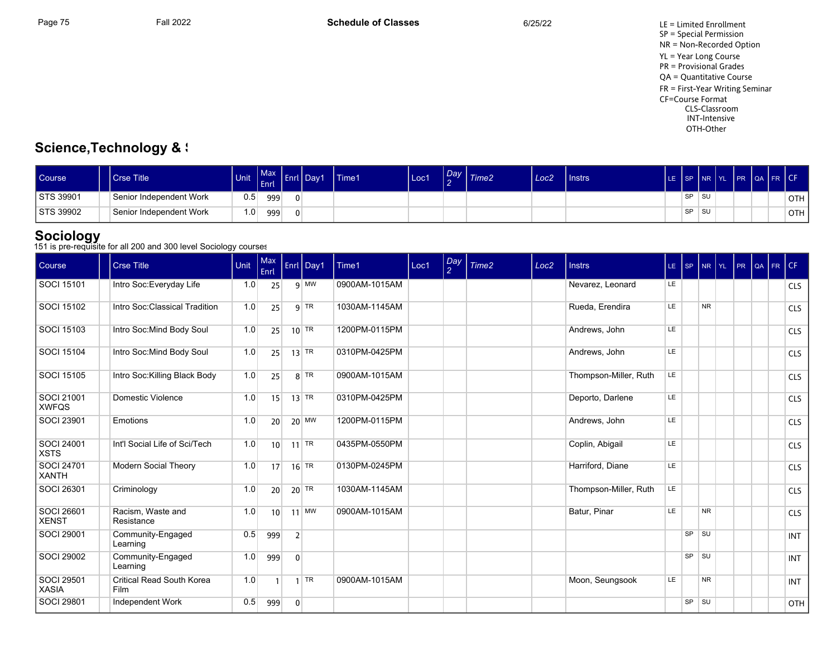SP = Special Permission NR = Non-Recorded Option YL = Year Long Course PR = Provisional Grades QA = Quantitative Course FR = First-Year Writing Seminar CF=Course Format CLS-Classroom INT-Intensive OTH-Other

# **Science,Technology & S**

| <b>Course</b> | <b>Crse Title</b>       | Unit | <b>Max</b><br><b>Enrl</b> | . .<br>7 Enrl IX | Day1 | Time1 | Loc1 | Day<br>$\sim$ | Time <sub>2</sub> | Loc <sub>2</sub> | <b>Instrs</b> | LE ISP |           | <b>INR TYL</b> | <b>DD</b> | <b>IQA FRICE</b> |            |
|---------------|-------------------------|------|---------------------------|------------------|------|-------|------|---------------|-------------------|------------------|---------------|--------|-----------|----------------|-----------|------------------|------------|
| STS 39901     | Senior Independent Work | 0.5  | 999                       |                  |      |       |      |               |                   |                  |               |        | <b>SP</b> | ∣ SU           |           |                  | ੇOTH ∖     |
| STS 39902     | Senior Independent Work | 1.0  | 999                       |                  |      |       |      |               |                   |                  |               |        | <b>SP</b> | ∣ su           |           |                  | <b>OTH</b> |

# **Sociology**<br>151 is pre-requisite for all 200 and 300 level Sociology courses

| Course                            | <b>Crse Title</b>                        | Unit | <b>Max</b><br>Enrl |                | Enrl Day1          | Time1         | Loc1 | Day<br>2 | Time2 | Loc <sub>2</sub> | <b>Instrs</b>         | LE SP |           | NR YL PR       |  | QA FR CF |            |
|-----------------------------------|------------------------------------------|------|--------------------|----------------|--------------------|---------------|------|----------|-------|------------------|-----------------------|-------|-----------|----------------|--|----------|------------|
| SOCI 15101                        | Intro Soc: Everyday Life                 | 1.0  | 25                 |                | $9$ MW             | 0900AM-1015AM |      |          |       |                  | Nevarez, Leonard      | LE.   |           |                |  |          | <b>CLS</b> |
| SOCI 15102                        | Intro Soc: Classical Tradition           | 1.0  | 25                 |                | $9$ TR             | 1030AM-1145AM |      |          |       |                  | Rueda, Erendira       | LE    |           | <b>NR</b>      |  |          | <b>CLS</b> |
| SOCI 15103                        | Intro Soc: Mind Body Soul                | 1.0  | 25                 |                | $10$ TR            | 1200PM-0115PM |      |          |       |                  | Andrews, John         | LE.   |           |                |  |          | <b>CLS</b> |
| <b>SOCI 15104</b>                 | Intro Soc: Mind Body Soul                | 1.0  | 25                 |                | $13$ TR            | 0310PM-0425PM |      |          |       |                  | Andrews, John         | LE.   |           |                |  |          | <b>CLS</b> |
| <b>SOCI 15105</b>                 | Intro Soc: Killing Black Body            | 1.0  | 25                 |                | $8$ TR             | 0900AM-1015AM |      |          |       |                  | Thompson-Miller, Ruth | LE    |           |                |  |          | <b>CLS</b> |
| SOCI 21001<br><b>XWFQS</b>        | Domestic Violence                        | 1.0  | 15                 |                | $13$ TR            | 0310PM-0425PM |      |          |       |                  | Deporto, Darlene      | LE.   |           |                |  |          | <b>CLS</b> |
| SOCI 23901                        | Emotions                                 | 1.0  | 20                 |                | $20$ MW            | 1200PM-0115PM |      |          |       |                  | Andrews, John         | LE.   |           |                |  |          | <b>CLS</b> |
| SOCI 24001<br><b>XSTS</b>         | Int'l Social Life of Sci/Tech            | 1.0  | 10 <sup>1</sup>    |                | $11$ TR            | 0435PM-0550PM |      |          |       |                  | Coplin, Abigail       | LE    |           |                |  |          | <b>CLS</b> |
| <b>SOCI 24701</b><br><b>XANTH</b> | Modern Social Theory                     | 1.0  | 17                 |                | $16$ <sup>TR</sup> | 0130PM-0245PM |      |          |       |                  | Harriford, Diane      | LE    |           |                |  |          | <b>CLS</b> |
| SOCI 26301                        | Criminology                              | 1.0  | 20                 |                | $20$ TR            | 1030AM-1145AM |      |          |       |                  | Thompson-Miller, Ruth | LE    |           |                |  |          | <b>CLS</b> |
| <b>SOCI 26601</b><br><b>XENST</b> | Racism, Waste and<br>Resistance          | 1.0  | 10 <sup>1</sup>    |                | $11$ MW            | 0900AM-1015AM |      |          |       |                  | Batur, Pinar          | LE    |           | N <sub>R</sub> |  |          | <b>CLS</b> |
| <b>SOCI 29001</b>                 | Community-Engaged<br>Learning            | 0.5  | 999                | $\overline{2}$ |                    |               |      |          |       |                  |                       |       | $SP$ $SU$ |                |  |          | <b>INT</b> |
| <b>SOCI 29002</b>                 | Community-Engaged<br>Learning            | 1.0  | 999                | $\overline{0}$ |                    |               |      |          |       |                  |                       |       | $SP$ $SU$ |                |  |          | <b>INT</b> |
| SOCI 29501<br><b>XASIA</b>        | Critical Read South Korea<br><b>Film</b> | 1.0  | 1 <sup>1</sup>     |                | $1$ TR             | 0900AM-1015AM |      |          |       |                  | Moon, Seungsook       | LE    |           | <b>NR</b>      |  |          | <b>INT</b> |
| <b>SOCI 29801</b>                 | Independent Work                         | 0.5  | 999                | $\overline{0}$ |                    |               |      |          |       |                  |                       |       | $SP$ $SU$ |                |  |          | <b>OTH</b> |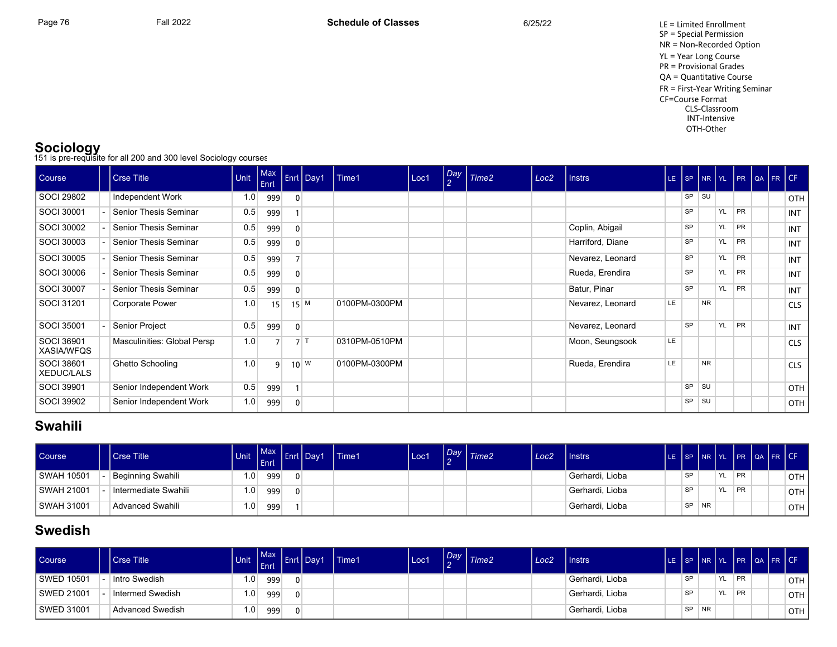Page 76 Fall 2022 Fall 2022 **Schedule of Classes** 6/25/22 6/25/22 LE = Limited Enrollment SP = Special Permission NR = Non-Recorded Option YL = Year Long Course PR = Provisional Grades QA = Quantitative Course FR = First-Year Writing Seminar CF=Course Format CLS-Classroom INT-Intensive OTH-Other

**Sociology**<br>151 is pre-requisite for all 200 and 300 level Sociology courses

| <b>Course</b>              | <b>Crse Title</b>           | Unit | Max<br>Enrl    |                | Enrl Day1          | Time1         | Loc1 | $\frac{Day}{2}$ | $\mid$ Time2 | Loc <sub>2</sub> | Instrs           | LE. |           |           |           | SP NR YL PR QA FR CF |  |            |
|----------------------------|-----------------------------|------|----------------|----------------|--------------------|---------------|------|-----------------|--------------|------------------|------------------|-----|-----------|-----------|-----------|----------------------|--|------------|
| SOCI 29802                 | Independent Work            | 1.0  | 999            | $\mathbf{0}$   |                    |               |      |                 |              |                  |                  |     | SP        | <b>SU</b> |           |                      |  | OTH        |
| SOCI 30001                 | Senior Thesis Seminar       | 0.5  | 999            |                |                    |               |      |                 |              |                  |                  |     | <b>SP</b> |           | YL        | PR                   |  | INT        |
| SOCI 30002                 | Senior Thesis Seminar       | 0.5  | 999            | $\overline{0}$ |                    |               |      |                 |              |                  | Coplin, Abigail  |     | <b>SP</b> |           | YL        | PR                   |  | INT        |
| SOCI 30003                 | Senior Thesis Seminar       | 0.5  | 999            | $\overline{0}$ |                    |               |      |                 |              |                  | Harriford, Diane |     | <b>SP</b> |           | YL        | PR                   |  | INT        |
| SOCI 30005                 | Senior Thesis Seminar       | 0.5  | 999            |                |                    |               |      |                 |              |                  | Nevarez, Leonard |     | <b>SP</b> |           | YL        | PR                   |  | INT        |
| SOCI 30006                 | Senior Thesis Seminar       | 0.5  | 999            | $\overline{0}$ |                    |               |      |                 |              |                  | Rueda, Erendira  |     | <b>SP</b> |           | YL        | PR                   |  | INT        |
| SOCI 30007                 | Senior Thesis Seminar       | 0.5  | 999            | $\overline{0}$ |                    |               |      |                 |              |                  | Batur, Pinar     |     | <b>SP</b> |           | YL        | PR                   |  | INT        |
| SOCI 31201                 | Corporate Power             | 1.0  | 15             |                | $15$ M             | 0100PM-0300PM |      |                 |              |                  | Nevarez, Leonard | LE  |           | <b>NR</b> |           |                      |  | <b>CLS</b> |
| SOCI 35001                 | Senior Project              | 0.5  | 999            | $\overline{0}$ |                    |               |      |                 |              |                  | Nevarez, Leonard |     | <b>SP</b> |           | <b>YL</b> | PR                   |  | INT        |
| SOCI 36901<br>  XASIA/WFQS | Masculinities: Global Persp | 1.0  |                |                | 7                  | 0310PM-0510PM |      |                 |              |                  | Moon, Seungsook  | LE  |           |           |           |                      |  | <b>CLS</b> |
| SOCI 38601<br>  XEDUC/LALS | Ghetto Schooling            | 1.0  | $\overline{9}$ |                | $10^{\mid W \mid}$ | 0100PM-0300PM |      |                 |              |                  | Rueda, Erendira  | LE  |           | <b>NR</b> |           |                      |  | <b>CLS</b> |
| SOCI 39901                 | Senior Independent Work     | 0.5  | 999            |                |                    |               |      |                 |              |                  |                  |     | SP        | SU        |           |                      |  | OTH        |
| SOCI 39902                 | Senior Independent Work     | 1.0  | 999            | $\overline{0}$ |                    |               |      |                 |              |                  |                  |     | SP        | SU        |           |                      |  | OTH        |

# **Swahili**

| <b>Course</b> | <b>Crse Title</b>    | <b>Unit</b>      | <b>Max</b><br><b>LEnri</b> | Enrl   Day1 | Time1 | Loc1 | Day <sup>1</sup> | Time2 | Loc <sub>2</sub> | <b>I</b> Instrs | LE SP I |    | Inr Iyl   |           |           | PR QA FR CF |       |
|---------------|----------------------|------------------|----------------------------|-------------|-------|------|------------------|-------|------------------|-----------------|---------|----|-----------|-----------|-----------|-------------|-------|
| I SWAH 10501  | Beginning Swahili    | 1.0 <sub>1</sub> | 999                        |             |       |      |                  |       |                  | Gerhardi, Lioba |         | SP |           | <b>YL</b> | <b>PR</b> |             | OTH   |
| I SWAH 21001  | Intermediate Swahili | 1.0 <sub>1</sub> | 999                        |             |       |      |                  |       |                  | Gerhardi, Lioba |         | SP |           | <b>YL</b> | <b>PR</b> |             | OTH I |
| I SWAH 31001  | Advanced Swahili     | 1.0              | 999                        |             |       |      |                  |       |                  | Gerhardi, Lioba |         | SP | <b>NR</b> |           |           |             | OTH   |

# **Swedish**

| <b>Course</b> | <b>Crse Title</b>       | <b>Unit</b>      | <b>Max</b><br><b>VEnri</b> | Enrl Day1 | Time1 | Loc' | $\sim$ | $\sqrt{\frac{Day}{Time2}}$ | Loc2 | Instrs          |           | LE SP NR YL |           |           | PR QA FR CF |       |
|---------------|-------------------------|------------------|----------------------------|-----------|-------|------|--------|----------------------------|------|-----------------|-----------|-------------|-----------|-----------|-------------|-------|
| SWED 10501    | Intro Swedish           | 1.0 <sub>1</sub> | 999                        |           |       |      |        |                            |      | Gerhardi, Lioba | SP        |             | YL.       | PR        |             | OTH I |
| SWED 21001    | Intermed Swedish        | 1.0 <sub>1</sub> | 999                        |           |       |      |        |                            |      | Gerhardi, Lioba | SP        |             | <b>YL</b> | <b>PR</b> |             | OTH   |
| l SWED 31001  | <b>Advanced Swedish</b> | 1.0 <sub>1</sub> | 999                        |           |       |      |        |                            |      | Gerhardi, Lioba | <b>SP</b> | <b>NR</b>   |           |           |             | OTH   |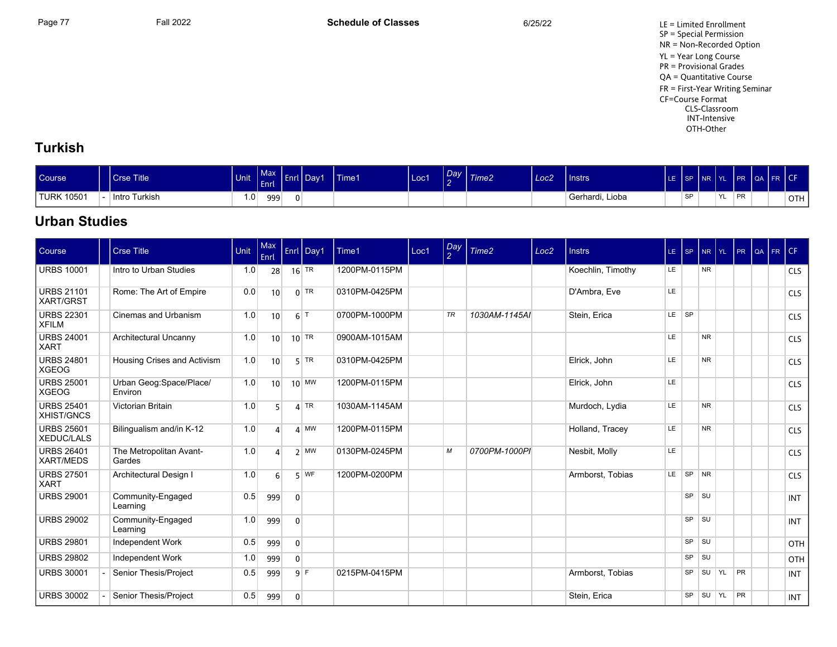Page 77 Fall 2022 Fall 2022 **Schedule of Classes** 6/25/22 6/25/22 LE = Limited Enrollment SP = Special Permission NR = Non-Recorded Option YL = Year Long Course PR = Provisional Grades QA = Quantitative Course FR = First-Year Writing Seminar CF=Course Format CLS-Classroom INT-Intensive OTH-Other

### **Turkish**

| <b>Course</b>           | Crse Title       | Unit | $1 - \sqrt{2}$<br>Enrl | . .<br>vana. | .<br>Dav <sup>1</sup> | <b>Time1</b> | Loc1 | <b>The Company of the Company</b><br>.Dav<br>$\sim$ | Time <sub>2</sub> | Loc <sub>2</sub> | <b>Instrs</b>   | $ $ SP    | INR IYL |       | <b>IPR</b> | OA FR CH |     |
|-------------------------|------------------|------|------------------------|--------------|-----------------------|--------------|------|-----------------------------------------------------|-------------------|------------------|-----------------|-----------|---------|-------|------------|----------|-----|
| <sup>1</sup> TURK 10501 | Turkish<br>Intro | 1.0  | 999                    | 0            |                       |              |      |                                                     |                   |                  | Gerhardi, Lioba | <b>QD</b> |         | ! YL∶ | <b>PR</b>  |          | OTH |

# **Urban Studies**

| Course                                 | <b>Crse Title</b>                  | Unit | Max<br>Enrl     |                | Enrl Day1       | Time1         | Loc1 | Day<br>2 | Time <sub>2</sub> | Loc <sub>2</sub> | <b>Instrs</b>     | $LE$ $SP$ |           | NR YL          |     | PR | QA FR CF |            |
|----------------------------------------|------------------------------------|------|-----------------|----------------|-----------------|---------------|------|----------|-------------------|------------------|-------------------|-----------|-----------|----------------|-----|----|----------|------------|
| <b>URBS 10001</b>                      | Intro to Urban Studies             | 1.0  | 28              |                | $16$ TR         | 1200PM-0115PM |      |          |                   |                  | Koechlin, Timothy | LE.       |           | NR.            |     |    |          | <b>CLS</b> |
| <b>URBS 21101</b><br><b>XART/GRST</b>  | Rome: The Art of Empire            | 0.0  | 10              |                | $0$ TR          | 0310PM-0425PM |      |          |                   |                  | D'Ambra, Eve      | LE.       |           |                |     |    |          | <b>CLS</b> |
| <b>URBS 22301</b><br><b>XFILM</b>      | Cinemas and Urbanism               | 1.0  | 10 <sup>1</sup> |                | $6$ T           | 0700PM-1000PM |      | TR       | 1030AM-1145AI     |                  | Stein, Erica      | LE SP     |           |                |     |    |          | <b>CLS</b> |
| <b>URBS 24001</b><br><b>XART</b>       | Architectural Uncanny              | 1.0  | 10 <sup>1</sup> |                | $10$ TR         | 0900AM-1015AM |      |          |                   |                  |                   | LE.       |           | N <sub>R</sub> |     |    |          | <b>CLS</b> |
| <b>URBS 24801</b><br><b>XGEOG</b>      | Housing Crises and Activism        | 1.0  | 10              |                | $5$ TR          | 0310PM-0425PM |      |          |                   |                  | Elrick, John      | LE        |           | N <sub>R</sub> |     |    |          | <b>CLS</b> |
| <b>URBS 25001</b><br><b>XGEOG</b>      | Urban Geog:Space/Place/<br>Environ | 1.0  | 10 <sup>1</sup> |                | $10$ MW         | 1200PM-0115PM |      |          |                   |                  | Elrick, John      | LE        |           |                |     |    |          | <b>CLS</b> |
| <b>URBS 25401</b><br>XHIST/GNCS        | Victorian Britain                  | 1.0  | 5               |                | $4$ TR          | 1030AM-1145AM |      |          |                   |                  | Murdoch, Lydia    | LE.       |           | NR.            |     |    |          | <b>CLS</b> |
| <b>URBS 25601</b><br><b>XEDUC/LALS</b> | Bilingualism and/in K-12           | 1.0  | $\Delta$        |                | $\mathbf{A}$ MW | 1200PM-0115PM |      |          |                   |                  | Holland, Tracey   | LE        |           | N <sub>R</sub> |     |    |          | <b>CLS</b> |
| <b>URBS 26401</b><br><b>XART/MEDS</b>  | The Metropolitan Avant-<br>Gardes  | 1.0  | $\overline{4}$  |                | $2 \mid M W$    | 0130PM-0245PM |      | М        | 0700PM-1000PI     |                  | Nesbit, Molly     | LE        |           |                |     |    |          | <b>CLS</b> |
| <b>URBS 27501</b><br><b>XART</b>       | Architectural Design I             | 1.0  | 6               |                | $5$ WF          | 1200PM-0200PM |      |          |                   |                  | Armborst, Tobias  |           | LE SP NR  |                |     |    |          | <b>CLS</b> |
| <b>URBS 29001</b>                      | Community-Engaged<br>Learning      | 0.5  | 999             | $\mathbf{0}$   |                 |               |      |          |                   |                  |                   |           | $SP$ $SU$ |                |     |    |          | <b>INT</b> |
| <b>URBS 29002</b>                      | Community-Engaged<br>Learning      | 1.0  | 999             | $\mathbf{0}$   |                 |               |      |          |                   |                  |                   |           | <b>SP</b> | SU             |     |    |          | <b>INT</b> |
| <b>URBS 29801</b>                      | Independent Work                   | 0.5  | 999             | $\overline{0}$ |                 |               |      |          |                   |                  |                   |           | $SP$ $SU$ |                |     |    |          | OTH        |
| <b>URBS 29802</b>                      | Independent Work                   | 1.0  | 999             | $\Omega$       |                 |               |      |          |                   |                  |                   |           | SP SU     |                |     |    |          | OTH        |
| <b>URBS 30001</b>                      | Senior Thesis/Project              | 0.5  | 999             |                | 9F              | 0215PM-0415PM |      |          |                   |                  | Armborst, Tobias  |           | <b>SP</b> | SU             | YL  | PR |          | <b>INT</b> |
| <b>URBS 30002</b>                      | Senior Thesis/Project              | 0.5  | 999             | $\overline{0}$ |                 |               |      |          |                   |                  | Stein, Erica      |           | <b>SP</b> | SU             | YL. | PR |          | <b>INT</b> |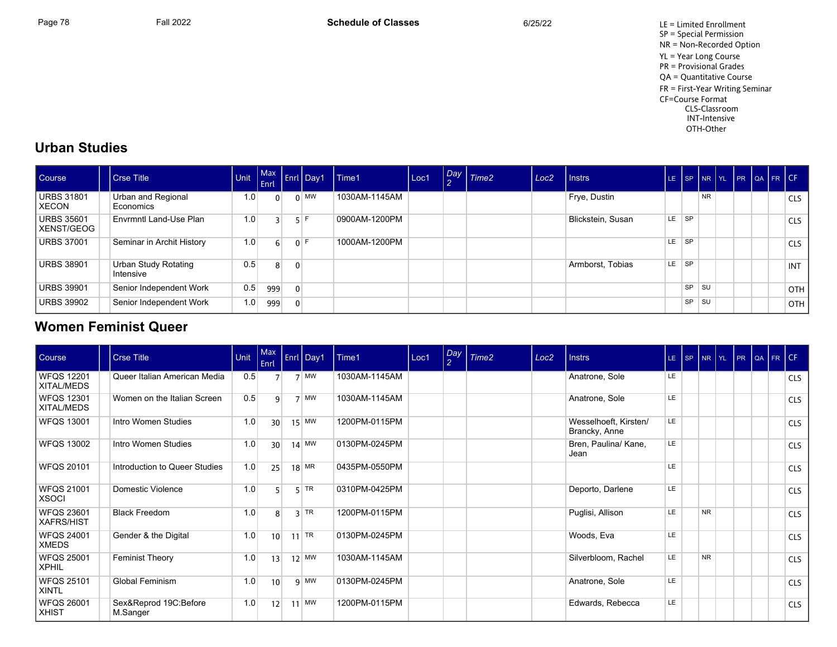Page 78 Fall 2022 Fall 2022 **Schedule of Classes** 6/25/22 6/25/22 LE = Limited Enrollment SP = Special Permission NR = Non-Recorded Option YL = Year Long Course PR = Provisional Grades QA = Quantitative Course FR = First-Year Writing Seminar CF=Course Format CLS-Classroom INT-Intensive OTH-Other

#### **Urban Studies**

| Course                     | Crse Title                        | Unit | Enrl           |          | Max Enrl Day1 | l Time1       | Loc1 | Day Time2 | Loc <sub>2</sub> | I Instrs          | LE.       |           |           |  | SP NR YL PR QA FR CF |            |
|----------------------------|-----------------------------------|------|----------------|----------|---------------|---------------|------|-----------|------------------|-------------------|-----------|-----------|-----------|--|----------------------|------------|
| URBS 31801<br>l XECON      | Urban and Regional<br>Economics   | 1.0  | $\Omega$       |          | $0 \mid$ MW   | 1030AM-1145AM |      |           |                  | Frye, Dustin      |           |           | <b>NR</b> |  |                      | <b>CLS</b> |
| URBS 35601<br>l XENST/GEOG | Envrmntl Land-Use Plan            | 1.0  |                |          | 5 F           | 0900AM-1200PM |      |           |                  | Blickstein, Susan | LE.       | <b>SP</b> |           |  |                      | <b>CLS</b> |
| URBS 37001                 | Seminar in Archit History         | 1.0  | 6 <sup>1</sup> |          | 0 F           | 1000AM-1200PM |      |           |                  |                   | <b>LE</b> | <b>SP</b> |           |  |                      | <b>CLS</b> |
| URBS 38901                 | Urban Study Rotating<br>Intensive | 0.5  | 8              | $\Omega$ |               |               |      |           |                  | Armborst, Tobias  | LE.       | ∣ SP      |           |  |                      | INT        |
| URBS 39901                 | Senior Independent Work           | 0.5  | 999            | $\Omega$ |               |               |      |           |                  |                   |           | <b>SP</b> | <b>SU</b> |  |                      | <b>OTH</b> |
| URBS 39902                 | Senior Independent Work           | 1.0  | 999            | $\Omega$ |               |               |      |           |                  |                   |           | SP        | <b>SU</b> |  |                      | <b>OTH</b> |

### **Women Feminist Queer**

| Course                            | Crse Title                        | Unit | $ $ Max<br>Enrl | Enrl Day1   | Time1         | Loc1 | $\frac{Day}{2}$ | Time <sub>2</sub> | Loc <sub>2</sub> | <b>Instrs</b>                          |           | LE SP NR YL PR |  | QA FR CF |            |
|-----------------------------------|-----------------------------------|------|-----------------|-------------|---------------|------|-----------------|-------------------|------------------|----------------------------------------|-----------|----------------|--|----------|------------|
| <b>WFQS 12201</b><br>XITAL/MEDS   | Queer Italian American Media      | 0.5  |                 | $7$ MW      | 1030AM-1145AM |      |                 |                   |                  | Anatrone, Sole                         | LE.       |                |  |          | <b>CLS</b> |
| <b>WFQS 12301</b><br>XITAL/MEDS   | Women on the Italian Screen       | 0.5  | q               | $7$ MW      | 1030AM-1145AM |      |                 |                   |                  | Anatrone, Sole                         | LE.       |                |  |          | <b>CLS</b> |
| <b>WFQS 13001</b>                 | Intro Women Studies               | 1.0  | 30 <sup>1</sup> | $15$ MW     | 1200PM-0115PM |      |                 |                   |                  | Wesselhoeft, Kirsten/<br>Brancky, Anne | LE        |                |  |          | <b>CLS</b> |
| <b>WFQS 13002</b>                 | Intro Women Studies               | 1.0  | 30 <sup>1</sup> | $14$ MW     | 0130PM-0245PM |      |                 |                   |                  | Bren, Paulina/ Kane,<br>Jean           | LE.       |                |  |          | <b>CLS</b> |
| WFQS 20101                        | Introduction to Queer Studies     | 1.0  | 25              | $18$ MR     | 0435PM-0550PM |      |                 |                   |                  |                                        | LE.       |                |  |          | <b>CLS</b> |
| <b>WFQS 21001</b><br><b>XSOCI</b> | Domestic Violence                 | 1.0  |                 | $5$ TR      | 0310PM-0425PM |      |                 |                   |                  | Deporto, Darlene                       | LE.       |                |  |          | <b>CLS</b> |
| <b>WFQS 23601</b><br>XAFRS/HIST   | <b>Black Freedom</b>              | 1.0  | 8               | $3$ TR      | 1200PM-0115PM |      |                 |                   |                  | Puglisi, Allison                       | LE.       | <b>NR</b>      |  |          | <b>CLS</b> |
| WFQS 24001<br><b>XMEDS</b>        | Gender & the Digital              | 1.0  | 10 <sup>1</sup> | $11$ TR     | 0130PM-0245PM |      |                 |                   |                  | Woods, Eva                             | LE.       |                |  |          | <b>CLS</b> |
| WFQS 25001<br>XPHIL               | <b>Feminist Theory</b>            | 1.0  | 13              | $12$ MW     | 1030AM-1145AM |      |                 |                   |                  | Silverbloom, Rachel                    | <b>LE</b> | N <sub>R</sub> |  |          | <b>CLS</b> |
| <b>WFQS 25101</b><br><b>XINTL</b> | Global Feminism                   | 1.0  | 10              | $9 \mid$ MW | 0130PM-0245PM |      |                 |                   |                  | Anatrone, Sole                         | LE.       |                |  |          | <b>CLS</b> |
| WFQS 26001<br><b>XHIST</b>        | Sex&Reprod 19C:Before<br>M.Sanger | 1.0  | 12              | $11$ MW     | 1200PM-0115PM |      |                 |                   |                  | Edwards, Rebecca                       | LE.       |                |  |          | <b>CLS</b> |